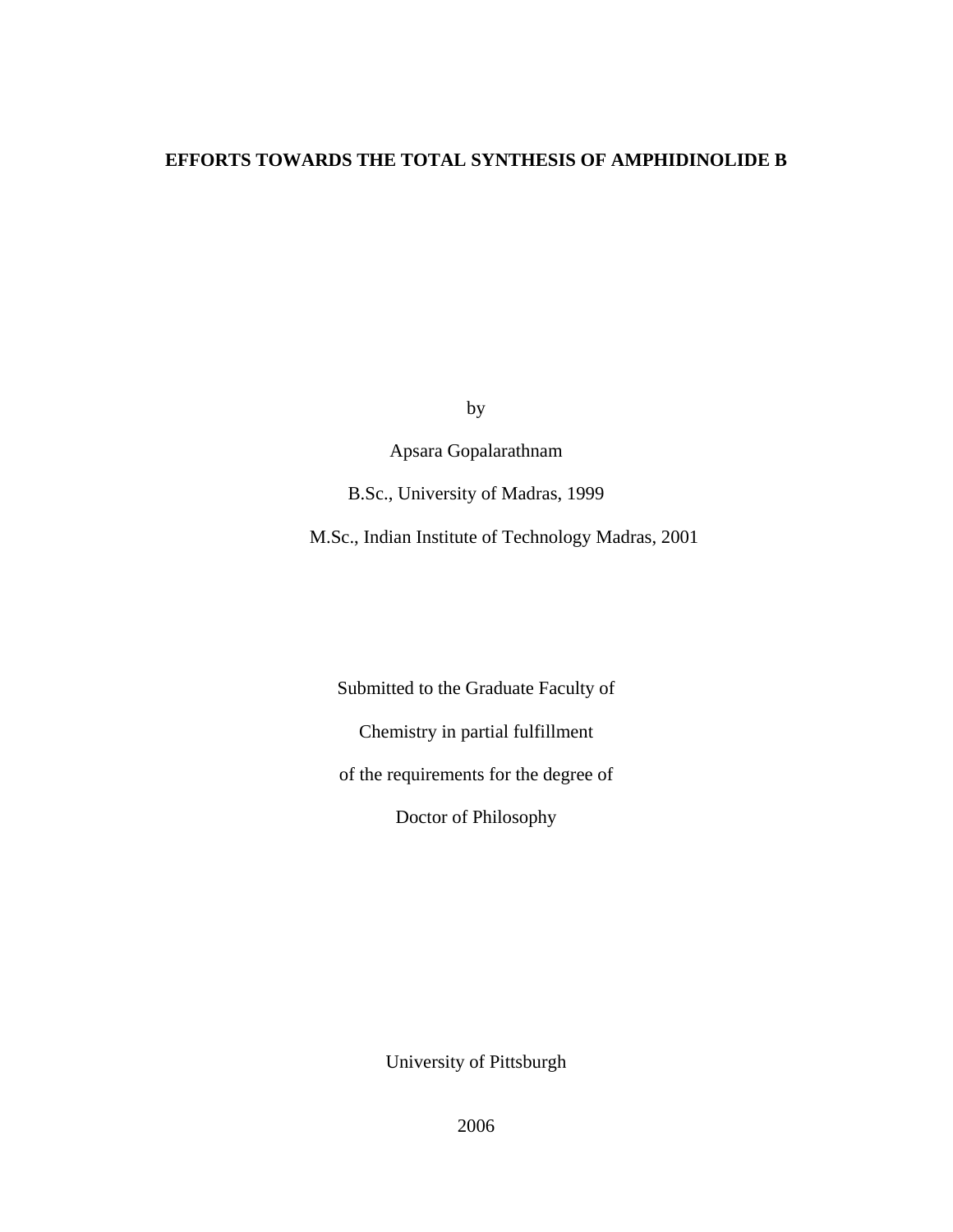### **EFFORTS TOWARDS THE TOTAL SYNTHESIS OF AMPHIDINOLIDE B**

by

Apsara Gopalarathnam

B.Sc., University of Madras, 1999

M.Sc., Indian Institute of Technology Madras, 2001

Submitted to the Graduate Faculty of

Chemistry in partial fulfillment

of the requirements for the degree of

Doctor of Philosophy

University of Pittsburgh

2006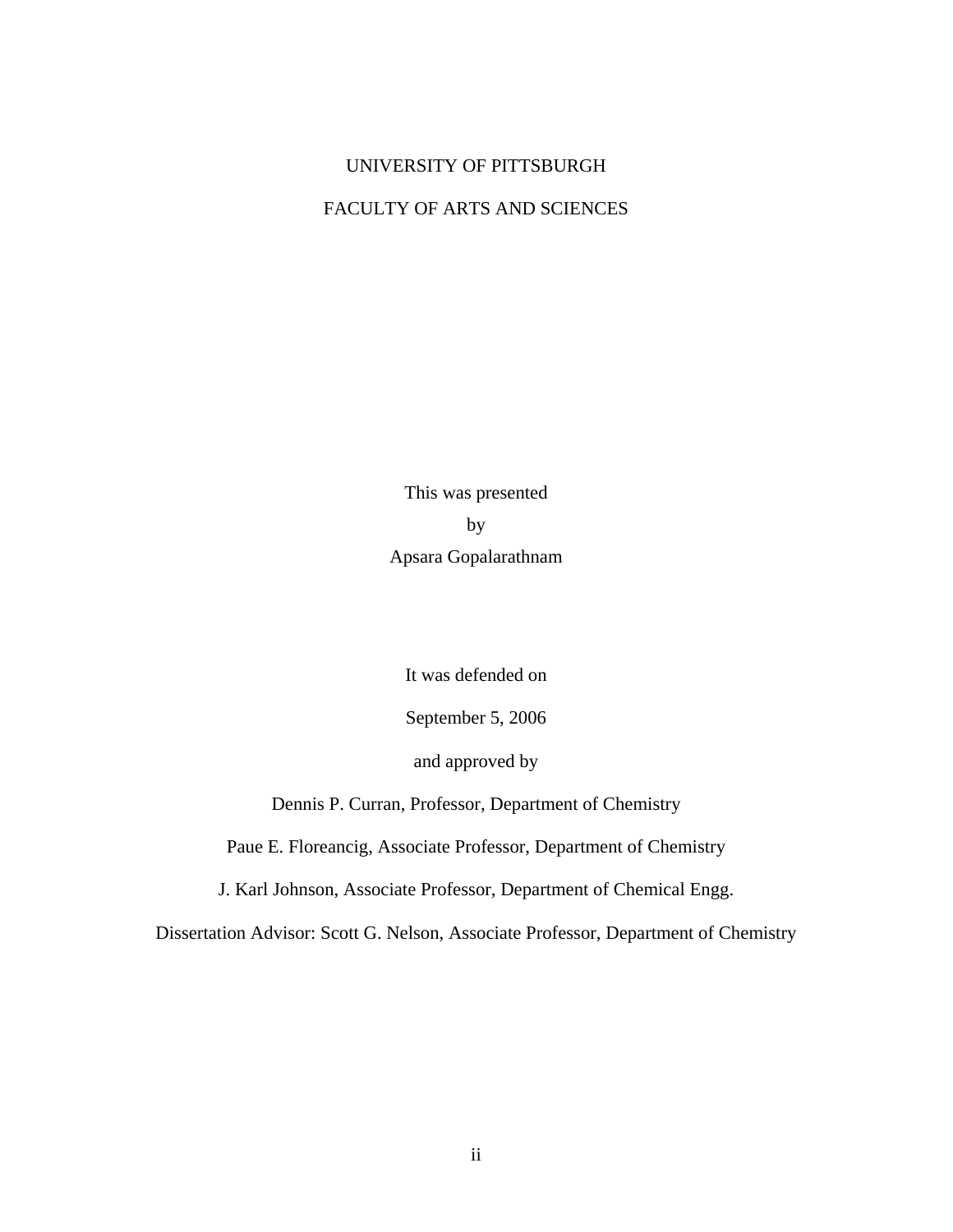## UNIVERSITY OF PITTSBURGH

## FACULTY OF ARTS AND SCIENCES

This was presented by Apsara Gopalarathnam

It was defended on

September 5, 2006

and approved by

Dennis P. Curran, Professor, Department of Chemistry

Paue E. Floreancig, Associate Professor, Department of Chemistry

J. Karl Johnson, Associate Professor, Department of Chemical Engg.

Dissertation Advisor: Scott G. Nelson, Associate Professor, Department of Chemistry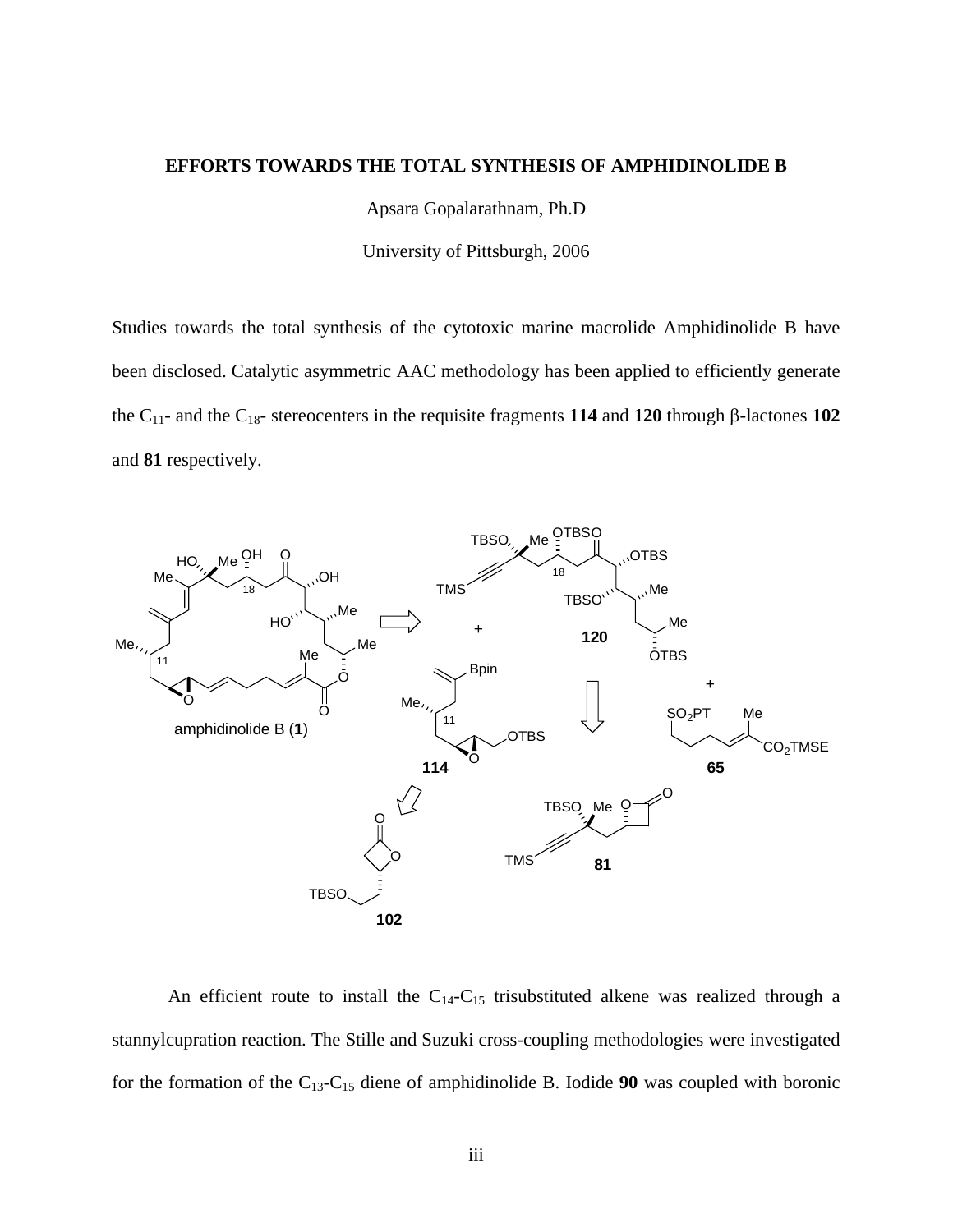### **EFFORTS TOWARDS THE TOTAL SYNTHESIS OF AMPHIDINOLIDE B**

Apsara Gopalarathnam, Ph.D

University of Pittsburgh, 2006

Studies towards the total synthesis of the cytotoxic marine macrolide Amphidinolide B have been disclosed. Catalytic asymmetric AAC methodology has been applied to efficiently generate the C11- and the C18- stereocenters in the requisite fragments **114** and **120** through β-lactones **102**  and **81** respectively.



An efficient route to install the  $C_{14}-C_{15}$  trisubstituted alkene was realized through a stannylcupration reaction. The Stille and Suzuki cross-coupling methodologies were investigated for the formation of the C13-C15 diene of amphidinolide B. Iodide **90** was coupled with boronic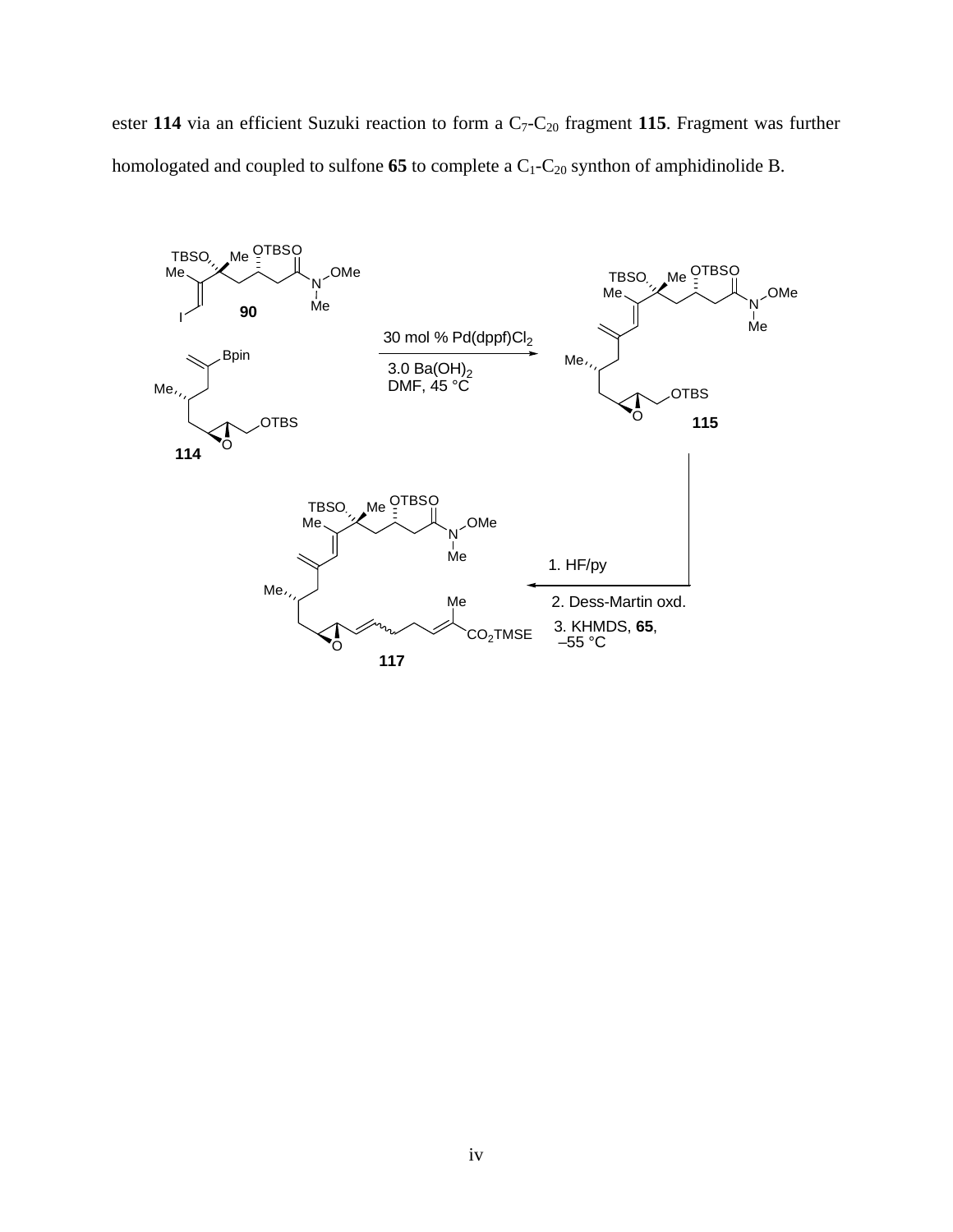ester 114 via an efficient Suzuki reaction to form a C<sub>7</sub>-C<sub>20</sub> fragment 115. Fragment was further homologated and coupled to sulfone  $65$  to complete a  $C_1-C_{20}$  synthon of amphidinolide B.

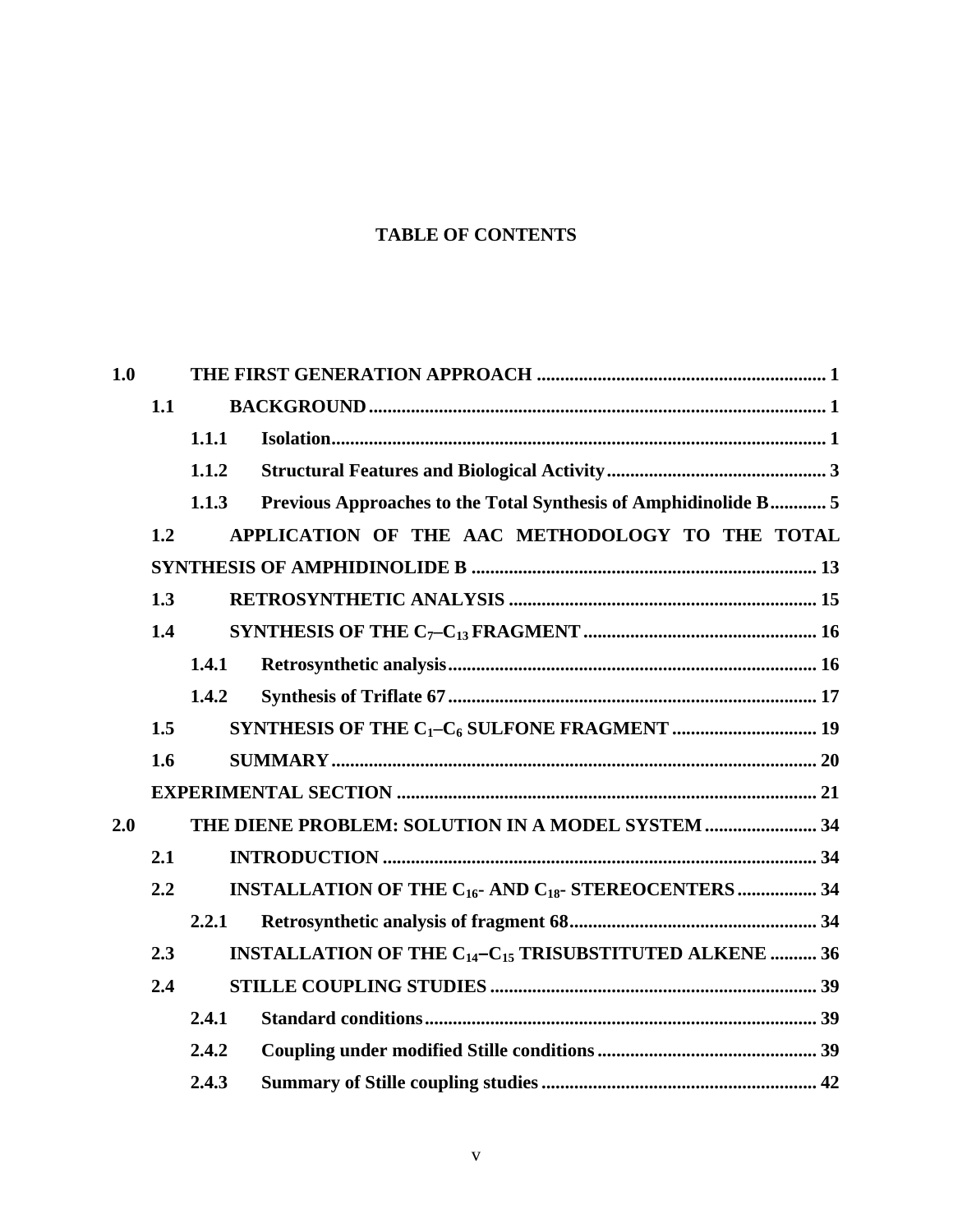## **TABLE OF CONTENTS**

| 1.0 |     |       |                                                                                            |  |  |  |
|-----|-----|-------|--------------------------------------------------------------------------------------------|--|--|--|
|     | 1.1 |       |                                                                                            |  |  |  |
|     |     | 1.1.1 |                                                                                            |  |  |  |
|     |     | 1.1.2 |                                                                                            |  |  |  |
|     |     | 1.1.3 | Previous Approaches to the Total Synthesis of Amphidinolide B 5                            |  |  |  |
|     | 1.2 |       | APPLICATION OF THE AAC METHODOLOGY TO THE TOTAL                                            |  |  |  |
|     |     |       |                                                                                            |  |  |  |
|     | 1.3 |       |                                                                                            |  |  |  |
|     | 1.4 |       |                                                                                            |  |  |  |
|     |     | 1.4.1 |                                                                                            |  |  |  |
|     |     | 1.4.2 |                                                                                            |  |  |  |
|     | 1.5 |       |                                                                                            |  |  |  |
|     | 1.6 |       |                                                                                            |  |  |  |
|     |     |       |                                                                                            |  |  |  |
| 2.0 |     |       | THE DIENE PROBLEM: SOLUTION IN A MODEL SYSTEM  34                                          |  |  |  |
|     | 2.1 |       |                                                                                            |  |  |  |
|     | 2.2 |       | <b>INSTALLATION OF THE <math>C_{16}</math>- AND <math>C_{18}</math>- STEREOCENTERS  34</b> |  |  |  |
|     |     | 2.2.1 |                                                                                            |  |  |  |
|     | 2.3 |       | <b>INSTALLATION OF THE <math>C_{14}-C_{15}</math> TRISUBSTITUTED ALKENE  36</b>            |  |  |  |
|     | 2.4 |       |                                                                                            |  |  |  |
|     |     | 2.4.1 |                                                                                            |  |  |  |
|     |     | 2.4.2 |                                                                                            |  |  |  |
|     |     | 2.4.3 |                                                                                            |  |  |  |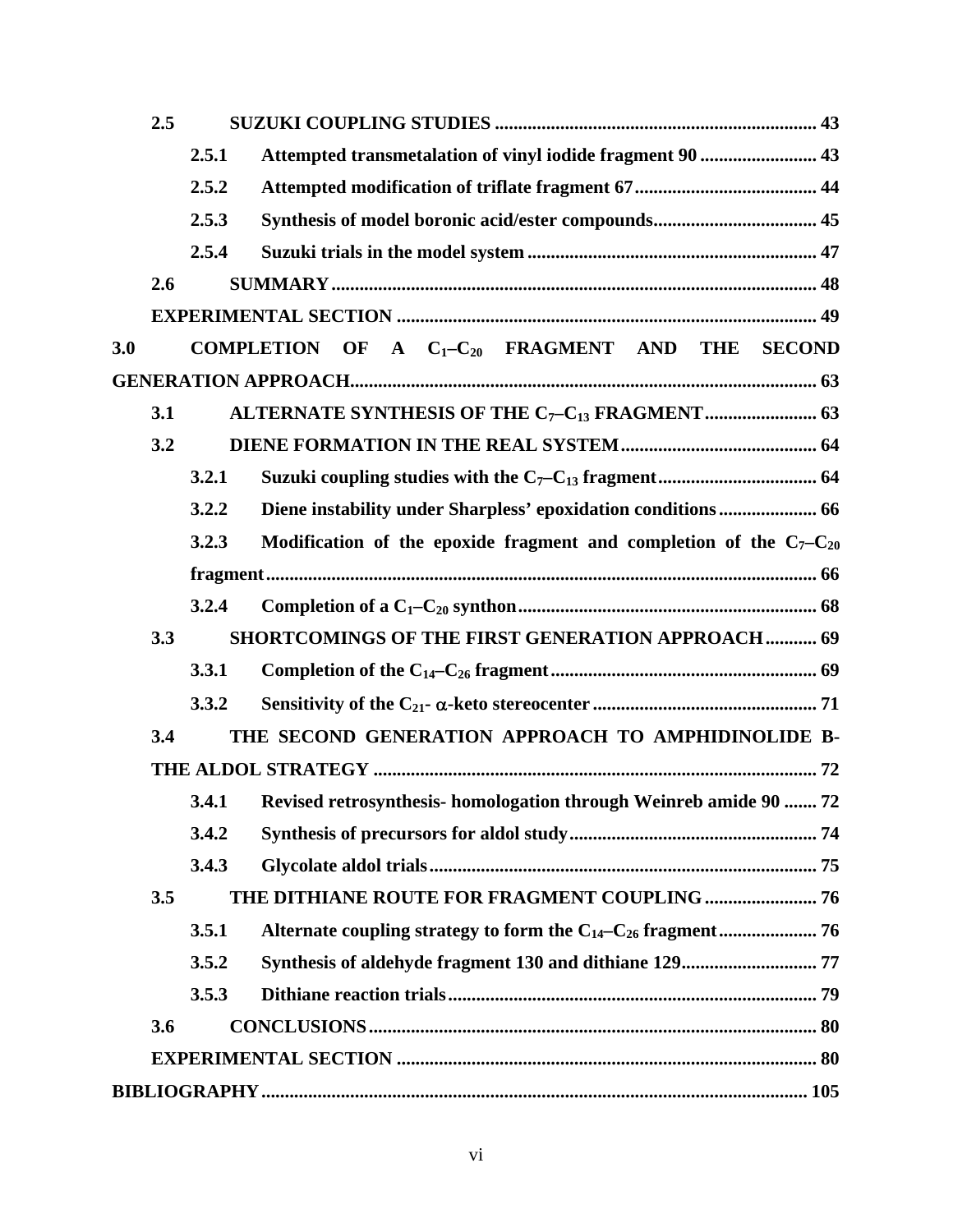|     | 2.5 |       |                                                                         |  |  |  |  |  |
|-----|-----|-------|-------------------------------------------------------------------------|--|--|--|--|--|
|     |     | 2.5.1 | Attempted transmetalation of vinyl iodide fragment 90  43               |  |  |  |  |  |
|     |     | 2.5.2 |                                                                         |  |  |  |  |  |
|     |     | 2.5.3 |                                                                         |  |  |  |  |  |
|     |     | 2.5.4 |                                                                         |  |  |  |  |  |
|     | 2.6 |       |                                                                         |  |  |  |  |  |
|     |     |       |                                                                         |  |  |  |  |  |
| 3.0 |     |       | COMPLETION OF A $C_1-C_{20}$ FRAGMENT AND THE SECOND                    |  |  |  |  |  |
|     |     |       |                                                                         |  |  |  |  |  |
|     | 3.1 |       |                                                                         |  |  |  |  |  |
|     | 3.2 |       |                                                                         |  |  |  |  |  |
|     |     | 3.2.1 |                                                                         |  |  |  |  |  |
|     |     | 3.2.2 | Diene instability under Sharpless' epoxidation conditions 66            |  |  |  |  |  |
|     |     | 3.2.3 | Modification of the epoxide fragment and completion of the $C_7-C_{20}$ |  |  |  |  |  |
|     |     |       |                                                                         |  |  |  |  |  |
|     |     | 3.2.4 |                                                                         |  |  |  |  |  |
|     | 3.3 |       | SHORTCOMINGS OF THE FIRST GENERATION APPROACH  69                       |  |  |  |  |  |
|     |     | 3.3.1 |                                                                         |  |  |  |  |  |
|     |     | 3.3.2 |                                                                         |  |  |  |  |  |
|     | 3.4 |       | THE SECOND GENERATION APPROACH TO AMPHIDINOLIDE B-                      |  |  |  |  |  |
|     |     |       |                                                                         |  |  |  |  |  |
|     |     | 3.4.1 | Revised retrosynthesis- homologation through Weinreb amide 90  72       |  |  |  |  |  |
|     |     | 3.4.2 |                                                                         |  |  |  |  |  |
|     |     | 3.4.3 |                                                                         |  |  |  |  |  |
|     | 3.5 |       |                                                                         |  |  |  |  |  |
|     |     |       |                                                                         |  |  |  |  |  |
|     |     | 3.5.1 |                                                                         |  |  |  |  |  |
|     |     | 3.5.2 |                                                                         |  |  |  |  |  |
|     |     | 3.5.3 |                                                                         |  |  |  |  |  |
|     | 3.6 |       |                                                                         |  |  |  |  |  |
|     |     |       |                                                                         |  |  |  |  |  |
|     |     |       |                                                                         |  |  |  |  |  |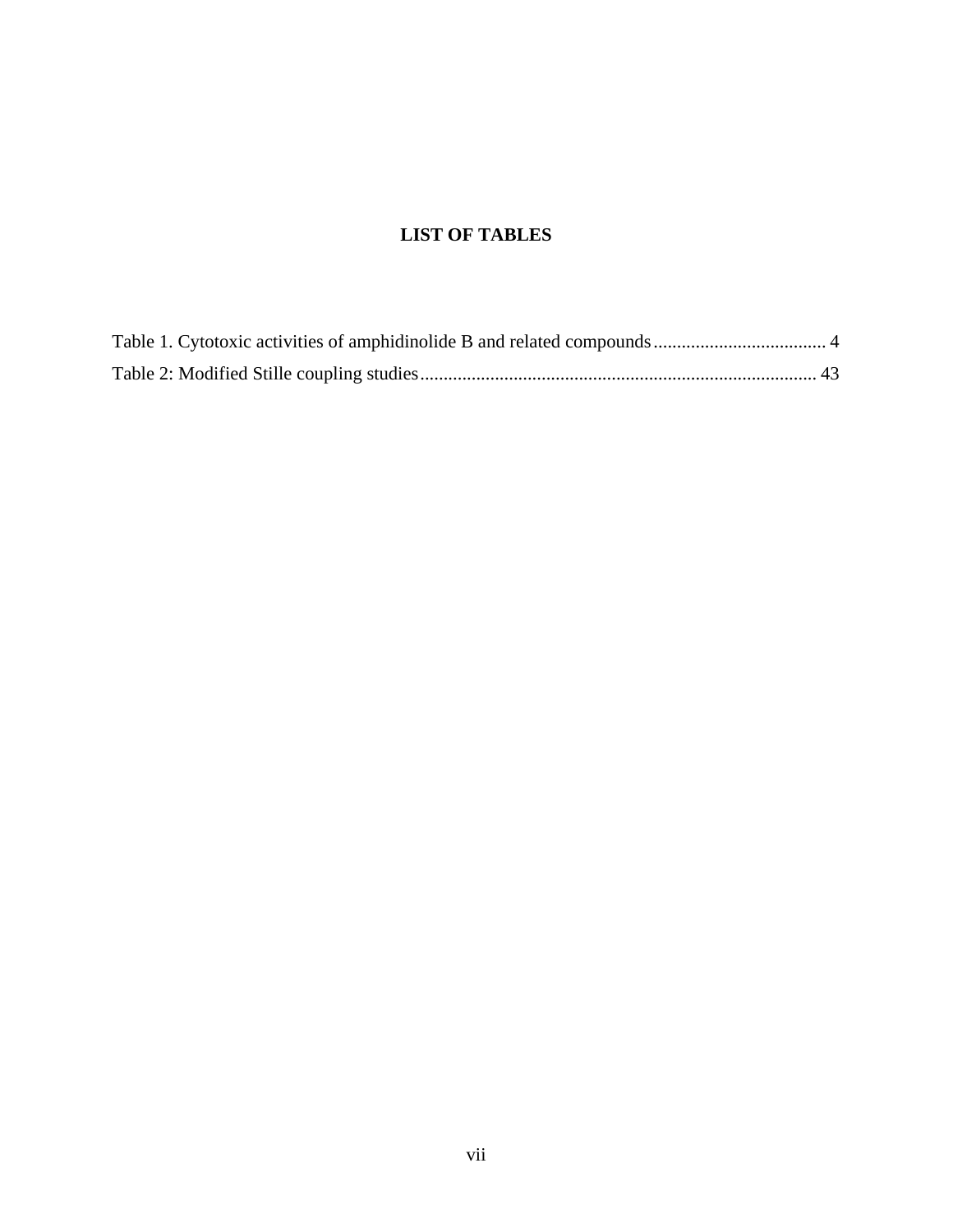## **LIST OF TABLES**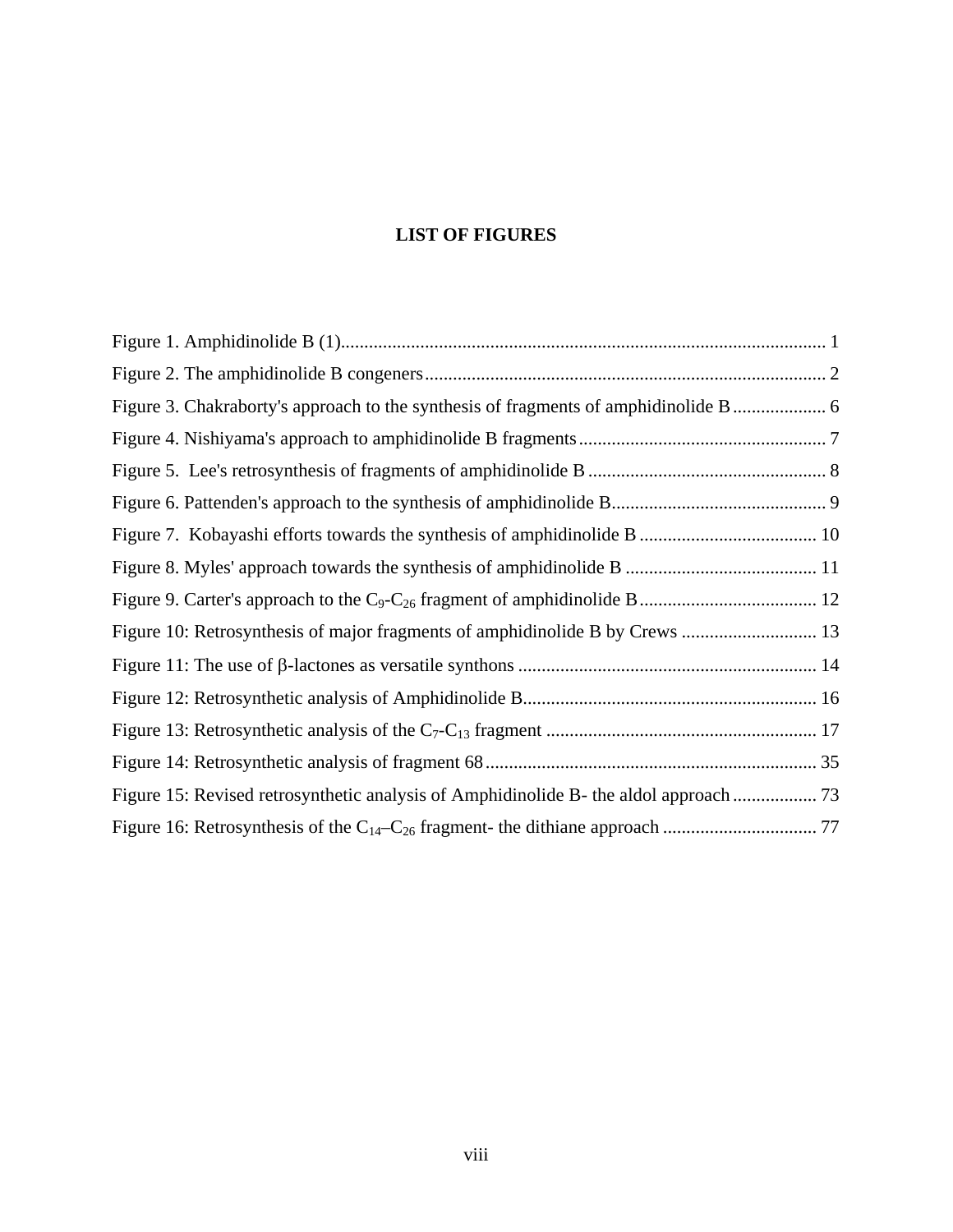## **LIST OF FIGURES**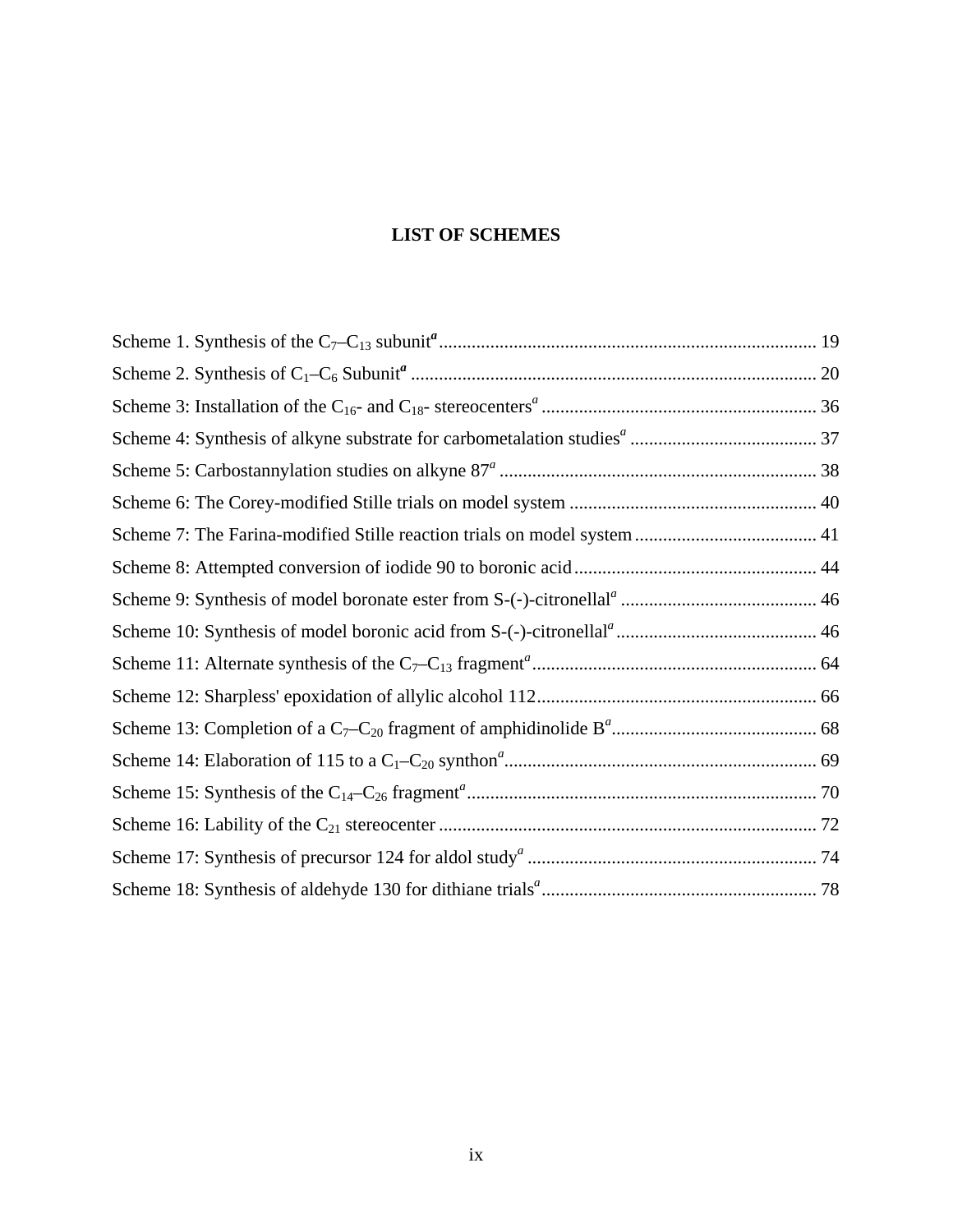## **LIST OF SCHEMES**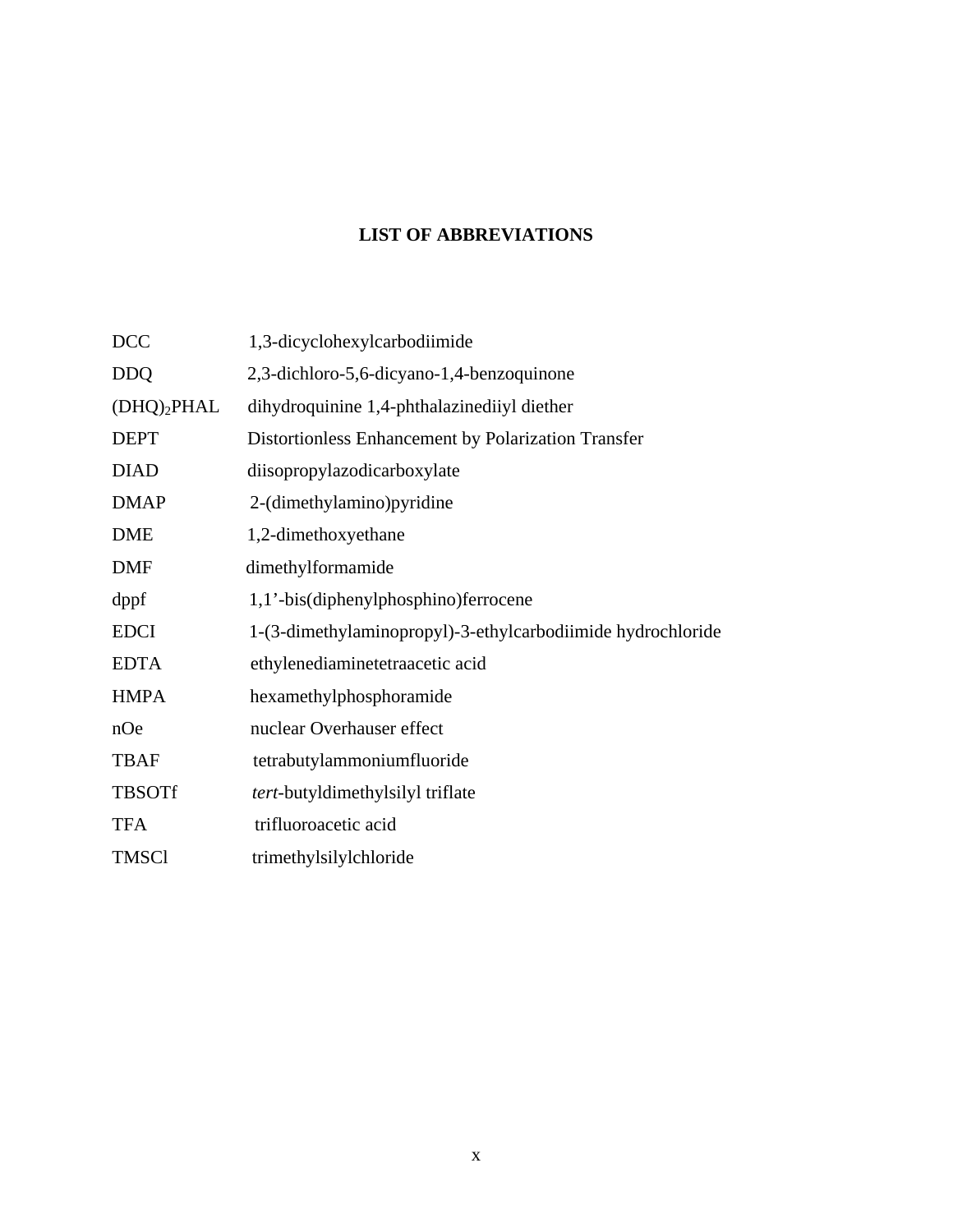# **LIST OF ABBREVIATIONS**

| <b>DCC</b>     | 1,3-dicyclohexylcarbodiimide                                |
|----------------|-------------------------------------------------------------|
| <b>DDQ</b>     | 2,3-dichloro-5,6-dicyano-1,4-benzoquinone                   |
| $(DHQ)_2$ PHAL | dihydroquinine 1,4-phthalazinediiyl diether                 |
| <b>DEPT</b>    | Distortionless Enhancement by Polarization Transfer         |
| <b>DIAD</b>    | diisopropylazodicarboxylate                                 |
| <b>DMAP</b>    | 2-(dimethylamino) pyridine                                  |
| <b>DME</b>     | 1,2-dimethoxyethane                                         |
| <b>DMF</b>     | dimethylformamide                                           |
| dppf           | 1,1'-bis(diphenylphosphino) ferrocene                       |
| <b>EDCI</b>    | 1-(3-dimethylaminopropyl)-3-ethylcarbodiimide hydrochloride |
| <b>EDTA</b>    | ethylenediaminetetraacetic acid                             |
| <b>HMPA</b>    | hexamethylphosphoramide                                     |
| nOe            | nuclear Overhauser effect                                   |
| <b>TBAF</b>    | tetrabutylammoniumfluoride                                  |
| <b>TBSOTf</b>  | <i>tert</i> -butyldimethylsilyl triflate                    |
| <b>TFA</b>     | trifluoroacetic acid                                        |
| <b>TMSCI</b>   | trimethylsilylchloride                                      |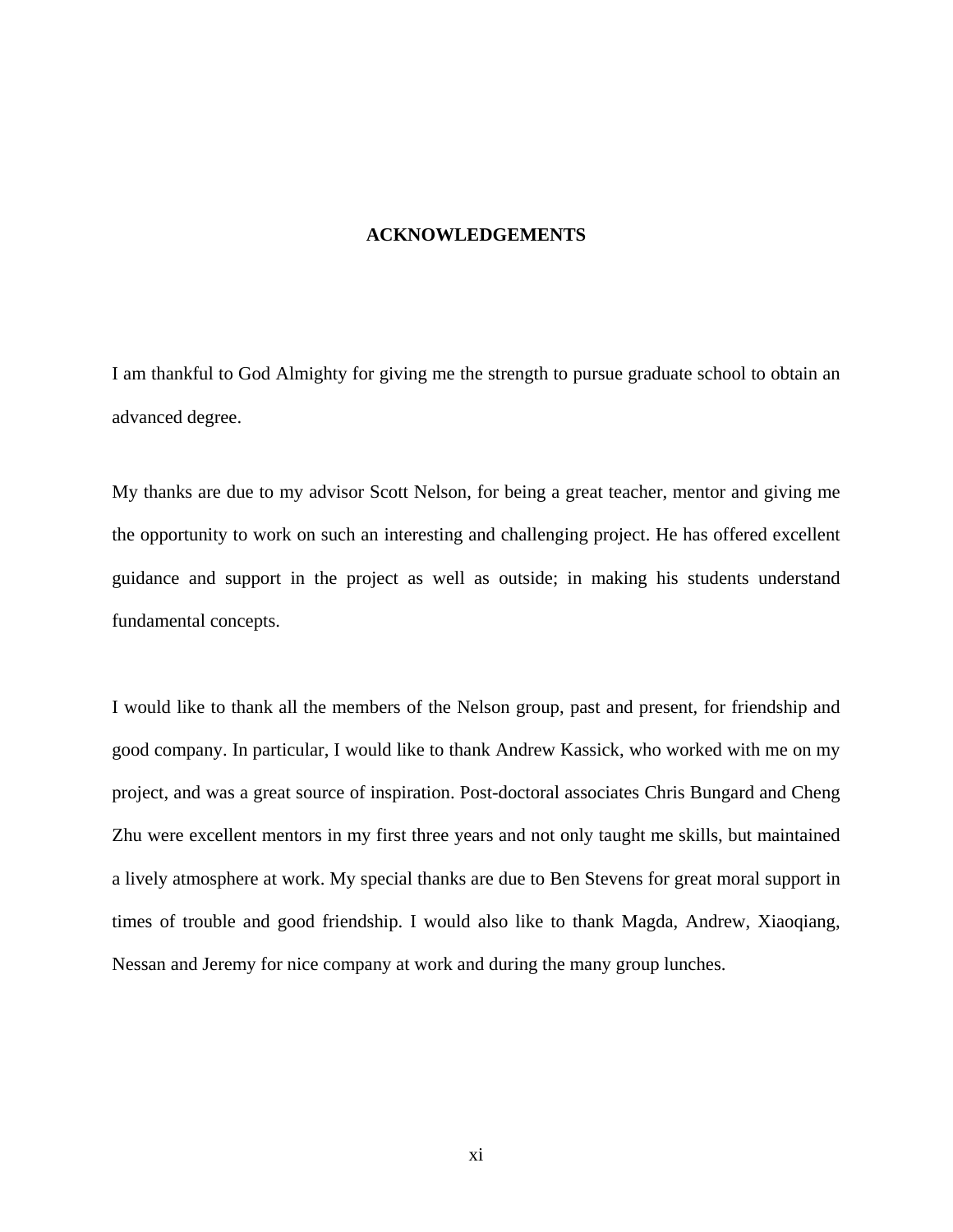#### **ACKNOWLEDGEMENTS**

I am thankful to God Almighty for giving me the strength to pursue graduate school to obtain an advanced degree.

My thanks are due to my advisor Scott Nelson, for being a great teacher, mentor and giving me the opportunity to work on such an interesting and challenging project. He has offered excellent guidance and support in the project as well as outside; in making his students understand fundamental concepts.

I would like to thank all the members of the Nelson group, past and present, for friendship and good company. In particular, I would like to thank Andrew Kassick, who worked with me on my project, and was a great source of inspiration. Post-doctoral associates Chris Bungard and Cheng Zhu were excellent mentors in my first three years and not only taught me skills, but maintained a lively atmosphere at work. My special thanks are due to Ben Stevens for great moral support in times of trouble and good friendship. I would also like to thank Magda, Andrew, Xiaoqiang, Nessan and Jeremy for nice company at work and during the many group lunches.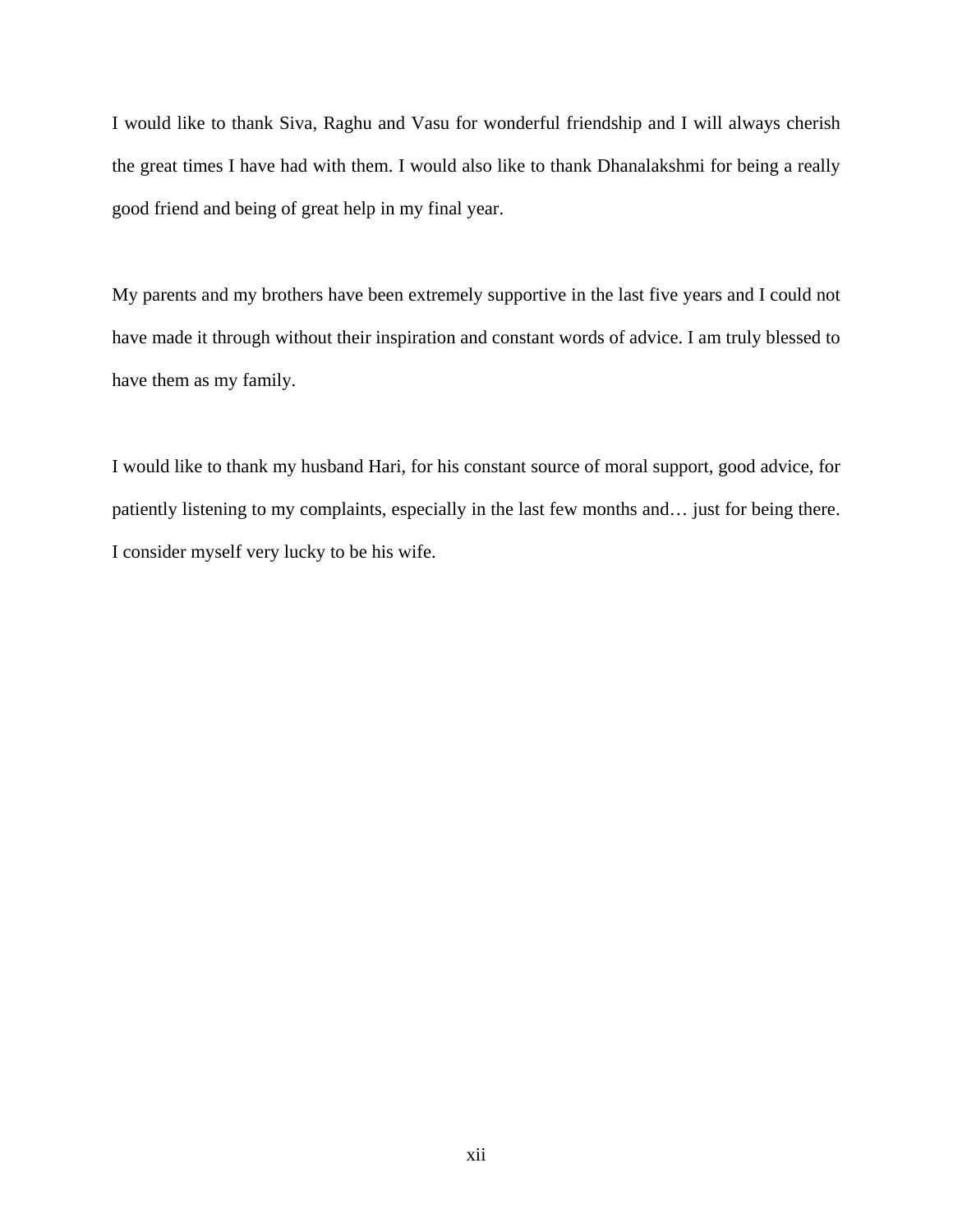I would like to thank Siva, Raghu and Vasu for wonderful friendship and I will always cherish the great times I have had with them. I would also like to thank Dhanalakshmi for being a really good friend and being of great help in my final year.

My parents and my brothers have been extremely supportive in the last five years and I could not have made it through without their inspiration and constant words of advice. I am truly blessed to have them as my family.

I would like to thank my husband Hari, for his constant source of moral support, good advice, for patiently listening to my complaints, especially in the last few months and… just for being there. I consider myself very lucky to be his wife.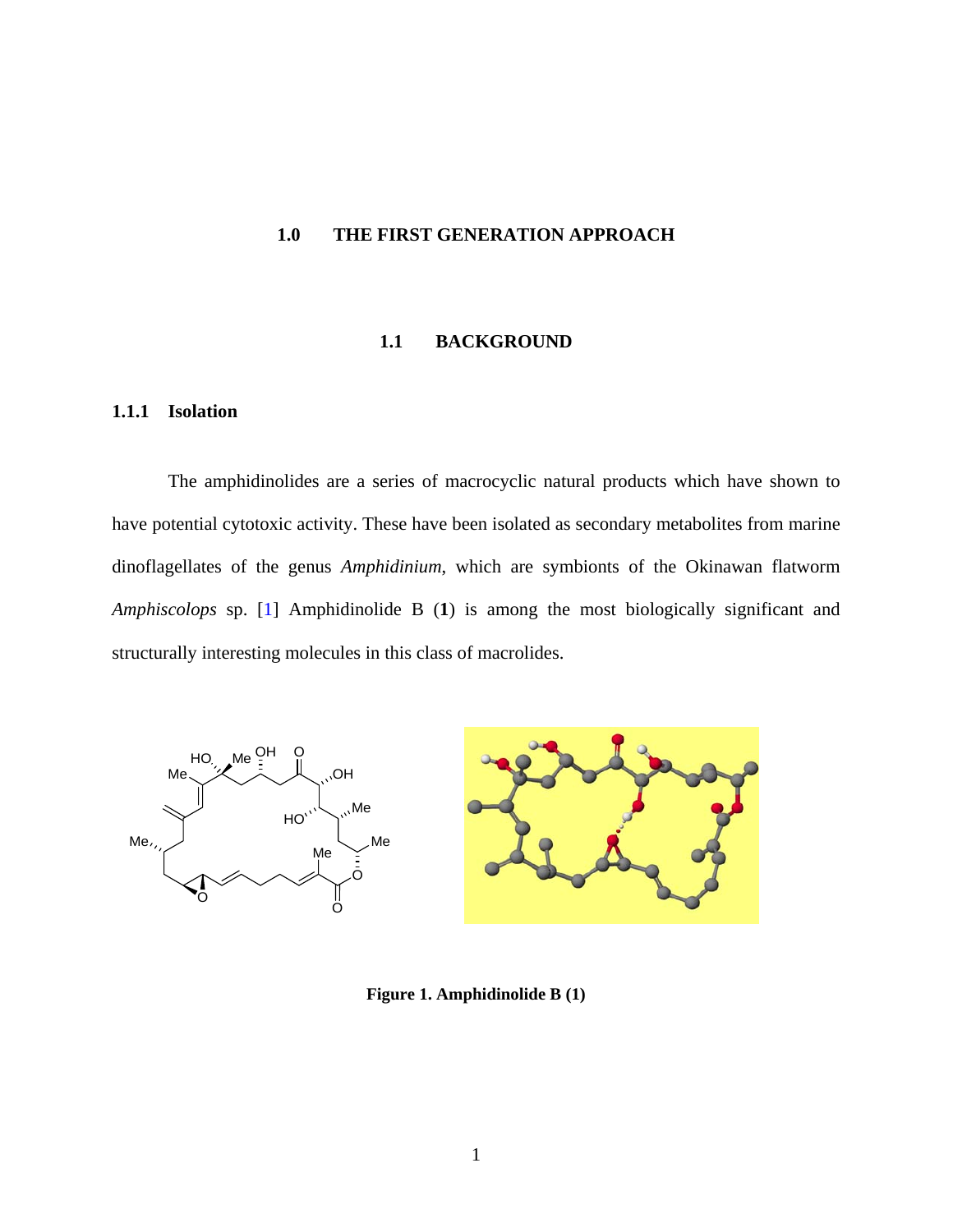## <span id="page-12-0"></span>**1.0 THE FIRST GENERATION APPROACH**

#### **1.1 BACKGROUND**

## **1.1.1 Isolation**

The amphidinolides are a series of macrocyclic natural products which have shown to have potential cytotoxic activity. These have been isolated as secondary metabolites from marine dinoflagellates of the genus *Amphidinium*, which are symbionts of the Okinawan flatworm *Amphiscolops* sp. [\[1](#page-116-0)] Amphidinolide B (**1**) is among the most biologically significant and structurally interesting molecules in this class of macrolides.



**Figure 1. Amphidinolide B (1)**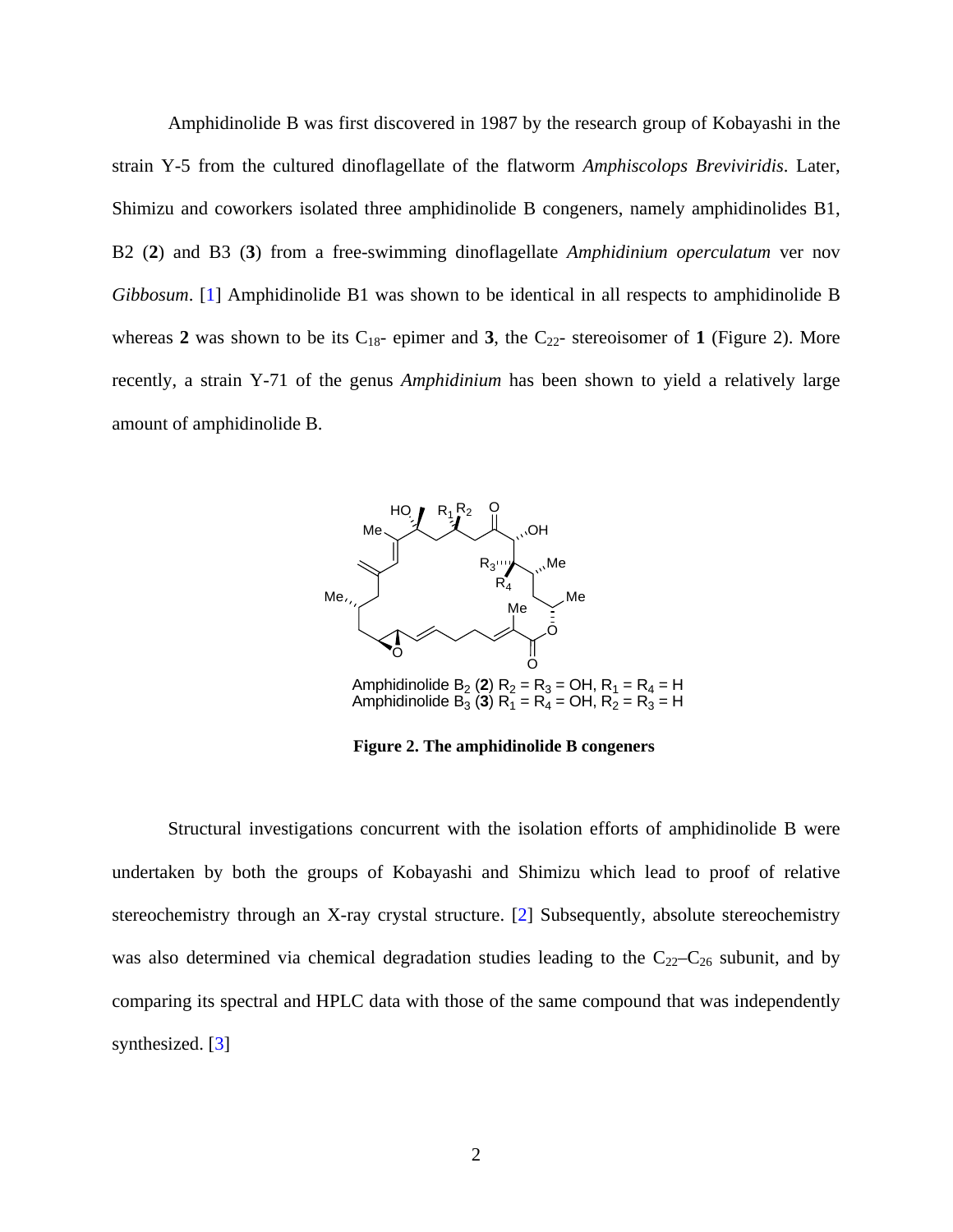<span id="page-13-0"></span>Amphidinolide B was first discovered in 1987 by the research group of Kobayashi in the strain Y-5 from the cultured dinoflagellate of the flatworm *Amphiscolops Breviviridis*. Later, Shimizu and coworkers isolated three amphidinolide B congeners, namely amphidinolides B1, B2 (**2**) and B3 (**3**) from a free-swimming dinoflagellate *Amphidinium operculatum* ver nov *Gibbosum*. [\[1](#page-116-0)] Amphidinolide B1 was shown to be identical in all respects to amphidinolide B whereas 2 was shown to be its  $C_{18}$ - epimer and 3, the  $C_{22}$ - stereoisomer of 1 (Figure 2). More recently, a strain Y-71 of the genus *Amphidinium* has been shown to yield a relatively large amount of amphidinolide B.



**Figure 2. The amphidinolide B congeners** 

Structural investigations concurrent with the isolation efforts of amphidinolide B were undertaken by both the groups of Kobayashi and Shimizu which lead to proof of relative stereochemistry through an X-ray crystal structure. [[2\]](#page-116-0) Subsequently, absolute stereochemistry was also determined via chemical degradation studies leading to the  $C_{22}-C_{26}$  subunit, and by comparing its spectral and HPLC data with those of the same compound that was independently synthesized. [[3\]](#page-116-0)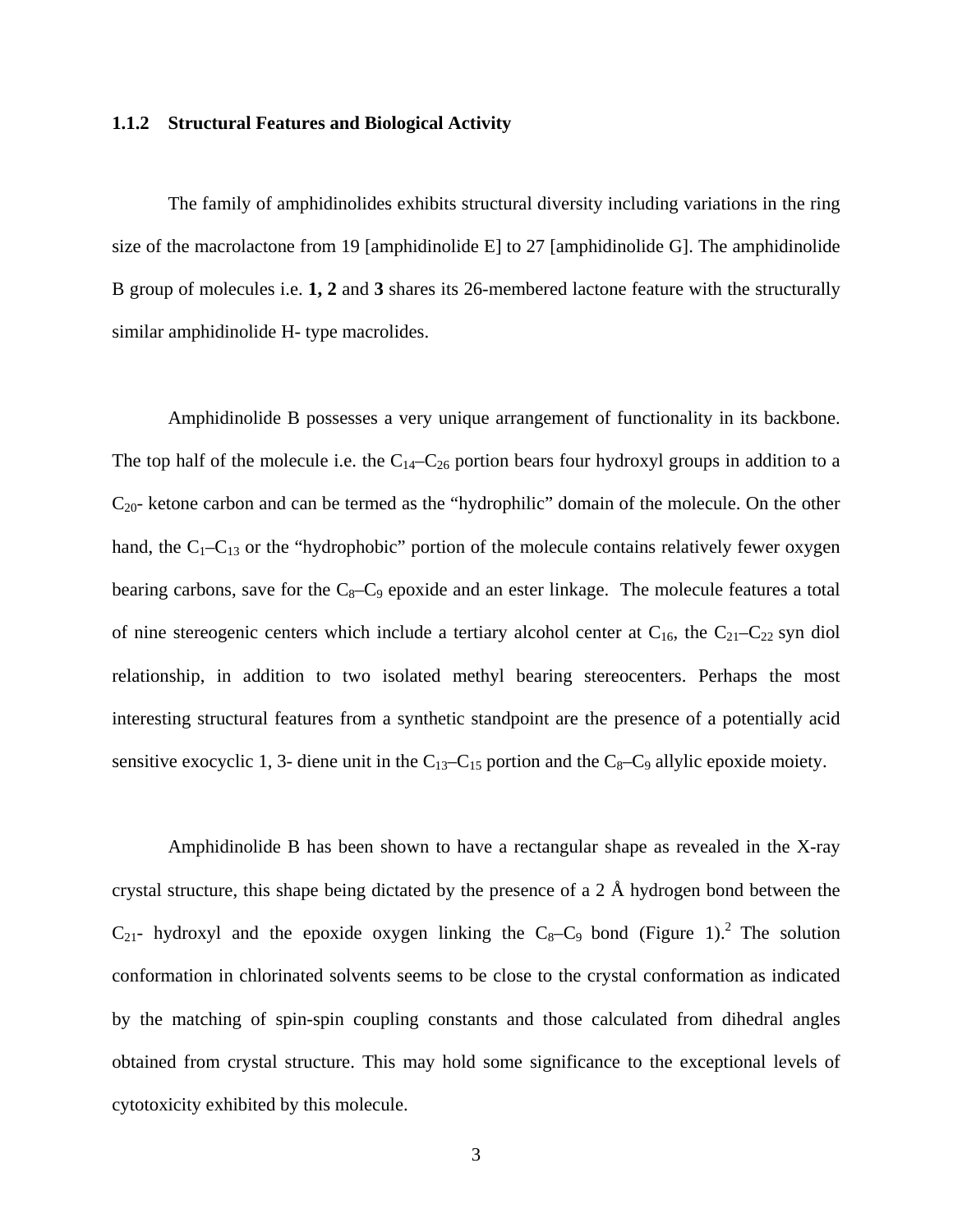#### <span id="page-14-0"></span>**1.1.2 Structural Features and Biological Activity**

The family of amphidinolides exhibits structural diversity including variations in the ring size of the macrolactone from 19 [amphidinolide E] to 27 [amphidinolide G]. The amphidinolide B group of molecules i.e. **1, 2** and **3** shares its 26-membered lactone feature with the structurally similar amphidinolide H- type macrolides.

Amphidinolide B possesses a very unique arrangement of functionality in its backbone. The top half of the molecule i.e. the  $C_{14}-C_{26}$  portion bears four hydroxyl groups in addition to a  $C_{20}$ - ketone carbon and can be termed as the "hydrophilic" domain of the molecule. On the other hand, the  $C_1-C_{13}$  or the "hydrophobic" portion of the molecule contains relatively fewer oxygen bearing carbons, save for the  $C_8-C_9$  epoxide and an ester linkage. The molecule features a total of nine stereogenic centers which include a tertiary alcohol center at  $C_{16}$ , the  $C_{21}-C_{22}$  syn diol relationship, in addition to two isolated methyl bearing stereocenters. Perhaps the most interesting structural features from a synthetic standpoint are the presence of a potentially acid sensitive exocyclic 1, 3- diene unit in the  $C_{13}-C_{15}$  portion and the  $C_{8}-C_{9}$  allylic epoxide moiety.

Amphidinolide B has been shown to have a rectangular shape as revealed in the X-ray crystal structure, this shape being dictated by the presence of a 2 Å hydrogen bond between the  $C_{21}$ - hydroxyl and the epoxide oxygen linking the  $C_8-C_9$  bond (Figure 1).<sup>2</sup> The solution conformation in chlorinated solvents seems to be close to the crystal conformation as indicated by the matching of spin-spin coupling constants and those calculated from dihedral angles obtained from crystal structure. This may hold some significance to the exceptional levels of cytotoxicity exhibited by this molecule.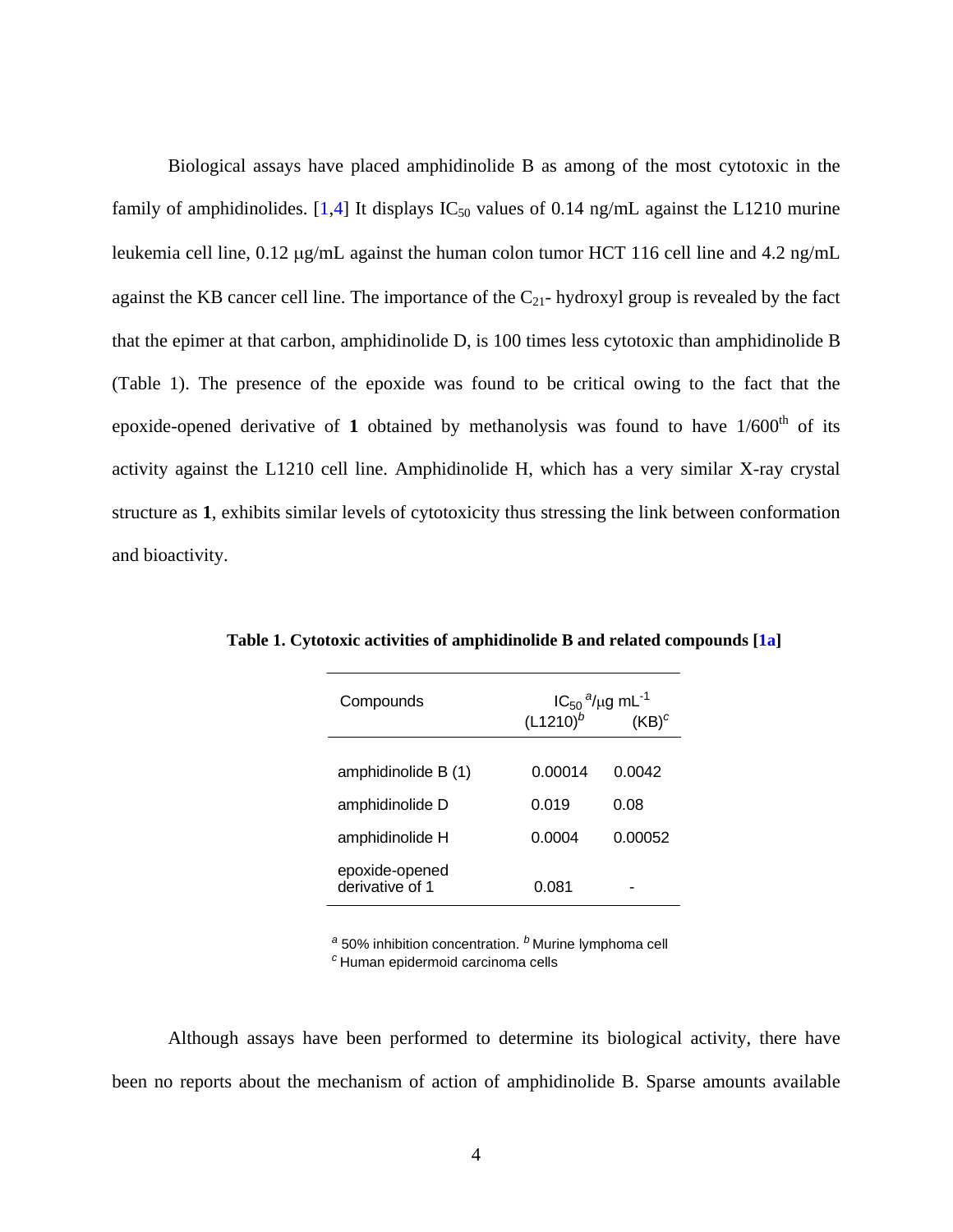<span id="page-15-0"></span>Biological assays have placed amphidinolide B as among of the most cytotoxic in the family of amphidinolides. [[1,4](#page-116-0)] It displays  $IC_{50}$  values of 0.14 ng/mL against the L1210 murine leukemia cell line, 0.12 μg/mL against the human colon tumor HCT 116 cell line and 4.2 ng/mL against the KB cancer cell line. The importance of the  $C_{21}$ - hydroxyl group is revealed by the fact that the epimer at that carbon, amphidinolide D, is 100 times less cytotoxic than amphidinolide B (Table 1). The presence of the epoxide was found to be critical owing to the fact that the epoxide-opened derivative of 1 obtained by methanolysis was found to have  $1/600<sup>th</sup>$  of its activity against the L1210 cell line. Amphidinolide H, which has a very similar X-ray crystal structure as **1**, exhibits similar levels of cytotoxicity thus stressing the link between conformation and bioactivity.

| Compounds                         | $IC_{50}$ <sup>a</sup> /µg mL <sup>-1</sup><br>$(L1210)^{b}$<br>$(KB)^c$ |         |
|-----------------------------------|--------------------------------------------------------------------------|---------|
| amphidinolide B (1)               | 0.00014                                                                  | 0.0042  |
| amphidinolide D                   | 0.019                                                                    | 0.08    |
| amphidinolide H                   | 0.0004                                                                   | 0.00052 |
| epoxide-opened<br>derivative of 1 | 0.081                                                                    |         |

**Table 1. Cytotoxic activities of amphidinolide B and related compounds [[1a\]](#page-116-0)** 

*<sup>a</sup>* 50% inhibition concentration. *<sup>b</sup>* Murine lymphoma cell *<sup>c</sup>* Human epidermoid carcinoma cells

Although assays have been performed to determine its biological activity, there have been no reports about the mechanism of action of amphidinolide B. Sparse amounts available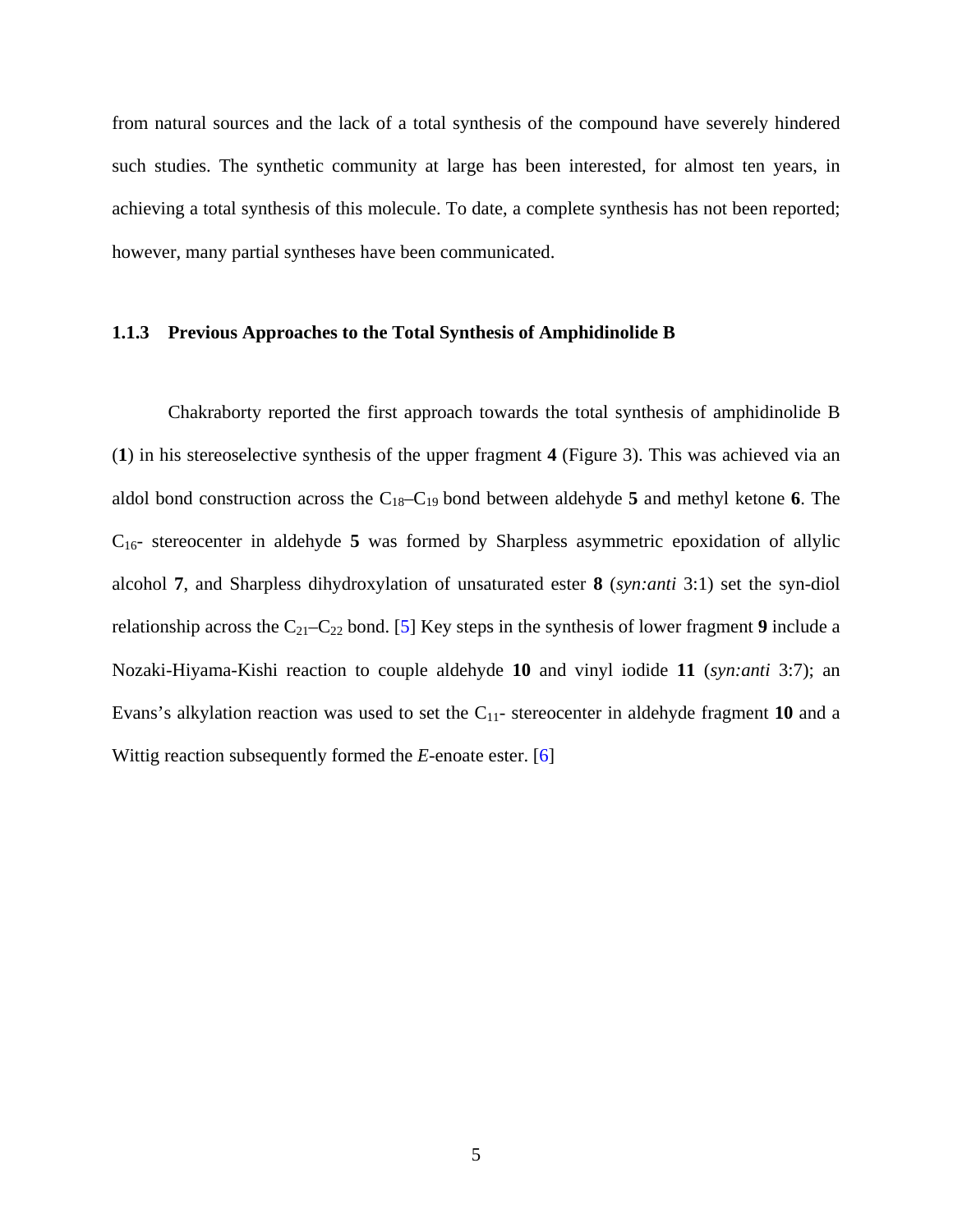<span id="page-16-0"></span>from natural sources and the lack of a total synthesis of the compound have severely hindered such studies. The synthetic community at large has been interested, for almost ten years, in achieving a total synthesis of this molecule. To date, a complete synthesis has not been reported; however, many partial syntheses have been communicated.

#### **1.1.3 Previous Approaches to the Total Synthesis of Amphidinolide B**

Chakraborty reported the first approach towards the total synthesis of amphidinolide B (**1**) in his stereoselective synthesis of the upper fragment **4** (Figure 3). This was achieved via an aldol bond construction across the C18–C19 bond between aldehyde **5** and methyl ketone **6**. The C16- stereocenter in aldehyde **5** was formed by Sharpless asymmetric epoxidation of allylic alcohol **7**, and Sharpless dihydroxylation of unsaturated ester **8** (*syn:anti* 3:1) set the syn-diol relationship across the C21–C22 bond. [\[5](#page-116-0)] Key steps in the synthesis of lower fragment **9** include a Nozaki-Hiyama-Kishi reaction to couple aldehyde **10** and vinyl iodide **11** (*syn:anti* 3:7); an Evans's alkylation reaction was used to set the C11- stereocenter in aldehyde fragment **10** and a Wittig reaction subsequently formed the *E*-enoate ester. [[6\]](#page-116-0)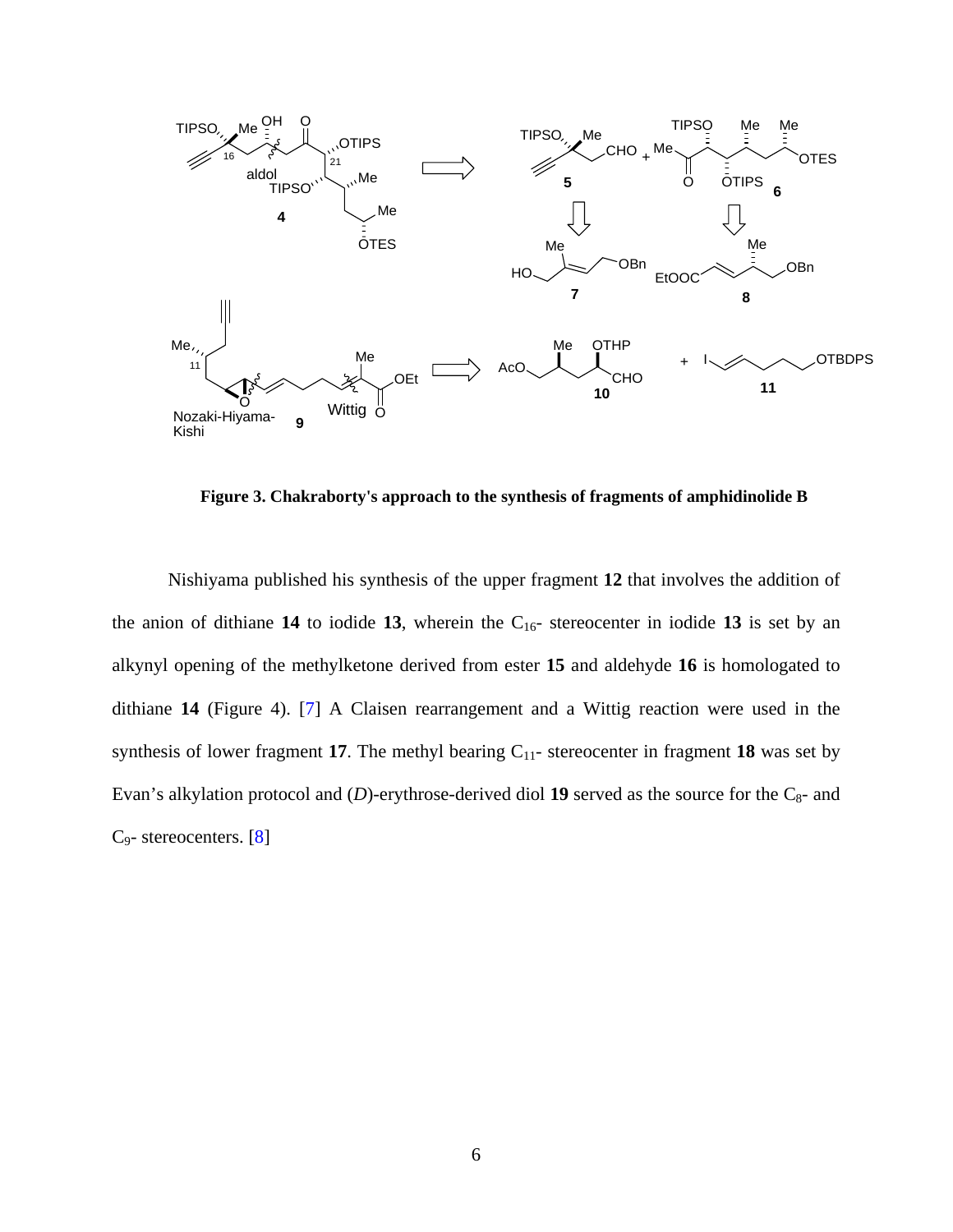<span id="page-17-0"></span>

**Figure 3. Chakraborty's approach to the synthesis of fragments of amphidinolide B** 

Nishiyama published his synthesis of the upper fragment **12** that involves the addition of the anion of dithiane  $14$  to iodide  $13$ , wherein the  $C_{16}$ - stereocenter in iodide  $13$  is set by an alkynyl opening of the methylketone derived from ester **15** and aldehyde **16** is homologated to dithiane **14** (Figure 4). [\[7](#page-116-0)] A Claisen rearrangement and a Wittig reaction were used in the synthesis of lower fragment 17. The methyl bearing  $C_{11}$ - stereocenter in fragment 18 was set by Evan's alkylation protocol and  $(D)$ -erythrose-derived diol 19 served as the source for the  $C_8$ - and C9- stereocenters. [[8\]](#page-116-0)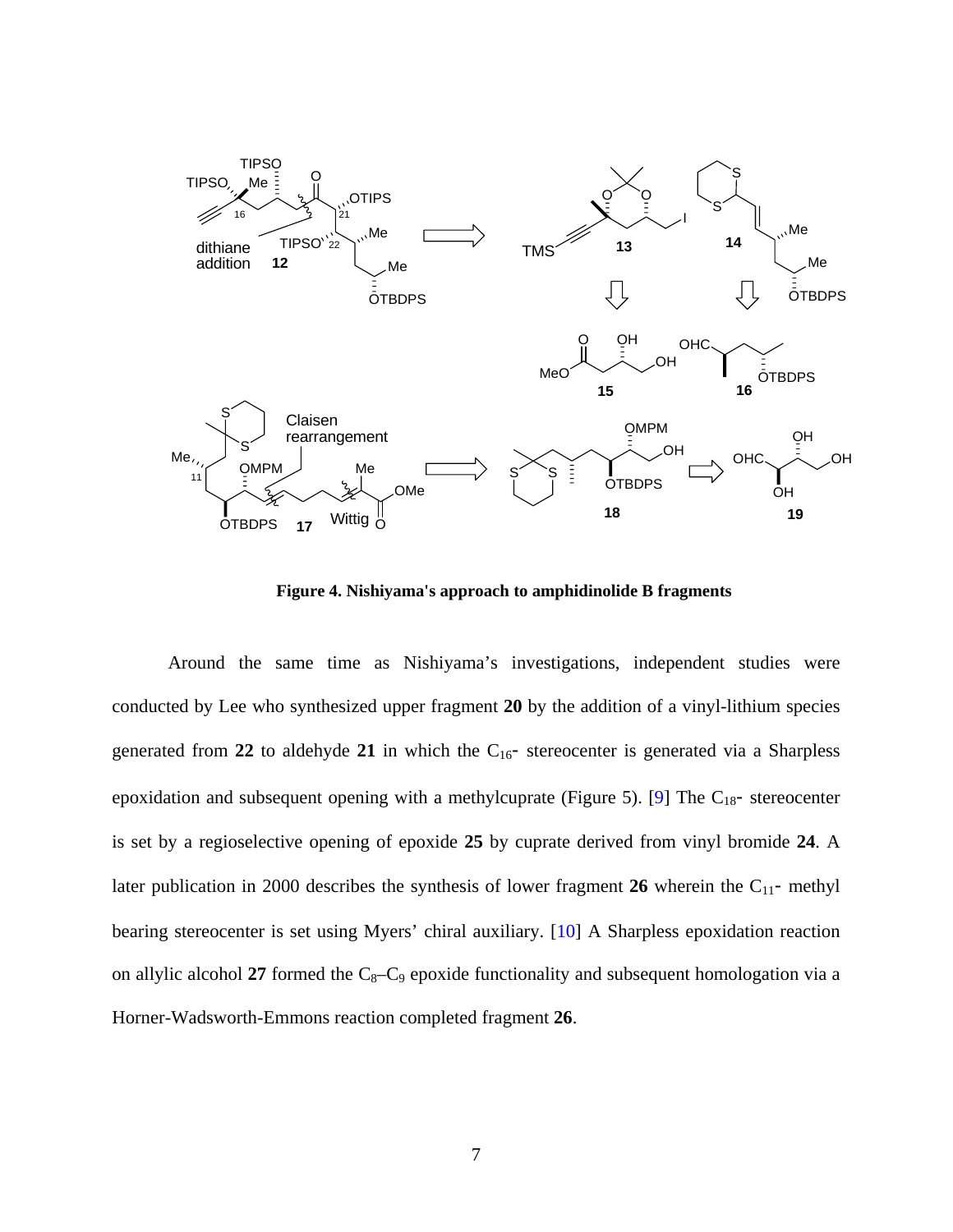<span id="page-18-0"></span>

**Figure 4. Nishiyama's approach to amphidinolide B fragments** 

Around the same time as Nishiyama's investigations, independent studies were conducted by Lee who synthesized upper fragment **20** by the addition of a vinyl-lithium species generated from 22 to aldehyde 21 in which the  $C_{16}$ - stereocenter is generated via a Sharpless epoxidation and subsequent opening with a methylcuprate (Figure 5). [[9\]](#page-116-0) The  $C_{18}$ - stereocenter is set by a regioselective opening of epoxide **25** by cuprate derived from vinyl bromide **24**. A later publication in 2000 describes the synthesis of lower fragment 26 wherein the C<sub>11</sub>- methyl bearing stereocenter is set using Myers' chiral auxiliary. [[10\]](#page-116-0) A Sharpless epoxidation reaction on allylic alcohol 27 formed the  $C_8-C_9$  epoxide functionality and subsequent homologation via a Horner-Wadsworth-Emmons reaction completed fragment **26**.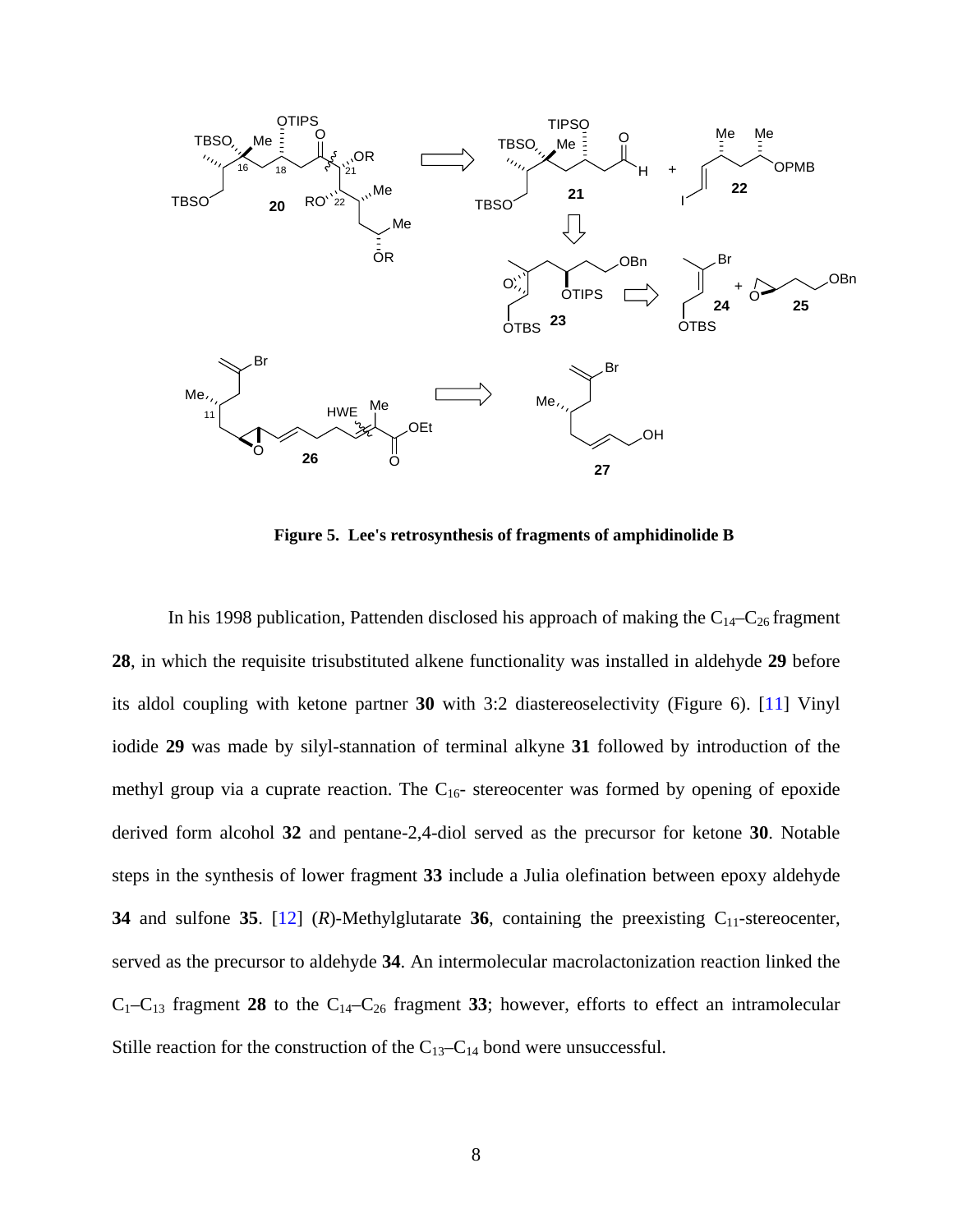<span id="page-19-0"></span>

**Figure 5. Lee's retrosynthesis of fragments of amphidinolide B** 

In his 1998 publication, Pattenden disclosed his approach of making the  $C_{14}-C_{26}$  fragment **28**, in which the requisite trisubstituted alkene functionality was installed in aldehyde **29** before its aldol coupling with ketone partner **30** with 3:2 diastereoselectivity (Figure 6). [[11\]](#page-116-0) Vinyl iodide **29** was made by silyl-stannation of terminal alkyne **31** followed by introduction of the methyl group via a cuprate reaction. The  $C_{16}$ - stereocenter was formed by opening of epoxide derived form alcohol **32** and pentane-2,4-diol served as the precursor for ketone **30**. Notable steps in the synthesis of lower fragment **33** include a Julia olefination between epoxy aldehyde **34** and sulfone **35**. [[12\]](#page-116-0)  $(R)$ -Methylglutarate **36**, containing the preexisting  $C_{11}$ -stereocenter, served as the precursor to aldehyde **34**. An intermolecular macrolactonization reaction linked the  $C_1-C_{13}$  fragment 28 to the  $C_{14}-C_{26}$  fragment 33; however, efforts to effect an intramolecular Stille reaction for the construction of the  $C_{13}-C_{14}$  bond were unsuccessful.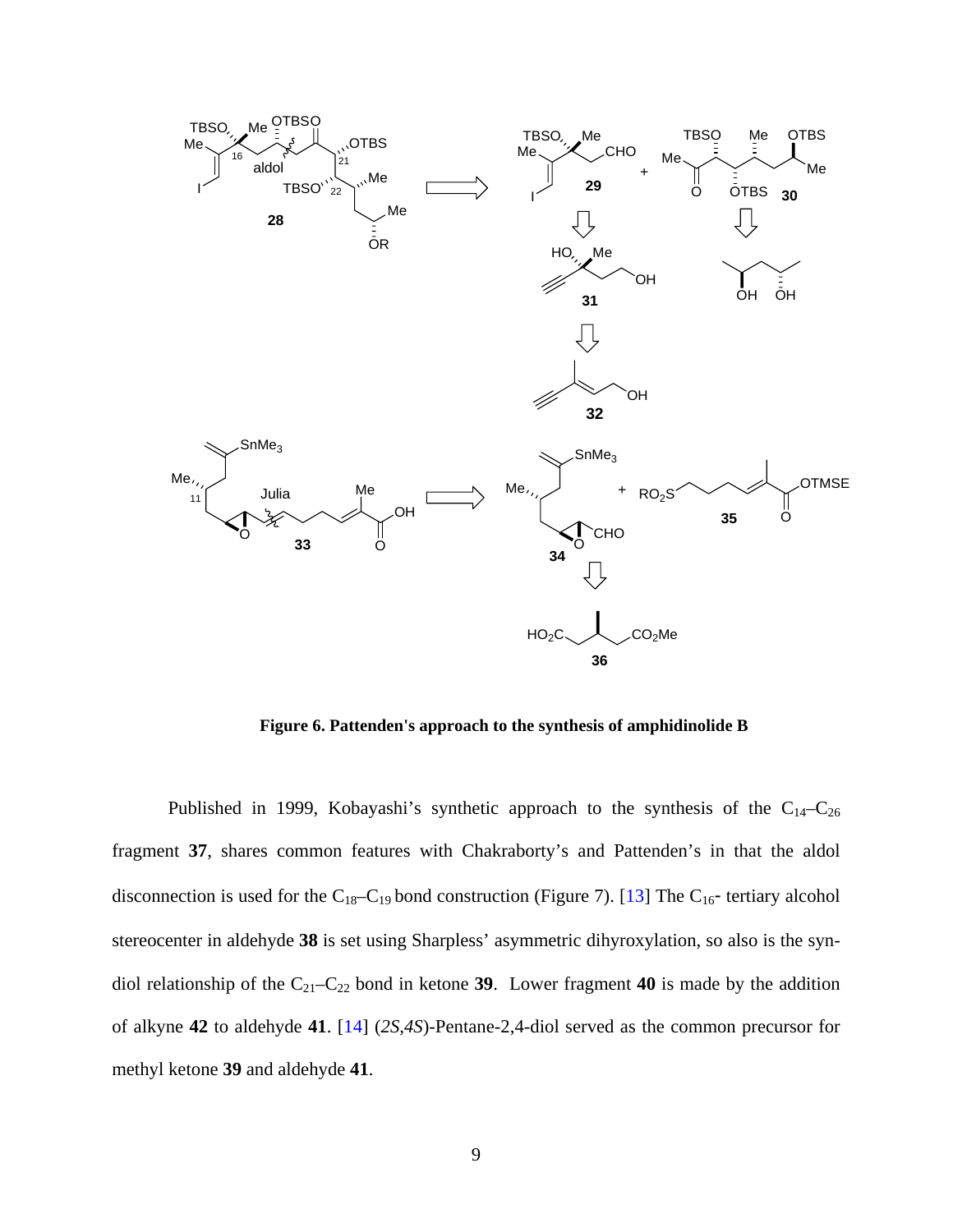<span id="page-20-0"></span>

**Figure 6. Pattenden's approach to the synthesis of amphidinolide B** 

Published in 1999, Kobayashi's synthetic approach to the synthesis of the  $C_{14}-C_{26}$ fragment **37**, shares common features with Chakraborty's and Pattenden's in that the aldol disconnection is used for the  $C_{18}-C_{19}$  bond construction (Figure 7). [\[13](#page-116-0)] The  $C_{16}$ - tertiary alcohol stereocenter in aldehyde **38** is set using Sharpless' asymmetric dihyroxylation, so also is the syndiol relationship of the  $C_{21}-C_{22}$  bond in ketone 39. Lower fragment 40 is made by the addition of alkyne **42** to aldehyde **41**. [[14\]](#page-116-0) (*2S,4S*)-Pentane-2,4-diol served as the common precursor for methyl ketone **39** and aldehyde **41**.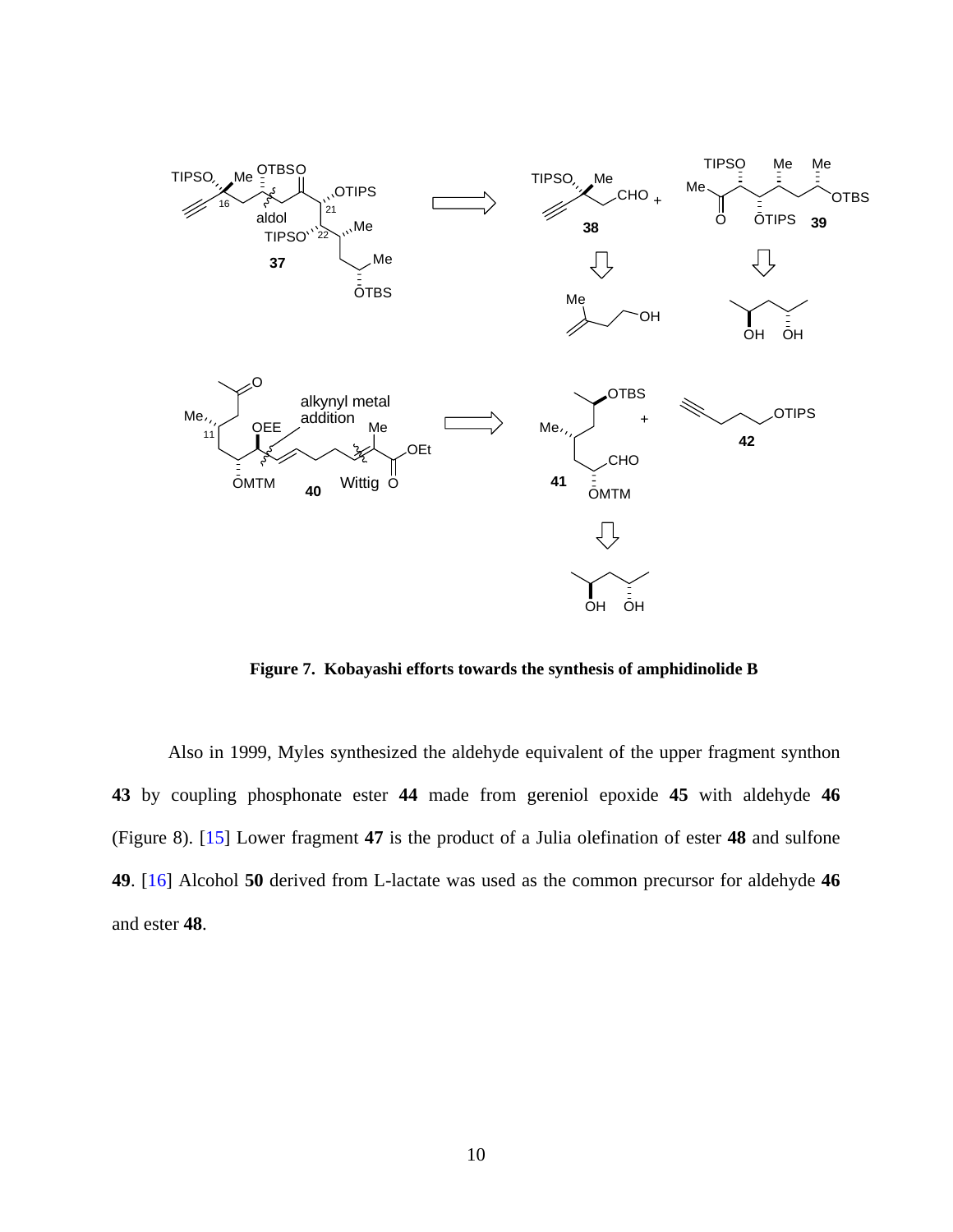<span id="page-21-0"></span>

**Figure 7. Kobayashi efforts towards the synthesis of amphidinolide B** 

Also in 1999, Myles synthesized the aldehyde equivalent of the upper fragment synthon **43** by coupling phosphonate ester **44** made from gereniol epoxide **45** with aldehyde **46**  (Figure 8). [\[15](#page-116-0)] Lower fragment **47** is the product of a Julia olefination of ester **48** and sulfone **49**. [[16\]](#page-116-0) Alcohol **50** derived from L-lactate was used as the common precursor for aldehyde **46**  and ester **48**.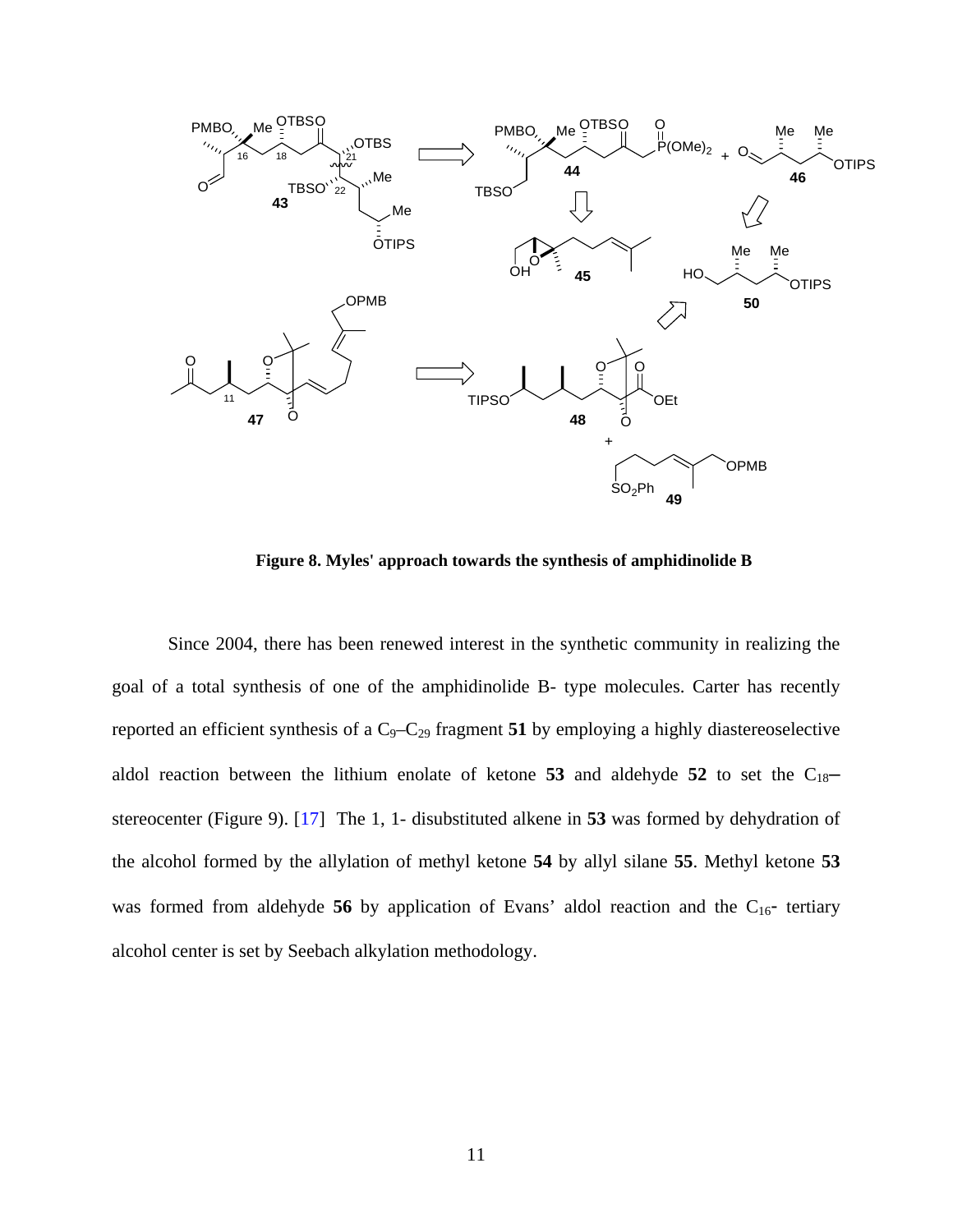<span id="page-22-0"></span>

**Figure 8. Myles' approach towards the synthesis of amphidinolide B** 

Since 2004, there has been renewed interest in the synthetic community in realizing the goal of a total synthesis of one of the amphidinolide B- type molecules. Carter has recently reported an efficient synthesis of a C<sub>9</sub>-C<sub>29</sub> fragment **51** by employing a highly diastereoselective aldol reaction between the lithium enolate of ketone  $53$  and aldehyde  $52$  to set the  $C_{18}$ – stereocenter (Figure 9). [\[17](#page-117-0)] The 1, 1- disubstituted alkene in **53** was formed by dehydration of the alcohol formed by the allylation of methyl ketone **54** by allyl silane **55**. Methyl ketone **53** was formed from aldehyde 56 by application of Evans' aldol reaction and the C<sub>16</sub>- tertiary alcohol center is set by Seebach alkylation methodology.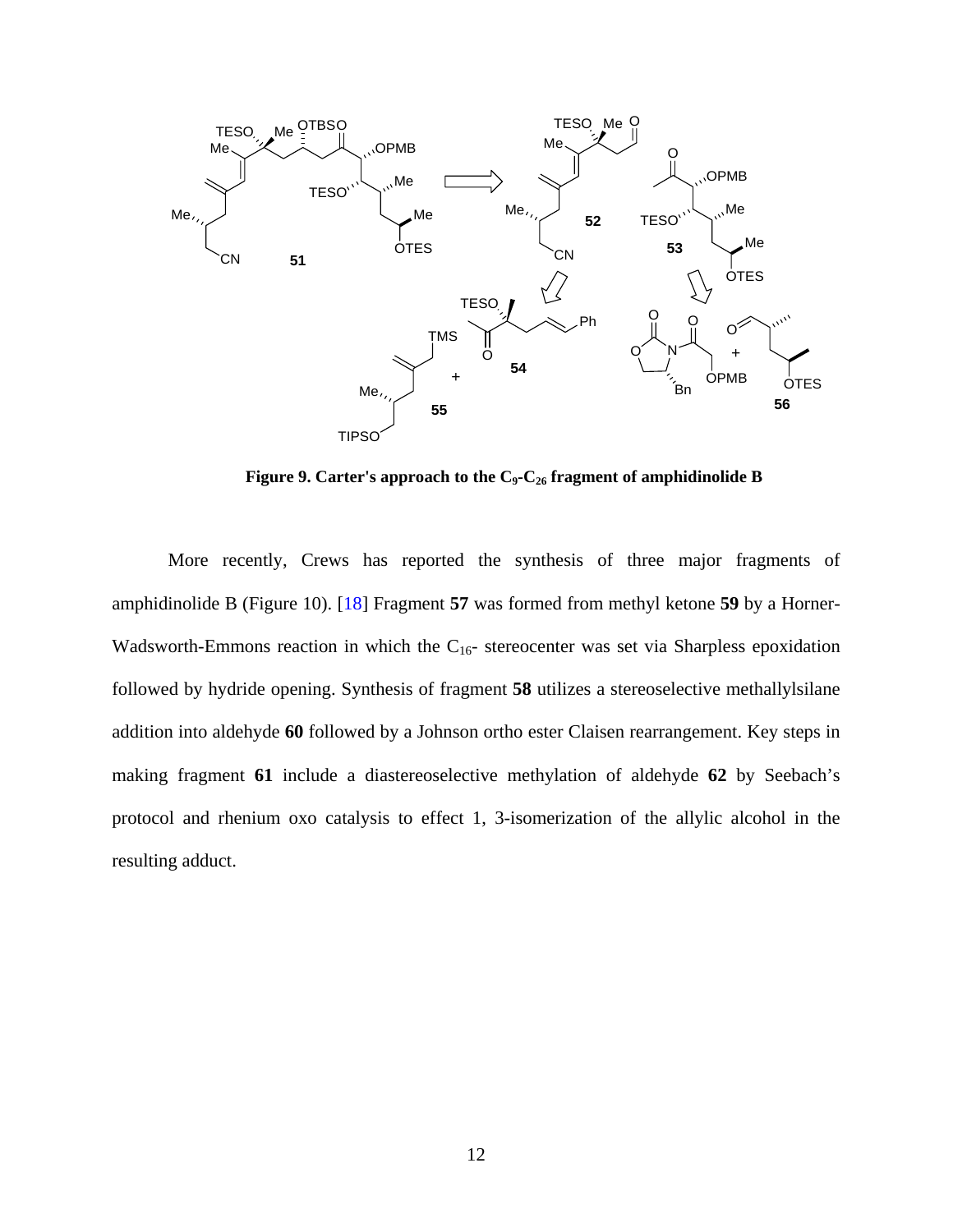<span id="page-23-0"></span>

Figure 9. Carter's approach to the C<sub>9</sub>-C<sub>26</sub> fragment of amphidinolide B

More recently, Crews has reported the synthesis of three major fragments of amphidinolide B (Figure 10). [[18\]](#page-117-0) Fragment **57** was formed from methyl ketone **59** by a Horner-Wadsworth-Emmons reaction in which the  $C_{16}$ - stereocenter was set via Sharpless epoxidation followed by hydride opening. Synthesis of fragment **58** utilizes a stereoselective methallylsilane addition into aldehyde **60** followed by a Johnson ortho ester Claisen rearrangement. Key steps in making fragment **61** include a diastereoselective methylation of aldehyde **62** by Seebach's protocol and rhenium oxo catalysis to effect 1, 3-isomerization of the allylic alcohol in the resulting adduct.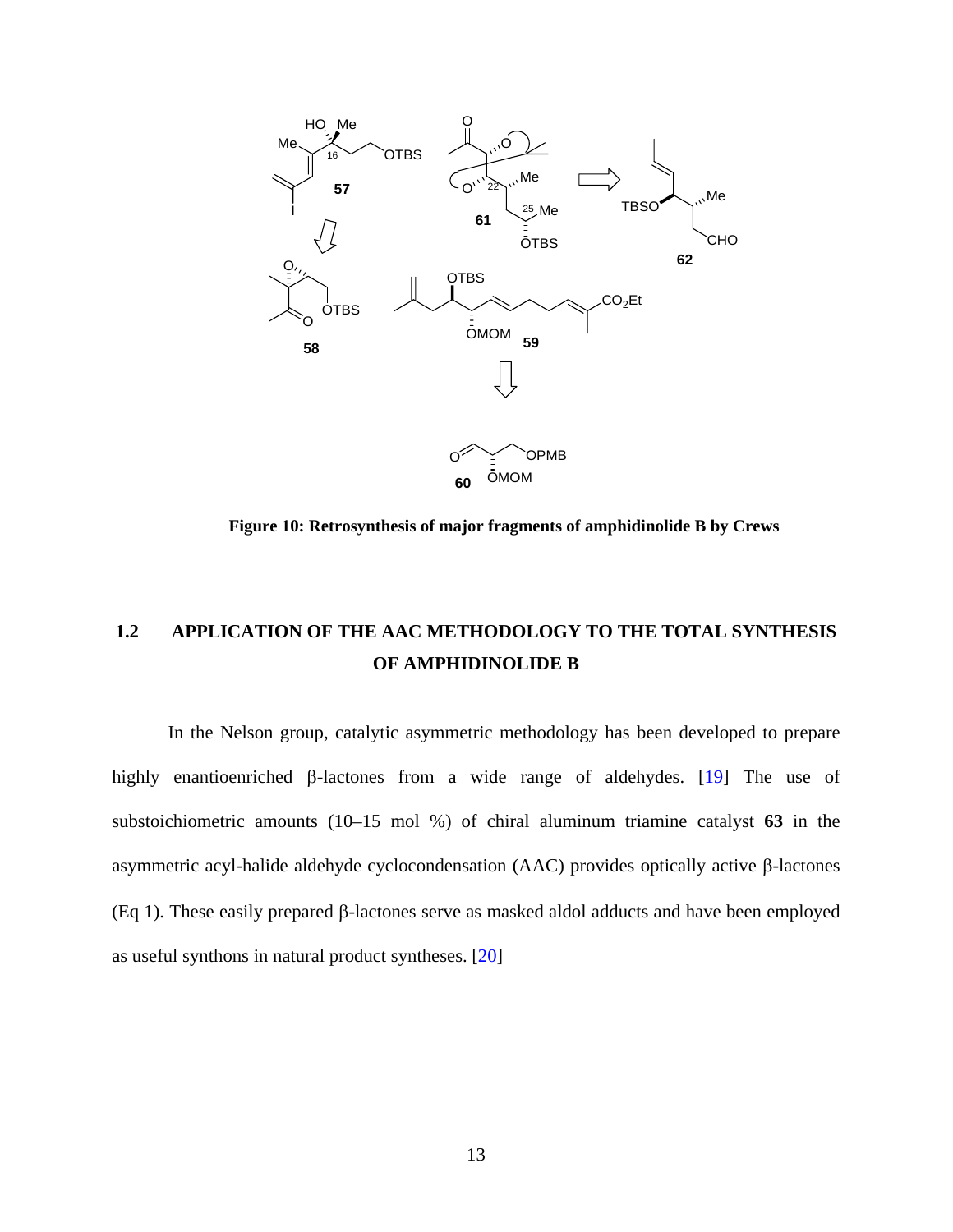<span id="page-24-0"></span>

**Figure 10: Retrosynthesis of major fragments of amphidinolide B by Crews** 

# **1.2 APPLICATION OF THE AAC METHODOLOGY TO THE TOTAL SYNTHESIS OF AMPHIDINOLIDE B**

In the Nelson group, catalytic asymmetric methodology has been developed to prepare highly enantioenriched β-lactones from a wide range of aldehydes. [[19\]](#page-117-0) The use of substoichiometric amounts (10–15 mol %) of chiral aluminum triamine catalyst **63** in the asymmetric acyl-halide aldehyde cyclocondensation (AAC) provides optically active β-lactones (Eq 1). These easily prepared β-lactones serve as masked aldol adducts and have been employed as useful synthons in natural product syntheses. [\[20](#page-117-0)]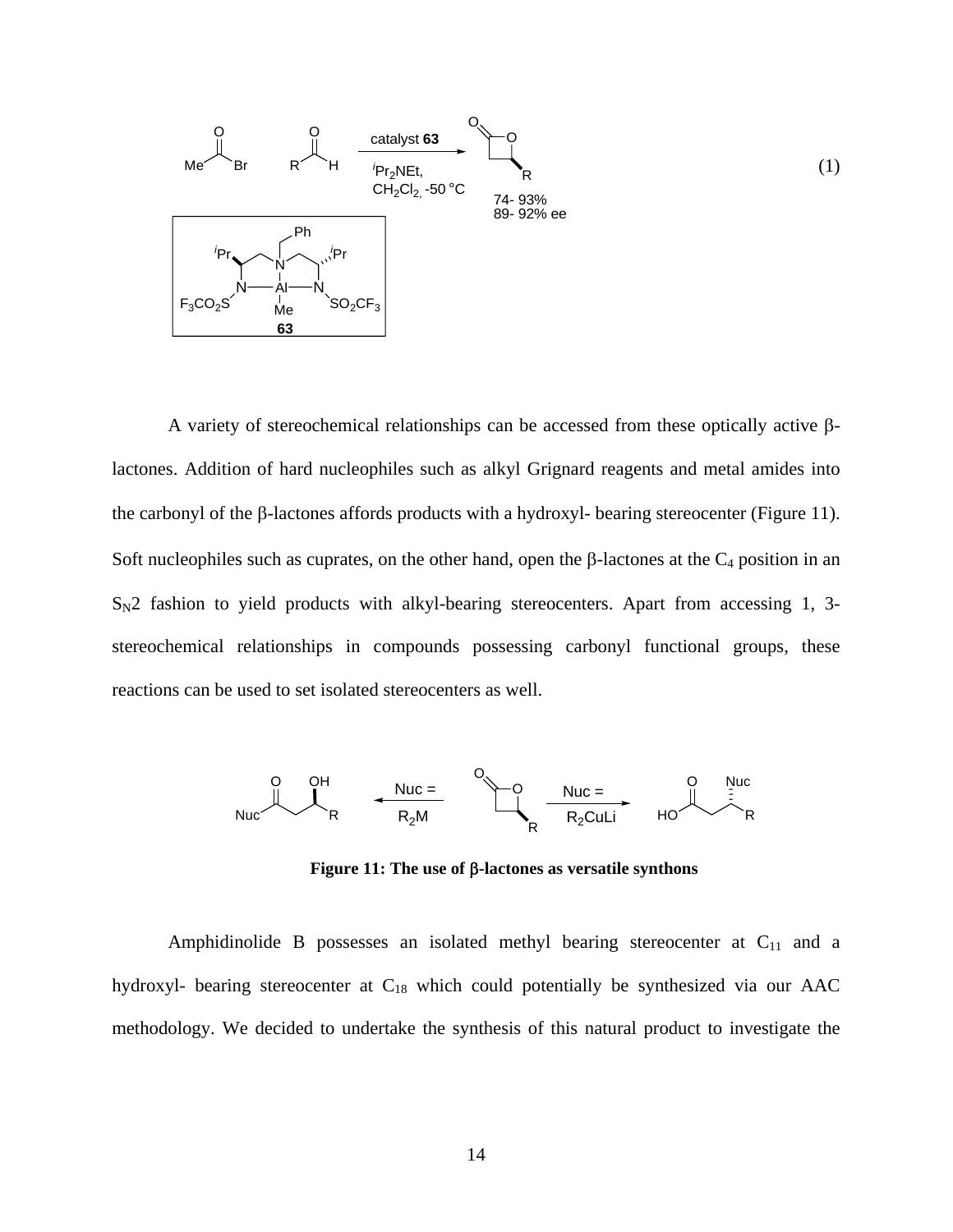<span id="page-25-0"></span>

A variety of stereochemical relationships can be accessed from these optically active βlactones. Addition of hard nucleophiles such as alkyl Grignard reagents and metal amides into the carbonyl of the β-lactones affords products with a hydroxyl- bearing stereocenter (Figure 11). Soft nucleophiles such as cuprates, on the other hand, open the β-lactones at the  $C_4$  position in an  $S_N2$  fashion to yield products with alkyl-bearing stereocenters. Apart from accessing 1, 3stereochemical relationships in compounds possessing carbonyl functional groups, these reactions can be used to set isolated stereocenters as well.



**Figure 11: The use of** β**-lactones as versatile synthons** 

Amphidinolide B possesses an isolated methyl bearing stereocenter at  $C_{11}$  and a hydroxyl- bearing stereocenter at C<sub>18</sub> which could potentially be synthesized via our AAC methodology. We decided to undertake the synthesis of this natural product to investigate the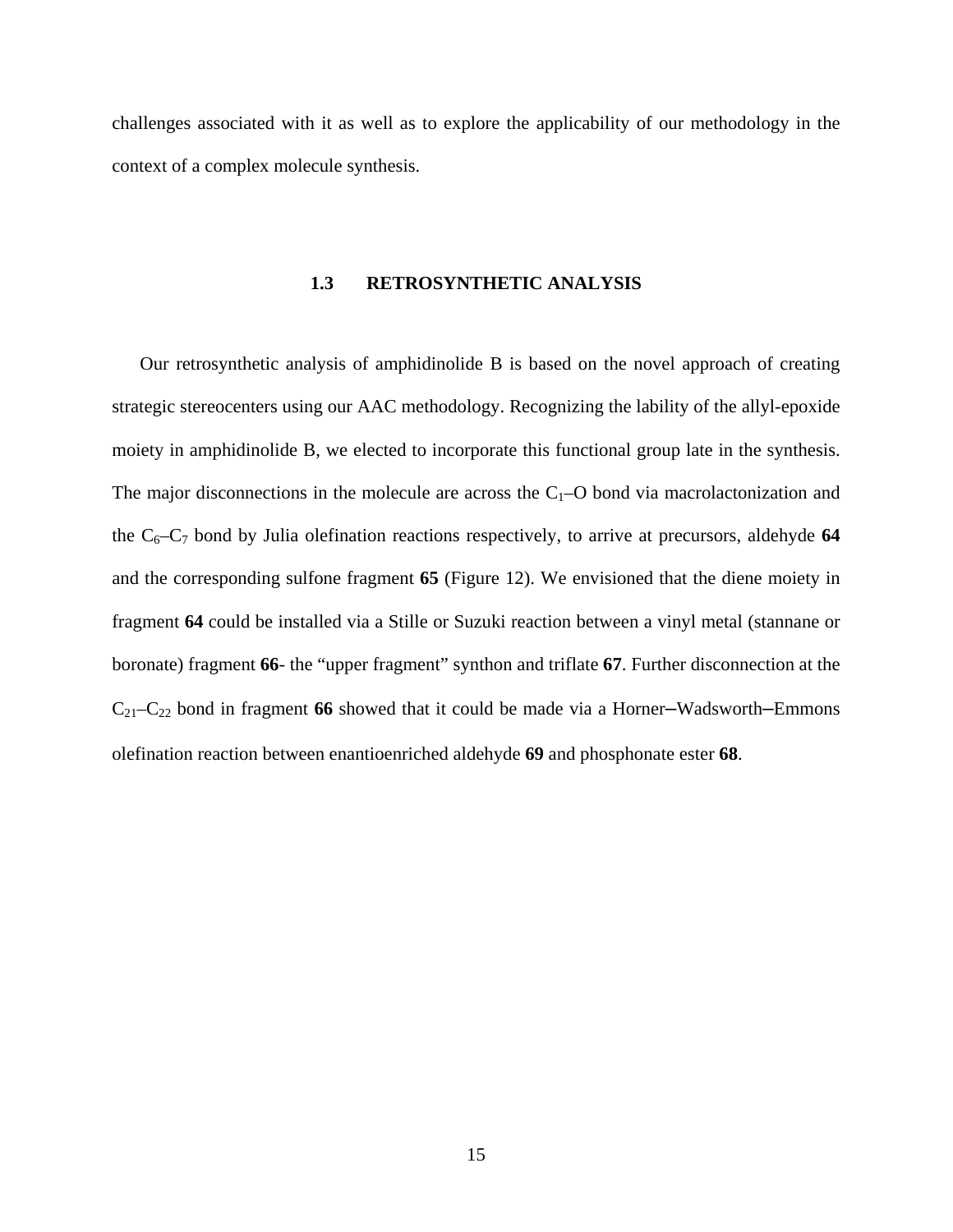<span id="page-26-0"></span>challenges associated with it as well as to explore the applicability of our methodology in the context of a complex molecule synthesis.

#### **1.3 RETROSYNTHETIC ANALYSIS**

Our retrosynthetic analysis of amphidinolide B is based on the novel approach of creating strategic stereocenters using our AAC methodology. Recognizing the lability of the allyl-epoxide moiety in amphidinolide B, we elected to incorporate this functional group late in the synthesis. The major disconnections in the molecule are across the  $C_1$ –O bond via macrolactonization and the  $C_6-C_7$  bond by Julia olefination reactions respectively, to arrive at precursors, aldehyde 64 and the corresponding sulfone fragment **65** (Figure 12). We envisioned that the diene moiety in fragment **64** could be installed via a Stille or Suzuki reaction between a vinyl metal (stannane or boronate) fragment **66**- the "upper fragment" synthon and triflate **67**. Further disconnection at the C21–C22 bond in fragment **66** showed that it could be made via a Horner–Wadsworth–Emmons olefination reaction between enantioenriched aldehyde **69** and phosphonate ester **68**.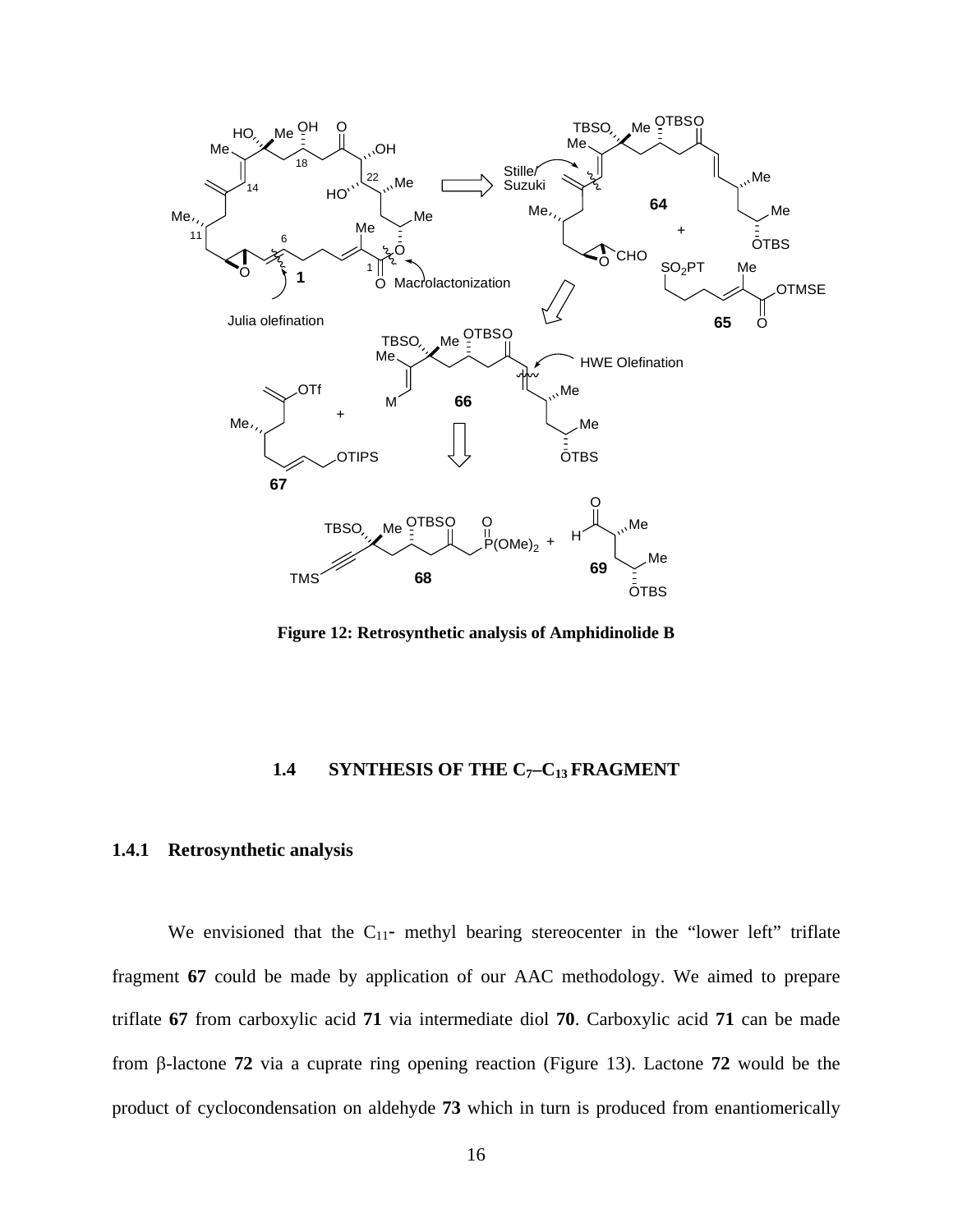<span id="page-27-0"></span>

**Figure 12: Retrosynthetic analysis of Amphidinolide B** 

## **1.4 SYNTHESIS OF THE C7–C13 FRAGMENT**

## **1.4.1 Retrosynthetic analysis**

We envisioned that the  $C_{11}$ - methyl bearing stereocenter in the "lower left" triflate fragment **67** could be made by application of our AAC methodology. We aimed to prepare triflate **67** from carboxylic acid **71** via intermediate diol **70**. Carboxylic acid **71** can be made from β-lactone **72** via a cuprate ring opening reaction (Figure 13). Lactone **72** would be the product of cyclocondensation on aldehyde **73** which in turn is produced from enantiomerically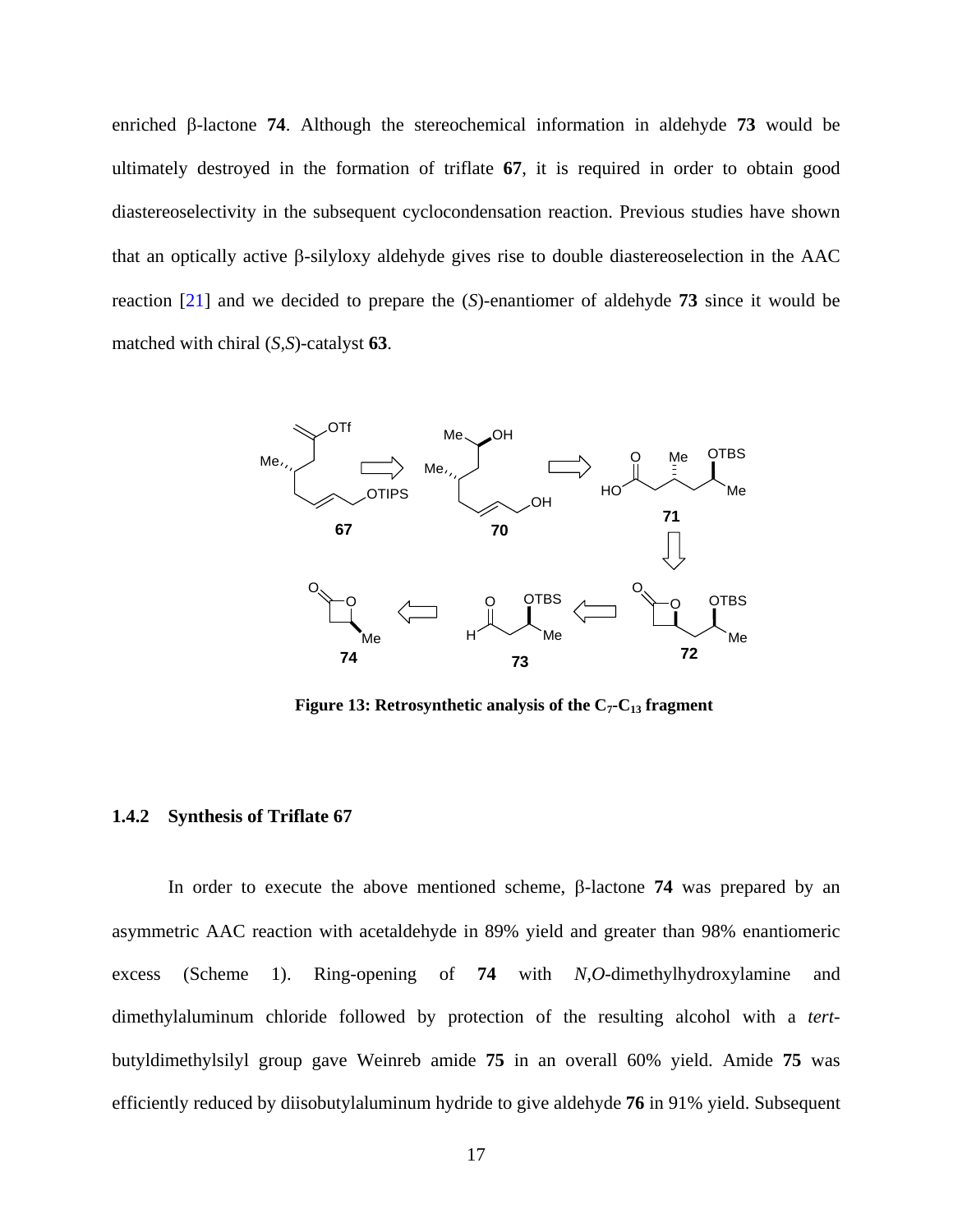<span id="page-28-0"></span>enriched β-lactone **74**. Although the stereochemical information in aldehyde **73** would be ultimately destroyed in the formation of triflate **67**, it is required in order to obtain good diastereoselectivity in the subsequent cyclocondensation reaction. Previous studies have shown that an optically active β-silyloxy aldehyde gives rise to double diastereoselection in the AAC reaction [\[21](#page-117-0)] and we decided to prepare the (*S*)-enantiomer of aldehyde **73** since it would be matched with chiral (*S,S*)-catalyst **63**.



**Figure 13: Retrosynthetic analysis of the**  $C_7$ **-** $C_{13}$  **fragment** 

### **1.4.2 Synthesis of Triflate 67**

In order to execute the above mentioned scheme, β-lactone **74** was prepared by an asymmetric AAC reaction with acetaldehyde in 89% yield and greater than 98% enantiomeric excess (Scheme 1). Ring-opening of **74** with *N,O*-dimethylhydroxylamine and dimethylaluminum chloride followed by protection of the resulting alcohol with a *tert*butyldimethylsilyl group gave Weinreb amide **75** in an overall 60% yield. Amide **75** was efficiently reduced by diisobutylaluminum hydride to give aldehyde **76** in 91% yield. Subsequent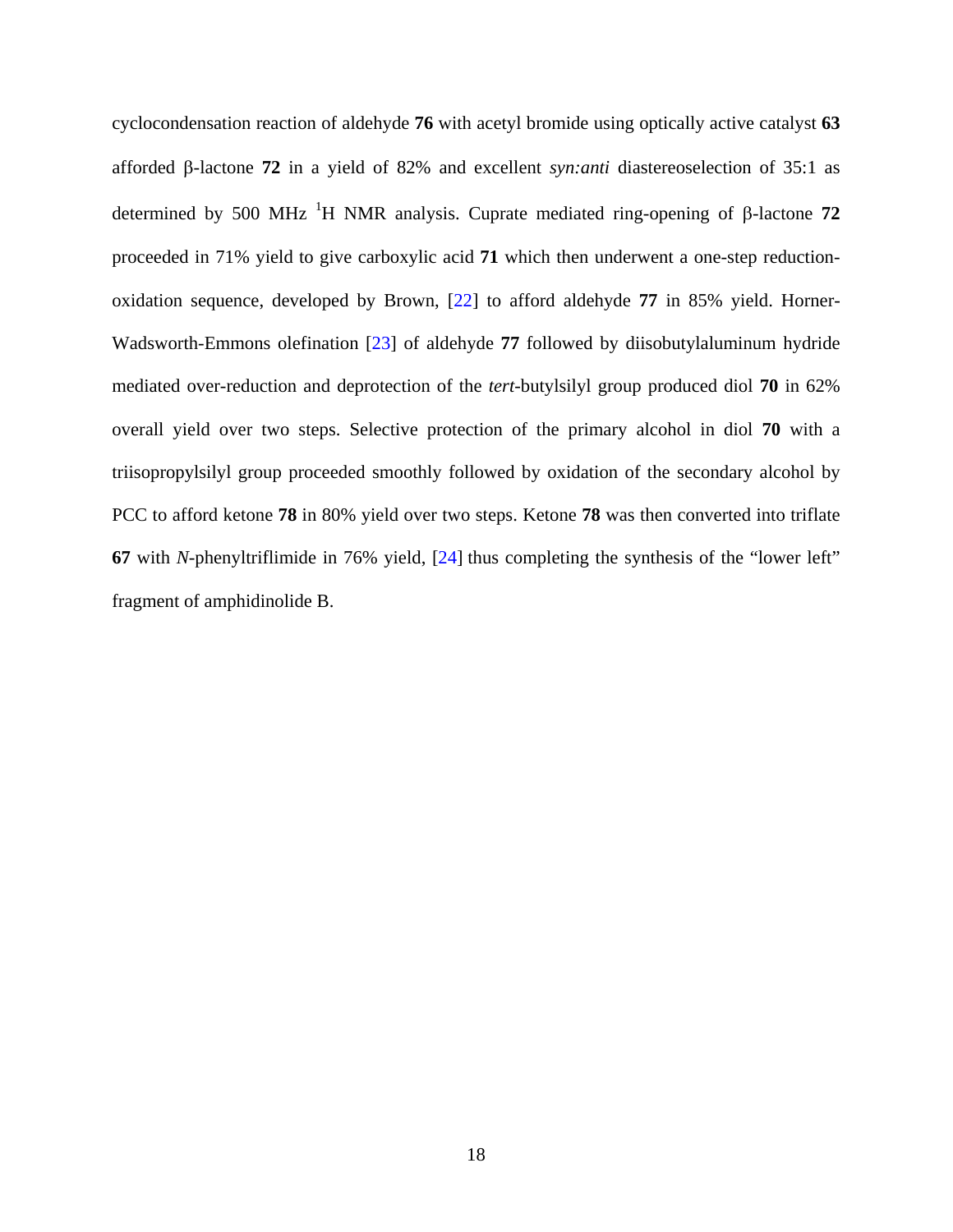cyclocondensation reaction of aldehyde **76** with acetyl bromide using optically active catalyst **63**  afforded β-lactone **72** in a yield of 82% and excellent *syn:anti* diastereoselection of 35:1 as determined by 500 MHz <sup>1</sup>H NMR analysis. Cuprate mediated ring-opening of β-lactone 72 proceeded in 71% yield to give carboxylic acid **71** which then underwent a one-step reductionoxidation sequence, developed by Brown, [[22\]](#page-117-0) to afford aldehyde **77** in 85% yield. Horner-Wadsworth-Emmons olefination [\[23](#page-117-0)] of aldehyde **77** followed by diisobutylaluminum hydride mediated over-reduction and deprotection of the *tert*-butylsilyl group produced diol **70** in 62% overall yield over two steps. Selective protection of the primary alcohol in diol **70** with a triisopropylsilyl group proceeded smoothly followed by oxidation of the secondary alcohol by PCC to afford ketone **78** in 80% yield over two steps. Ketone **78** was then converted into triflate **67** with *N-*phenyltriflimide in 76% yield, [[24\]](#page-117-0) thus completing the synthesis of the "lower left" fragment of amphidinolide B.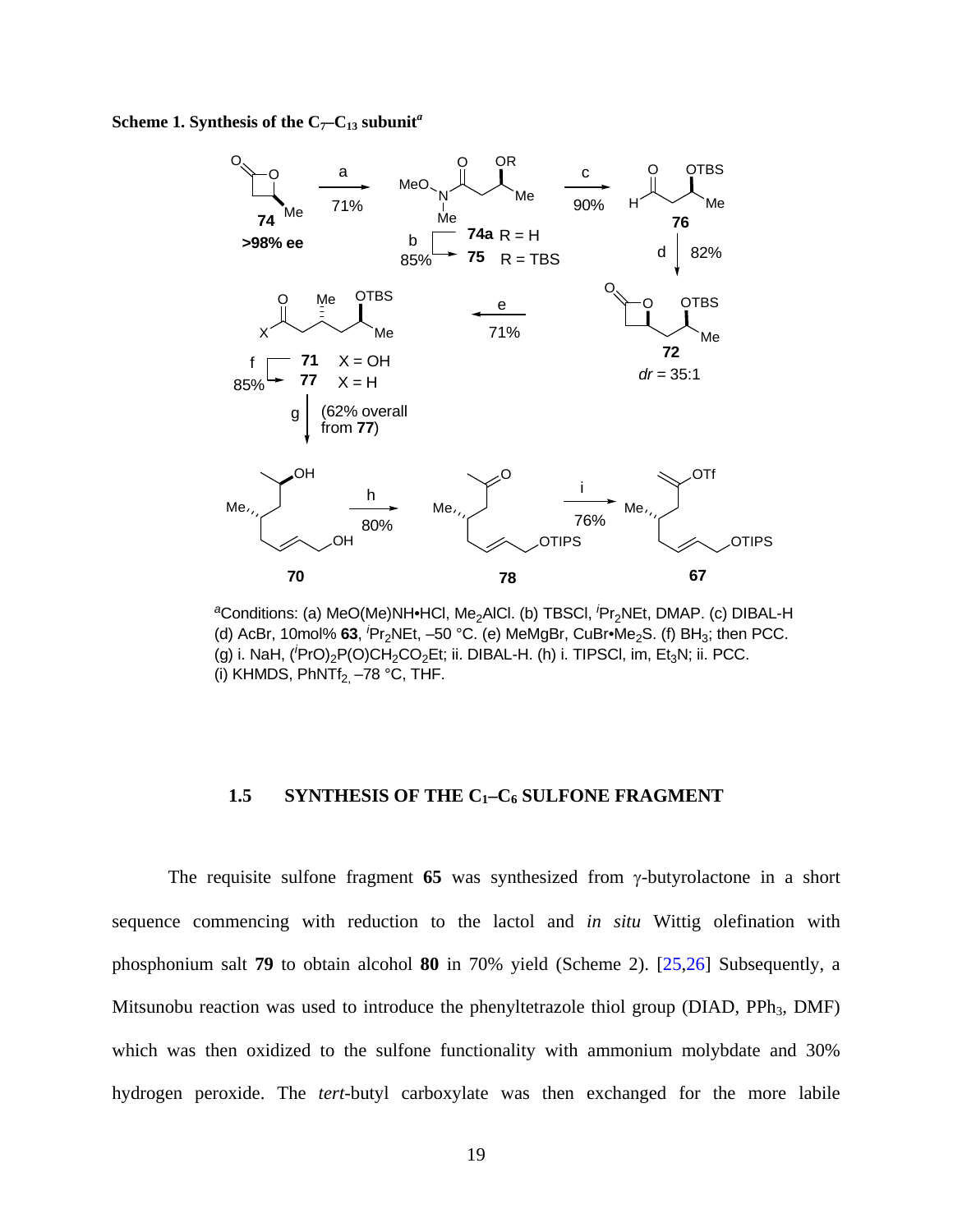<span id="page-30-0"></span>**Scheme 1. Synthesis of the**  $C_7-C_{13}$  **subunit<sup>***a***</sup>** 



<sup>a</sup>Conditions: (a) MeO(Me)NH∙HCl, Me<sub>2</sub>AlCl. (b) TBSCl, <sup>*i*</sup>Pr<sub>2</sub>NEt, DMAP. (c) DIBAL-H (d) AcBr, 10mol% 63, <sup>*i*</sup>Pr<sub>2</sub>NEt, -50 °C. (e) MeMgBr, CuBr•Me<sub>2</sub>S. (f) BH<sub>3</sub>; then PCC. (g) i. NaH, (<sup>'</sup>PrO)<sub>2</sub>P(O)CH<sub>2</sub>CO<sub>2</sub>Et; ii. DIBAL-H. (h) i. TIPSCI, im, Et<sub>3</sub>N; ii. PCC. (i) KHMDS,  $PhNTf<sub>2</sub> -78 °C$ , THF.

### 1.5 **SYNTHESIS OF THE C<sub>1</sub>-C<sub>6</sub> SULFONE FRAGMENT**

The requisite sulfone fragment **65** was synthesized from γ-butyrolactone in a short sequence commencing with reduction to the lactol and *in situ* Wittig olefination with phosphonium salt **79** to obtain alcohol **80** in 70% yield (Scheme 2). [\[25,26](#page-117-0)] Subsequently, a Mitsunobu reaction was used to introduce the phenyltetrazole thiol group (DIAD, PPh<sub>3</sub>, DMF) which was then oxidized to the sulfone functionality with ammonium molybdate and 30% hydrogen peroxide. The *tert*-butyl carboxylate was then exchanged for the more labile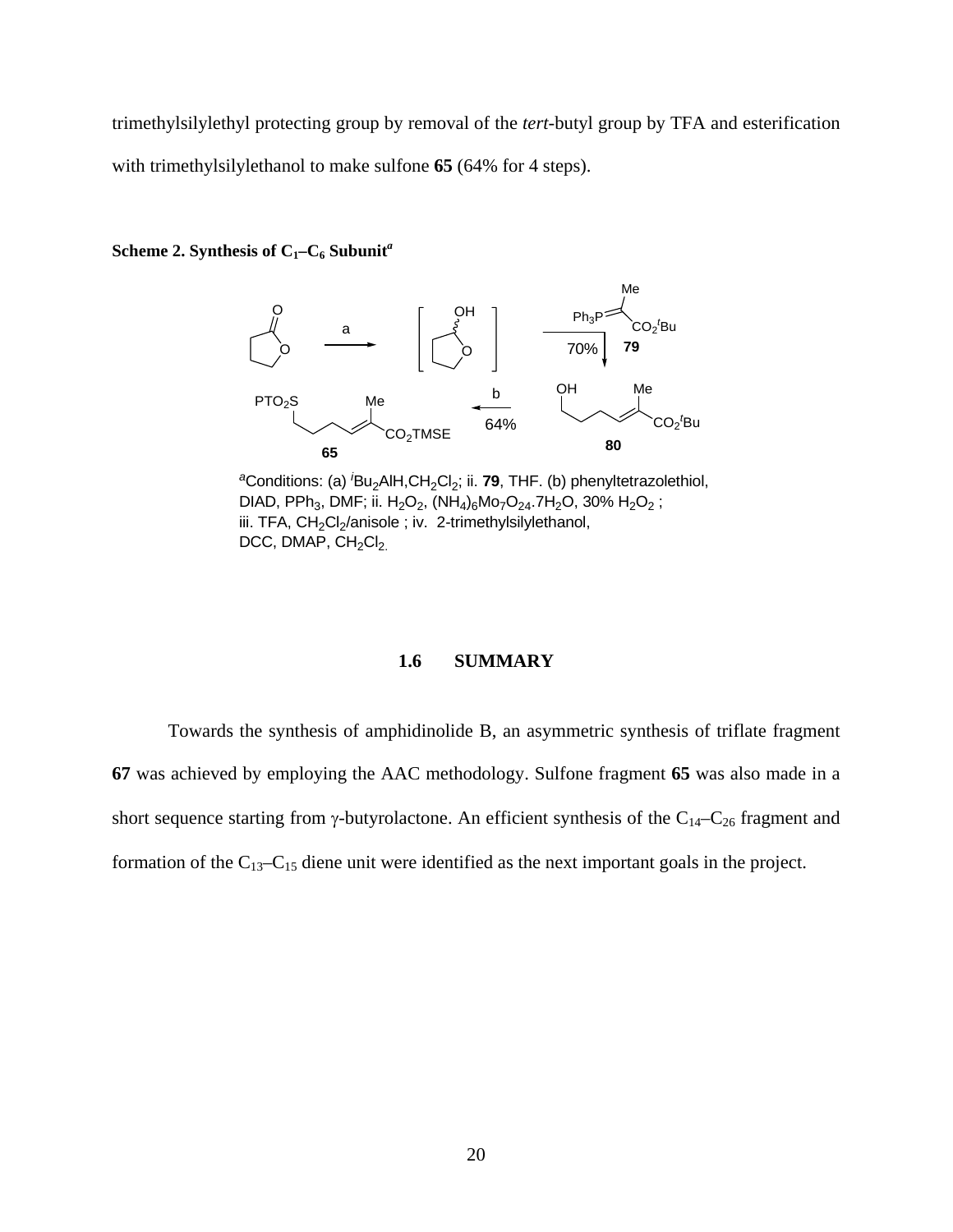<span id="page-31-0"></span>trimethylsilylethyl protecting group by removal of the *tert*-butyl group by TFA and esterification with trimethylsilylethanol to make sulfone **65** (64% for 4 steps).

**Scheme 2. Synthesis of**  $C_1-C_6$  **Subunit<sup>***a***</sup>** 



*<sup>a</sup>*Conditions: (a) *<sup>i</sup>* Bu2AlH,CH2Cl2; ii. **79**, THF. (b) phenyltetrazolethiol, DIAD, PPh<sub>3</sub>, DMF; ii. H<sub>2</sub>O<sub>2</sub>, (NH<sub>4</sub>)<sub>6</sub>Mo<sub>7</sub>O<sub>24</sub>.7H<sub>2</sub>O, 30% H<sub>2</sub>O<sub>2</sub>; iii. TFA, CH<sub>2</sub>Cl<sub>2</sub>/anisole; iv. 2-trimethylsilylethanol, DCC, DMAP,  $CH<sub>2</sub>Cl<sub>2</sub>$ .

## **1.6 SUMMARY**

Towards the synthesis of amphidinolide B, an asymmetric synthesis of triflate fragment **67** was achieved by employing the AAC methodology. Sulfone fragment **65** was also made in a short sequence starting from  $\gamma$ -butyrolactone. An efficient synthesis of the C<sub>14</sub>–C<sub>26</sub> fragment and formation of the  $C_{13}-C_{15}$  diene unit were identified as the next important goals in the project.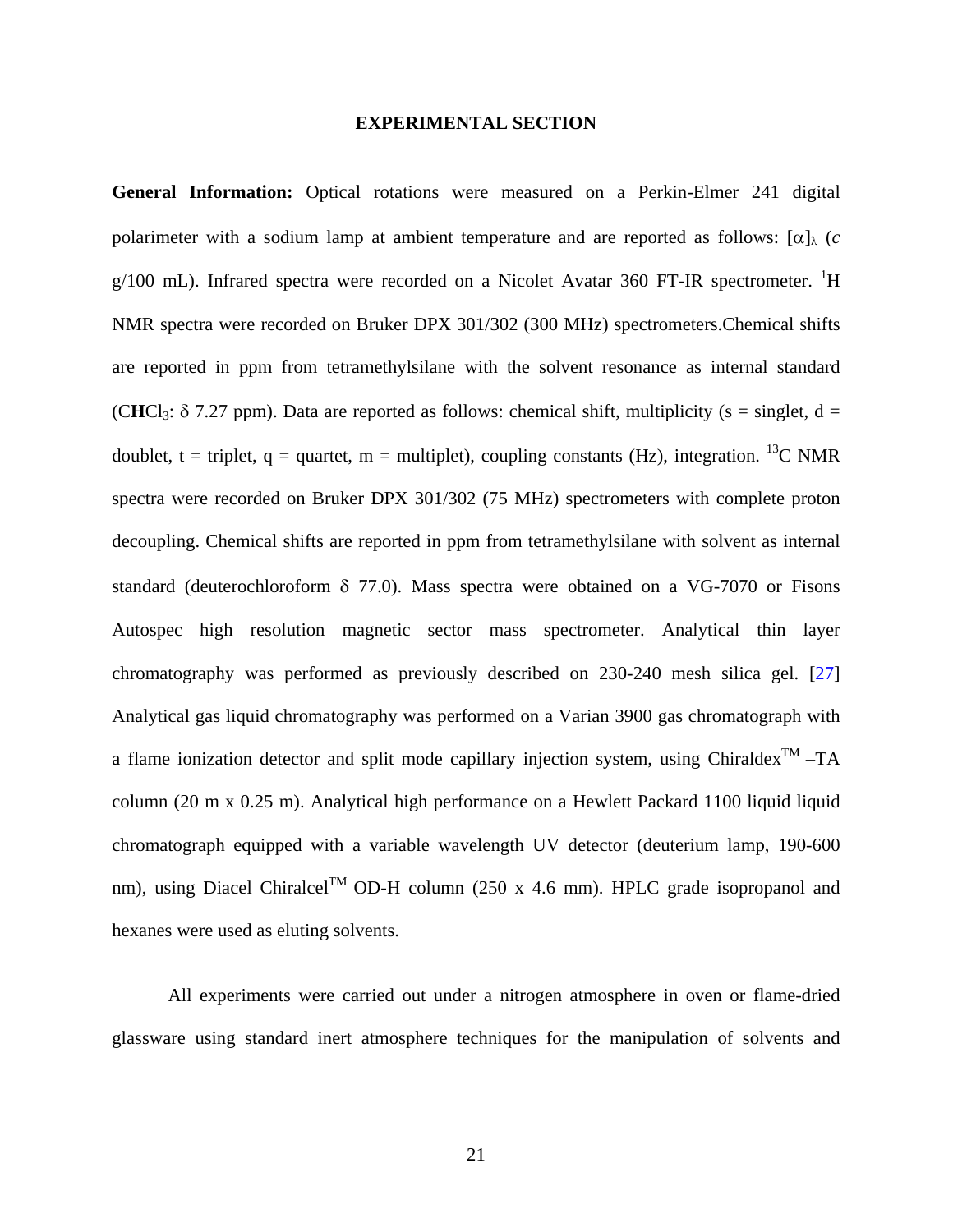#### **EXPERIMENTAL SECTION**

<span id="page-32-0"></span>**General Information:** Optical rotations were measured on a Perkin-Elmer 241 digital polarimeter with a sodium lamp at ambient temperature and are reported as follows:  $\lceil \alpha \rceil$ <sub>λ</sub> (*c*  $g/100$  mL). Infrared spectra were recorded on a Nicolet Avatar 360 FT-IR spectrometer. <sup>1</sup>H NMR spectra were recorded on Bruker DPX 301/302 (300 MHz) spectrometers.Chemical shifts are reported in ppm from tetramethylsilane with the solvent resonance as internal standard (CHCl<sub>3</sub>:  $\delta$  7.27 ppm). Data are reported as follows: chemical shift, multiplicity (s = singlet, d = doublet, t = triplet, q = quartet, m = multiplet), coupling constants (Hz), integration. <sup>13</sup>C NMR spectra were recorded on Bruker DPX 301/302 (75 MHz) spectrometers with complete proton decoupling. Chemical shifts are reported in ppm from tetramethylsilane with solvent as internal standard (deuterochloroform δ 77.0). Mass spectra were obtained on a VG-7070 or Fisons Autospec high resolution magnetic sector mass spectrometer. Analytical thin layer chromatography was performed as previously described on 230-240 mesh silica gel. [\[27\]](#page-117-0) Analytical gas liquid chromatography was performed on a Varian 3900 gas chromatograph with a flame ionization detector and split mode capillary injection system, using Chiraldex<sup>TM</sup> –TA column (20 m x 0.25 m). Analytical high performance on a Hewlett Packard 1100 liquid liquid chromatograph equipped with a variable wavelength UV detector (deuterium lamp, 190-600 nm), using Diacel Chiralcel<sup>TM</sup> OD-H column (250 x 4.6 mm). HPLC grade isopropanol and hexanes were used as eluting solvents.

All experiments were carried out under a nitrogen atmosphere in oven or flame-dried glassware using standard inert atmosphere techniques for the manipulation of solvents and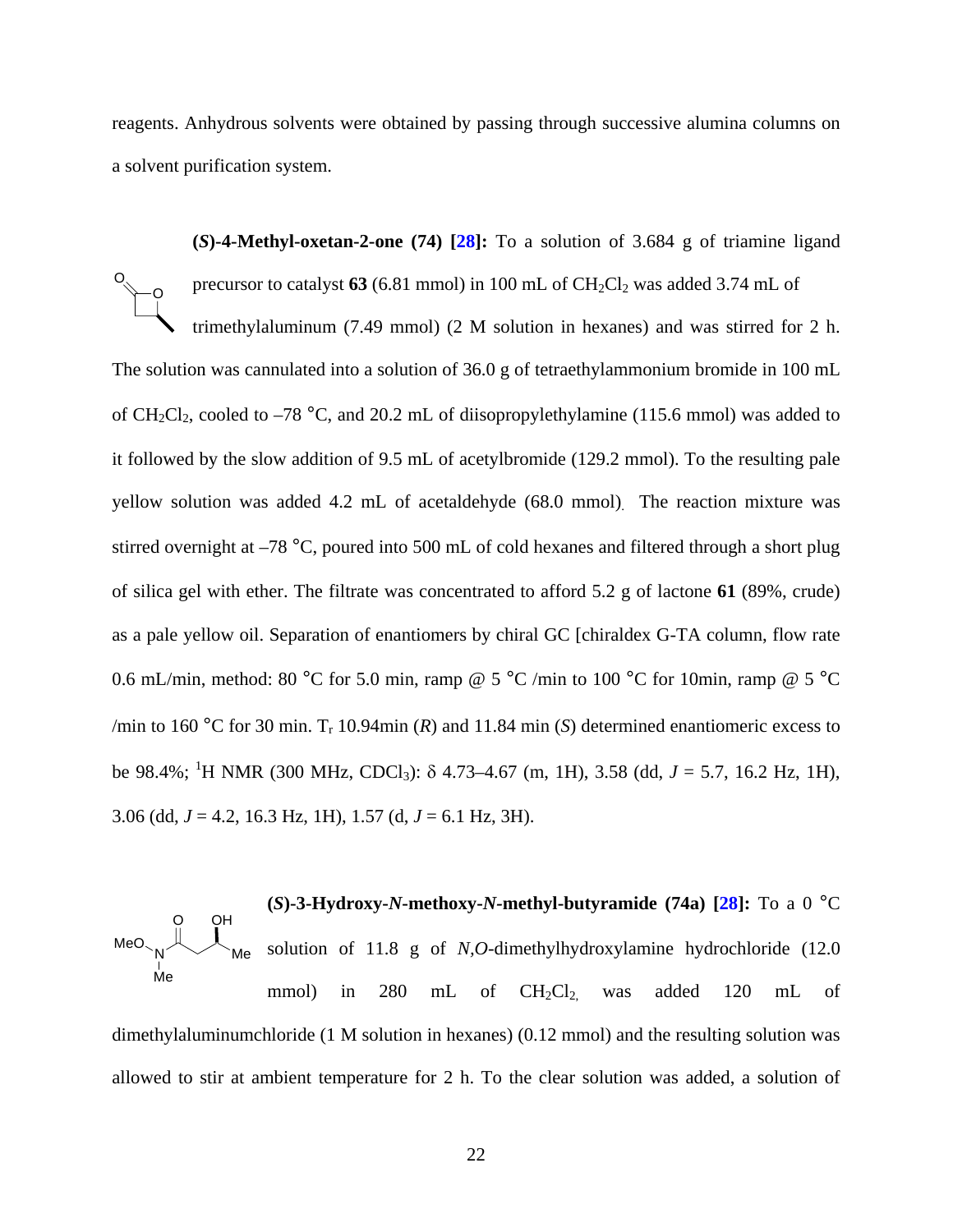reagents. Anhydrous solvents were obtained by passing through successive alumina columns on a solvent purification system.

**(***S***)-4-Methyl-oxetan-2-one (74) [\[28](#page-117-0)]:** To a solution of 3.684 g of triamine ligand precursor to catalyst  $63$  (6.81 mmol) in 100 mL of  $CH_2Cl_2$  was added 3.74 mL of trimethylaluminum (7.49 mmol) (2 M solution in hexanes) and was stirred for 2 h. The solution was cannulated into a solution of 36.0 g of tetraethylammonium bromide in 100 mL of CH<sub>2</sub>Cl<sub>2</sub>, cooled to  $-78$  °C, and 20.2 mL of diisopropylethylamine (115.6 mmol) was added to it followed by the slow addition of 9.5 mL of acetylbromide (129.2 mmol). To the resulting pale yellow solution was added 4.2 mL of acetaldehyde (68.0 mmol). The reaction mixture was stirred overnight at –78 °C, poured into 500 mL of cold hexanes and filtered through a short plug of silica gel with ether. The filtrate was concentrated to afford 5.2 g of lactone **61** (89%, crude) as a pale yellow oil. Separation of enantiomers by chiral GC [chiraldex G-TA column, flow rate 0.6 mL/min, method: 80 °C for 5.0 min, ramp @ 5 °C /min to 100 °C for 10min, ramp @ 5 °C /min to 160 °C for 30 min.  $T_r$  10.94min (*R*) and 11.84 min (*S*) determined enantiomeric excess to be 98.4%; <sup>1</sup> H NMR (300 MHz, CDCl3): δ 4.73–4.67 (m, 1H), 3.58 (dd, *J* = 5.7, 16.2 Hz, 1H), 3.06 (dd, *J* = 4.2, 16.3 Hz, 1H), 1.57 (d, *J* = 6.1 Hz, 3H). O O

**(***S***)-3-Hydroxy-***N***-methoxy-***N-***methyl-butyramide (74a) [\[28](#page-117-0)]:** To a 0 °C solution of 11.8 g of *N,O*-dimethylhydroxylamine hydrochloride (12.0 mmol) in 280 mL of  $CH_2Cl_{2}$ , was added 120 mL of dimethylaluminumchloride (1 M solution in hexanes) (0.12 mmol) and the resulting solution was allowed to stir at ambient temperature for 2 h. To the clear solution was added, a solution of  $N \sim$  Me O Me MeO. OH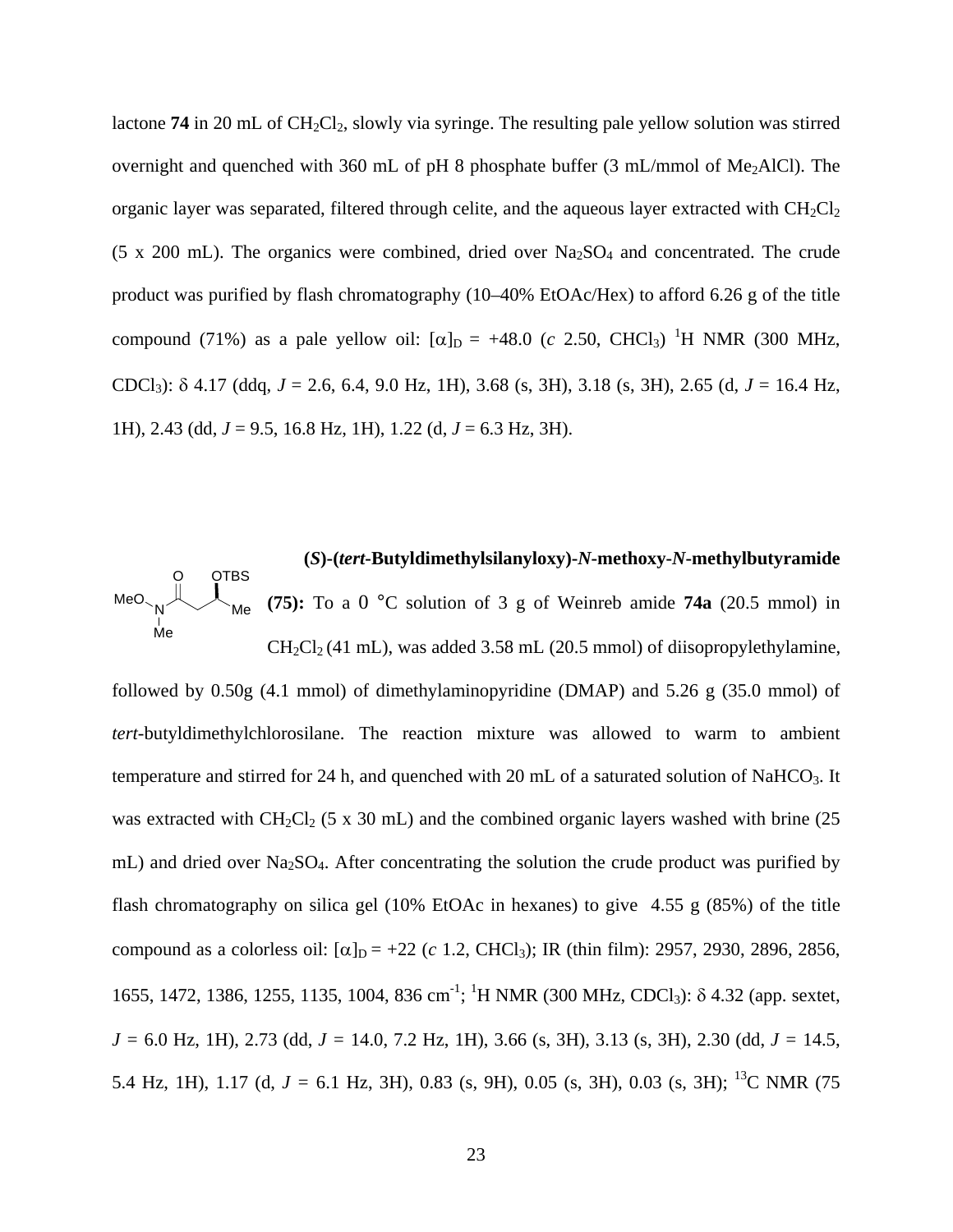lactone **74** in 20 mL of CH<sub>2</sub>Cl<sub>2</sub>, slowly via syringe. The resulting pale yellow solution was stirred overnight and quenched with 360 mL of pH 8 phosphate buffer  $(3 \text{ mL/mmol of Me}_2$ AlCl). The organic layer was separated, filtered through celite, and the aqueous layer extracted with  $CH<sub>2</sub>Cl<sub>2</sub>$ (5 x 200 mL). The organics were combined, dried over  $Na<sub>2</sub>SO<sub>4</sub>$  and concentrated. The crude product was purified by flash chromatography (10–40% EtOAc/Hex) to afford 6.26 g of the title compound (71%) as a pale yellow oil:  $[\alpha]_D = +48.0$  (*c* 2.50, CHCl<sub>3</sub>) <sup>1</sup>H NMR (300 MHz, CDCl3): δ 4.17 (ddq, *J* = 2.6, 6.4, 9.0 Hz, 1H), 3.68 (s, 3H), 3.18 (s, 3H), 2.65 (d, *J* = 16.4 Hz, 1H), 2.43 (dd, *J* = 9.5, 16.8 Hz, 1H), 1.22 (d, *J* = 6.3 Hz, 3H).

 **(***S***)-(***tert***-Butyldimethylsilanyloxy)-***N***-methoxy-***N***-methylbutyramide**   $M_{\text{Me}}$  (75): To a 0 °C solution of 3 g of Weinreb amide 74a (20.5 mmol) in  $CH_2Cl_2(41 \text{ mL})$ , was added 3.58 mL (20.5 mmol) of diisopropylethylamine,  $N \sim$  Me O Me MeO **OTBS** 

followed by 0.50g (4.1 mmol) of dimethylaminopyridine (DMAP) and 5.26 g (35.0 mmol) of *tert-*butyldimethylchlorosilane. The reaction mixture was allowed to warm to ambient temperature and stirred for 24 h, and quenched with 20 mL of a saturated solution of NaHCO 3. It was extracted with  $CH_2Cl_2$  (5 x 30 mL) and the combined organic layers washed with brine (25 mL) and dried over  $Na<sub>2</sub>SO<sub>4</sub>$ . After concentrating the solution the crude product was purified by flash chromatography on silica gel (10% EtOAc in hexanes) to give 4.55 g (85%) of the title compound as a colorless oil:  $[\alpha]_D = +22$  (*c* 1.2, CHCl<sub>3</sub>); IR (thin film): 2957, 2930, 2896, 2856, 1655, 1472, 1386, 1255, 1135, 1004, 836 cm<sup>-1</sup>; <sup>1</sup>H NMR (300 MHz, CDCl<sub>3</sub>): δ 4.32 (app. sextet, *J =* 6.0 Hz, 1H), 2.73 (dd, *J =* 14.0, 7.2 Hz, 1H), 3.66 (s, 3H), 3.13 (s, 3H), 2.30 (dd, *J =* 14.5, 5.4 Hz, 1H), 1.17 (d, *J =* 6.1 Hz, 3H), 0.83 (s, 9H), 0.05 (s, 3H), 0.03 (s, 3H); 13C NMR (75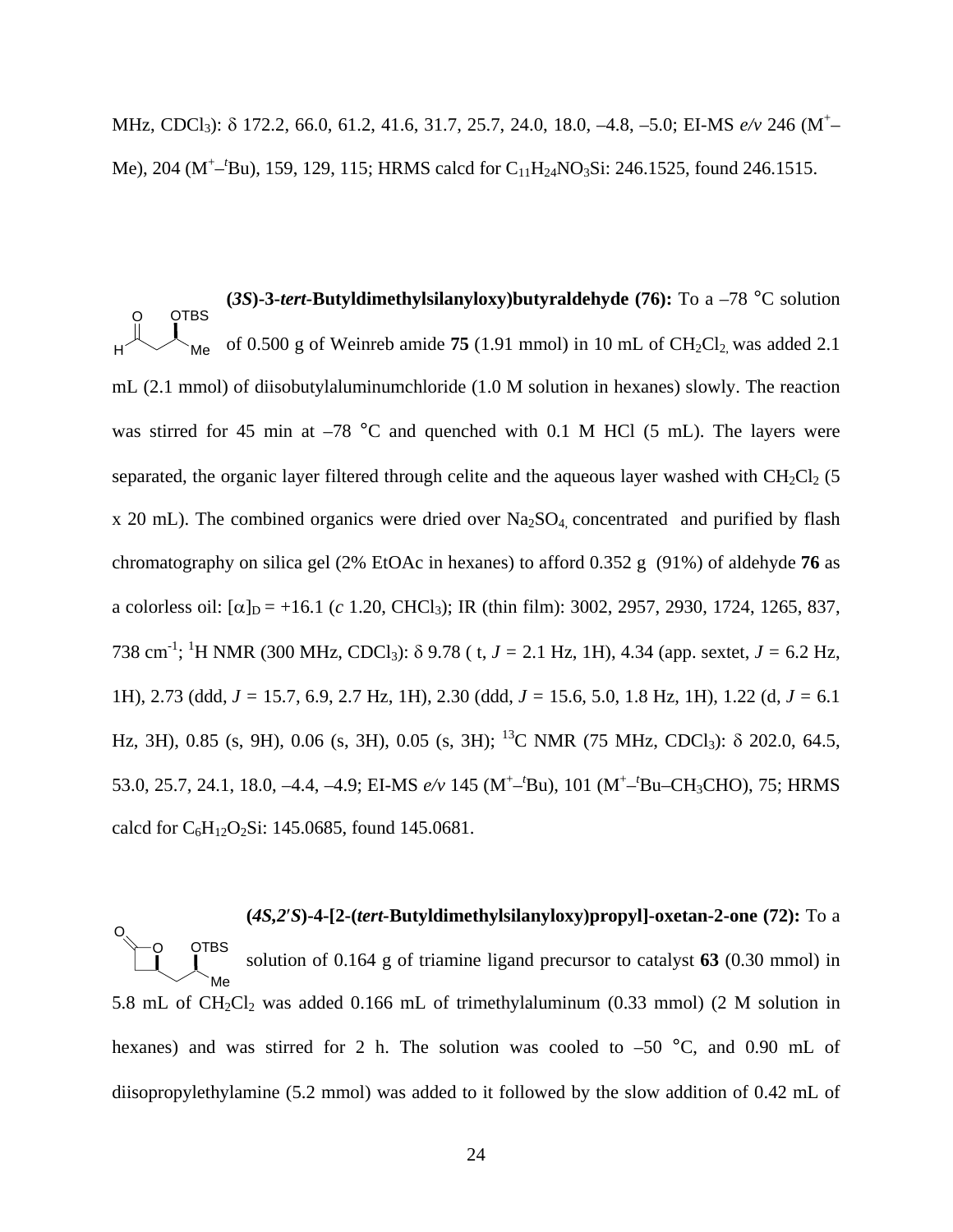MHz, CDCl<sub>3</sub>): δ 172.2, 66.0, 61.2, 41.6, 31.7, 25.7, 24.0, 18.0, -4.8, -5.0; EI-MS *e/v* 246 (M<sup>+</sup>-Me), 204 (M<sup>+</sup>-<sup>*t*</sup>Bu), 159, 129, 115; HRMS calcd for C<sub>11</sub>H<sub>24</sub>NO<sub>3</sub>Si: 246.1525, found 246.1515.

**(***3S***)-3-***tert-***Butyldimethylsilanyloxy)butyraldehyde (76):** To a –78 °C solution mL (2.1 mmol) of diisobutylaluminumchloride (1.0 M solution in hexanes) slowly. The reaction of 0.500 g of Weinreb amide  $75$  (1.91 mmol) in 10 mL of  $CH_2Cl_2$  was added 2.1 was stirred for 45 min at  $-78$  °C and quenched with 0.1 M HCl (5 mL). The layers were separated, the organic layer filtered through celite and the aqueous layer washed with  $CH_2Cl_2$  (5  $H \sim$  Me **OTBS** x 20 mL). The combined organics were dried over  $Na<sub>2</sub>SO<sub>4</sub>$  concentrated and purified by flash chromatography on silica gel (2% EtOAc in hexanes) to afford 0.352 g (91%) of aldehyde **76** as a colorless oil:  $[\alpha]_D = +16.1$  (*c* 1.20, CHCl<sub>3</sub>); IR (thin film): 3002, 2957, 2930, 1724, 1265, 837, 738 cm-1 ; 1 H NMR (300 MHz, CDCl3): δ 9.78 ( t, *J =* 2.1 Hz, 1H), 4.34 (app. sextet, *J =* 6.2 Hz, 1H), 2.73 (ddd, *J =* 15.7, 6.9, 2.7 Hz, 1H), 2.30 (ddd, *J =* 15.6, 5.0, 1.8 Hz, 1H), 1.22 (d, *J =* 6.1 Hz, 3H), 0.85 (s, 9H), 0.06 (s, 3H), 0.05 (s, 3H); <sup>13</sup>C NMR (75 MHz, CDCl<sub>3</sub>): δ 202.0, 64.5, 53.0, 25.7, 24.1, 18.0, -4.4, -4.9; EI-MS  $e/v$  145 (M<sup>+</sup>-<sup>t</sup>Bu), 101 (M<sup>+</sup>-<sup>t</sup>Bu-CH<sub>3</sub>CHO), 75; HRMS calcd for  $C_6H_{12}O_2Si$ : 145.0685, found 145.0681.

**(***4S,2*′*S***)-4-[2-(***tert-***Butyldimethylsilanyloxy)propyl]-oxetan-2-one (72):** To a 5.8 mL of  $CH_2Cl_2$  was added 0.166 mL of trimethylaluminum (0.33 mmol) (2 M solution in solution of 0.164 g of triamine ligand precursor to catalyst **63** (0.30 mmol) in hexanes) and was stirred for 2 h. The solution was cooled to  $-50$  °C, and 0.90 mL of diisopropylethylamine (5.2 mmol) was added to it followed by the slow addition of 0.42 mL of Me **OTBS** O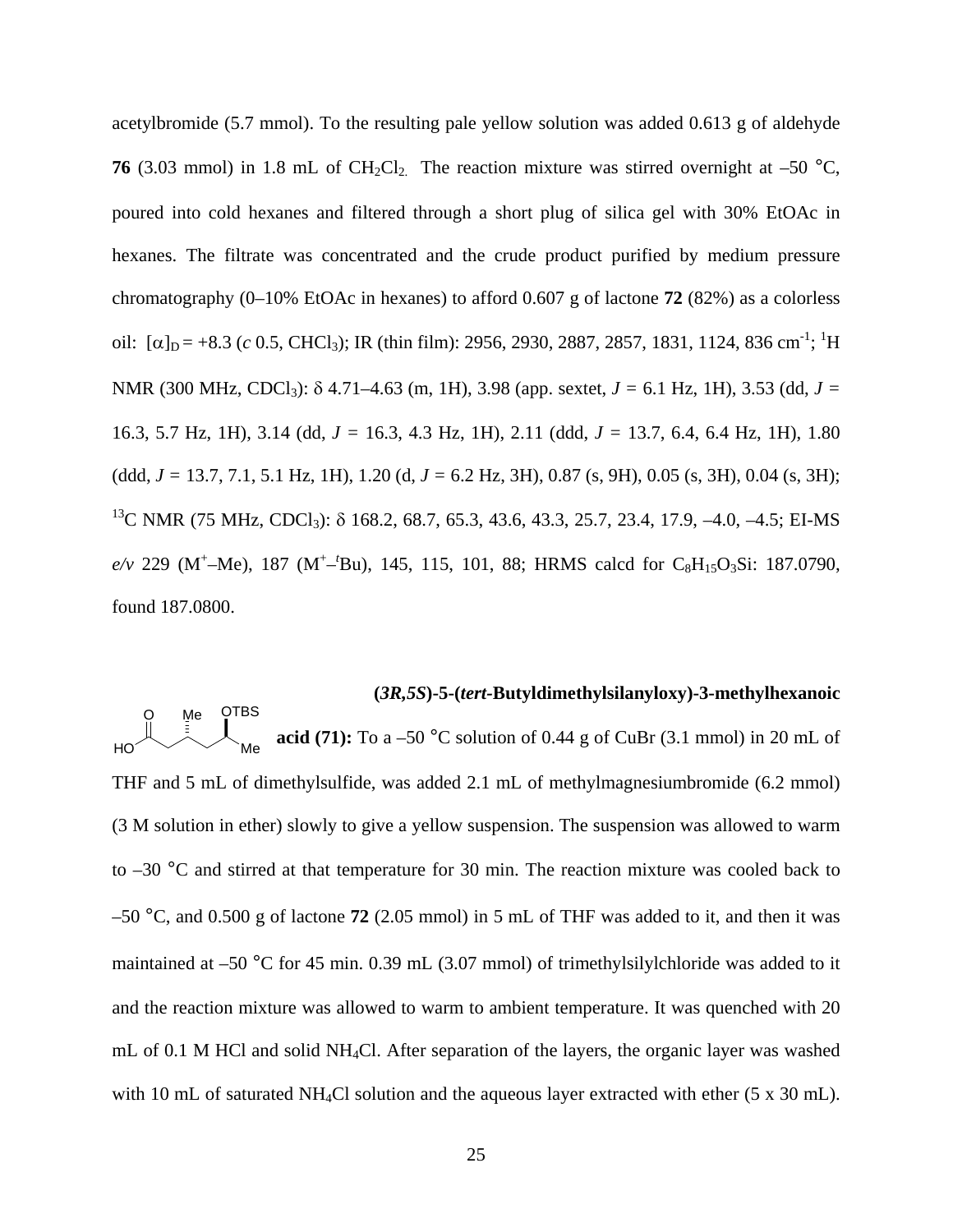acetylbromide (5.7 mmol). To the resulting pale yellow solution was added 0.613 g of aldehyde **76** (3.03 mmol) in 1.8 mL of CH<sub>2</sub>Cl<sub>2</sub>. The reaction mixture was stirred overnight at –50  $^{\circ}$ C, poured into cold hexanes and filtered through a short plug of silica gel with 30% EtOAc in hexanes. The filtrate was concentrated and the crude product purified by medium pressure chromatography (0–10% EtOAc in hexanes) to afford 0.607 g of lactone **72** (82%) as a colorless oil: [ $\alpha$ ]<sub>D</sub> = +8.3 (*c* 0.5, CHCl<sub>3</sub>); IR (thin film): 2956, 2930, 2887, 2857, 1831, 1124, 836 cm<sup>-1</sup>; <sup>1</sup>H NMR (300 MHz, CDCl3): δ 4.71–4.63 (m, 1H), 3.98 (app. sextet, *J =* 6.1 Hz, 1H), 3.53 (dd, *J =* 16.3, 5.7 Hz, 1H), 3.14 (dd, *J =* 16.3, 4.3 Hz, 1H), 2.11 (ddd, *J =* 13.7, 6.4, 6.4 Hz, 1H), 1.80 (ddd, *J =* 13.7, 7.1, 5.1 Hz, 1H), 1.20 (d, *J =* 6.2 Hz, 3H), 0.87 (s, 9H), 0.05 (s, 3H), 0.04 (s, 3H); <sup>13</sup>C NMR (75 MHz, CDCl<sub>3</sub>): δ 168.2, 68.7, 65.3, 43.6, 43.3, 25.7, 23.4, 17.9, -4.0, -4.5; EI-MS  $e/v$  229 (M<sup>+</sup>-Me), 187 (M<sup>+</sup>-<sup>t</sup>Bu), 145, 115, 101, 88; HRMS calcd for C<sub>8</sub>H<sub>15</sub>O<sub>3</sub>Si: 187.0790, found 187.0800.

#### **(***3R,5S***)-5-(***tert-***Butyldimethylsilanyloxy)-3-methylhexanoic**

**acid (71):** To a  $-50$  °C solution of 0.44 g of CuBr (3.1 mmol) in 20 mL of THF and 5 mL of dimethylsulfide, was added 2.1 mL of methylmagnesiumbromide (6.2 mmol) (3 M solution in ether) slowly to give a yellow suspension. The suspension was allowed to warm to  $-30$  °C and stirred at that temperature for 30 min. The reaction mixture was cooled back to –50 °C, and 0.500 g of lactone **72** (2.05 mmol) in 5 mL of THF was added to it, and then it was maintained at –50 °C for 45 min. 0.39 mL (3.07 mmol) of trimethylsilylchloride was added to it and the reaction mixture was allowed to warm to ambient temperature. It was quenched with 20 mL of 0.1 M HCl and solid NH 4Cl. After separation of the layers, the organic layer was washed Me Me HO **OTBS** with 10 mL of saturated NH<sub>4</sub>Cl solution and the aqueous layer extracted with ether (5 x 30 mL).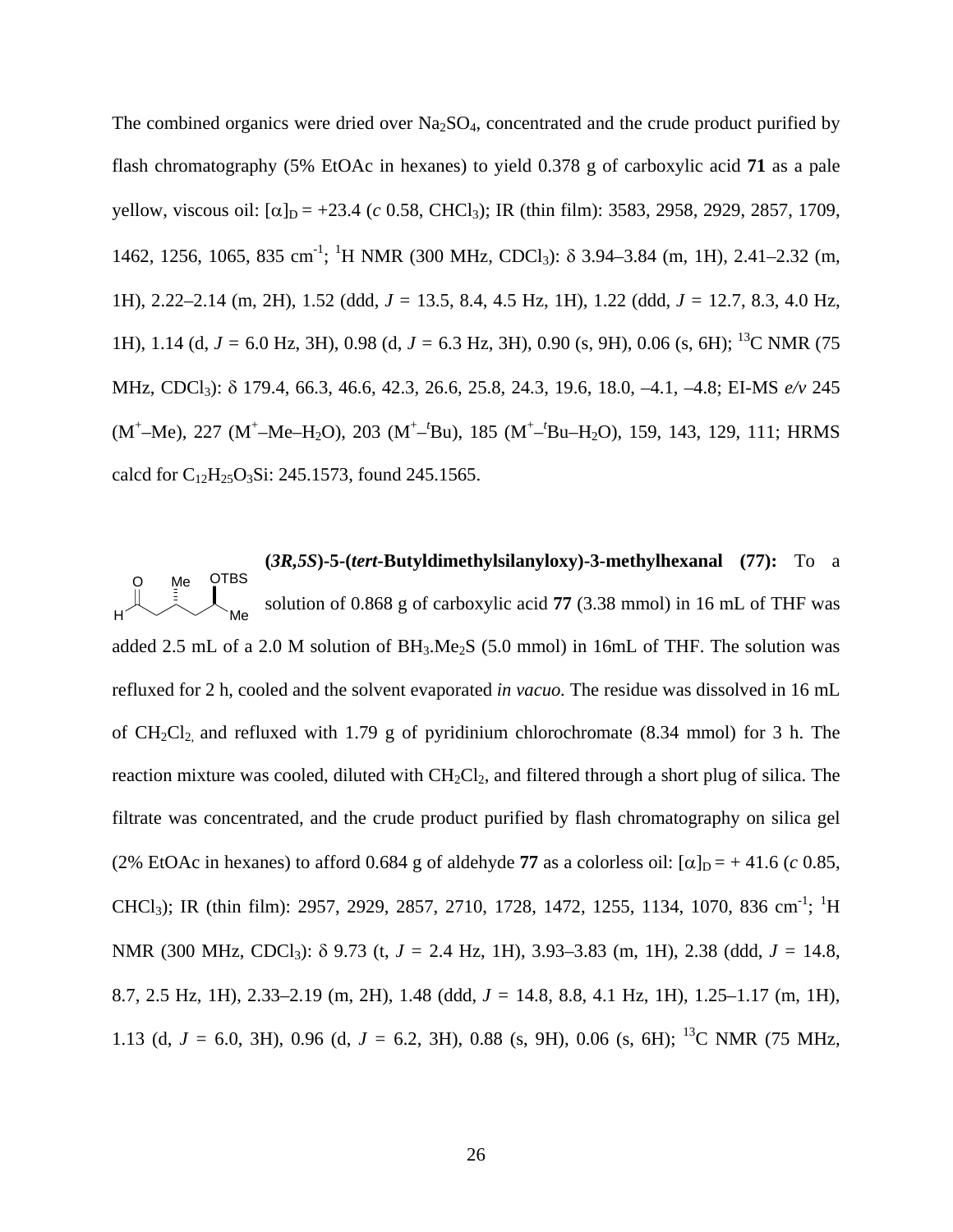The combined organics were dried over  $Na<sub>2</sub>SO<sub>4</sub>$ , concentrated and the crude product purified by flash chromatography (5% EtOAc in hexanes) to yield 0.378 g of carboxylic acid **71** as a pale yellow, viscous oil:  $[α]_D = +23.4$  (*c* 0.58, CHCl<sub>3</sub>); IR (thin film): 3583, 2958, 2929, 2857, 1709, 1462, 1256, 1065, 835 cm<sup>-1</sup>; <sup>1</sup>H NMR (300 MHz, CDCl<sub>3</sub>): δ 3.94–3.84 (m, 1H), 2.41–2.32 (m, 1H), 2.22–2.14 (m, 2H), 1.52 (ddd, *J =* 13.5, 8.4, 4.5 Hz, 1H), 1.22 (ddd, *J =* 12.7, 8.3, 4.0 Hz, 1H), 1.14 (d, *J =* 6.0 Hz, 3H), 0.98 (d, *J =* 6.3 Hz, 3H), 0.90 (s, 9H), 0.06 (s, 6H); 13C NMR (75 MHz, CDCl3): δ 179.4, 66.3, 46.6, 42.3, 26.6, 25.8, 24.3, 19.6, 18.0, –4.1, –4.8; EI-MS *e/v* 245 (M<sup>+</sup>–Me), 227 (M<sup>+</sup>–Me–H<sub>2</sub>O), 203 (M<sup>+</sup>–<sup>t</sup>Bu), 185 (M<sup>+</sup>–<sup>t</sup>Bu–H<sub>2</sub>O), 159, 143, 129, 111; HRMS calcd for  $C_{12}H_{25}O_3Si$ : 245.1573, found 245.1565.

**(***3R,5S***)-5-(***tert-***Butyldimethylsilanyloxy)-3-methylhexanal (77):** To a added 2.5 mL of a 2.0 M solution of  $BH_3Me_2S$  (5.0 mmol) in 16mL of THF. The solution was Me O Me H OTBS solution of 0.868 g of carboxylic acid **77** (3.38 mmol) in 16 mL of THF was refluxed for 2 h, cooled and the solvent evaporated *in vacuo.* The residue was dissolved in 16 mL of  $CH_2Cl_2$  and refluxed with 1.79 g of pyridinium chlorochromate (8.34 mmol) for 3 h. The reaction mixture was cooled, diluted with  $CH_2Cl_2$ , and filtered through a short plug of silica. The filtrate was concentrated, and the crude product purified by flash chromatography on silica gel (2% EtOAc in hexanes) to afford 0.684 g of aldehyde 77 as a colorless oil:  $[\alpha]_D = +41.6$  (*c* 0.85, CHCl<sub>3</sub>); IR (thin film): 2957, 2929, 2857, 2710, 1728, 1472, 1255, 1134, 1070, 836 cm<sup>-1</sup>; <sup>1</sup>H NMR (300 MHz, CDCl3): δ 9.73 (t, *J =* 2.4 Hz, 1H), 3.93–3.83 (m, 1H), 2.38 (ddd, *J =* 14.8, 8.7, 2.5 Hz, 1H), 2.33–2.19 (m, 2H), 1.48 (ddd, *J =* 14.8, 8.8, 4.1 Hz, 1H), 1.25–1.17 (m, 1H), 1.13 (d, *J =* 6.0, 3H), 0.96 (d, *J =* 6.2, 3H), 0.88 (s, 9H), 0.06 (s, 6H); 13C NMR (75 MHz,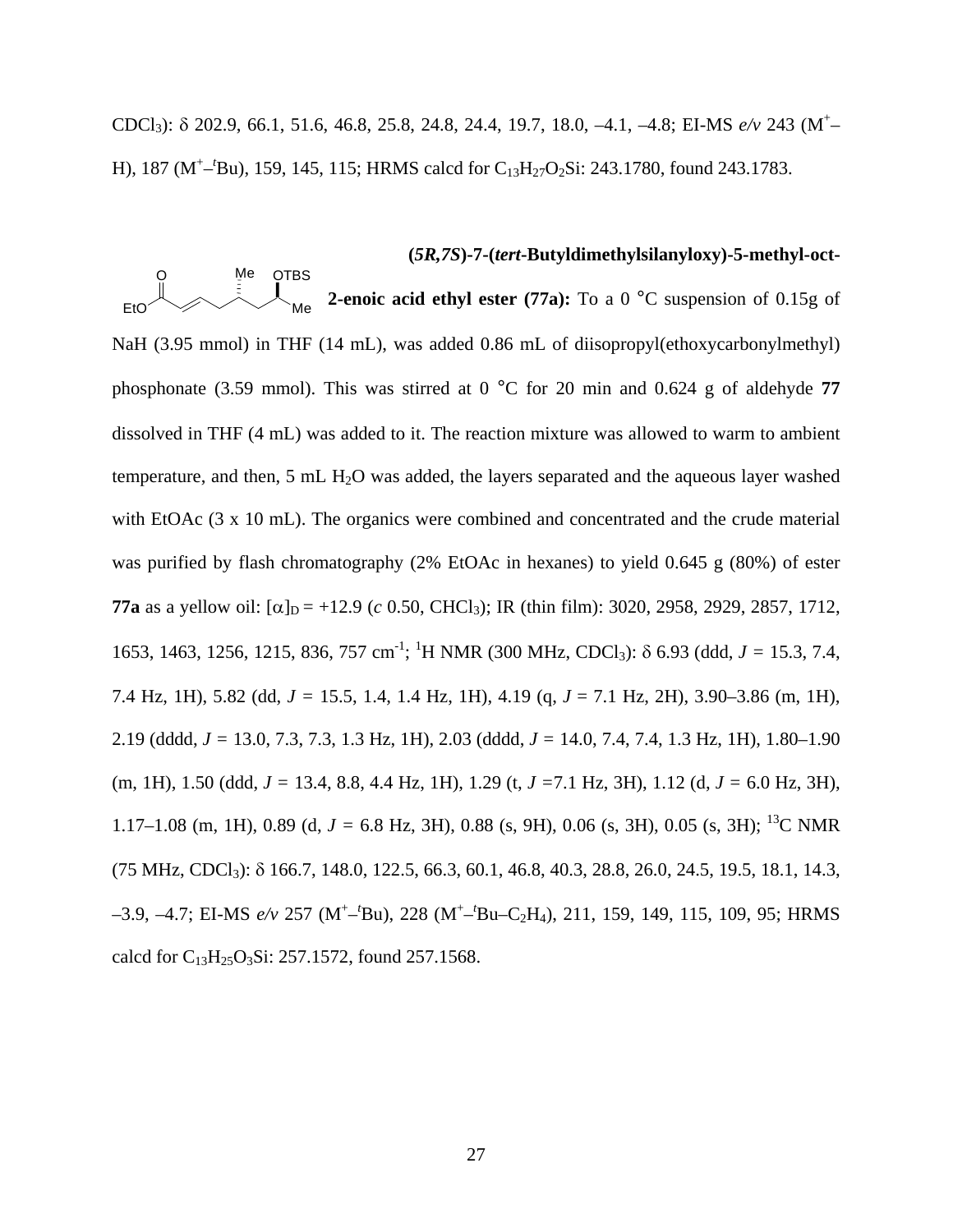CDCl<sub>3</sub>): δ 202.9, 66.1, 51.6, 46.8, 25.8, 24.8, 24.4, 19.7, 18.0, -4.1, -4.8; EI-MS *e/v* 243 (M<sup>+</sup>-H), 187 (M<sup>+</sup>-<sup>*t*</sup>Bu), 159, 145, 115; HRMS calcd for C<sub>13</sub>H<sub>27</sub>O<sub>2</sub>Si: 243.1780, found 243.1783.

## **(***5R,7S***)-7-(***tert***-Butyldimethylsilanyloxy)-5-methyl-oct-**

**2-enoic acid ethyl ester (77a):** To a 0 °C suspension of 0.15g of NaH (3.95 mmol) in THF (14 mL), was added 0.86 mL of diisopropyl(ethoxycarbonylmethyl) phosphonate (3.59 mmol). This was stirred at 0 °C for 20 min and 0.624 g of aldehyde **77**  dissolved in THF (4 mL) was added to it. The reaction mixture was allowed to warm to ambient temperature, and then, 5 mL  $H_2O$  was added, the layers separated and the aqueous layer washed with EtOAc (3 x 10 mL). The organics were combined and concentrated and the crude material was purified by flash chromatography (2% EtOAc in hexanes) to yield 0.645 g (80%) of ester **77a** as a yellow oil:  $[\alpha]_D = +12.9$  (*c* 0.50, CHCl<sub>3</sub>); IR (thin film): 3020, 2958, 2929, 2857, 1712, 1653, 1463, 1256, 1215, 836, 757 cm<sup>-1</sup>; <sup>1</sup>H NMR (300 MHz, CDCl<sub>3</sub>): δ 6.93 (ddd, *J* = 15.3, 7.4, 7.4 Hz, 1H), 5.82 (dd, *J =* 15.5, 1.4, 1.4 Hz, 1H), 4.19 (q, *J* = 7.1 Hz, 2H), 3.90–3.86 (m, 1H), 2.19 (dddd, *J =* 13.0, 7.3, 7.3, 1.3 Hz, 1H), 2.03 (dddd, *J =* 14.0, 7.4, 7.4, 1.3 Hz, 1H), 1.80–1.90 (m, 1H), 1.50 (ddd, *J =* 13.4, 8.8, 4.4 Hz, 1H), 1.29 (t, *J =*7.1 Hz, 3H), 1.12 (d, *J =* 6.0 Hz, 3H), 1.17–1.08 (m, 1H), 0.89 (d, *J =* 6.8 Hz, 3H), 0.88 (s, 9H), 0.06 (s, 3H), 0.05 (s, 3H); 13C NMR  $(75 \text{ MHz}, \text{CDCl}_3)$ :  $\delta$  166.7, 148.0, 122.5, 66.3, 60.1, 46.8, 40.3, 28.8, 26.0, 24.5, 19.5, 18.1, 14.3, -3.9, -4.7; EI-MS  $e/v$  257 (M<sup>+</sup>-<sup>t</sup>Bu), 228 (M<sup>+</sup>-<sup>t</sup>Bu-C<sub>2</sub>H<sub>4</sub>), 211, 159, 149, 115, 109, 95; HRMS calcd for  $C_{13}H_{25}O_3Si$ : 257.1572, found 257.1568. Me Me OTBS EtO O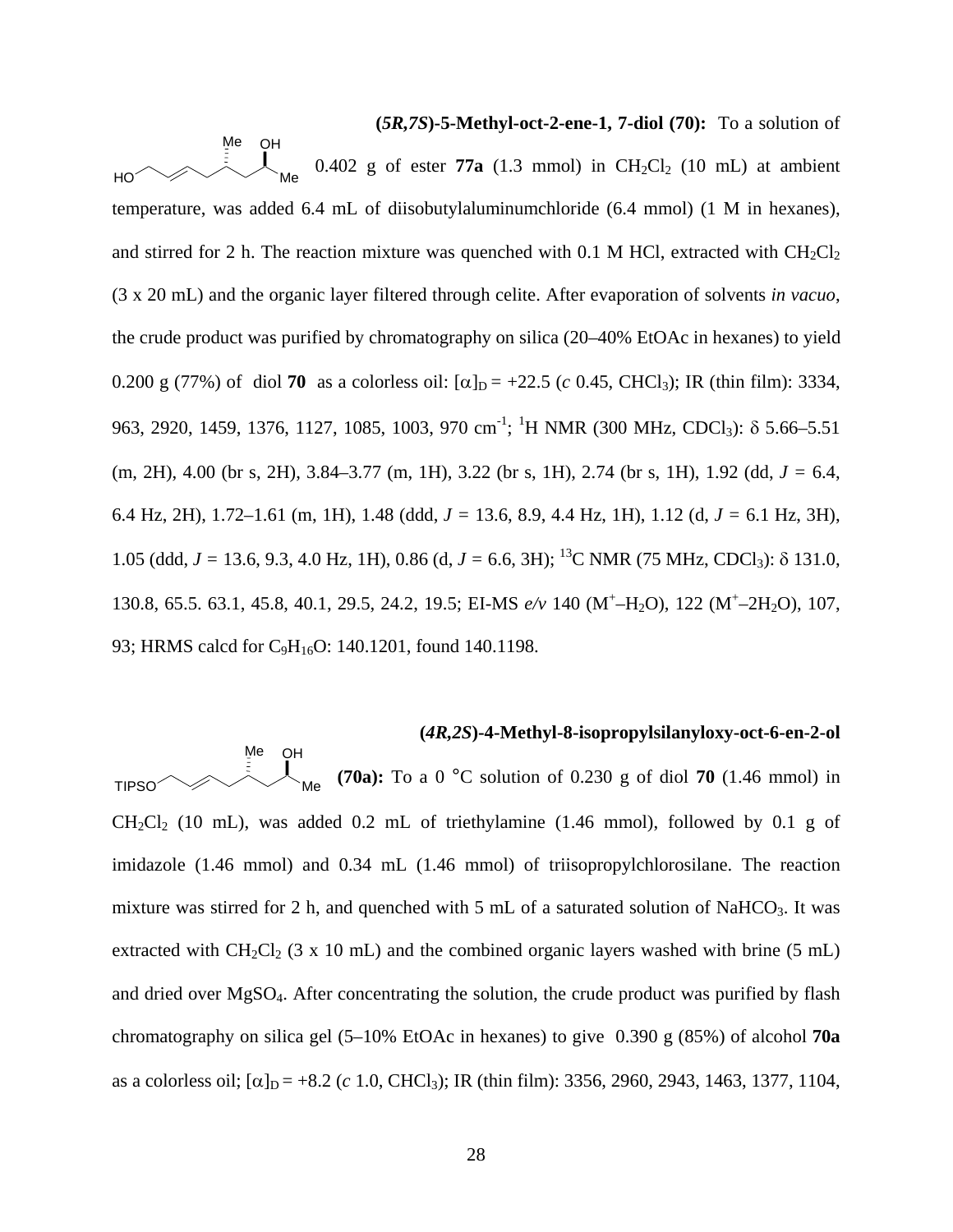**(***5R,7S***)-5-Methyl-oct-2-ene-1, 7-diol (70):** To a solution of 0.402 g of ester  $77a$  (1.3 mmol) in  $CH_2Cl_2$  (10 mL) at ambient temperature, was added 6.4 mL of diisobutylaluminumchloride (6.4 mmol) (1 M in hexanes), and stirred for 2 h. The reaction mixture was quenched with 0.1 M HCl, extracted with  $CH_2Cl_2$ (3 x 20 mL) and the organic layer filtered through celite. After evaporation of solvents *in vacuo*, the crude product was purified by chromatography on silica (20–40% EtOAc in hexanes) to yield 0.200 g (77%) of diol **70** as a colorless oil:  $[\alpha]_D = +22.5$  (*c* 0.45, CHCl<sub>3</sub>); IR (thin film): 3334, 963, 2920, 1459, 1376, 1127, 1085, 1003, 970 cm<sup>-1</sup>; <sup>1</sup>H NMR (300 MHz, CDCl<sub>3</sub>): δ 5.66–5.51 (m, 2H), 4.00 (br s, 2H), 3.84–3.77 (m, 1H), 3.22 (br s, 1H), 2.74 (br s, 1H), 1.92 (dd, *J =* 6.4, 6.4 Hz, 2H), 1.72–1.61 (m, 1H), 1.48 (ddd, *J =* 13.6, 8.9, 4.4 Hz, 1H), 1.12 (d, *J =* 6.1 Hz, 3H), 1.05 (ddd, *J =* 13.6, 9.3, 4.0 Hz, 1H), 0.86 (d, *J =* 6.6, 3H); 13C NMR (75 MHz, CDCl3): δ 131.0, 130.8, 65.5. 63.1, 45.8, 40.1, 29.5, 24.2, 19.5; EI-MS  $e/v$  140 (M<sup>+</sup>-H<sub>2</sub>O), 122 (M<sup>+</sup>-2H<sub>2</sub>O), 107, 93; HRMS calcd for C<sub>9</sub>H<sub>16</sub>O: 140.1201, found 140.1198. Me Me OH HO

## **(***4R,2S***)-4-Methyl-8-isopropylsilanyloxy-oct-6-en-2-ol**

**(70a):** To a 0 °C solution of 0.230 g of diol **70** (1.46 mmol) in  $CH_2Cl_2$  (10 mL), was added 0.2 mL of triethylamine (1.46 mmol), followed by 0.1 g of imidazole (1.46 mmol) and 0.34 mL (1.46 mmol) of triisopropylchlorosilane. The reaction mixture was stirred for 2 h, and quenched with 5 mL of a saturated solution of NaHCO<sub>3</sub>. It was extracted with CH<sub>2</sub>Cl<sub>2</sub> (3 x 10 mL) and the combined organic layers washed with brine (5 mL) and dried over MgSO4. After concentrating the solution, the crude product was purified by flash chromatography on silica gel (5–10% EtOAc in hexanes) to give 0.390 g (85%) of alcohol **70a** as a colorless oil;  $\alpha$ <sub>D</sub> = +8.2 (*c* 1.0, CHCl<sub>3</sub>); IR (thin film): 3356, 2960, 2943, 1463, 1377, 1104, Me Me OH TIPSO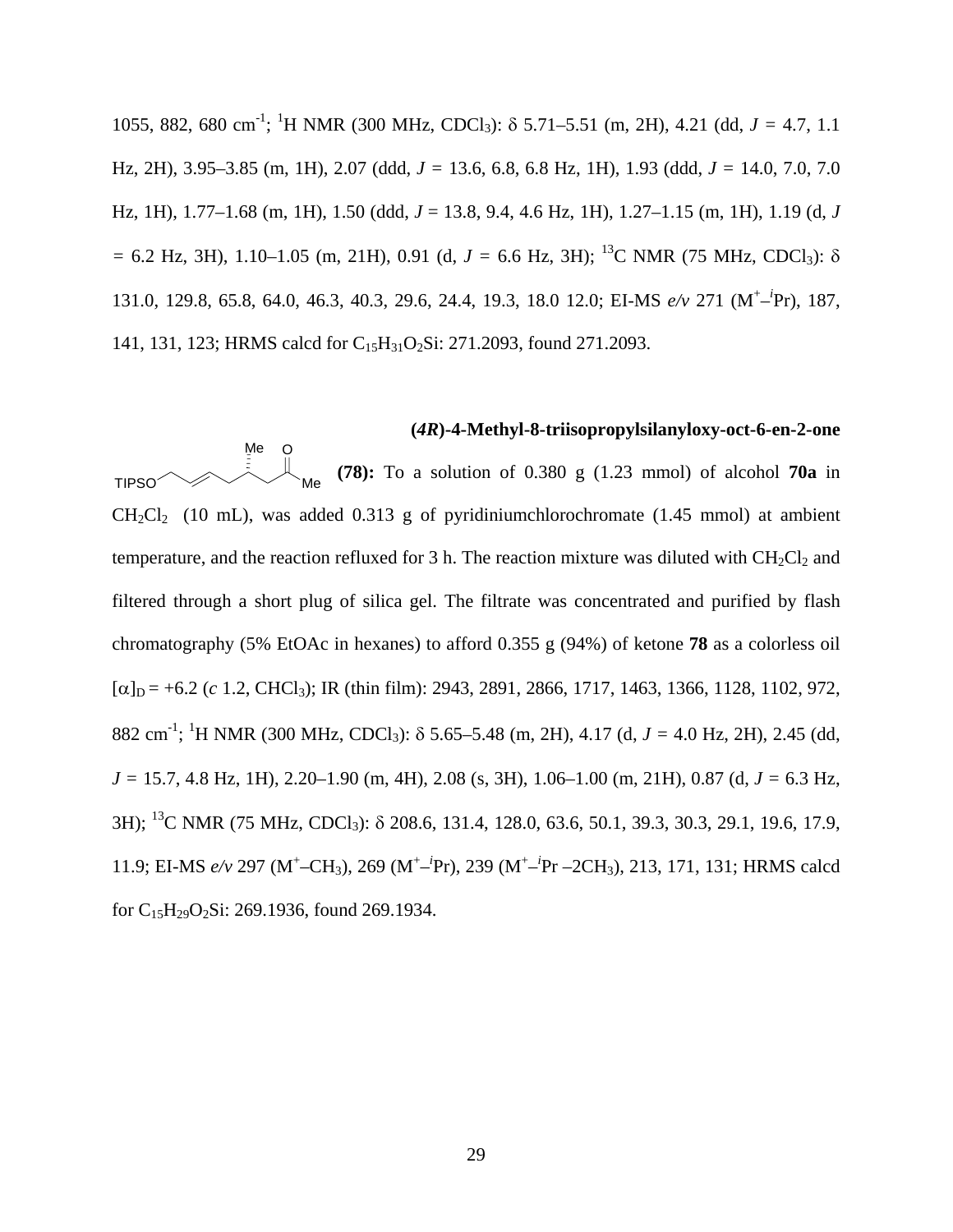1055, 882, 680 cm-1 ; 1 H NMR (300 MHz, CDCl3): δ 5.71–5.51 (m, 2H), 4.21 (dd, *J =* 4.7, 1.1 Hz, 2H), 3.95–3.85 (m, 1H), 2.07 (ddd, *J =* 13.6, 6.8, 6.8 Hz, 1H), 1.93 (ddd, *J =* 14.0, 7.0, 7.0 Hz, 1H), 1.77–1.68 (m, 1H), 1.50 (ddd, *J* = 13.8, 9.4, 4.6 Hz, 1H), 1.27–1.15 (m, 1H), 1.19 (d, *J =* 6.2 Hz, 3H), 1.10–1.05 (m, 21H), 0.91 (d, *J =* 6.6 Hz, 3H); 13C NMR (75 MHz, CDCl3): δ 131.0, 129.8, 65.8, 64.0, 46.3, 40.3, 29.6, 24.4, 19.3, 18.0 12.0; EI-MS *e/v* 271 (M+ –*i* Pr), 187, 141, 131, 123; HRMS calcd for C<sub>15</sub>H<sub>31</sub>O<sub>2</sub>Si: 271.2093, found 271.2093.

**(***4R***)-4-Methyl-8-triisopropylsilanyloxy-oct-6-en-2-one (78):** To a solution of 0.380 g (1.23 mmol) of alcohol **70a** in  $CH_2Cl_2$  (10 mL), was added 0.313 g of pyridiniumchlorochromate (1.45 mmol) at ambient temperature, and the reaction refluxed for 3 h. The reaction mixture was diluted with  $CH_2Cl_2$  and filtered through a short plug of silica gel. The filtrate was concentrated and purified by flash chromatography (5% EtOAc in hexanes) to afford 0.355 g (94%) of ketone **78** as a colorless oil  $[\alpha]_D = +6.2$  (*c* 1.2, CHCl<sub>3</sub>); IR (thin film): 2943, 2891, 2866, 1717, 1463, 1366, 1128, 1102, 972, 882 cm-1 ; 1 H NMR (300 MHz, CDCl3): δ 5.65–5.48 (m, 2H), 4.17 (d, *J =* 4.0 Hz, 2H), 2.45 (dd, *J =* 15.7, 4.8 Hz, 1H), 2.20–1.90 (m, 4H), 2.08 (s, 3H), 1.06–1.00 (m, 21H), 0.87 (d, *J =* 6.3 Hz, 3H); 13C NMR (75 MHz, CDCl3): δ 208.6, 131.4, 128.0, 63.6, 50.1, 39.3, 30.3, 29.1, 19.6, 17.9, 11.9; EI-MS *e/v* 297 (M<sup>+</sup>-CH<sub>3</sub>), 269 (M<sup>+</sup>-<sup>*i*</sup>Pr), 239 (M<sup>+</sup>-<sup>*i*</sup>Pr –2CH<sub>3</sub>), 213, 171, 131; HRMS calcd for  $C_{15}H_{29}O_2Si$ : 269.1936, found 269.1934. Me Me TIPSO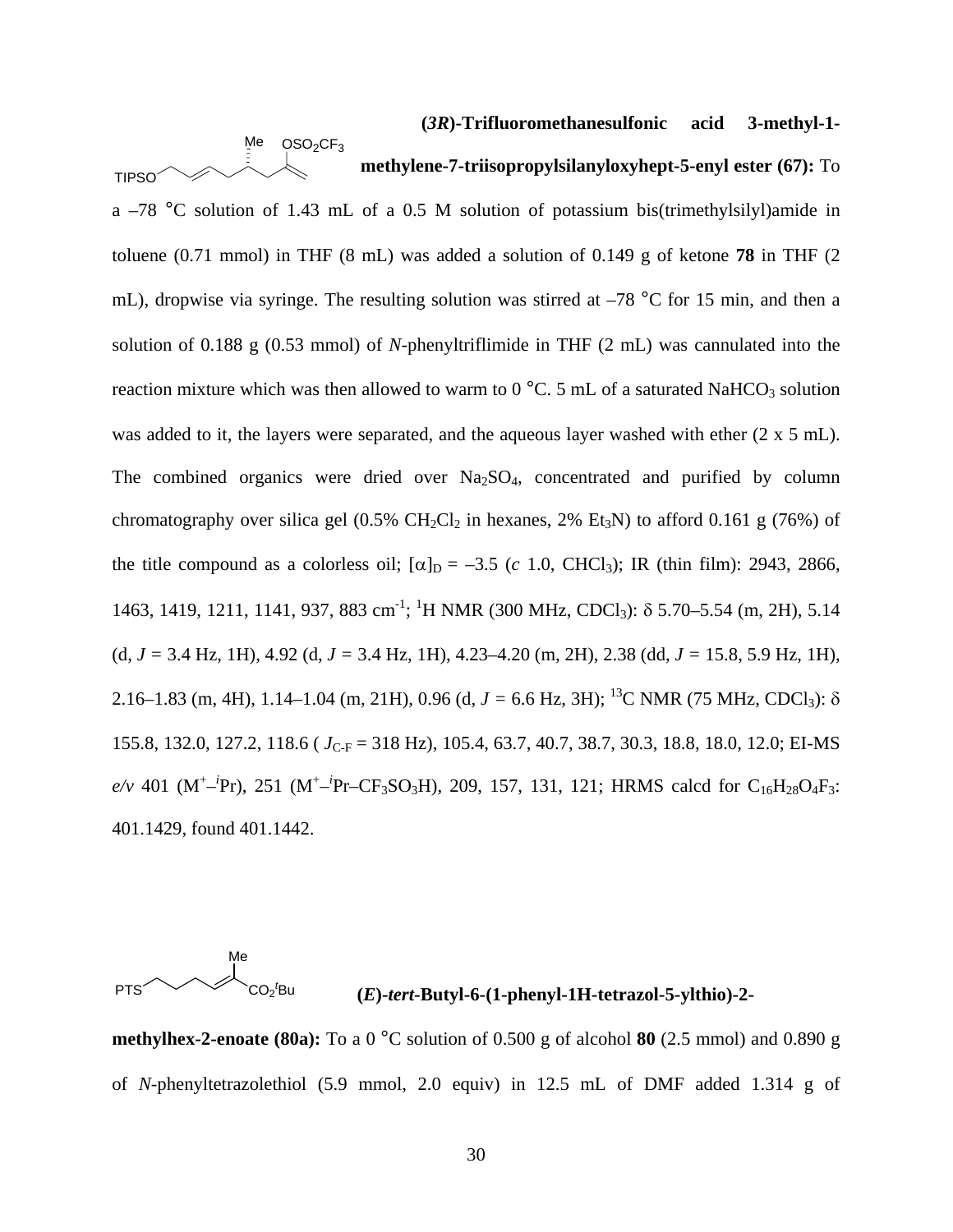**(***3R***)-Trifluoromethanesulfonic acid 3-methyl-1 methylene-7-triisopropylsilanyloxyhept-5-enyl ester (67):** To a –78 °C solution of 1.43 mL of a 0.5 M solution of potassium bis(trimethylsilyl)amide in toluene (0.71 mmol) in THF (8 mL) was added a solution of 0.149 g of ketone **78** in THF (2 mL), dropwise via syringe. The resulting solution was stirred at  $-78$  °C for 15 min, and then a solution of 0.188 g (0.53 mmol) of *N-*phenyltriflimide in THF (2 mL) was cannulated into the reaction mixture which was then allowed to warm to  $0^{\circ}$ C. 5 mL of a saturated NaHCO<sub>3</sub> solution was added to it, the layers were separated, and the aqueous layer washed with ether (2 x 5 mL). The combined organics were dried over  $Na<sub>2</sub>SO<sub>4</sub>$ , concentrated and purified by column chromatography over silica gel  $(0.5\% \text{ CH}_2\text{Cl}_2)$  in hexanes, 2% Et<sub>3</sub>N) to afford 0.161 g (76%) of the title compound as a colorless oil;  $[\alpha]_D = -3.5$  (*c* 1.0, CHCl<sub>3</sub>); IR (thin film): 2943, 2866, 1463, 1419, 1211, 1141, 937, 883 cm<sup>-1</sup>; <sup>1</sup>H NMR (300 MHz, CDCl<sub>3</sub>): δ 5.70–5.54 (m, 2H), 5.14 (d, *J =* 3.4 Hz, 1H), 4.92 (d, *J =* 3.4 Hz, 1H), 4.23–4.20 (m, 2H), 2.38 (dd, *J =* 15.8, 5.9 Hz, 1H), 2.16–1.83 (m, 4H), 1.14–1.04 (m, 21H), 0.96 (d,  $J = 6.6$  Hz, 3H); <sup>13</sup>C NMR (75 MHz, CDCl<sub>3</sub>):  $\delta$ 155.8, 132.0, 127.2, 118.6 (  $J_{C-F}$  = 318 Hz), 105.4, 63.7, 40.7, 38.7, 30.3, 18.8, 18.0, 12.0; EI-MS  $e/v$  401 (M<sup>+</sup>-<sup>*i*</sup>Pr), 251 (M<sup>+</sup>-<sup>*i*</sup>Pr–CF<sub>3</sub>SO<sub>3</sub>H), 209, 157, 131, 121; HRMS calcd for C<sub>16</sub>H<sub>28</sub>O<sub>4</sub>F<sub>3</sub>: 401.1429, found 401.1442.  $Me$   $OSO<sub>2</sub>CF<sub>3</sub>$ TIPSO

PTS Me  $CO<sub>2</sub><sup>t</sup>$ 

## <sup>2</sup> Bu **(***E***)-***tert***-Butyl-6-(1-phenyl-1H-tetrazol-5-ylthio)-2-**

**methylhex-2-enoate (80a):** To a 0 °C solution of 0.500 g of alcohol **80** (2.5 mmol) and 0.890 g of *N*-phenyltetrazolethiol (5.9 mmol, 2.0 equiv) in 12.5 mL of DMF added 1.314 g of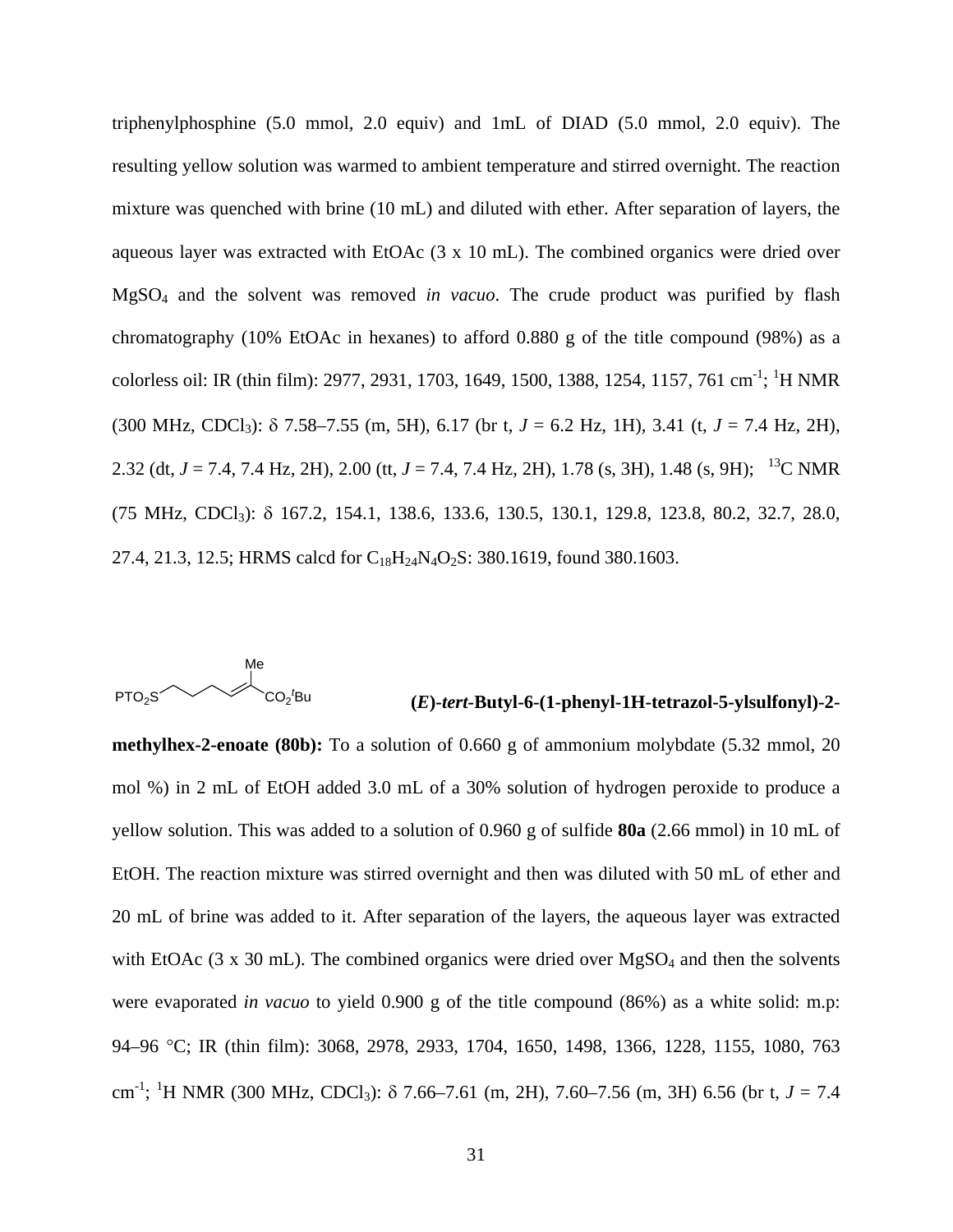triphenylphosphine (5.0 mmol, 2.0 equiv) and 1mL of DIAD (5.0 mmol, 2.0 equiv). The resulting yellow solution was warmed to ambient temperature and stirred overnight. The reaction mixture was quenched with brine (10 mL) and diluted with ether. After separation of layers, the aqueous layer was extracted with EtOAc (3 x 10 mL). The combined organics were dried over MgSO4 and the solvent was removed *in vacuo*. The crude product was purified by flash chromatography (10% EtOAc in hexanes) to afford 0.880 g of the title compound (98%) as a colorless oil: IR (thin film): 2977, 2931, 1703, 1649, 1500, 1388, 1254, 1157, 761 cm<sup>-1</sup>; <sup>1</sup>H NMR (300 MHz, CDCl3): δ 7.58–7.55 (m, 5H), 6.17 (br t, *J* = 6.2 Hz, 1H), 3.41 (t, *J* = 7.4 Hz, 2H), 2.32 (dt, *J* = 7.4, 7.4 Hz, 2H), 2.00 (tt, *J* = 7.4, 7.4 Hz, 2H), 1.78 (s, 3H), 1.48 (s, 9H); <sup>13</sup>C NMR (75 MHz, CDCl3): δ 167.2, 154.1, 138.6, 133.6, 130.5, 130.1, 129.8, 123.8, 80.2, 32.7, 28.0, 27.4, 21.3, 12.5; HRMS calcd for C<sub>18</sub>H<sub>24</sub>N<sub>4</sub>O<sub>2</sub>S: 380.1619, found 380.1603.



## **(***E***)-***tert-***Butyl-6-(1-phenyl-1H-tetrazol-5-ylsulfonyl)-2-**

**methylhex-2-enoate (80b):** To a solution of 0.660 g of ammonium molybdate (5.32 mmol, 20 mol %) in 2 mL of EtOH added 3.0 mL of a 30% solution of hydrogen peroxide to produce a yellow solution. This was added to a solution of 0.960 g of sulfide **80a** (2.66 mmol) in 10 mL of EtOH. The reaction mixture was stirred overnight and then was diluted with 50 mL of ether and 20 mL of brine was added to it. After separation of the layers, the aqueous layer was extracted with EtOAc  $(3 \times 30 \text{ mL})$ . The combined organics were dried over MgSO<sub>4</sub> and then the solvents were evaporated *in vacuo* to yield 0.900 g of the title compound (86%) as a white solid: m.p: 94–96 °C; IR (thin film): 3068, 2978, 2933, 1704, 1650, 1498, 1366, 1228, 1155, 1080, 763 cm-1 ; 1 H NMR (300 MHz, CDCl3): δ 7.66–7.61 (m, 2H), 7.60–7.56 (m, 3H) 6.56 (br t, *J* = 7.4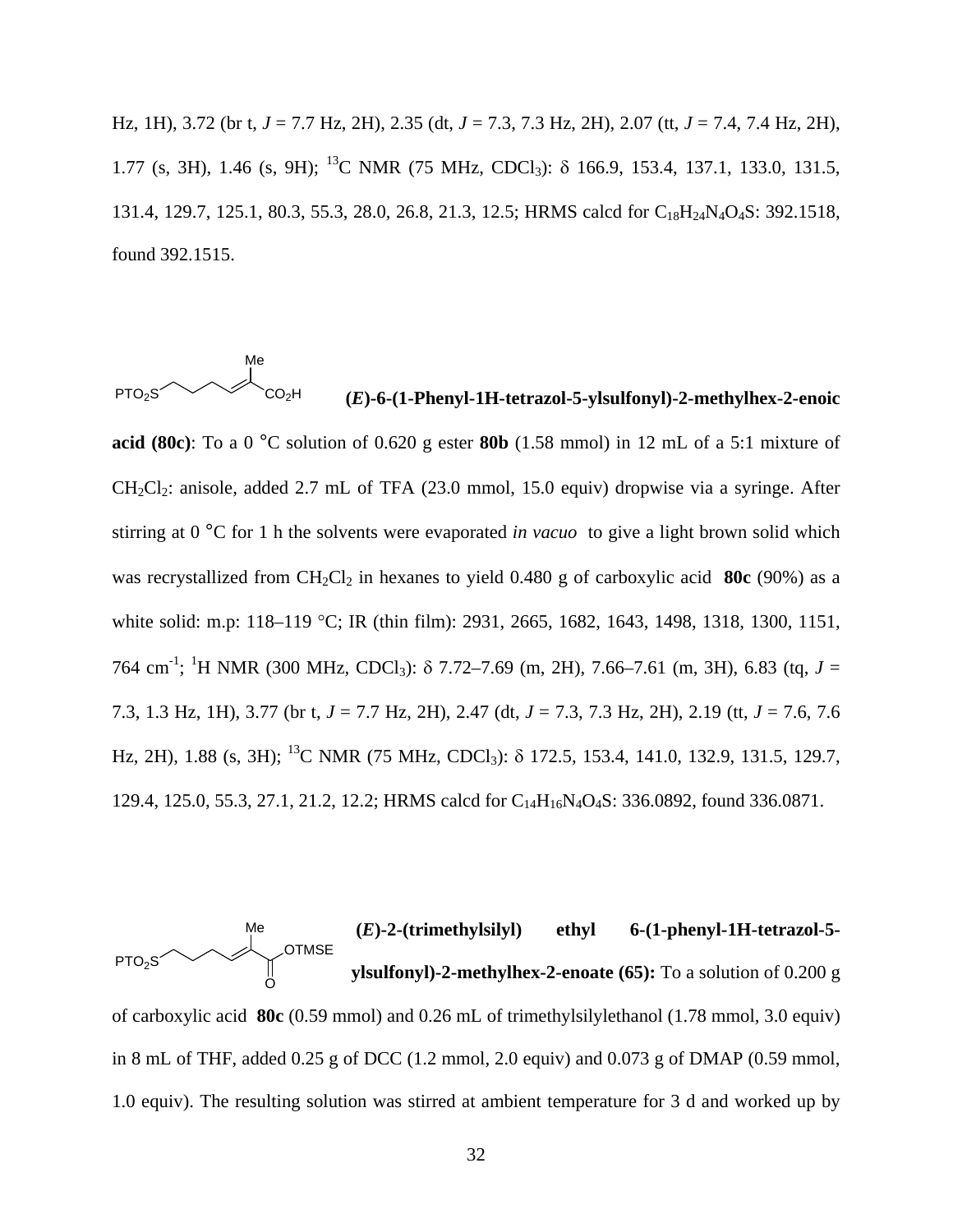Hz, 1H), 3.72 (br t, *J* = 7.7 Hz, 2H), 2.35 (dt, *J* = 7.3, 7.3 Hz, 2H), 2.07 (tt, *J* = 7.4, 7.4 Hz, 2H), 1.77 (s, 3H), 1.46 (s, 9H); 13C NMR (75 MHz, CDCl3): δ 166.9, 153.4, 137.1, 133.0, 131.5, 131.4, 129.7, 125.1, 80.3, 55.3, 28.0, 26.8, 21.3, 12.5; HRMS calcd for C<sub>18</sub>H<sub>24</sub>N<sub>4</sub>O<sub>4</sub>S: 392.1518, found 392.1515.

PTO<sub>2</sub>S Me

# CO2H **(***E***)-6-(1-Phenyl-1H-tetrazol-5-ylsulfonyl)-2-methylhex-2-enoic**

**acid (80c)**: To a 0 °C solution of 0.620 g ester **80b** (1.58 mmol) in 12 mL of a 5:1 mixture of  $CH_2Cl_2$ : anisole, added 2.7 mL of TFA (23.0 mmol, 15.0 equiv) dropwise via a syringe. After stirring at 0 °C for 1 h the solvents were evaporated *in vacuo* to give a light brown solid which was recrystallized from CH<sub>2</sub>Cl<sub>2</sub> in hexanes to yield 0.480 g of carboxylic acid **80c** (90%) as a white solid: m.p: 118–119 °C; IR (thin film): 2931, 2665, 1682, 1643, 1498, 1318, 1300, 1151, 764 cm<sup>-1</sup>; <sup>1</sup>H NMR (300 MHz, CDCl<sub>3</sub>): δ 7.72–7.69 (m, 2H), 7.66–7.61 (m, 3H), 6.83 (tq, *J* = 7.3, 1.3 Hz, 1H), 3.77 (br t, *J* = 7.7 Hz, 2H), 2.47 (dt, *J* = 7.3, 7.3 Hz, 2H), 2.19 (tt, *J* = 7.6, 7.6 Hz, 2H), 1.88 (s, 3H); <sup>13</sup>C NMR (75 MHz, CDCl<sub>3</sub>): δ 172.5, 153.4, 141.0, 132.9, 131.5, 129.7, 129.4, 125.0, 55.3, 27.1, 21.2, 12.2; HRMS calcd for C14H16N4O4S: 336.0892, found 336.0871.

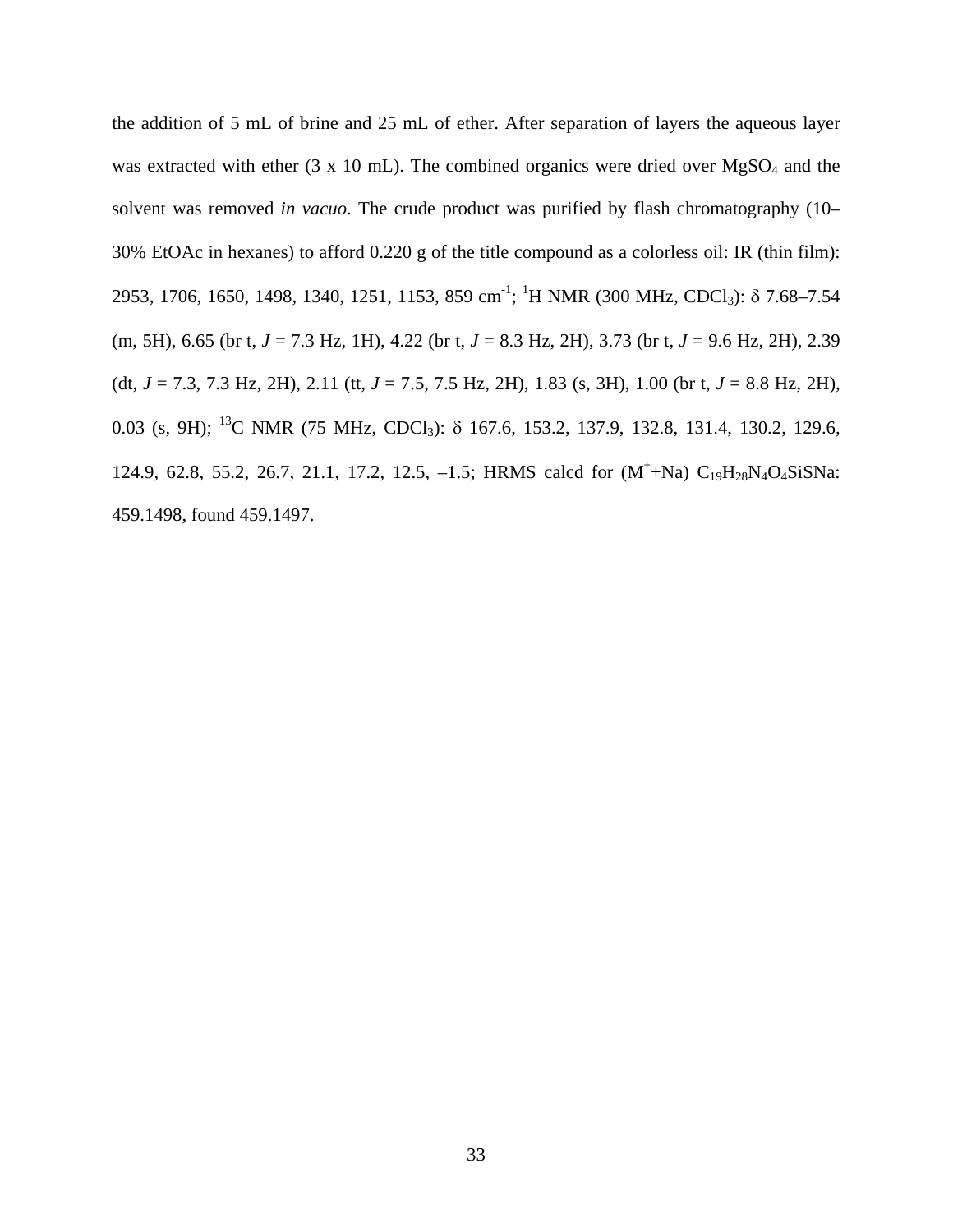the addition of 5 mL of brine and 25 mL of ether. After separation of layers the aqueous layer was extracted with ether (3 x 10 mL). The combined organics were dried over  $MgSO<sub>4</sub>$  and the solvent was removed *in vacuo*. The crude product was purified by flash chromatography (10– 30% EtOAc in hexanes) to afford 0.220 g of the title compound as a colorless oil: IR (thin film): 2953, 1706, 1650, 1498, 1340, 1251, 1153, 859 cm<sup>-1</sup>; <sup>1</sup>H NMR (300 MHz, CDCl<sub>3</sub>): δ 7.68–7.54 (m, 5H), 6.65 (br t, *J* = 7.3 Hz, 1H), 4.22 (br t, *J* = 8.3 Hz, 2H), 3.73 (br t, *J* = 9.6 Hz, 2H), 2.39 (dt, *J* = 7.3, 7.3 Hz, 2H), 2.11 (tt, *J* = 7.5, 7.5 Hz, 2H), 1.83 (s, 3H), 1.00 (br t, *J* = 8.8 Hz, 2H), 0.03 (s, 9H); 13C NMR (75 MHz, CDCl3): δ 167.6, 153.2, 137.9, 132.8, 131.4, 130.2, 129.6, 124.9, 62.8, 55.2, 26.7, 21.1, 17.2, 12.5, -1.5; HRMS calcd for  $(M^+ + Na) C_{19}H_{28}N_4O_4SiSNa$ : 459.1498, found 459.1497.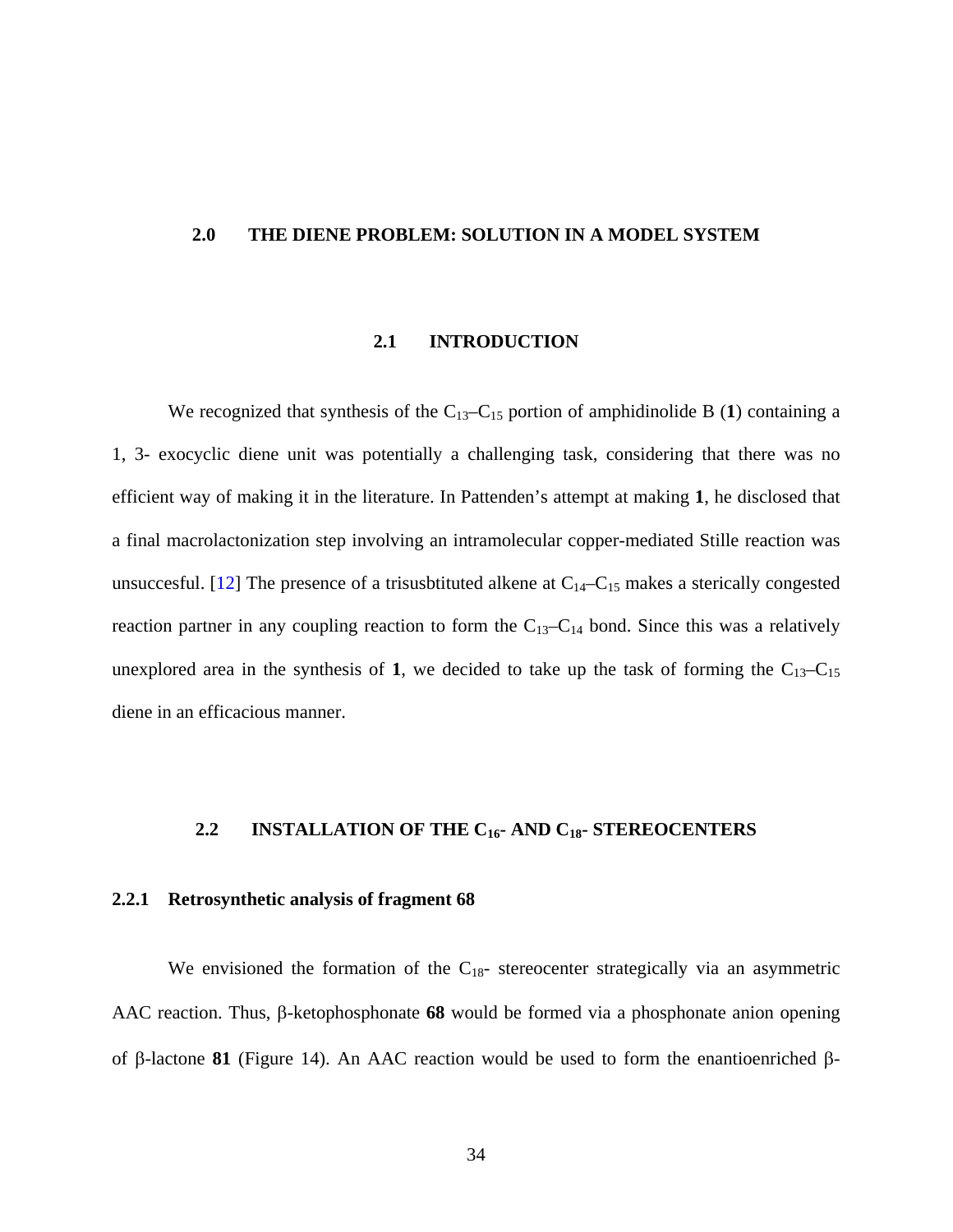## **2.0 THE DIENE PROBLEM: SOLUTION IN A MODEL SYSTEM**

## **2.1 INTRODUCTION**

We recognized that synthesis of the  $C_{13}-C_{15}$  portion of amphidinolide B (1) containing a 1, 3- exocyclic diene unit was potentially a challenging task, considering that there was no efficient way of making it in the literature. In Pattenden's attempt at making **1**, he disclosed that a final macrolactonization step involving an intramolecular copper-mediated Stille reaction was unsuccesful. [\[12\]](#page-116-0) The presence of a trisusbtituted alkene at  $C_{14}-C_{15}$  makes a sterically congested reaction partner in any coupling reaction to form the  $C_{13}-C_{14}$  bond. Since this was a relatively unexplored area in the synthesis of 1, we decided to take up the task of forming the  $C_{13}-C_{15}$ diene in an efficacious manner.

## **2.2 INSTALLATION OF THE C16- AND C18- STEREOCENTERS**

### **2.2.1 Retrosynthetic analysis of fragment 68**

We envisioned the formation of the  $C_{18}$ - stereocenter strategically via an asymmetric AAC reaction. Thus, β-ketophosphonate **68** would be formed via a phosphonate anion opening of β-lactone **81** (Figure 14). An AAC reaction would be used to form the enantioenriched β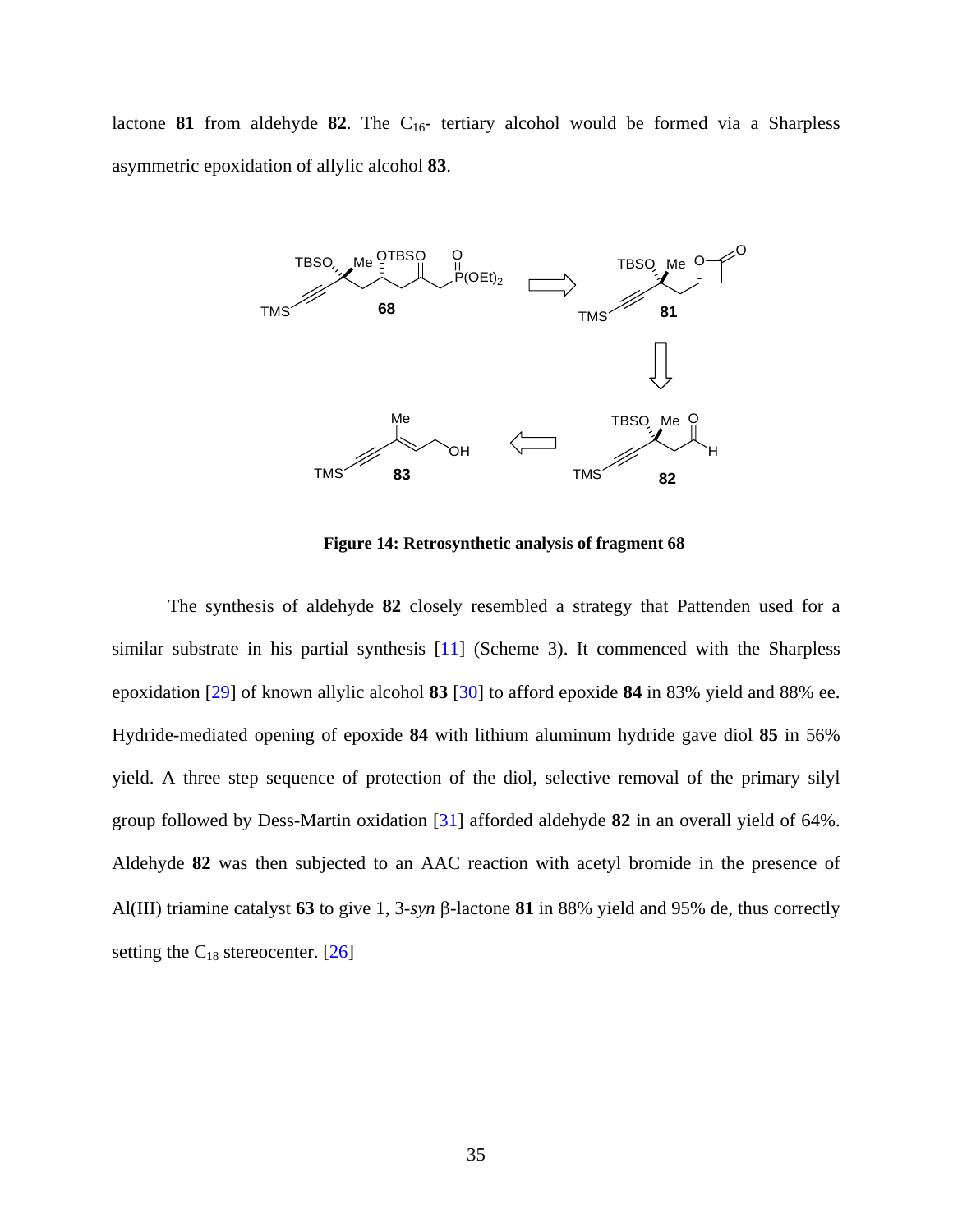lactone **81** from aldehyde **82**. The  $C_{16}$ - tertiary alcohol would be formed via a Sharpless asymmetric epoxidation of allylic alcohol **83**.



**Figure 14: Retrosynthetic analysis of fragment 68** 

The synthesis of aldehyde **82** closely resembled a strategy that Pattenden used for a similar substrate in his partial synthesis [\[11](#page-116-0)] (Scheme 3). It commenced with the Sharpless epoxidation [[29\]](#page-117-0) of known allylic alcohol **83** [\[30](#page-117-0)] to afford epoxide **84** in 83% yield and 88% ee. Hydride-mediated opening of epoxide **84** with lithium aluminum hydride gave diol **85** in 56% yield. A three step sequence of protection of the diol, selective removal of the primary silyl group followed by Dess-Martin oxidation [\[31](#page-117-0)] afforded aldehyde **82** in an overall yield of 64%. Aldehyde **82** was then subjected to an AAC reaction with acetyl bromide in the presence of Al(III) triamine catalyst **63** to give 1, 3-*syn* β-lactone **81** in 88% yield and 95% de, thus correctly setting the  $C_{18}$  stereocenter. [[26\]](#page-117-0)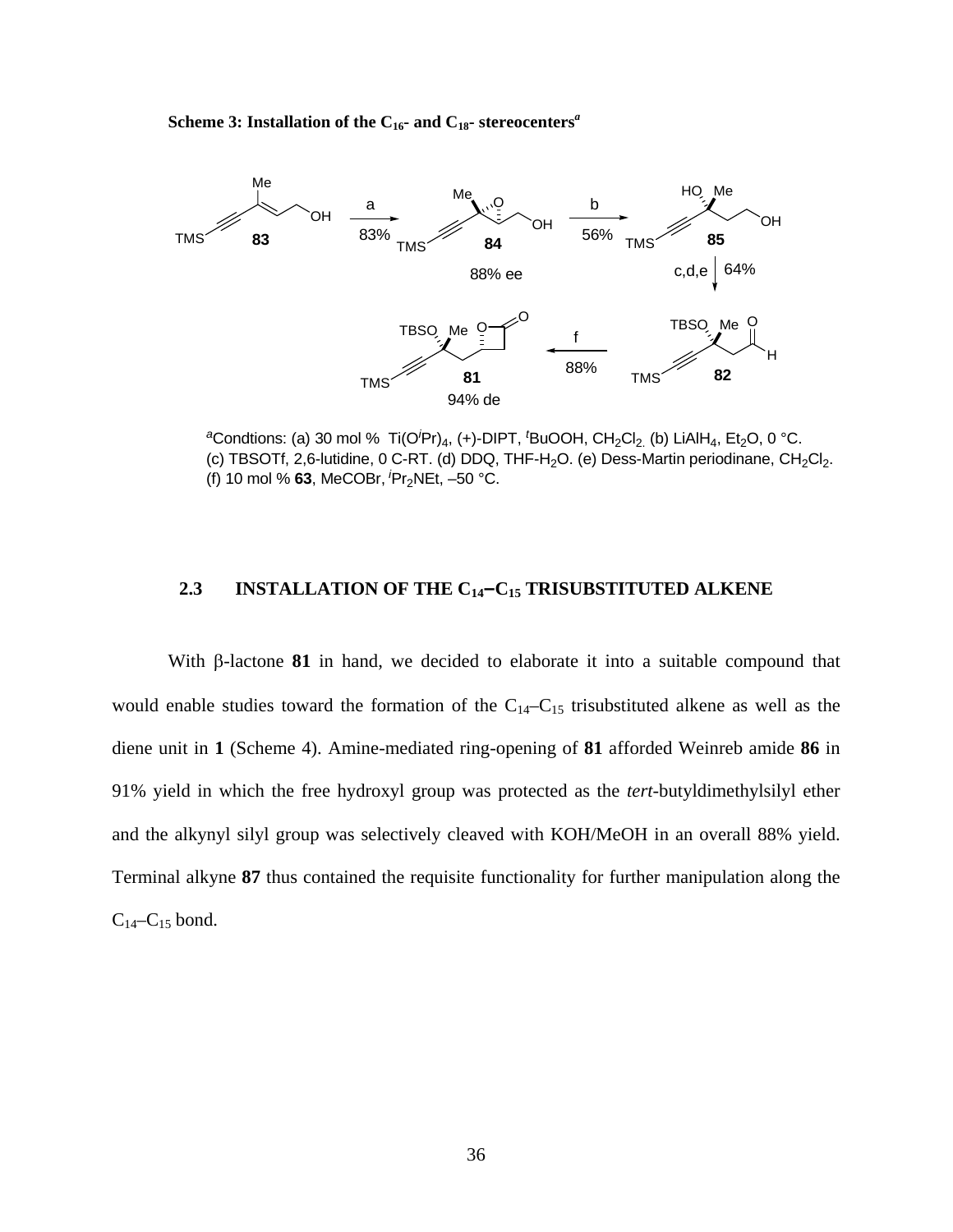**Scheme 3: Installation of the**  $C_{16}$ **- and**  $C_{18}$ **- stereocenters<sup>***a***</sup>** 



<sup>a</sup>Condtions: (a) 30 mol % Ti(O<sup>/</sup>Pr)<sub>4</sub>, (+)-DIPT, <sup>*t*</sup>BuOOH, CH<sub>2</sub>Cl<sub>2.</sub> (b) LiAlH<sub>4</sub>, Et<sub>2</sub>O, 0 °C. (c) TBSOTf, 2,6-lutidine, 0 C-RT. (d) DDQ, THF-H<sub>2</sub>O. (e) Dess-Martin periodinane, CH<sub>2</sub>Cl<sub>2</sub>. (f) 10 mol % **63**, MeCOBr,*<sup>i</sup>*Pr2NEt, –50 °C.

## **2.3 INSTALLATION OF THE C14–C15 TRISUBSTITUTED ALKENE**

With β-lactone **81** in hand, we decided to elaborate it into a suitable compound that would enable studies toward the formation of the  $C_{14}-C_{15}$  trisubstituted alkene as well as the diene unit in **1** (Scheme 4). Amine-mediated ring-opening of **81** afforded Weinreb amide **86** in 91% yield in which the free hydroxyl group was protected as the *tert*-butyldimethylsilyl ether and the alkynyl silyl group was selectively cleaved with KOH/MeOH in an overall 88% yield. Terminal alkyne **87** thus contained the requisite functionality for further manipulation along the  $C_{14}-C_{15}$  bond.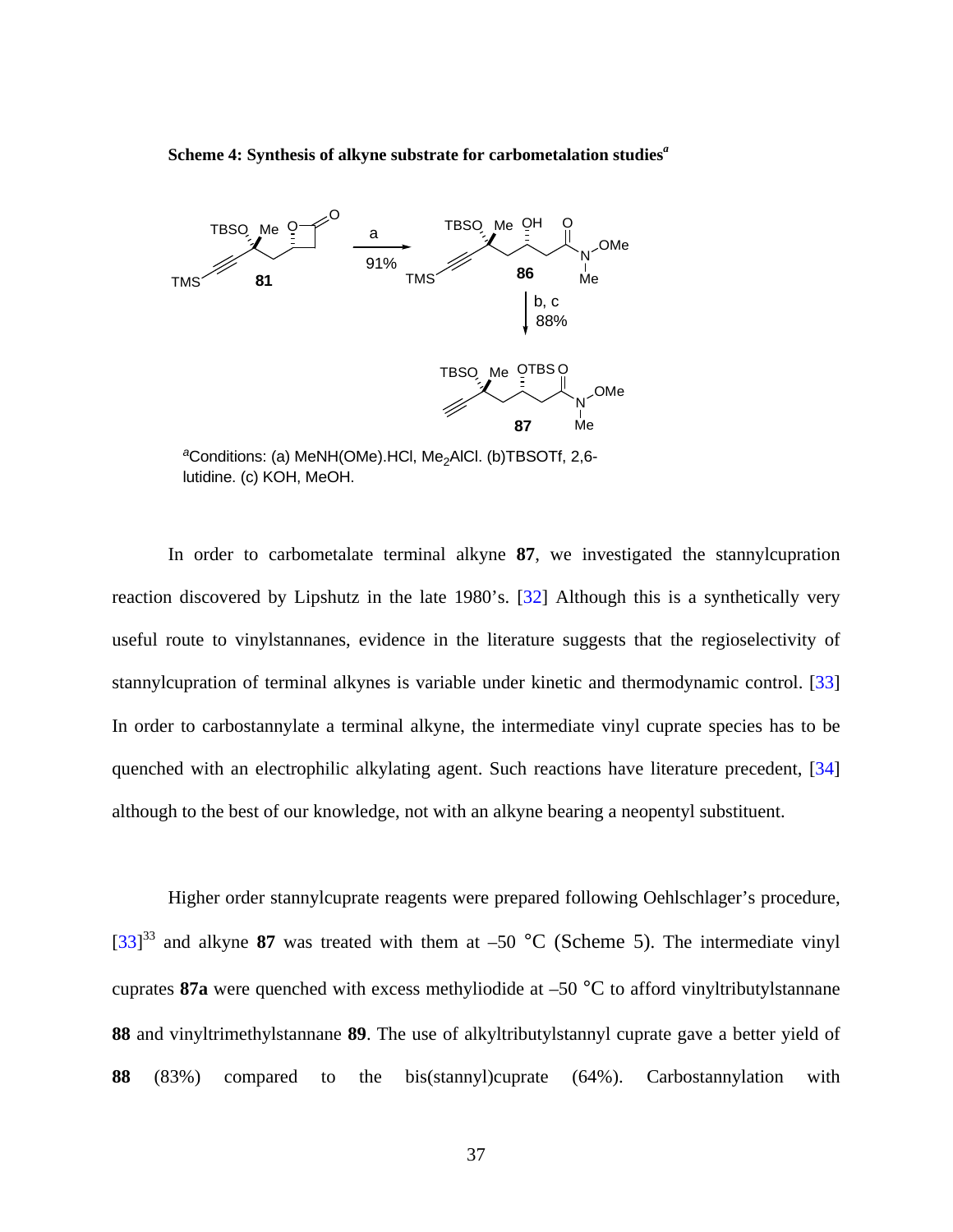**Scheme 4: Synthesis of alkyne substrate for carbometalation studies***<sup>a</sup>*



<sup>a</sup>Conditions: (a) MeNH(OMe).HCl, Me<sub>2</sub>AlCl. (b)TBSOTf, 2,6lutidine. (c) KOH, MeOH.

In order to carbometalate terminal alkyne **87**, we investigated the stannylcupration reaction discovered by Lipshutz in the late 1980's. [\[32](#page-117-0)] Although this is a synthetically very useful route to vinylstannanes, evidence in the literature suggests that the regioselectivity of stannylcupration of terminal alkynes is variable under kinetic and thermodynamic control. [\[33](#page-117-0)] In order to carbostannylate a terminal alkyne, the intermediate vinyl cuprate species has to be quenched with an electrophilic alkylating agent. Such reactions have literature precedent, [\[34](#page-117-0)] although to the best of our knowledge, not with an alkyne bearing a neopentyl substituent.

Higher order stannylcuprate reagents were prepared following Oehlschlager's procedure, [[33\]](#page-117-0)<sup>33</sup> and alkyne 87 was treated with them at –50 °C (Scheme 5). The intermediate vinyl cuprates **87a** were quenched with excess methyliodide at –50 °C to afford vinyltributylstannane **88** and vinyltrimethylstannane **89**. The use of alkyltributylstannyl cuprate gave a better yield of **88** (83%) compared to the bis(stannyl)cuprate (64%). Carbostannylation with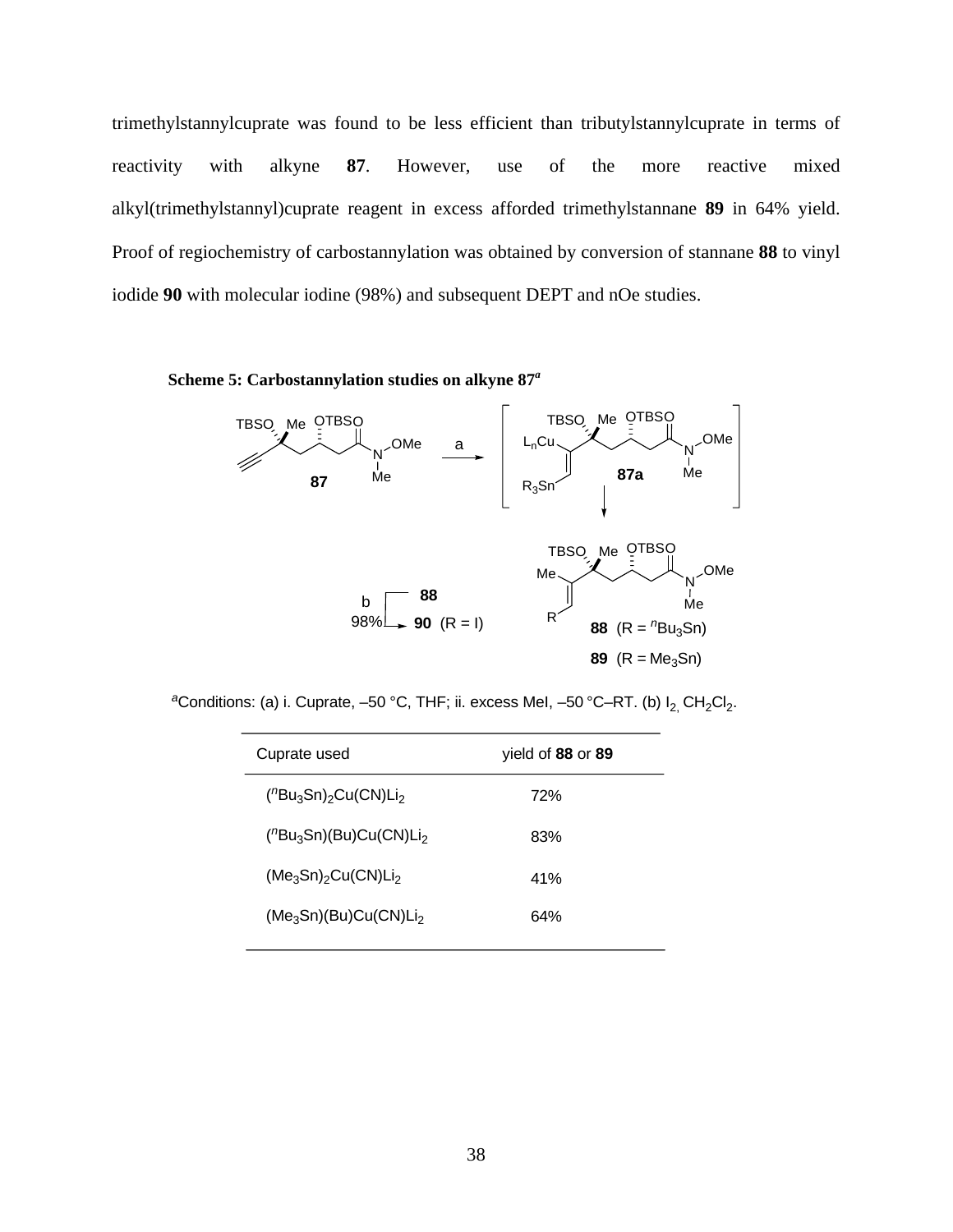trimethylstannylcuprate was found to be less efficient than tributylstannylcuprate in terms of reactivity with alkyne **87**. However, use of the more reactive mixed alkyl(trimethylstannyl)cuprate reagent in excess afforded trimethylstannane **89** in 64% yield. Proof of regiochemistry of carbostannylation was obtained by conversion of stannane **88** to vinyl iodide **90** with molecular iodine (98%) and subsequent DEPT and nOe studies.





<sup>a</sup>Conditions: (a) i. Cuprate, -50 °C, THF; ii. excess MeI, -50 °C-RT. (b) I<sub>2,</sub> CH<sub>2</sub>CI<sub>2</sub>.

| Cuprate used                     | yield of 88 or 89 |  |  |
|----------------------------------|-------------------|--|--|
| $(^{n}Bu_{3}Sn)_{2}Cu(CN)Li_{2}$ | 72%               |  |  |
| $(^{n}Bu_{3}Sn)(Bu)Cu(CN)Li_{2}$ | 83%               |  |  |
| $(Me_3Sn)_2Cu(CN)Li_2$           | 41%               |  |  |
| $(Me_3Sn)(Bu)Cu(CN)Li2$          | 64%               |  |  |
|                                  |                   |  |  |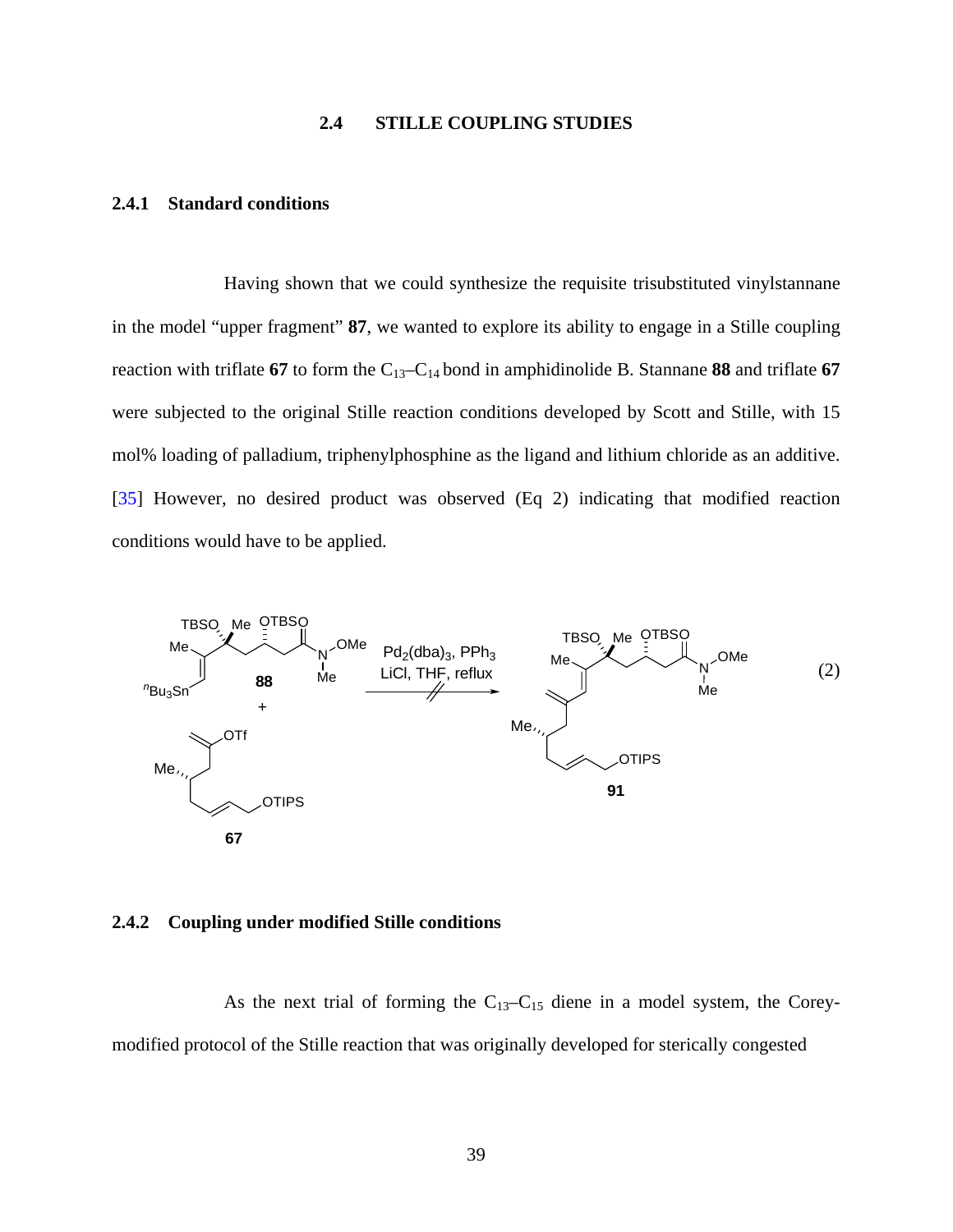## **2.4 STILLE COUPLING STUDIES**

## **2.4.1 Standard conditions**

 Having shown that we could synthesize the requisite trisubstituted vinylstannane in the model "upper fragment" **87**, we wanted to explore its ability to engage in a Stille coupling reaction with triflate **67** to form the C13–C14 bond in amphidinolide B. Stannane **88** and triflate **67**  were subjected to the original Stille reaction conditions developed by Scott and Stille, with 15 mol% loading of palladium, triphenylphosphine as the ligand and lithium chloride as an additive. [[35\]](#page-118-0) However, no desired product was observed (Eq 2) indicating that modified reaction conditions would have to be applied.



### **2.4.2 Coupling under modified Stille conditions**

As the next trial of forming the  $C_{13}-C_{15}$  diene in a model system, the Coreymodified protocol of the Stille reaction that was originally developed for sterically congested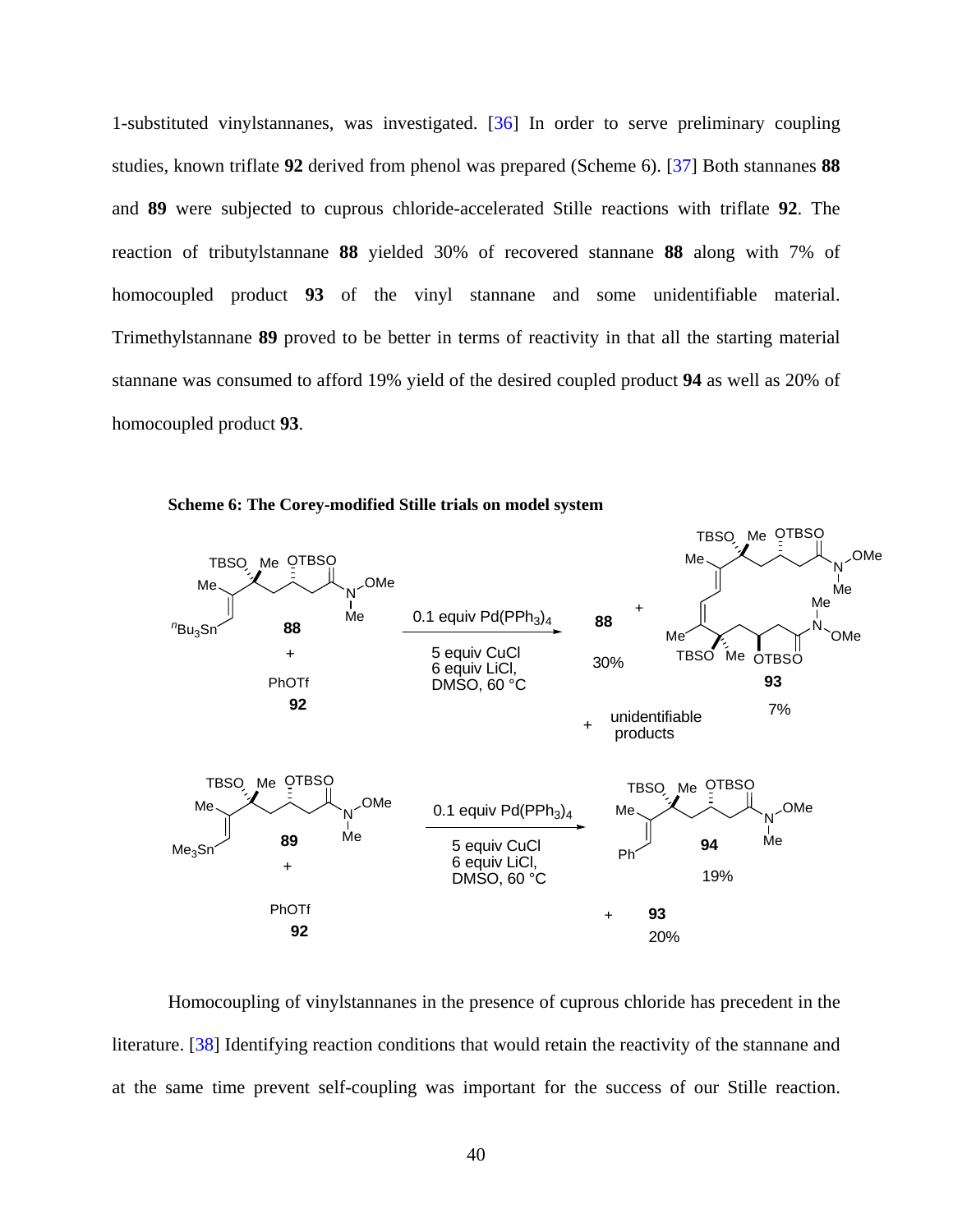1-substituted vinylstannanes, was investigated. [[36\]](#page-118-0) In order to serve preliminary coupling studies, known triflate **92** derived from phenol was prepared (Scheme 6). [\[37](#page-118-0)] Both stannanes **88** and **89** were subjected to cuprous chloride-accelerated Stille reactions with triflate **92**. The reaction of tributylstannane **88** yielded 30% of recovered stannane **88** along with 7% of homocoupled product **93** of the vinyl stannane and some unidentifiable material. Trimethylstannane **89** proved to be better in terms of reactivity in that all the starting material stannane was consumed to afford 19% yield of the desired coupled product **94** as well as 20% of homocoupled product **93**.



**Scheme 6: The Corey-modified Stille trials on model system** 

Homocoupling of vinylstannanes in the presence of cuprous chloride has precedent in the literature. [\[38](#page-118-0)] Identifying reaction conditions that would retain the reactivity of the stannane and at the same time prevent self-coupling was important for the success of our Stille reaction.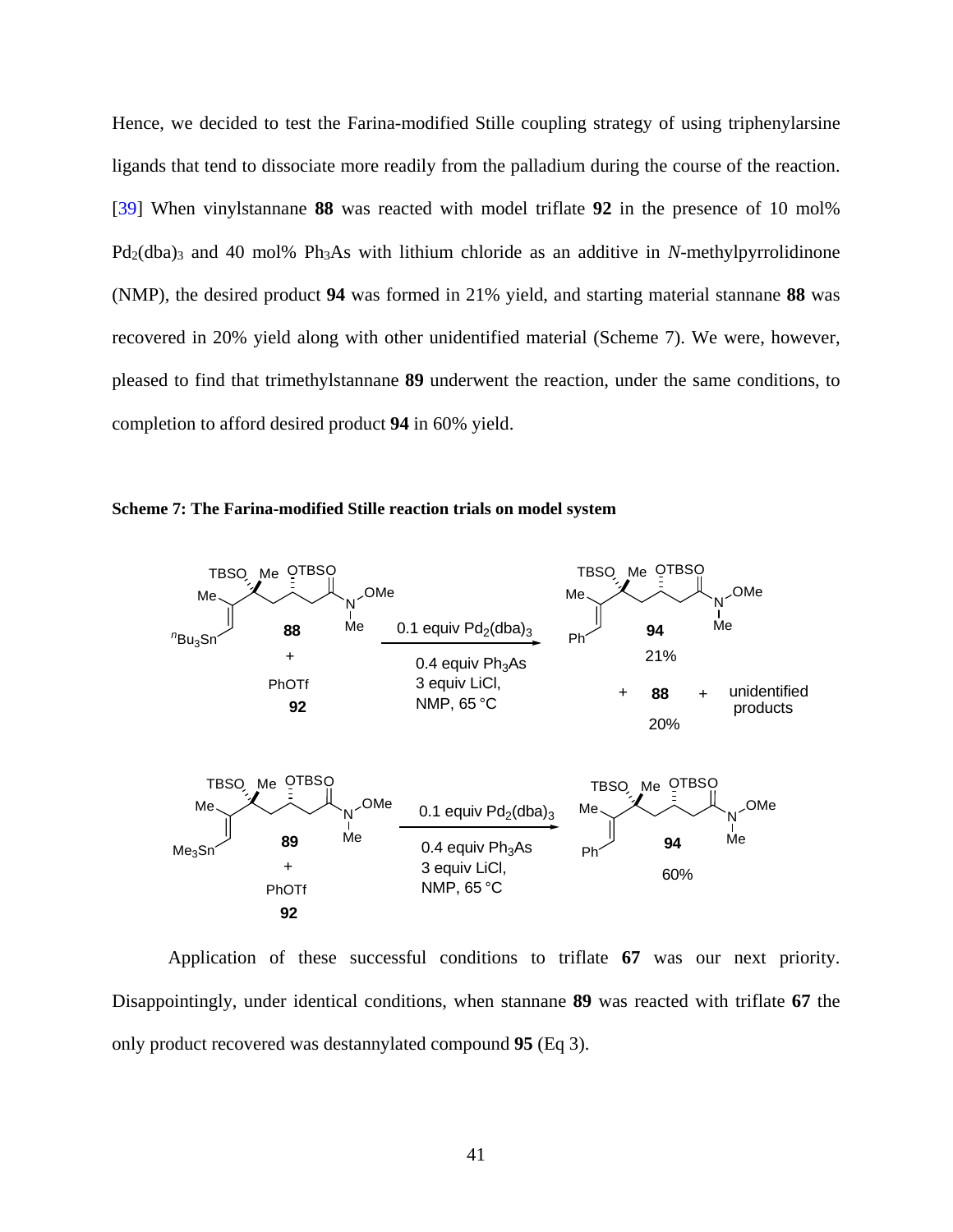Hence, we decided to test the Farina-modified Stille coupling strategy of using triphenylarsine ligands that tend to dissociate more readily from the palladium during the course of the reaction. [[39\]](#page-118-0) When vinylstannane **88** was reacted with model triflate **92** in the presence of 10 mol% Pd<sub>2</sub>(dba)<sub>3</sub> and 40 mol% Ph<sub>3</sub>As with lithium chloride as an additive in *N*-methylpyrrolidinone (NMP), the desired product **94** was formed in 21% yield, and starting material stannane **88** was recovered in 20% yield along with other unidentified material (Scheme 7). We were, however, pleased to find that trimethylstannane **89** underwent the reaction, under the same conditions, to completion to afford desired product **94** in 60% yield.





Application of these successful conditions to triflate **67** was our next priority. Disappointingly, under identical conditions, when stannane **89** was reacted with triflate **67** the only product recovered was destannylated compound **95** (Eq 3).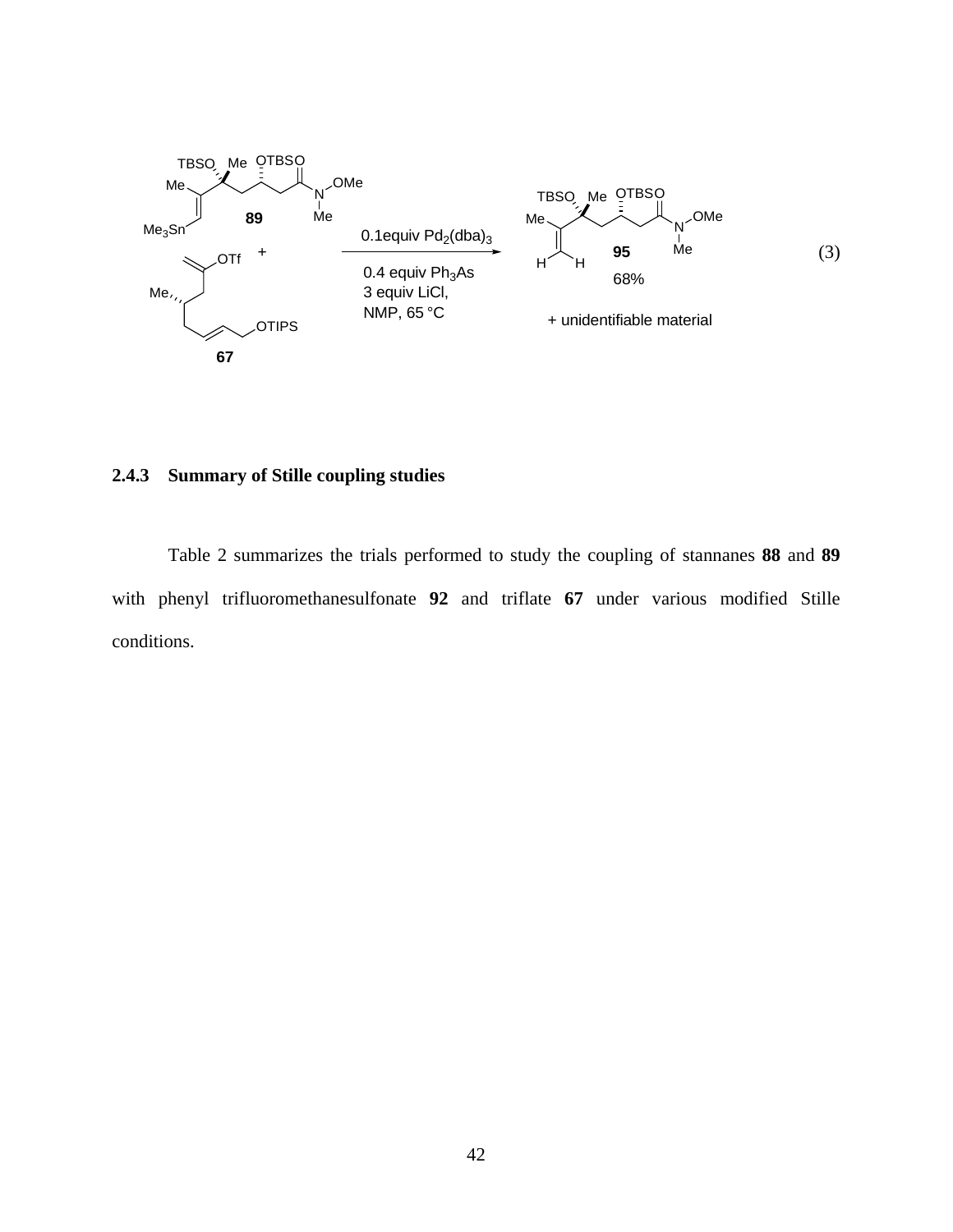

## **2.4.3 Summary of Stille coupling studies**

Table 2 summarizes the trials performed to study the coupling of stannanes **88** and **89** with phenyl trifluoromethanesulfonate **92** and triflate **67** under various modified Stille conditions.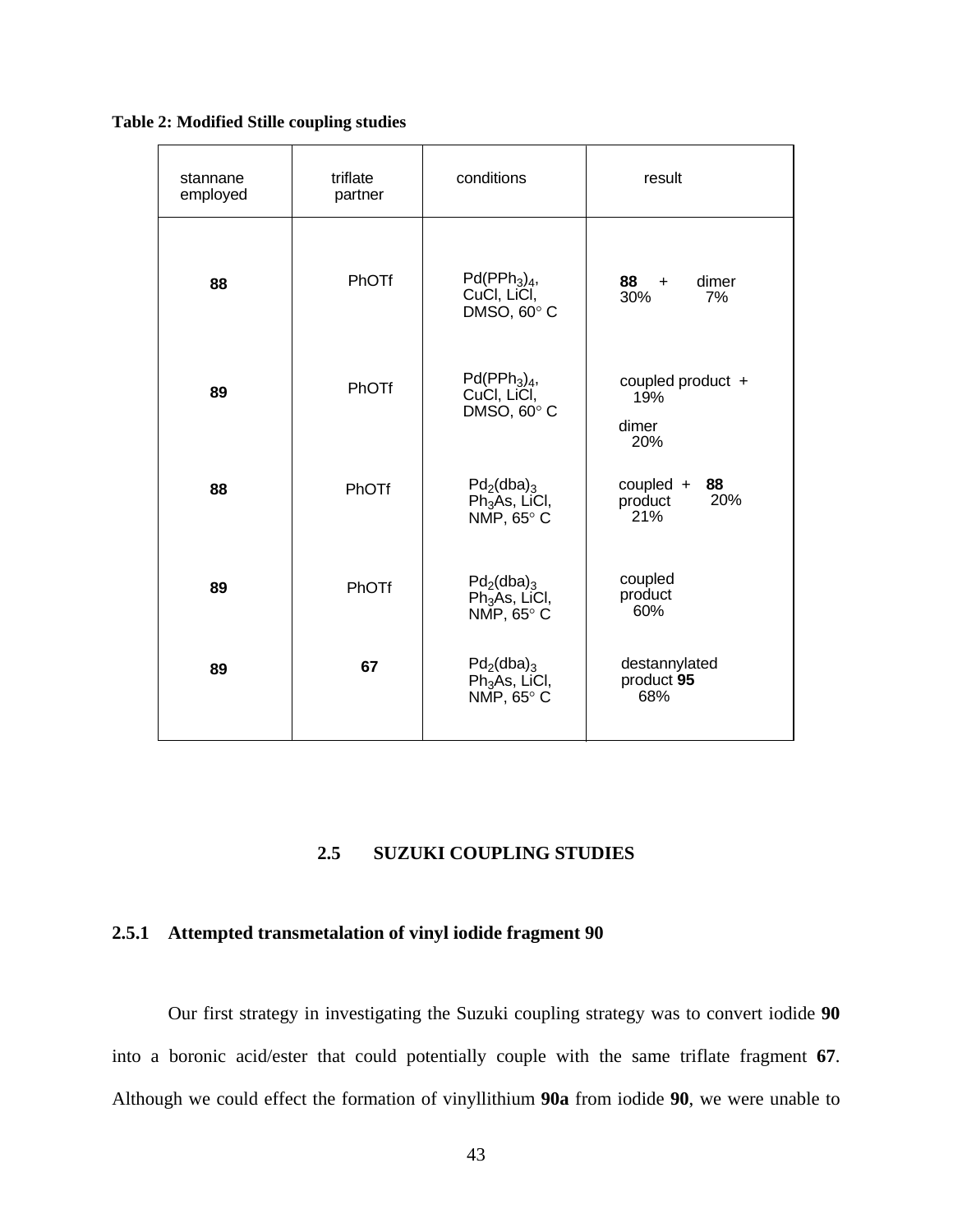**Table 2: Modified Stille coupling studies** 

| stannane<br>employed | triflate<br>partner | conditions                                                                    | result                                     |  |
|----------------------|---------------------|-------------------------------------------------------------------------------|--------------------------------------------|--|
| 88                   | PhOTf               | $Pd(PPh3)4$ ,<br>CuCI, LiCI,<br>DMSO, 60°C                                    | dimer<br>$88 +$<br>30%<br>7%               |  |
| 89                   | PhOTf               | $Pd(PPh3)4$ ,<br>CuCl, LiCl,<br>DMSO, 60°C                                    | coupled product +<br>19%<br>dimer<br>20%   |  |
| 88                   | PhOTf               | $Pd_2(dba)_3$<br>Ph <sub>3</sub> As, LiCl,<br>NMP, 65° C                      | $coupled +$<br>88<br>20%<br>product<br>21% |  |
| 89                   | PhOTf               | $Pd_2$ (dba) <sub>3</sub><br>Ph <sub>3</sub> As, LiCl,<br>NMP, $65^{\circ}$ C | coupled<br>product<br>60%                  |  |
| 89                   | 67                  | $Pd_2(dba)_{3}$<br>Ph <sub>3</sub> As, LiCl,<br>NMP, $65^{\circ}$ C           | destannylated<br>product 95<br>68%         |  |

## **2.5 SUZUKI COUPLING STUDIES**

## **2.5.1 Attempted transmetalation of vinyl iodide fragment 90**

Our first strategy in investigating the Suzuki coupling strategy was to convert iodide **90** into a boronic acid/ester that could potentially couple with the same triflate fragment **67**. Although we could effect the formation of vinyllithium **90a** from iodide **90**, we were unable to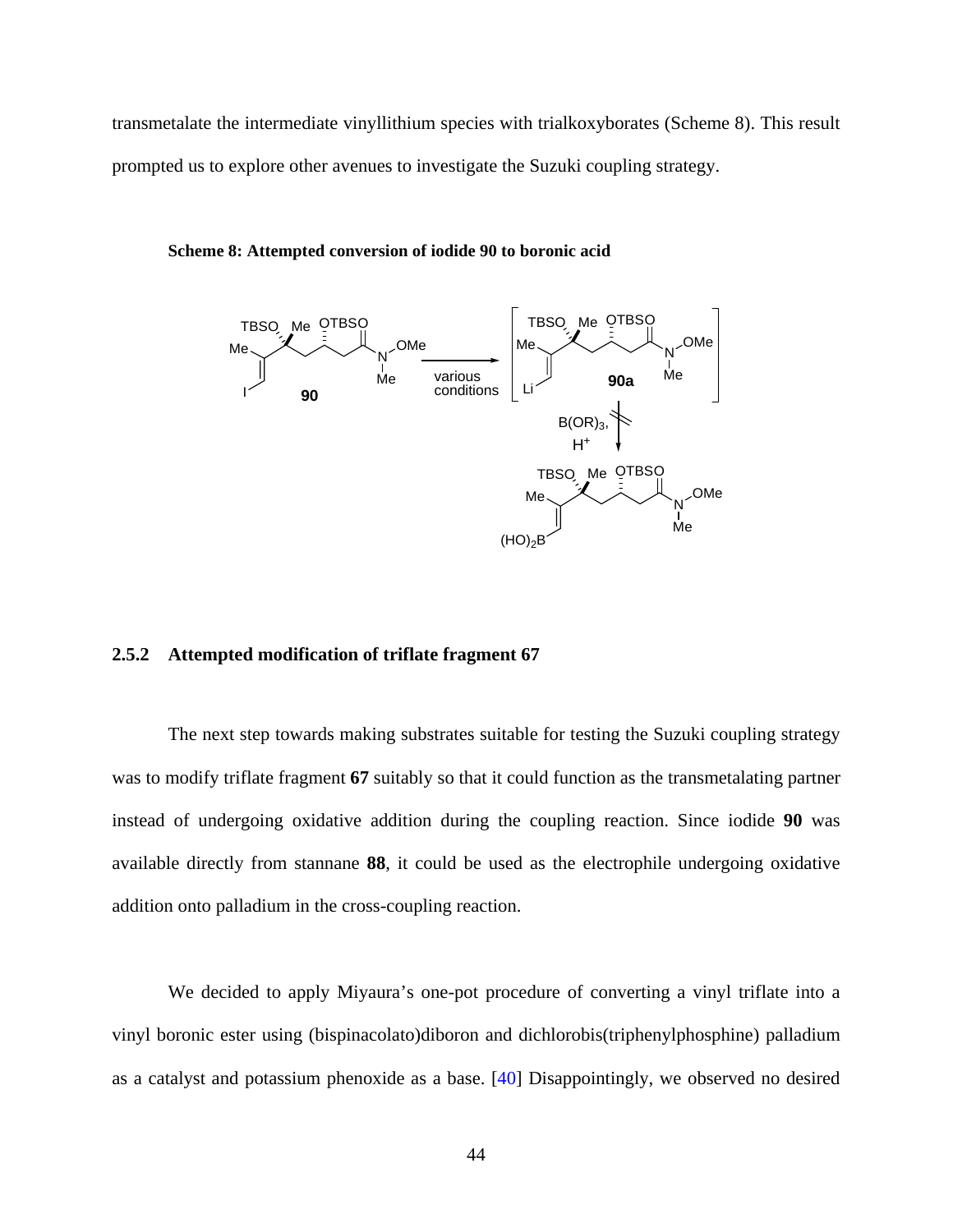transmetalate the intermediate vinyllithium species with trialkoxyborates (Scheme 8). This result prompted us to explore other avenues to investigate the Suzuki coupling strategy.



**Scheme 8: Attempted conversion of iodide 90 to boronic acid** 

## **2.5.2 Attempted modification of triflate fragment 67**

The next step towards making substrates suitable for testing the Suzuki coupling strategy was to modify triflate fragment **67** suitably so that it could function as the transmetalating partner instead of undergoing oxidative addition during the coupling reaction. Since iodide **90** was available directly from stannane **88**, it could be used as the electrophile undergoing oxidative addition onto palladium in the cross-coupling reaction.

We decided to apply Miyaura's one-pot procedure of converting a vinyl triflate into a vinyl boronic ester using (bispinacolato)diboron and dichlorobis(triphenylphosphine) palladium as a catalyst and potassium phenoxide as a base. [[40\]](#page-118-0) Disappointingly, we observed no desired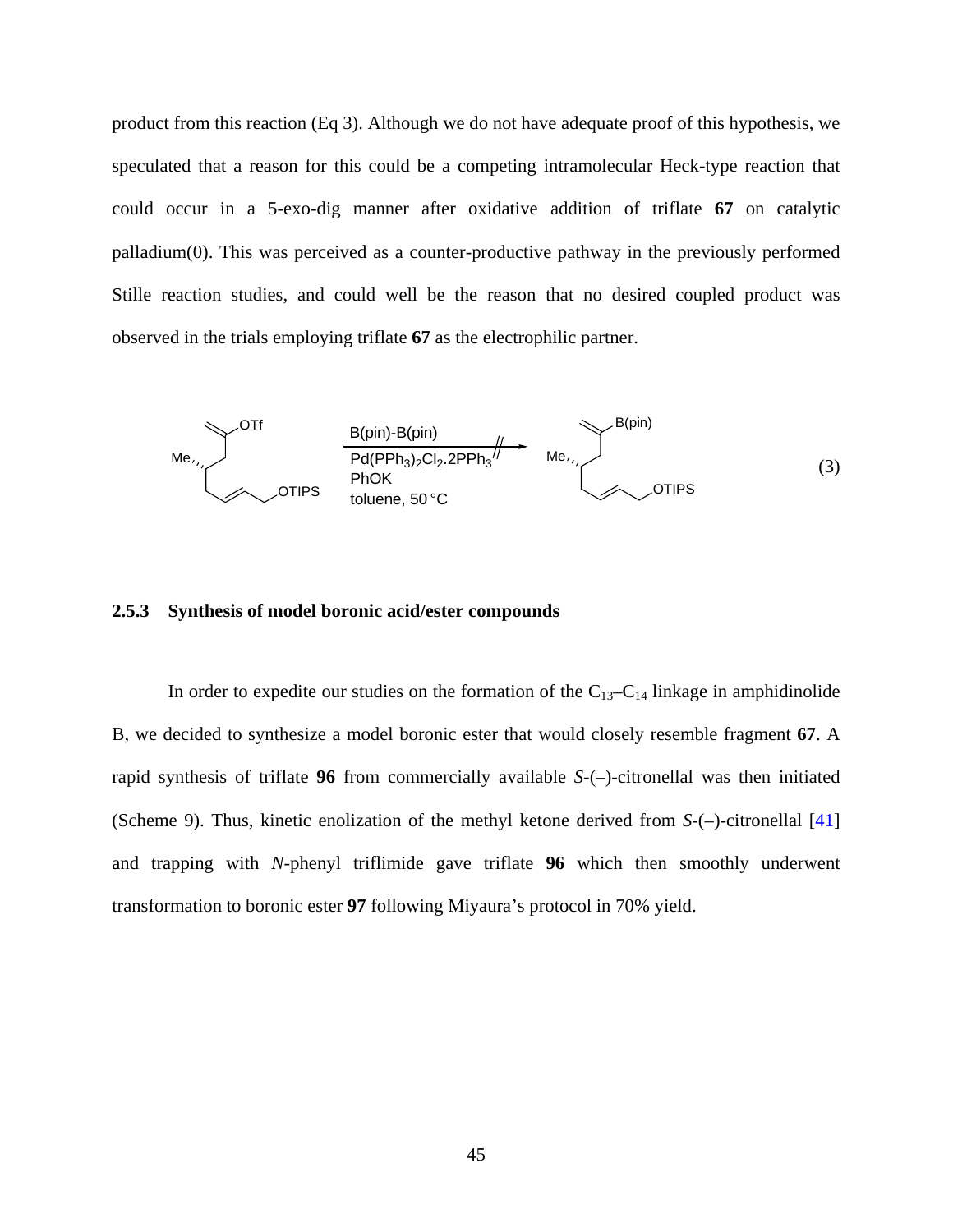product from this reaction (Eq 3). Although we do not have adequate proof of this hypothesis, we speculated that a reason for this could be a competing intramolecular Heck-type reaction that could occur in a 5-exo-dig manner after oxidative addition of triflate **67** on catalytic palladium(0). This was perceived as a counter-productive pathway in the previously performed Stille reaction studies, and could well be the reason that no desired coupled product was observed in the trials employing triflate **67** as the electrophilic partner.



## **2.5.3 Synthesis of model boronic acid/ester compounds**

In order to expedite our studies on the formation of the  $C_{13}-C_{14}$  linkage in amphidinolide B, we decided to synthesize a model boronic ester that would closely resemble fragment **67**. A rapid synthesis of triflate **96** from commercially available *S*-(–)-citronellal was then initiated (Scheme 9). Thus, kinetic enolization of the methyl ketone derived from *S*-(–)-citronellal [\[41\]](#page-118-0) and trapping with *N*-phenyl triflimide gave triflate **96** which then smoothly underwent transformation to boronic ester **97** following Miyaura's protocol in 70% yield.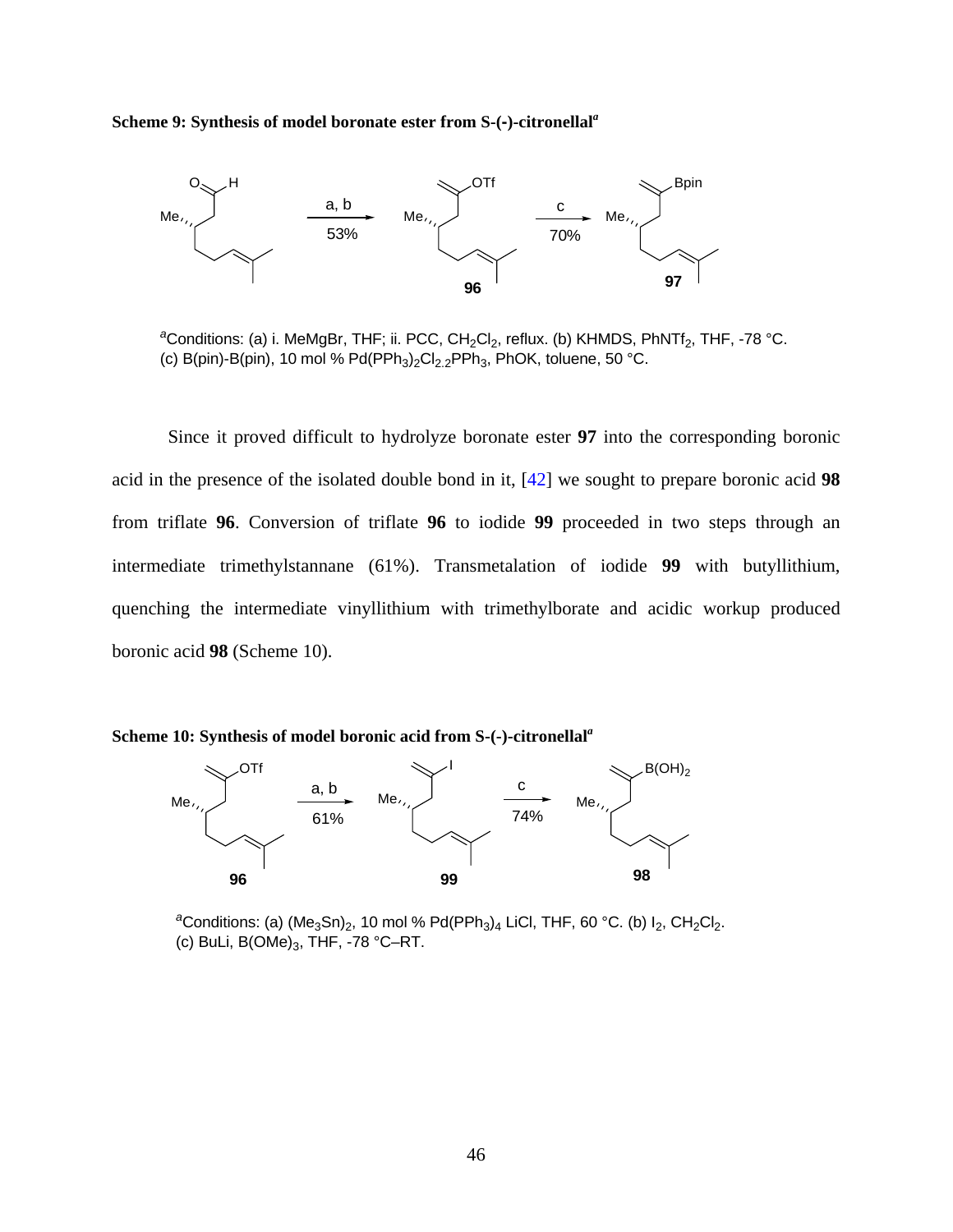**Scheme 9: Synthesis of model boronate ester from S-(-)-citronellal***<sup>a</sup>*



<sup>a</sup>Conditions: (a) i. MeMgBr, THF; ii. PCC, CH<sub>2</sub>Cl<sub>2</sub>, reflux. (b) KHMDS, PhNTf<sub>2</sub>, THF, -78 °C. (c) B(pin)-B(pin), 10 mol % Pd(PPh<sub>3</sub>)<sub>2</sub>Cl<sub>2.2</sub>PPh<sub>3</sub>, PhOK, toluene, 50 °C.

Since it proved difficult to hydrolyze boronate ester **97** into the corresponding boronic acid in the presence of the isolated double bond in it, [\[42\]](#page-118-0) we sought to prepare boronic acid **98**  from triflate **96**. Conversion of triflate **96** to iodide **99** proceeded in two steps through an intermediate trimethylstannane (61%). Transmetalation of iodide **99** with butyllithium, quenching the intermediate vinyllithium with trimethylborate and acidic workup produced boronic acid **98** (Scheme 10).





 $a^2$ Conditions: (a) (Me<sub>3</sub>Sn)<sub>2</sub>, 10 mol % Pd(PPh<sub>3</sub>)<sub>4</sub> LiCl, THF, 60 °C. (b) I<sub>2</sub>, CH<sub>2</sub>Cl<sub>2</sub>. (c) BuLi,  $B(OMe)<sub>3</sub>$ , THF, -78 °C-RT.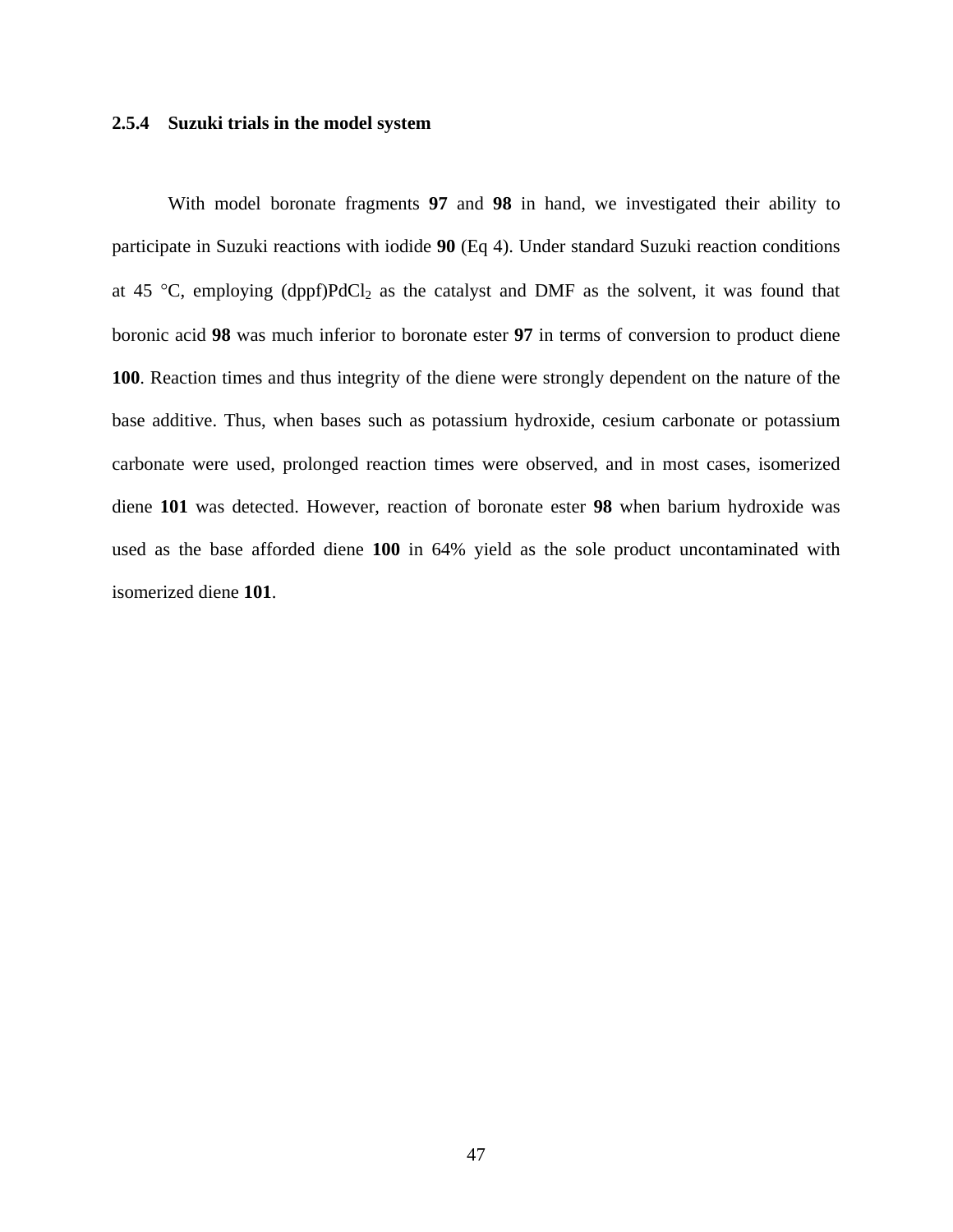## **2.5.4 Suzuki trials in the model system**

With model boronate fragments **97** and **98** in hand, we investigated their ability to participate in Suzuki reactions with iodide **90** (Eq 4). Under standard Suzuki reaction conditions at 45 °C, employing  $(dppf)PdCl_2$  as the catalyst and DMF as the solvent, it was found that boronic acid **98** was much inferior to boronate ester **97** in terms of conversion to product diene **100**. Reaction times and thus integrity of the diene were strongly dependent on the nature of the base additive. Thus, when bases such as potassium hydroxide, cesium carbonate or potassium carbonate were used, prolonged reaction times were observed, and in most cases, isomerized diene **101** was detected. However, reaction of boronate ester **98** when barium hydroxide was used as the base afforded diene **100** in 64% yield as the sole product uncontaminated with isomerized diene **101**.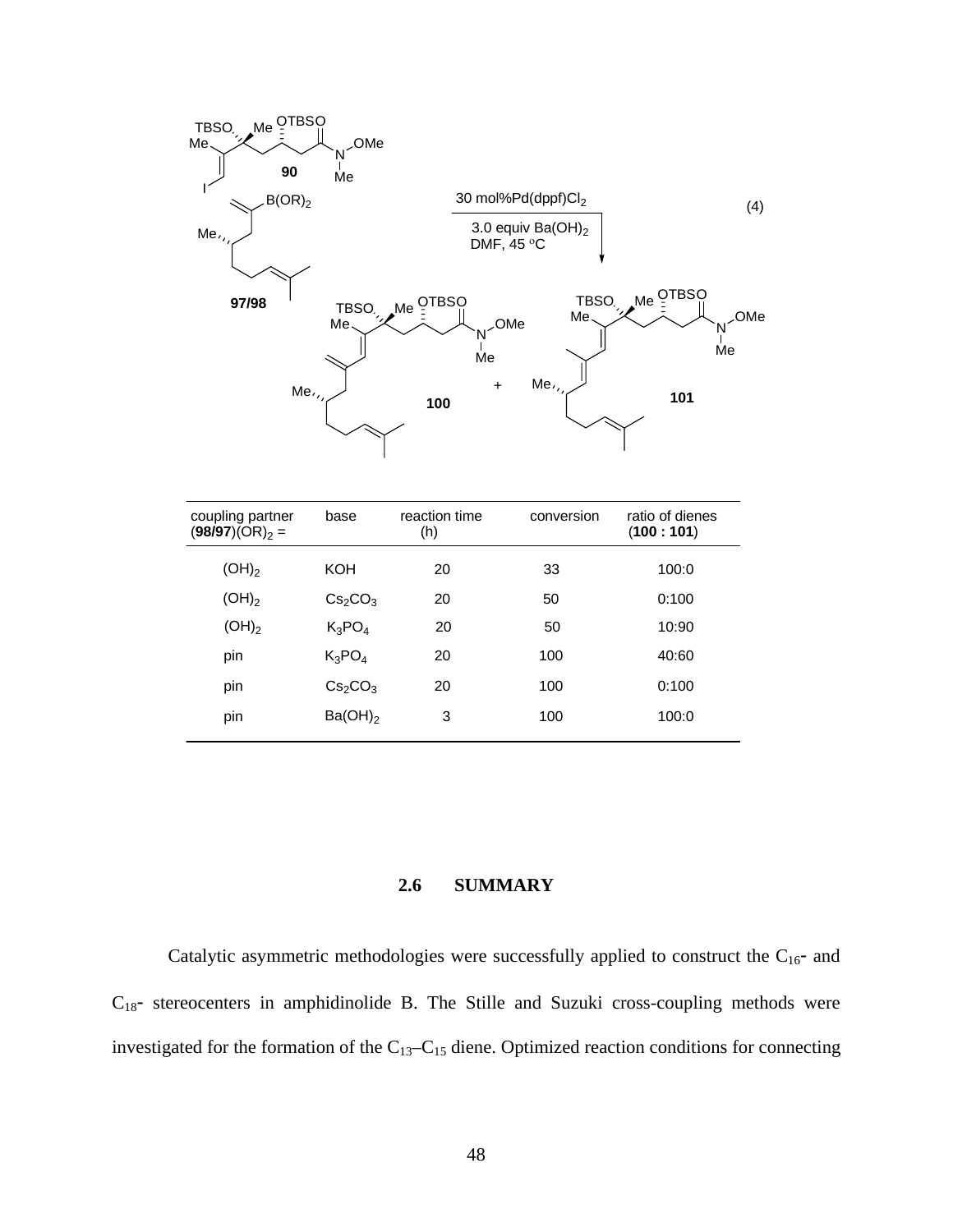

| coupling partner<br>$(98/97)(OR)_2 =$ | base                            | reaction time<br>(h) | conversion | ratio of dienes<br>(100:101) |
|---------------------------------------|---------------------------------|----------------------|------------|------------------------------|
| $(OH)_2$                              | <b>KOH</b>                      | 20                   | 33         | 100:0                        |
| $(OH)_2$                              | Cs <sub>2</sub> CO <sub>3</sub> | 20                   | 50         | 0:100                        |
| $(OH)_2$                              | $K_3PO_4$                       | 20                   | 50         | 10:90                        |
| pin                                   | $K_3PO_4$                       | 20                   | 100        | 40:60                        |
| pin                                   | Cs <sub>2</sub> CO <sub>3</sub> | 20                   | 100        | 0:100                        |
| pin                                   | $Ba(OH)_2$                      | 3                    | 100        | 100:0                        |

# **2.6 SUMMARY**

Catalytic asymmetric methodologies were successfully applied to construct the  $C_{16}$ - and  $C_{18}$ - stereocenters in amphidinolide B. The Stille and Suzuki cross-coupling methods were investigated for the formation of the C13–C15 diene. Optimized reaction conditions for connecting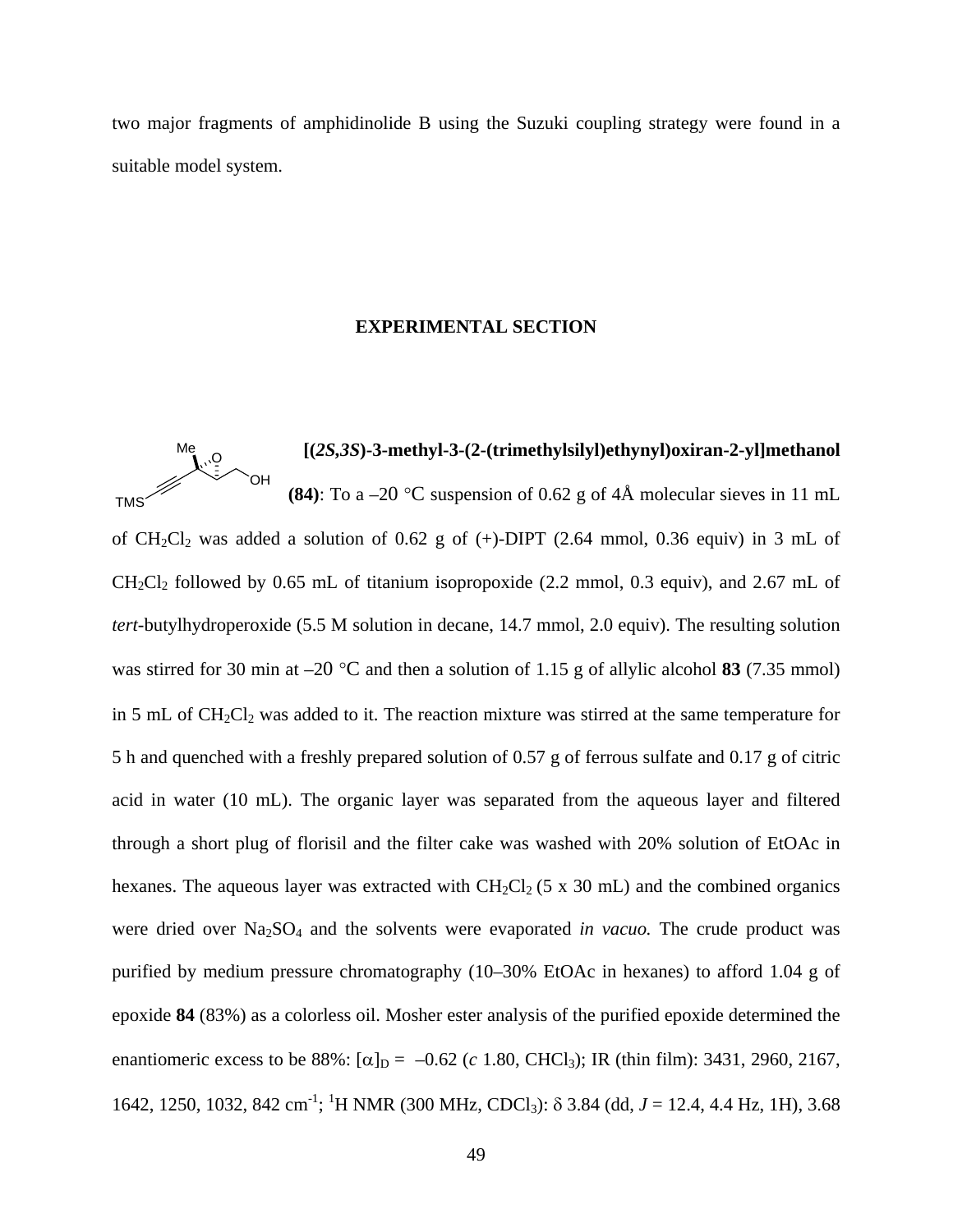two major fragments of amphidinolide B using the Suzuki coupling strategy were found in a suitable model system.

## **EXPERIMENTAL SECTION**



of  $CH_2Cl_2$  was added a solution of 0.62 g of (+)-DIPT (2.64 mmol, 0.36 equiv) in 3 mL of  $CH_2Cl_2$  followed by 0.65 mL of titanium isopropoxide (2.2 mmol, 0.3 equiv), and 2.67 mL of *tert*-butylhydroperoxide (5.5 M solution in decane, 14.7 mmol, 2.0 equiv). The resulting solution was stirred for 30 min at –20 °C and then a solution of 1.15 g of allylic alcohol **83** (7.35 mmol) in 5 mL of  $CH_2Cl_2$  was added to it. The reaction mixture was stirred at the same temperature for 5 h and quenched with a freshly prepared solution of 0.57 g of ferrous sulfate and 0.17 g of citric acid in water (10 mL). The organic layer was separated from the aqueous layer and filtered through a short plug of florisil and the filter cake was washed with 20% solution of EtOAc in hexanes. The aqueous layer was extracted with  $CH_2Cl_2$  (5 x 30 mL) and the combined organics were dried over Na2SO4 and the solvents were evaporated *in vacuo.* The crude product was purified by medium pressure chromatography (10–30% EtOAc in hexanes) to afford 1.04 g of epoxide **84** (83%) as a colorless oil. Mosher ester analysis of the purified epoxide determined the enantiomeric excess to be 88%:  $[\alpha]_D = -0.62$  (*c* 1.80, CHCl<sub>3</sub>); IR (thin film): 3431, 2960, 2167, 1642, 1250, 1032, 842 cm<sup>-1</sup>; <sup>1</sup>H NMR (300 MHz, CDCl<sub>3</sub>): δ 3.84 (dd, *J* = 12.4, 4.4 Hz, 1H), 3.68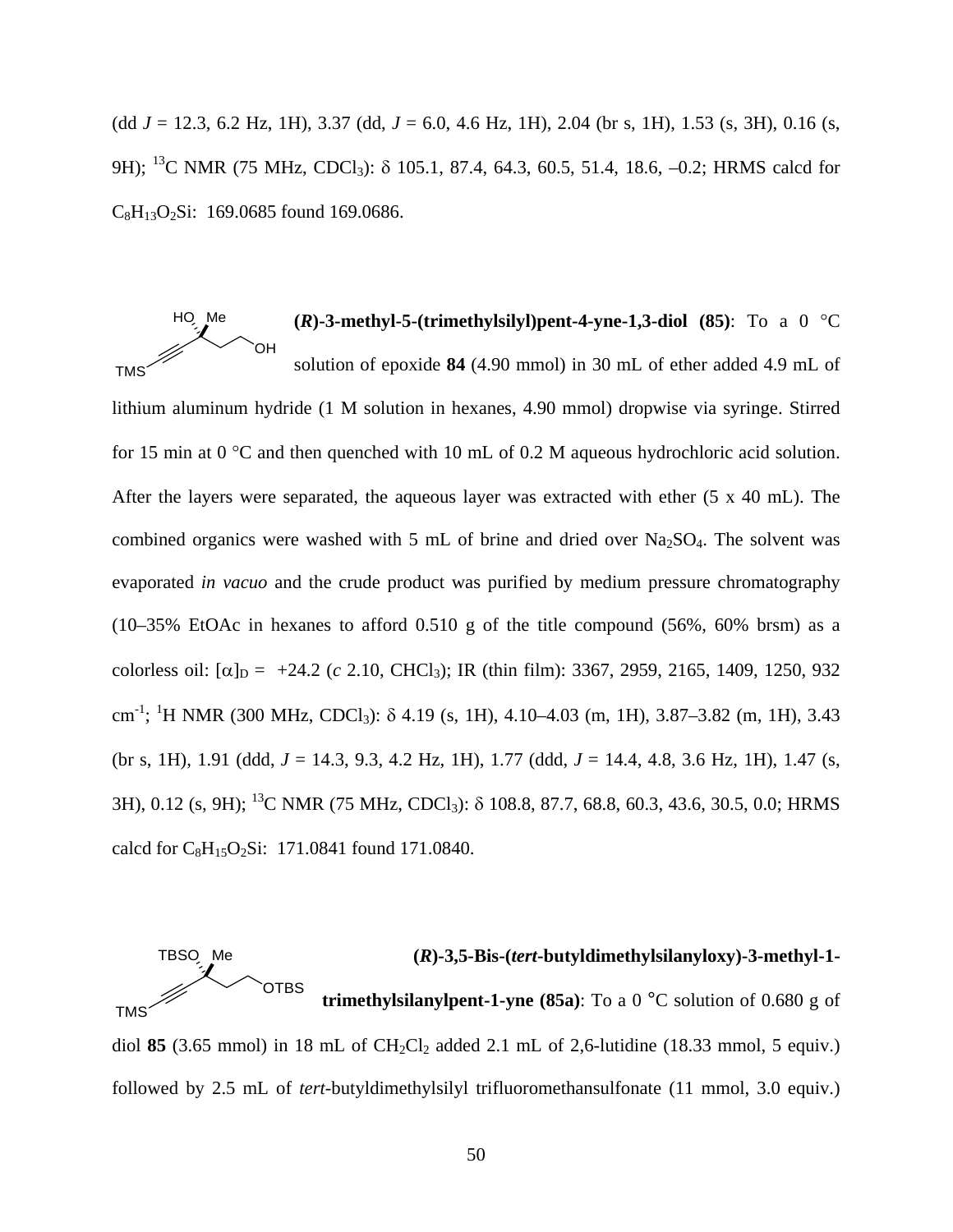(dd *J* = 12.3, 6.2 Hz, 1H), 3.37 (dd, *J* = 6.0, 4.6 Hz, 1H), 2.04 (br s, 1H), 1.53 (s, 3H), 0.16 (s, 9H); <sup>13</sup>C NMR (75 MHz, CDCl<sub>3</sub>):  $\delta$  105.1, 87.4, 64.3, 60.5, 51.4, 18.6, -0.2; HRMS calcd for  $C_8H_{13}O_2Si: 169.0685$  found 169.0686.

 $(R)$ -3-methyl-5-(trimethylsilyl)pent-4-yne-1,3-diol  $(85)$ : To a 0 °C solution of epoxide **84** (4.90 mmol) in 30 mL of ether added 4.9 mL of lithium aluminum hydride (1 M solution in hexanes, 4.90 mmol) dropwise via syringe. Stirred for 15 min at 0 °C and then quenched with 10 mL of 0.2 M aqueous hydrochloric acid solution. After the layers were separated, the aqueous layer was extracted with ether (5 x 40 mL). The combined organics were washed with 5 mL of brine and dried over  $Na<sub>2</sub>SO<sub>4</sub>$ . The solvent was evaporated *in vacuo* and the crude product was purified by medium pressure chromatography (10–35% EtOAc in hexanes to afford 0.510 g of the title compound (56%, 60% brsm) as a colorless oil:  $[\alpha]_D = +24.2$  (*c* 2.10, CHCl<sub>3</sub>); IR (thin film): 3367, 2959, 2165, 1409, 1250, 932 cm -1 ; 1 H NMR (300 MHz, CDCl3): δ 4.19 (s, 1H), 4.10–4.03 (m, 1H), 3.87–3.82 (m, 1H), 3.43 (br s, 1H), 1.91 (ddd, *J* = 14.3, 9.3, 4.2 Hz, 1H), 1.77 (ddd, *J* = 14.4, 4.8, 3.6 Hz, 1H), 1.47 (s, 3H), 0.12 (s, 9H); 13C NMR (75 MHz, CDCl3): δ 108.8, 87.7, 68.8, 60.3, 43.6, 30.5, 0.0; HRMS calcd for  $C_8H_{15}O_2Si$ : 171.0841 found 171.0840. **TMS** OH HO Me



diol 85  $(3.65 \text{ mmol})$  in 18 mL of  $\text{CH}_2\text{Cl}_2$  added 2.1 mL of 2,6-lutidine (18.33 mmol, 5 equiv.) followed by 2.5 mL of *tert*-butyldimethylsilyl trifluoromethansulfonate (11 mmol, 3.0 equiv.)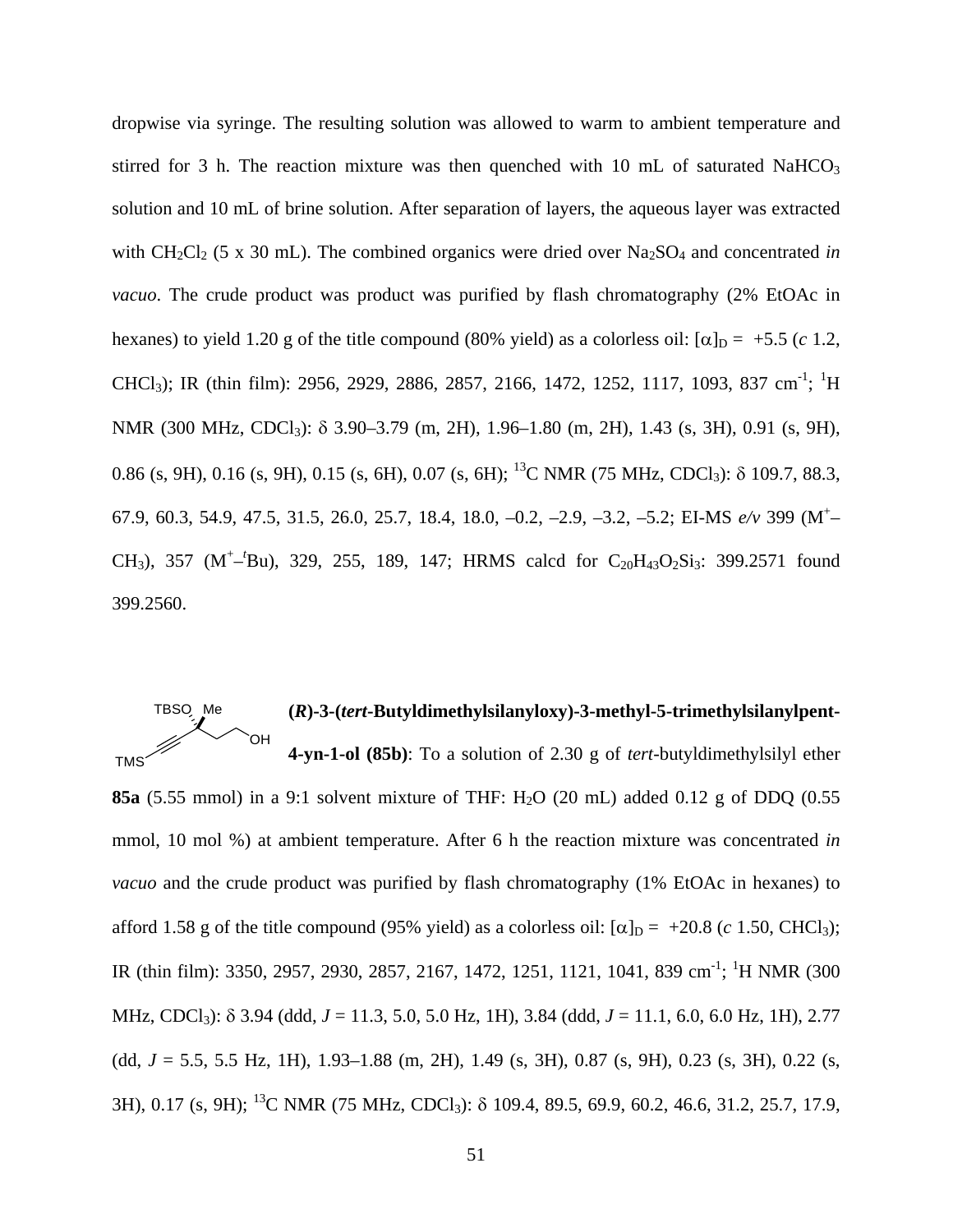dropwise via syringe. The resulting solution was allowed to warm to ambient temperature and stirred for 3 h. The reaction mixture was then quenched with 10 mL of saturated NaHCO<sub>3</sub> solution and 10 mL of brine solution. After separation of layers, the aqueous layer was extracted with CH<sub>2</sub>Cl<sub>2</sub> (5 x 30 mL). The combined organics were dried over Na<sub>2</sub>SO<sub>4</sub> and concentrated *in vacuo*. The crude product was product was purified by flash chromatography (2% EtOAc in hexanes) to yield 1.20 g of the title compound (80% yield) as a colorless oil:  $[\alpha]_D = +5.5$  (*c* 1.2, CHCl<sub>3</sub>); IR (thin film): 2956, 2929, 2886, 2857, 2166, 1472, 1252, 1117, 1093, 837 cm<sup>-1</sup>; <sup>1</sup>H NMR (300 MHz, CDCl3): δ 3.90–3.79 (m, 2H), 1.96–1.80 (m, 2H), 1.43 (s, 3H), 0.91 (s, 9H), 0.86 (s, 9H), 0.16 (s, 9H), 0.15 (s, 6H), 0.07 (s, 6H); <sup>13</sup>C NMR (75 MHz, CDCl<sub>3</sub>):  $\delta$  109.7, 88.3, 67.9, 60.3, 54.9, 47.5, 31.5, 26.0, 25.7, 18.4, 18.0, –0.2, –2.9, –3.2, –5.2; EI-MS *e/v* 399 (M+ – CH<sub>3</sub>), 357 (M<sup>+</sup>-<sup>t</sup>Bu), 329, 255, 189, 147; HRMS calcd for C<sub>20</sub>H<sub>43</sub>O<sub>2</sub>Si<sub>3</sub>: 399.2571 found 399.2560.

#### **(***R***)-3-(***tert***-Butyldimethylsilanyloxy)-3-methyl-5-trimethylsilanylpent-4-yn-1-ol (85b)**: To a solution of 2.30 g of *tert*-butyldimethylsilyl ether OH TBSO Me TMS

**85a** (5.55 mmol) in a 9:1 solvent mixture of THF: H<sub>2</sub>O (20 mL) added 0.12 g of DDQ (0.55 mmol, 10 mol %) at ambient temperature. After 6 h the reaction mixture was concentrated *in vacuo* and the crude product was purified by flash chromatography (1% EtOAc in hexanes) to afford 1.58 g of the title compound (95% yield) as a colorless oil:  $[\alpha]_D = +20.8$  (*c* 1.50, CHCl<sub>3</sub>); IR (thin film): 3350, 2957, 2930, 2857, 2167, 1472, 1251, 1121, 1041, 839 cm<sup>-1</sup>; <sup>1</sup>H NMR (300 MHz, CDCl3): δ 3.94 (ddd, *J* = 11.3, 5.0, 5.0 Hz, 1H), 3.84 (ddd, *J* = 11.1, 6.0, 6.0 Hz, 1H), 2.77 (dd, *J* = 5.5, 5.5 Hz, 1H), 1.93–1.88 (m, 2H), 1.49 (s, 3H), 0.87 (s, 9H), 0.23 (s, 3H), 0.22 (s, 3H), 0.17 (s, 9H); 13C NMR (75 MHz, CDCl3): δ 109.4, 89.5, 69.9, 60.2, 46.6, 31.2, 25.7, 17.9,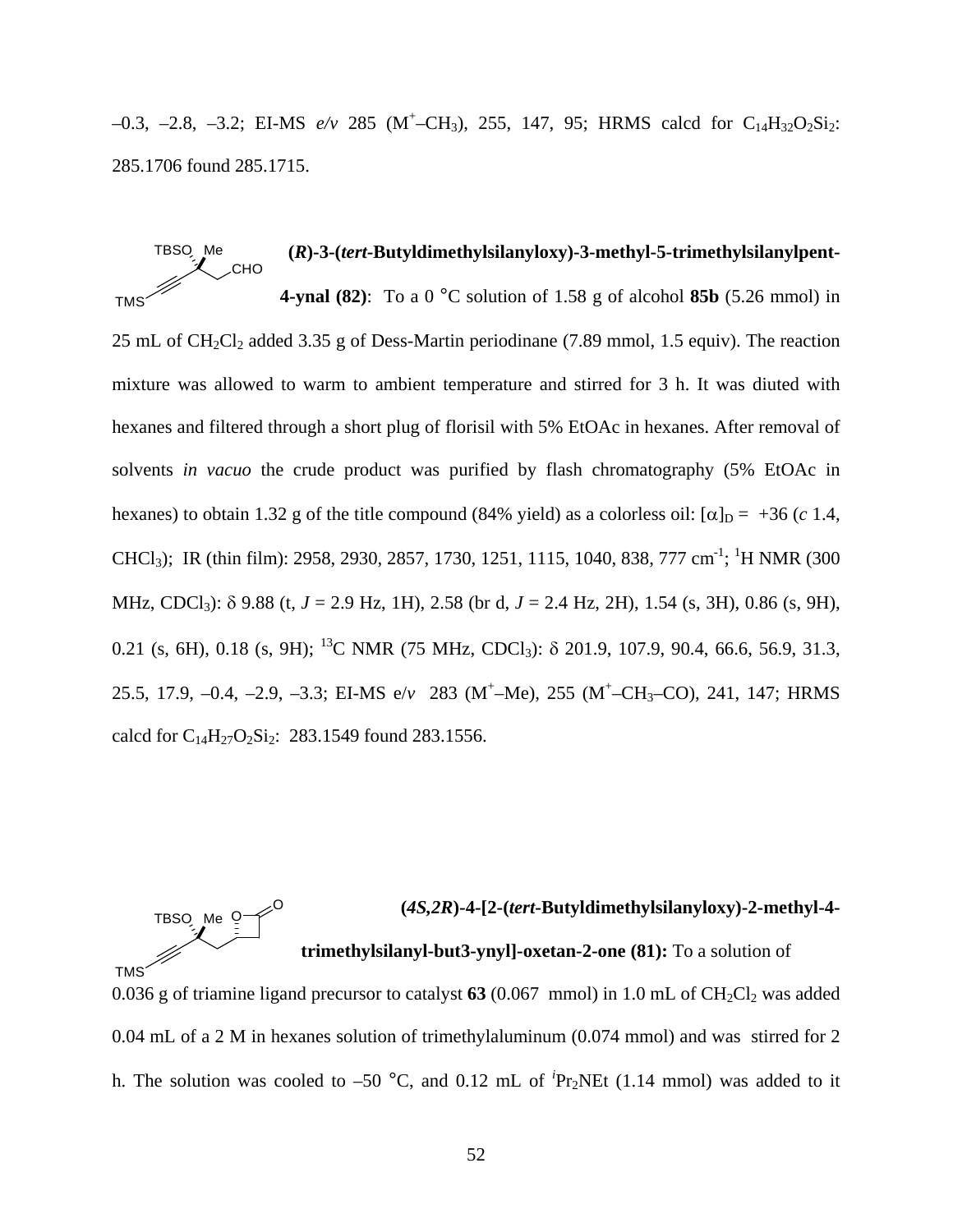$-0.3$ ,  $-2.8$ ,  $-3.2$ ; EI-MS  $e/v$  285 (M<sup>+</sup>-CH<sub>3</sub>), 255, 147, 95; HRMS calcd for C<sub>14</sub>H<sub>32</sub>O<sub>2</sub>Si<sub>2</sub>: 285.1706 found 285.1715.

**(***R***)-3-(***tert***-Butyldimethylsilanyloxy)-3-methyl-5-trimethylsilanylpent-4-ynal (82)**: To a 0 °C solution of 1.58 g of alcohol **85b** (5.26 mmol) in 25 mL of CH<sub>2</sub>Cl<sub>2</sub> added 3.35 g of Dess-Martin periodinane (7.89 mmol, 1.5 equiv). The reaction mixture was allowed to warm to ambient temperature and stirred for 3 h. It was diuted with hexanes and filtered through a short plug of florisil with 5% EtOAc in hexanes. After removal of solvents *in vacuo* the crude product was purified by flash chromatography (5% EtOAc in hexanes) to obtain 1.32 g of the title compound (84% yield) as a colorless oil:  $\alpha$ <sub>D</sub> = +36 (*c* 1.4, CHCl<sub>3</sub>); IR (thin film): 2958, 2930, 2857, 1730, 1251, 1115, 1040, 838, 777 cm<sup>-1</sup>; <sup>1</sup>H NMR (300 MHz, CDCl3): δ 9.88 (t, *J* = 2.9 Hz, 1H), 2.58 (br d, *J* = 2.4 Hz, 2H), 1.54 (s, 3H), 0.86 (s, 9H), 0.21 (s, 6H), 0.18 (s, 9H);  $^{13}$ C NMR (75 MHz, CDCl<sub>3</sub>):  $\delta$  201.9, 107.9, 90.4, 66.6, 56.9, 31.3, 25.5, 17.9, -0.4, -2.9, -3.3; EI-MS e/*v* 283 (M<sup>+</sup>-Me), 255 (M<sup>+</sup>-CH<sub>3</sub>-CO), 241, 147; HRMS calcd for  $C_{14}H_{27}O_2Si_2$ : 283.1549 found 283.1556. CHO TBSO Me **TMS** 

#### **(***4S,2R***)-4-[2-(***tert***-Butyldimethylsilanyloxy)-2-methyl-4 trimethylsilanyl-but3-ynyl]-oxetan-2-one (81):** To a solution of TBSO Me <sup>Q</sup> O TMS

0.036 g of triamine ligand precursor to catalyst  $63$  (0.067 mmol) in 1.0 mL of CH<sub>2</sub>Cl<sub>2</sub> was added 0.04 mL of a 2 M in hexanes solution of trimethylaluminum (0.074 mmol) and was stirred for 2 h. The solution was cooled to  $-50$  °C, and 0.12 mL of <sup>*i*</sup>Pr<sub>2</sub>NEt (1.14 mmol) was added to it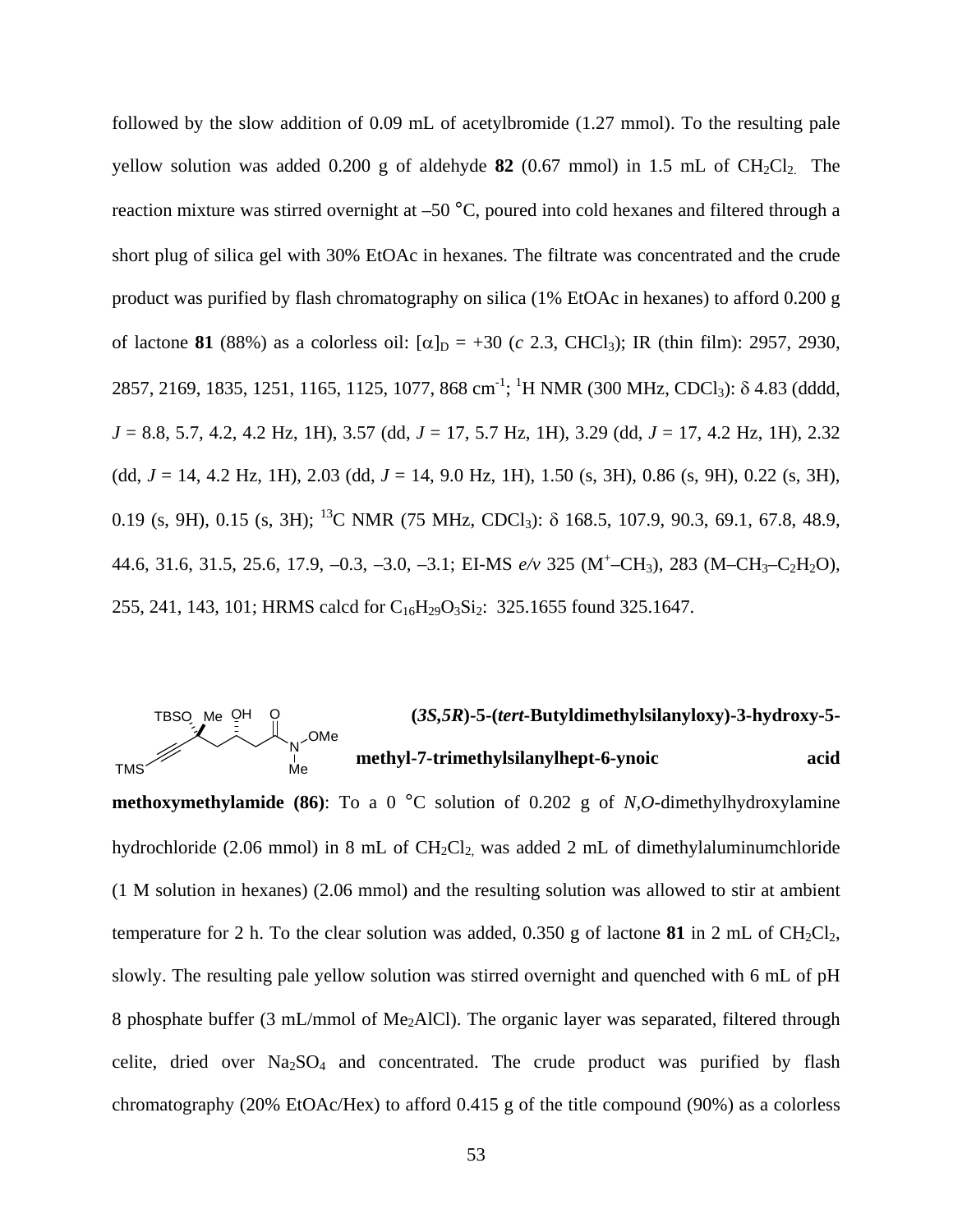followed by the slow addition of 0.09 mL of acetylbromide (1.27 mmol). To the resulting pale yellow solution was added  $0.200$  g of aldehyde **82** (0.67 mmol) in 1.5 mL of  $CH_2Cl_2$ . The reaction mixture was stirred overnight at –50 °C, poured into cold hexanes and filtered through a short plug of silica gel with 30% EtOAc in hexanes. The filtrate was concentrated and the crude product was purified by flash chromatography on silica (1% EtOAc in hexanes) to afford 0.200 g of lactone **81** (88%) as a colorless oil:  $[\alpha]_D = +30$  (*c* 2.3, CHCl<sub>3</sub>); IR (thin film): 2957, 2930, 2857, 2169, 1835, 1251, 1165, 1125, 1077, 868 cm<sup>-1</sup>; <sup>1</sup>H NMR (300 MHz, CDCl<sub>3</sub>): δ 4.83 (dddd, *J* = 8.8, 5.7, 4.2, 4.2 Hz, 1H), 3.57 (dd, *J* = 17, 5.7 Hz, 1H), 3.29 (dd, *J* = 17, 4.2 Hz, 1H), 2.32 (dd, *J* = 14, 4.2 Hz, 1H), 2.03 (dd, *J* = 14, 9.0 Hz, 1H), 1.50 (s, 3H), 0.86 (s, 9H), 0.22 (s, 3H), 0.19 (s, 9H), 0.15 (s, 3H); <sup>13</sup>C NMR (75 MHz, CDCl<sub>3</sub>):  $\delta$  168.5, 107.9, 90.3, 69.1, 67.8, 48.9, 44.6, 31.6, 31.5, 25.6, 17.9, –0.3, –3.0, –3.1; EI-MS *e/v* 325 (M+ –CH3), 283 (M–CH3–C2H2O), 255, 241, 143, 101; HRMS calcd for C<sub>16</sub>H<sub>29</sub>O<sub>3</sub>Si<sub>2</sub>: 325.1655 found 325.1647.

#### **(***3S,5R***)-5-(***tert***-Butyldimethylsilanyloxy)-3-hydroxy-5 methyl-7-trimethylsilanylhept-6-ynoic acid**  TBSO Me OH O TMS N Me OMe

**methoxymethylamide (86)**: To a 0 °C solution of 0.202 g of *N,O*-dimethylhydroxylamine hydrochloride (2.06 mmol) in 8 mL of  $CH_2Cl_2$  was added 2 mL of dimethylaluminumchloride (1 M solution in hexanes) (2.06 mmol) and the resulting solution was allowed to stir at ambient temperature for 2 h. To the clear solution was added,  $0.350$  g of lactone **81** in 2 mL of CH<sub>2</sub>Cl<sub>2</sub>, slowly. The resulting pale yellow solution was stirred overnight and quenched with 6 mL of pH 8 phosphate buffer (3 mL/mmol of Me<sub>2</sub>AlCl). The organic layer was separated, filtered through celite, dried over  $Na<sub>2</sub>SO<sub>4</sub>$  and concentrated. The crude product was purified by flash chromatography (20% EtOAc/Hex) to afford 0.415 g of the title compound (90%) as a colorless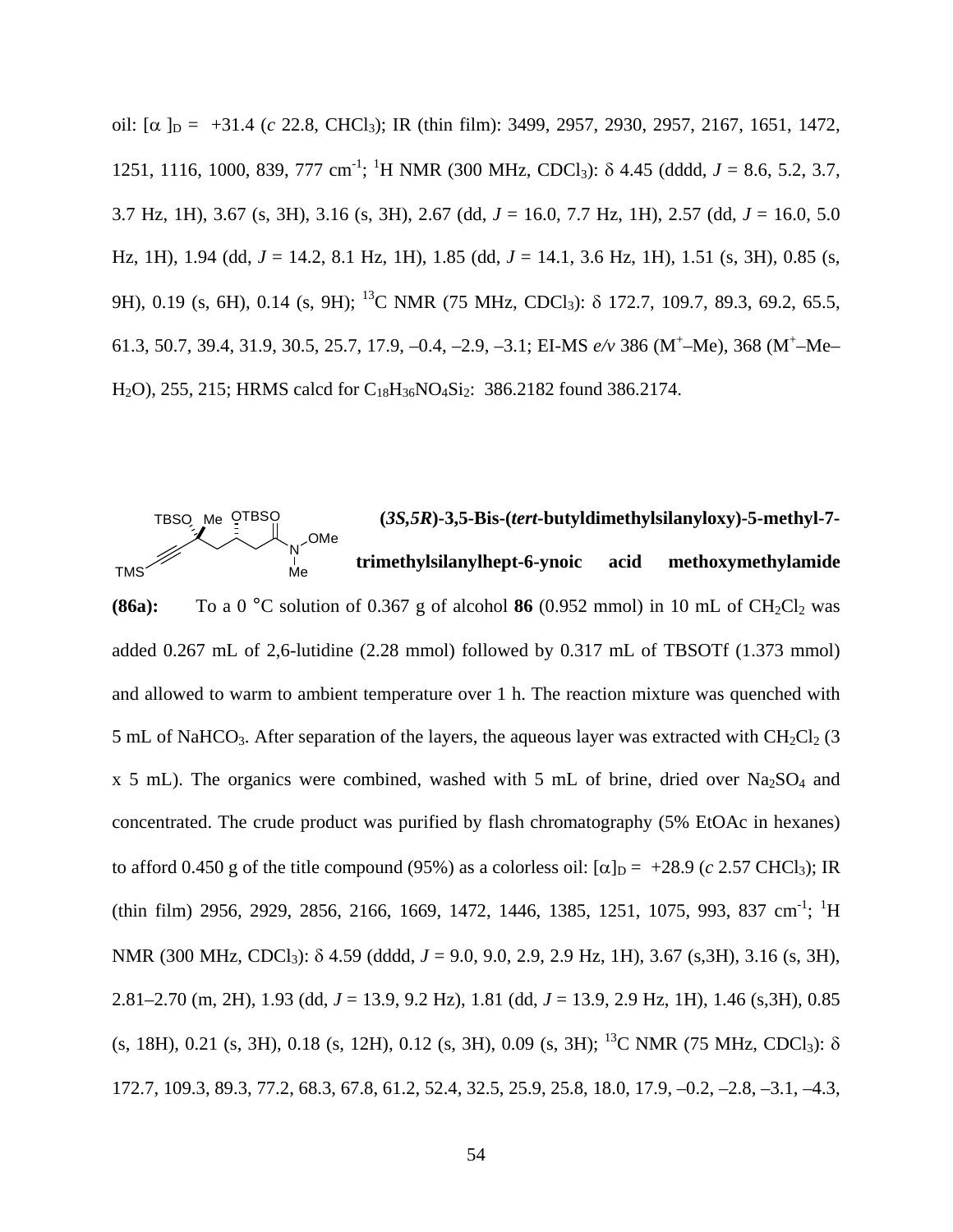oil:  $\alpha$   $\beta$  = +31.4 (*c* 22.8, CHCl<sub>3</sub>); IR (thin film): 3499, 2957, 2930, 2957, 2167, 1651, 1472, 1251, 1116, 1000, 839, 777 cm-1 ; 1 H NMR (300 MHz, CDCl3): δ 4.45 (dddd, *J* = 8.6, 5.2, 3.7, 3.7 Hz, 1H), 3.67 (s, 3H), 3.16 (s, 3H), 2.67 (dd, *J* = 16.0, 7.7 Hz, 1H), 2.57 (dd, *J* = 16.0, 5.0 Hz, 1H), 1.94 (dd, *J* = 14.2, 8.1 Hz, 1H), 1.85 (dd, *J* = 14.1, 3.6 Hz, 1H), 1.51 (s, 3H), 0.85 (s, 9H), 0.19 (s, 6H), 0.14 (s, 9H); <sup>13</sup>C NMR (75 MHz, CDCl<sub>3</sub>): δ 172.7, 109.7, 89.3, 69.2, 65.5, 61.3, 50.7, 39.4, 31.9, 30.5, 25.7, 17.9, -0.4, -2.9, -3.1; EI-MS  $e/v$  386 (M<sup>+</sup>-Me), 368 (M<sup>+</sup>-Me-H<sub>2</sub>O), 255, 215; HRMS calcd for C<sub>18</sub>H<sub>36</sub>NO<sub>4</sub>Si<sub>2</sub>: 386.2182 found 386.2174.



**(86a):** To a 0  $^{\circ}$ C solution of 0.367 g of alcohol 86 (0.952 mmol) in 10 mL of CH<sub>2</sub>Cl<sub>2</sub> was added 0.267 mL of 2,6-lutidine (2.28 mmol) followed by 0.317 mL of TBSOTf (1.373 mmol) and allowed to warm to ambient temperature over 1 h. The reaction mixture was quenched with 5 mL of NaHCO<sub>3</sub>. After separation of the layers, the aqueous layer was extracted with  $CH_2Cl_2$  (3 x 5 mL). The organics were combined, washed with 5 mL of brine, dried over  $Na<sub>2</sub>SO<sub>4</sub>$  and concentrated. The crude product was purified by flash chromatography (5% EtOAc in hexanes) to afford 0.450 g of the title compound (95%) as a colorless oil:  $\alpha$ <sub>D</sub> = +28.9 (*c* 2.57 CHCl<sub>3</sub>); IR  $(\text{thin film})$  2956, 2929, 2856, 2166, 1669, 1472, 1446, 1385, 1251, 1075, 993, 837 cm<sup>-1</sup>; <sup>1</sup>H NMR (300 MHz, CDCl<sub>3</sub>): δ 4.59 (dddd, *J* = 9.0, 9.0, 2.9, 2.9 Hz, 1H), 3.67 (s, 3H), 3.16 (s, 3H), 2.81–2.70 (m, 2H), 1.93 (dd, *J* = 13.9, 9.2 Hz), 1.81 (dd, *J* = 13.9, 2.9 Hz, 1H), 1.46 (s,3H), 0.85 (s, 18H), 0.21 (s, 3H), 0.18 (s, 12H), 0.12 (s, 3H), 0.09 (s, 3H); <sup>13</sup>C NMR (75 MHz, CDCl<sub>3</sub>):  $\delta$ 172.7, 109.3, 89.3, 77.2, 68.3, 67.8, 61.2, 52.4, 32.5, 25.9, 25.8, 18.0, 17.9, –0.2, –2.8, –3.1, –4.3,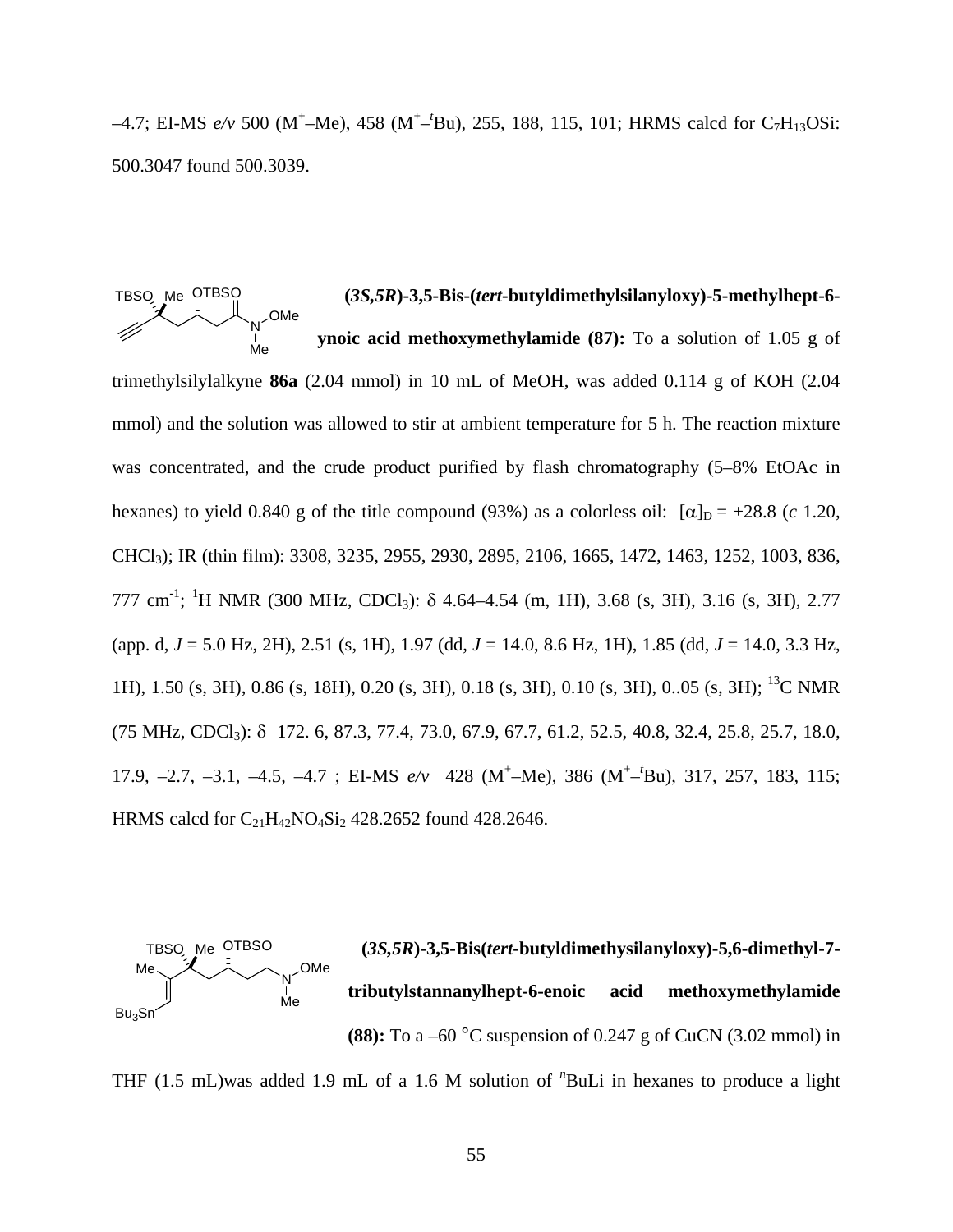-4.7; EI-MS  $e/v$  500 (M<sup>+</sup>-Me), 458 (M<sup>+</sup>-<sup>t</sup>Bu), 255, 188, 115, 101; HRMS calcd for C<sub>7</sub>H<sub>13</sub>OSi: 500.3047 found 500.3039.

 **(***3S,5R***)-3,5-Bis-(***tert***-butyldimethylsilanyloxy)-5-methylhept-6 ynoic acid methoxymethylamide (87):** To a solution of 1.05 g of trimethylsilylalkyne **86a** (2.04 mmol) in 10 mL of MeOH, was added 0.114 g of KOH (2.04 mmol) and the solution was allowed to stir at ambient temperature for 5 h. The reaction mixture was concentrated, and the crude product purified by flash chromatography  $(5-8\% \text{ EtOAc} \cdot \text{in})$ hexanes) to yield 0.840 g of the title compound (93%) as a colorless oil:  $[\alpha]_D = +28.8$  (*c* 1.20, CHCl3); IR (thin film): 3308, 3235, 2955, 2930, 2895, 2106, 1665, 1472, 1463, 1252, 1003, 836, 777 cm<sup>-1</sup>; <sup>1</sup>H NMR (300 MHz, CDCl<sub>3</sub>): δ 4.64–4.54 (m, 1H), 3.68 (s, 3H), 3.16 (s, 3H), 2.77 (app. d, *J* = 5.0 Hz, 2H), 2.51 (s, 1H), 1.97 (dd, *J* = 14.0, 8.6 Hz, 1H), 1.85 (dd, *J* = 14.0, 3.3 Hz, 1H), 1.50 (s, 3H), 0.86 (s, 18H), 0.20 (s, 3H), 0.18 (s, 3H), 0.10 (s, 3H), 0..05 (s, 3H); 13C NMR (75 MHz, CDCl3): δ 172. 6, 87.3, 77.4, 73.0, 67.9, 67.7, 61.2, 52.5, 40.8, 32.4, 25.8, 25.7, 18.0, 17.9, -2.7, -3.1, -4.5, -4.7; EI-MS  $e/v$  428 (M<sup>+</sup>-Me), 386 (M<sup>+</sup>-Bu), 317, 257, 183, 115; HRMS calcd for  $C_{21}H_{42}NO_4Si_2$  428.2652 found 428.2646. TBSO Me OTBSO N ∣<br>Me OMe



THF (1.5 mL)was added 1.9 mL of a 1.6 M solution of *<sup>n</sup>* BuLi in hexanes to produce a light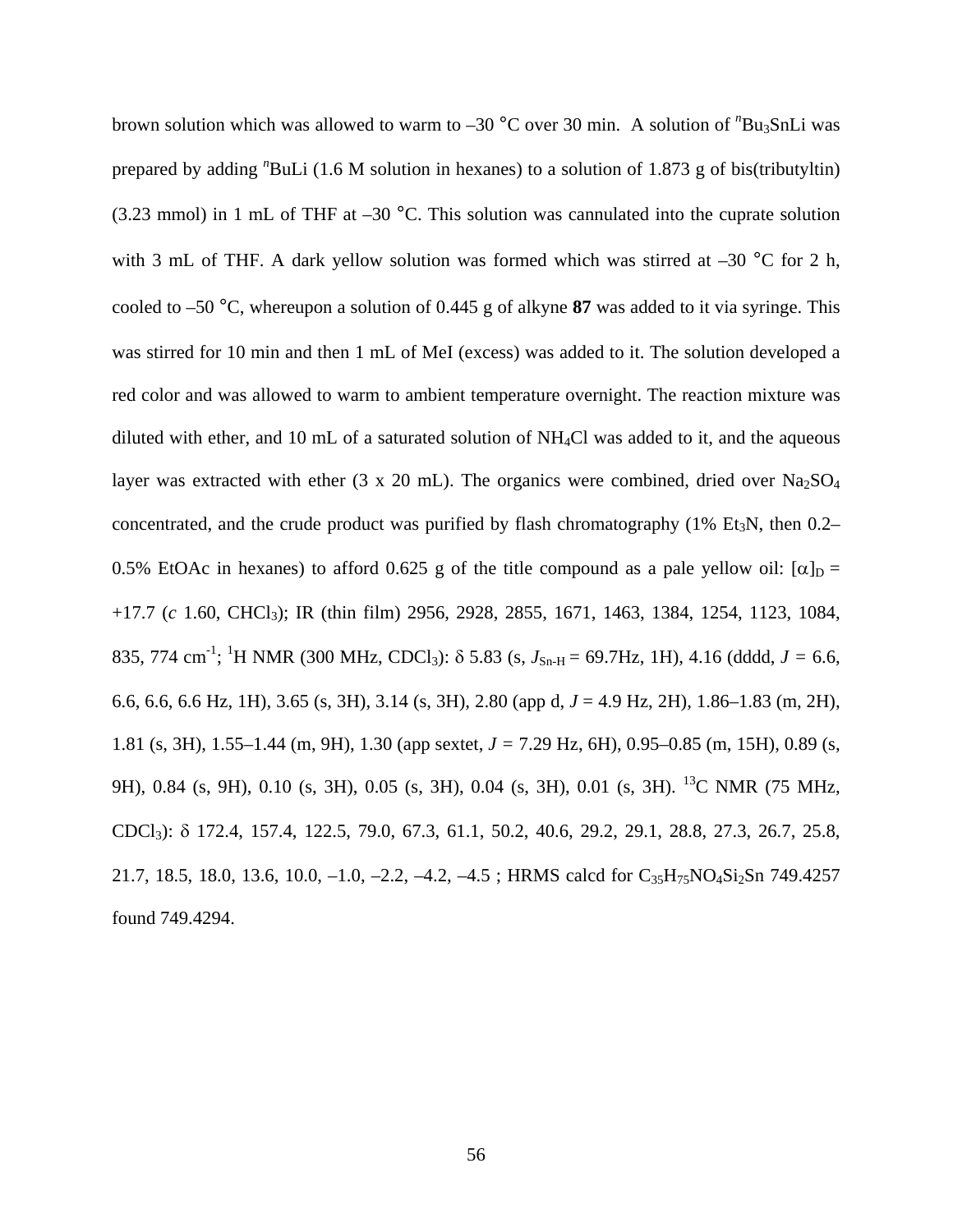brown solution which was allowed to warm to -30 °C over 30 min. A solution of "Bu<sub>3</sub>SnLi was prepared by adding "BuLi (1.6 M solution in hexanes) to a solution of 1.873 g of bis(tributyltin) (3.23 mmol) in 1 mL of THF at  $-30$  °C. This solution was cannulated into the cuprate solution with 3 mL of THF. A dark yellow solution was formed which was stirred at  $-30$  °C for 2 h, cooled to –50 °C, whereupon a solution of 0.445 g of alkyne **87** was added to it via syringe. This was stirred for 10 min and then 1 mL of MeI (excess) was added to it. The solution developed a red color and was allowed to warm to ambient temperature overnight. The reaction mixture was diluted with ether, and 10 mL of a saturated solution of  $NH<sub>4</sub>Cl$  was added to it, and the aqueous layer was extracted with ether (3 x 20 mL). The organics were combined, dried over  $Na<sub>2</sub>SO<sub>4</sub>$ concentrated, and the crude product was purified by flash chromatography  $(1\%$  Et<sub>3</sub>N, then 0.2– 0.5% EtOAc in hexanes) to afford 0.625 g of the title compound as a pale yellow oil:  $[\alpha]_D =$ +17.7 (*c* 1.60, CHCl3); IR (thin film) 2956, 2928, 2855, 1671, 1463, 1384, 1254, 1123, 1084, 835, 774 cm<sup>-1</sup>; <sup>1</sup>H NMR (300 MHz, CDCl<sub>3</sub>):  $\delta$  5.83 (s,  $J_{\text{Sn-H}} = 69.7 \text{Hz}$ , 1H), 4.16 (dddd,  $J = 6.6$ , 6.6, 6.6, 6.6 Hz, 1H), 3.65 (s, 3H), 3.14 (s, 3H), 2.80 (app d, *J* = 4.9 Hz, 2H), 1.86–1.83 (m, 2H), 1.81 (s, 3H), 1.55–1.44 (m, 9H), 1.30 (app sextet, *J =* 7.29 Hz, 6H), 0.95–0.85 (m, 15H), 0.89 (s, 9H), 0.84 (s, 9H), 0.10 (s, 3H), 0.05 (s, 3H), 0.04 (s, 3H), 0.01 (s, 3H). 13C NMR (75 MHz, CDCl3): δ 172.4, 157.4, 122.5, 79.0, 67.3, 61.1, 50.2, 40.6, 29.2, 29.1, 28.8, 27.3, 26.7, 25.8, 21.7, 18.5, 18.0, 13.6, 10.0,  $-1.0$ ,  $-2.2$ ,  $-4.2$ ,  $-4.5$ ; HRMS calcd for  $C_{35}H_{75}NO_4Si_2Sn$  749.4257 found 749.4294.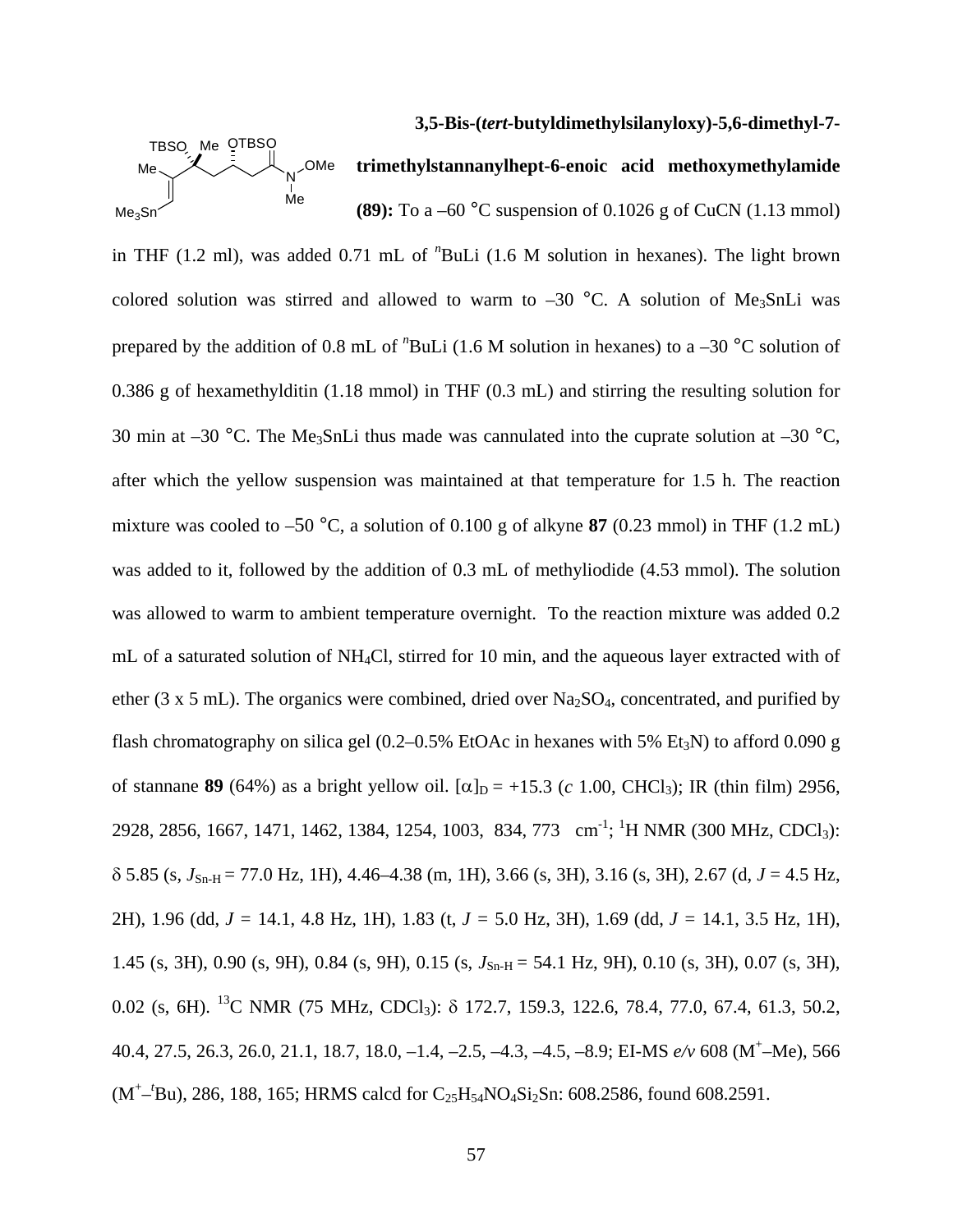#### **3,5-Bis-(***tert-***butyldimethylsilanyloxy)-5,6-dimethyl-7-**



**trimethylstannanylhept-6-enoic acid methoxymethylamide (89):** To a –60 °C suspension of 0.1026 g of CuCN (1.13 mmol)

in THF (1.2 ml), was added 0.71 mL of *<sup>n</sup>* BuLi (1.6 M solution in hexanes). The light brown colored solution was stirred and allowed to warm to  $-30$  °C. A solution of Me<sub>3</sub>SnLi was prepared by the addition of 0.8 mL of "BuLi (1.6 M solution in hexanes) to a -30 °C solution of 0.386 g of hexamethylditin (1.18 mmol) in THF (0.3 mL) and stirring the resulting solution for 30 min at –30 °C. The Me<sub>3</sub>SnLi thus made was cannulated into the cuprate solution at –30 °C, after which the yellow suspension was maintained at that temperature for 1.5 h. The reaction mixture was cooled to –50 °C, a solution of 0.100 g of alkyne **87** (0.23 mmol) in THF (1.2 mL) was added to it, followed by the addition of 0.3 mL of methyliodide (4.53 mmol). The solution was allowed to warm to ambient temperature overnight. To the reaction mixture was added 0.2 mL of a saturated solution of NH4Cl, stirred for 10 min, and the aqueous layer extracted with of ether (3 x 5 mL). The organics were combined, dried over  $Na<sub>2</sub>SO<sub>4</sub>$ , concentrated, and purified by flash chromatography on silica gel  $(0.2-0.5\%$  EtOAc in hexanes with 5% Et<sub>3</sub>N) to afford 0.090 g of stannane **89** (64%) as a bright yellow oil.  $[\alpha]_D = +15.3$  (*c* 1.00, CHCl<sub>3</sub>); IR (thin film) 2956, 2928, 2856, 1667, 1471, 1462, 1384, 1254, 1003, 834, 773 cm<sup>-1</sup>; <sup>1</sup>H NMR (300 MHz, CDCl<sub>3</sub>):  $\delta$  5.85 (s,  $J_{\text{Sn-H}}$  = 77.0 Hz, 1H), 4.46–4.38 (m, 1H), 3.66 (s, 3H), 3.16 (s, 3H), 2.67 (d, *J* = 4.5 Hz, 2H), 1.96 (dd, *J =* 14.1, 4.8 Hz, 1H), 1.83 (t, *J =* 5.0 Hz, 3H), 1.69 (dd, *J =* 14.1, 3.5 Hz, 1H), 1.45 (s, 3H), 0.90 (s, 9H), 0.84 (s, 9H), 0.15 (s,  $J_{\text{Sn-H}} = 54.1 \text{ Hz}$ , 9H), 0.10 (s, 3H), 0.07 (s, 3H), 0.02 (s, 6H). 13C NMR (75 MHz, CDCl3): δ 172.7, 159.3, 122.6, 78.4, 77.0, 67.4, 61.3, 50.2, 40.4, 27.5, 26.3, 26.0, 21.1, 18.7, 18.0, –1.4, –2.5, –4.3, –4.5, –8.9; EI-MS *e/v* 608 (M+ –Me), 566 (M<sup>+</sup>-<sup>*t*</sup>Bu), 286, 188, 165; HRMS calcd for C<sub>25</sub>H<sub>54</sub>NO<sub>4</sub>Si<sub>2</sub>Sn: 608.2586, found 608.2591.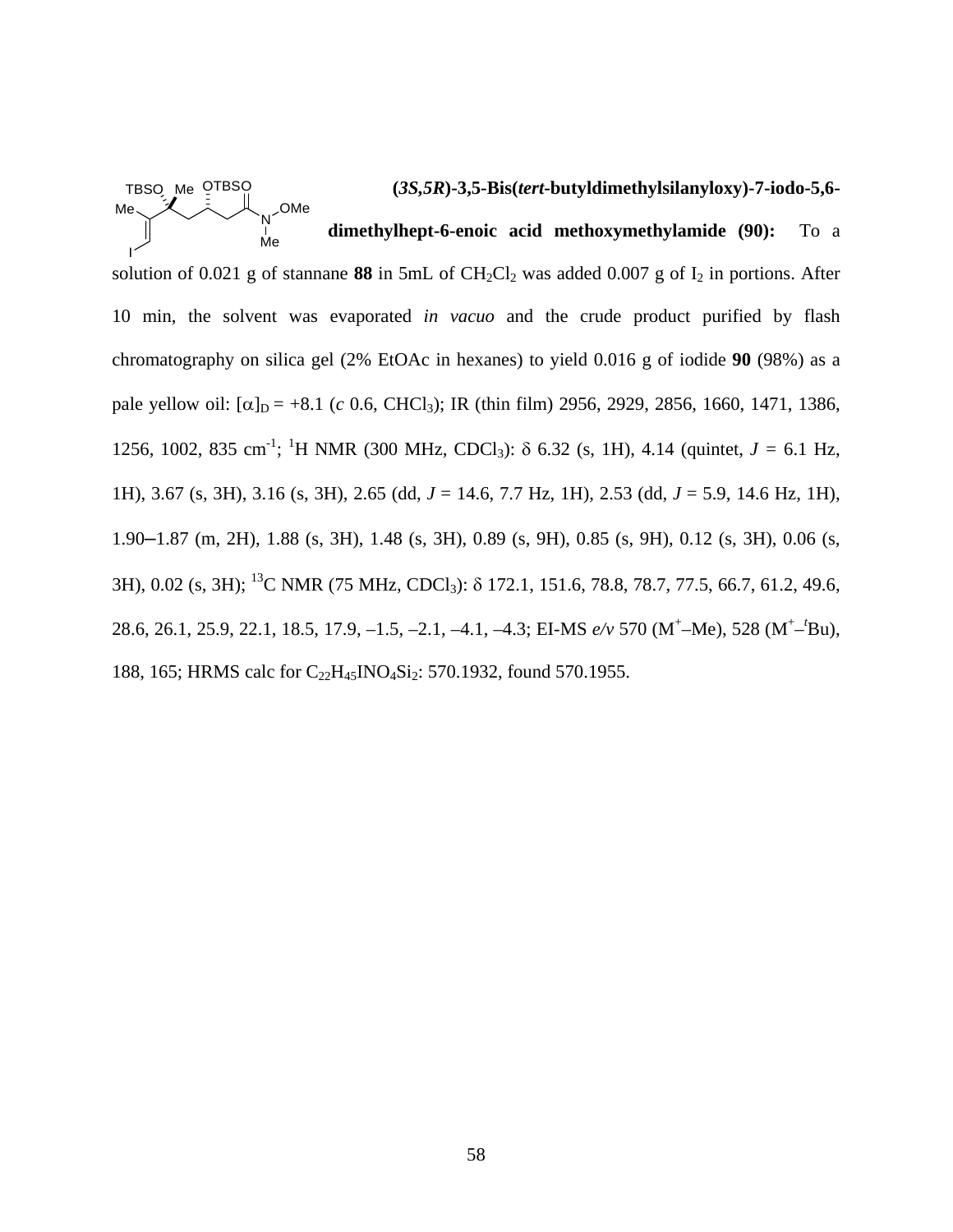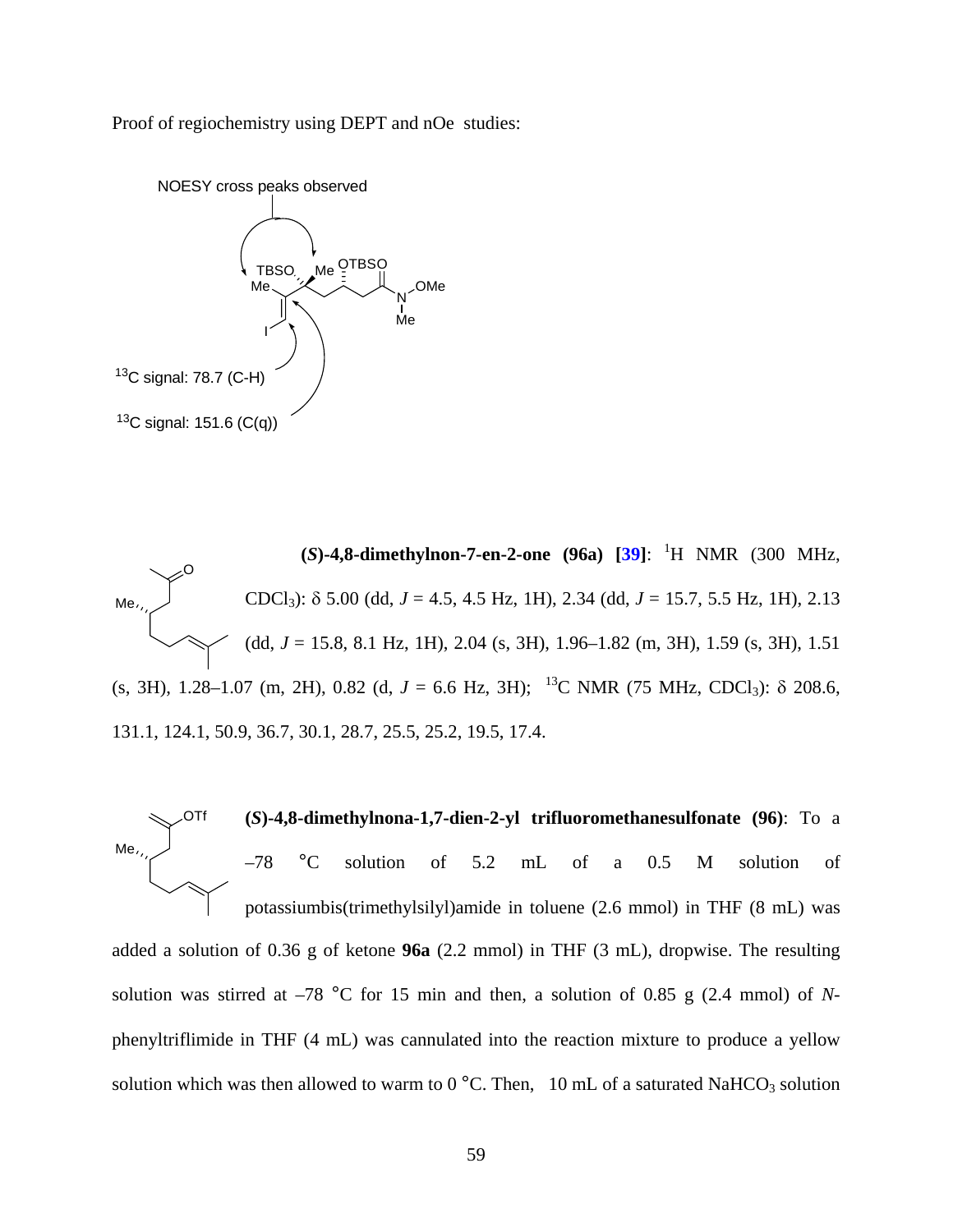Proof of regiochemistry using DEPT and nOe studies:



**(***S***)-4,8-dimethylnon-7-en-2-one (96a) [[39\]](#page-118-0)**: 1 H NMR (300 MHz, CDCl<sub>3</sub>):  $\delta$  5.00 (dd,  $J = 4.5$ , 4.5 Hz, 1H), 2.34 (dd,  $J = 15.7$ , 5.5 Hz, 1H), 2.13 (dd, *J* = 15.8, 8.1 Hz, 1H), 2.04 (s, 3H), 1.96–1.82 (m, 3H), 1.59 (s, 3H), 1.51 (s, 3H), 1.28–1.07 (m, 2H), 0.82 (d,  $J = 6.6$  Hz, 3H); <sup>13</sup>C NMR (75 MHz, CDCl<sub>3</sub>):  $\delta$  208.6, 131.1, 124.1, 50.9, 36.7, 30.1, 28.7, 25.5, 25.2, 19.5, 17.4. Me O



solution was stirred at  $-78$  °C for 15 min and then, a solution of 0.85 g (2.4 mmol) of *N*phenyltriflimide in THF (4 mL) was cannulated into the reaction mixture to produce a yellow solution which was then allowed to warm to  $0^{\circ}$ C. Then, 10 mL of a saturated NaHCO<sub>3</sub> solution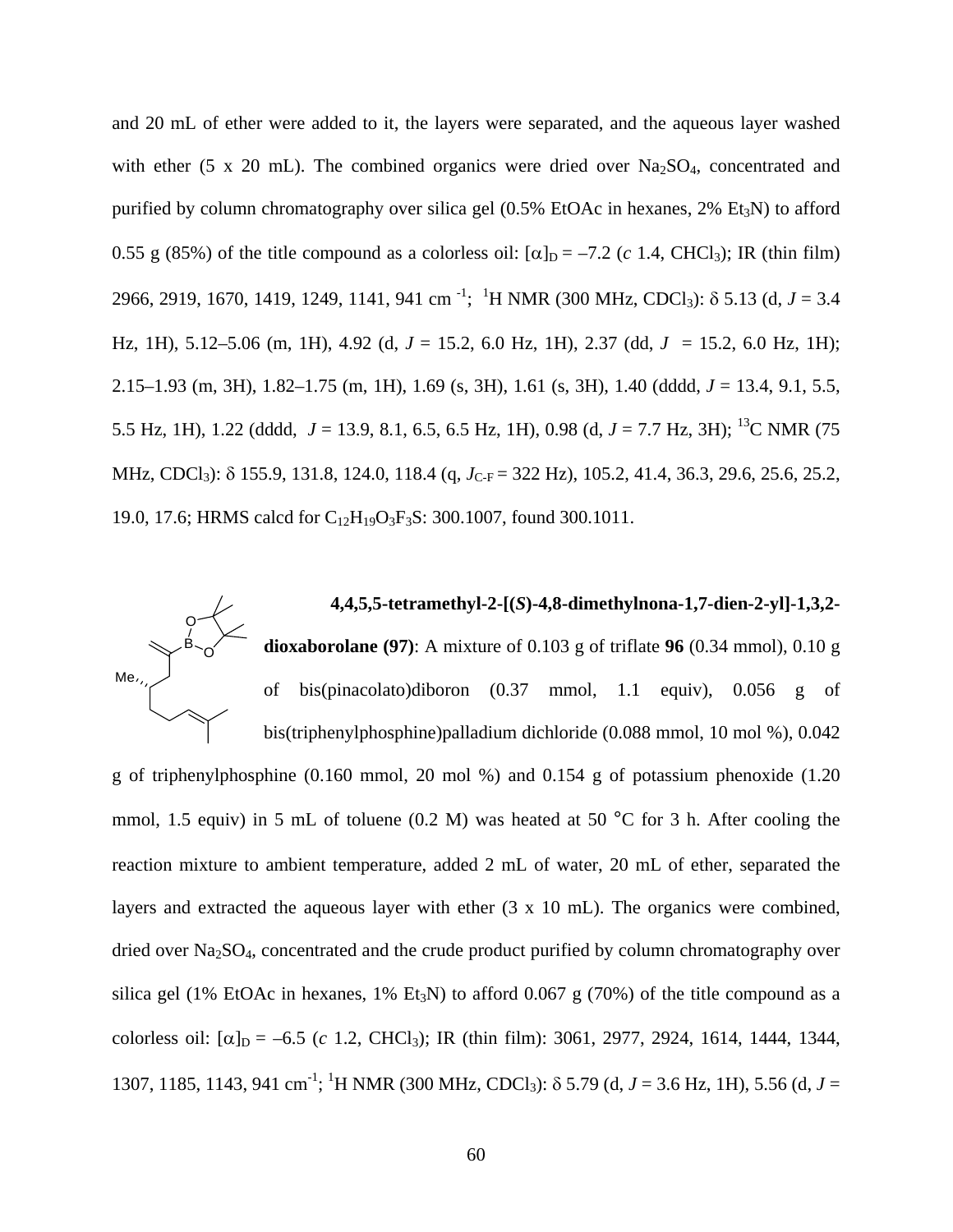and 20 mL of ether were added to it, the layers were separated, and the aqueous layer washed with ether (5 x 20 mL). The combined organics were dried over  $Na<sub>2</sub>SO<sub>4</sub>$ , concentrated and purified by column chromatography over silica gel  $(0.5\%$  EtOAc in hexanes, 2% Et<sub>3</sub>N) to afford 0.55 g (85%) of the title compound as a colorless oil:  $[\alpha]_D = -7.2$  (*c* 1.4, CHCl<sub>3</sub>); IR (thin film) 2966, 2919, 1670, 1419, 1249, 1141, 941 cm -1 ; 1 H NMR (300 MHz, CDCl3): δ 5.13 (d, *J* = 3.4 Hz, 1H), 5.12–5.06 (m, 1H), 4.92 (d, *J* = 15.2, 6.0 Hz, 1H), 2.37 (dd, *J* = 15.2, 6.0 Hz, 1H); 2.15–1.93 (m, 3H), 1.82–1.75 (m, 1H), 1.69 (s, 3H), 1.61 (s, 3H), 1.40 (dddd, *J* = 13.4, 9.1, 5.5, 5.5 Hz, 1H), 1.22 (dddd, *J* = 13.9, 8.1, 6.5, 6.5 Hz, 1H), 0.98 (d, *J* = 7.7 Hz, 3H); 13C NMR (75 MHz, CDCl<sub>3</sub>): δ 155.9, 131.8, 124.0, 118.4 (q, *J*<sub>C-F</sub> = 322 Hz), 105.2, 41.4, 36.3, 29.6, 25.6, 25.2, 19.0, 17.6; HRMS calcd for C<sub>12</sub>H<sub>19</sub>O<sub>3</sub>F<sub>3</sub>S: 300.1007, found 300.1011.

**4,4,5,5-tetramethyl-2-[(***S***)-4,8-dimethylnona-1,7-dien-2-yl]-1,3,2 dioxaborolane (97)**: A mixture of 0.103 g of triflate **96** (0.34 mmol), 0.10 g of bis(pinacolato)diboron (0.37 mmol, 1.1 equiv), 0.056 g of bis(triphenylphosphine)palladium dichloride (0.088 mmol, 10 mol %), 0.042 Me  $3 - 0$ O

g of triphenylphosphine (0.160 mmol, 20 mol %) and 0.154 g of potassium phenoxide (1.20 mmol, 1.5 equiv) in 5 mL of toluene (0.2 M) was heated at 50 °C for 3 h. After cooling the reaction mixture to ambient temperature, added 2 mL of water, 20 mL of ether, separated the layers and extracted the aqueous layer with ether (3 x 10 mL). The organics were combined, dried over Na<sub>2</sub>SO<sub>4</sub>, concentrated and the crude product purified by column chromatography over silica gel (1% EtOAc in hexanes, 1% Et<sub>3</sub>N) to afford 0.067 g (70%) of the title compound as a colorless oil:  $[\alpha]_D = -6.5$  (*c* 1.2, CHCl<sub>3</sub>); IR (thin film): 3061, 2977, 2924, 1614, 1444, 1344, 1307, 1185, 1143, 941 cm<sup>-1</sup>; <sup>1</sup>H NMR (300 MHz, CDCl<sub>3</sub>): δ 5.79 (d, *J* = 3.6 Hz, 1H), 5.56 (d, *J* =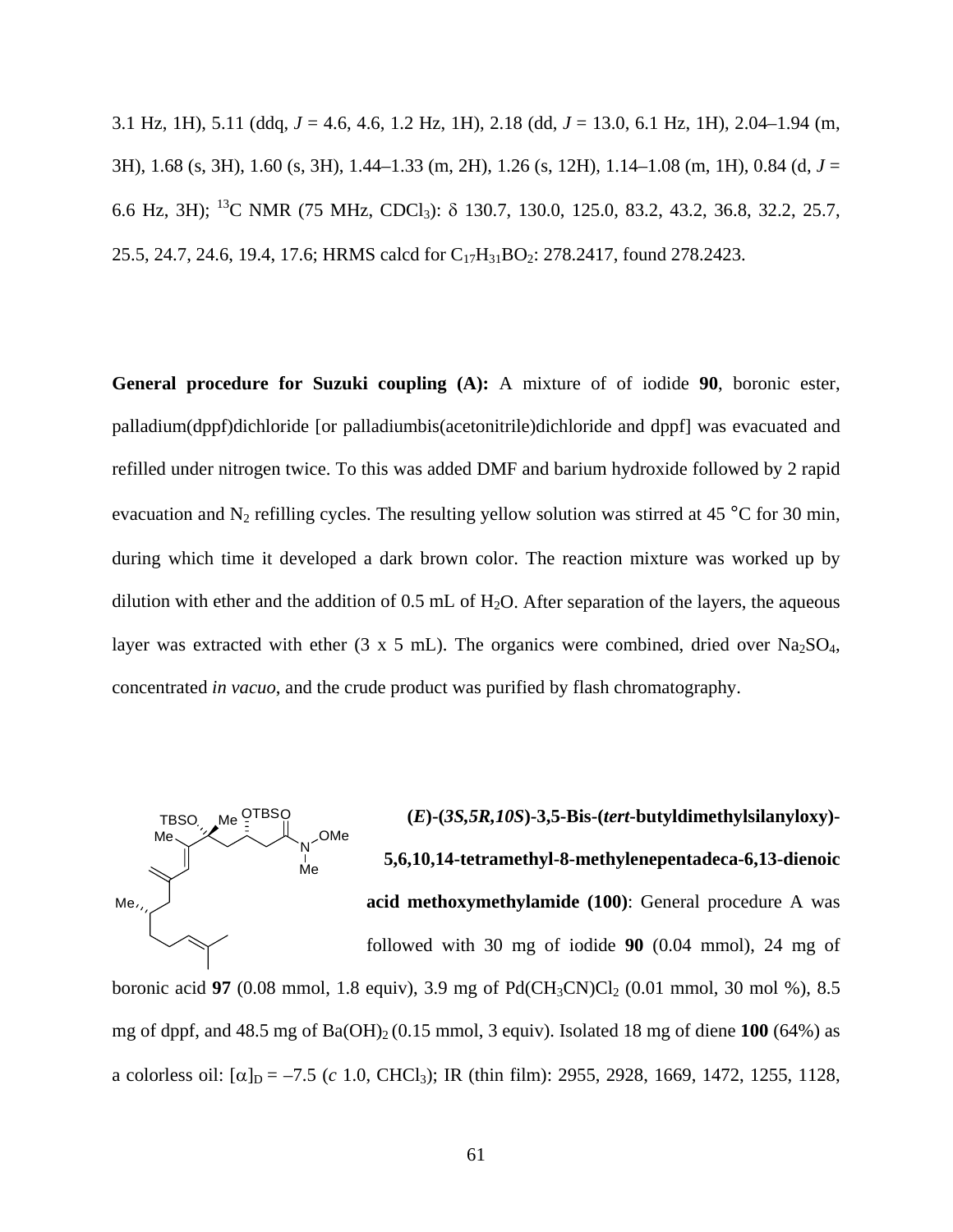3.1 Hz, 1H), 5.11 (ddq, *J* = 4.6, 4.6, 1.2 Hz, 1H), 2.18 (dd, *J* = 13.0, 6.1 Hz, 1H), 2.04–1.94 (m, 3H), 1.68 (s, 3H), 1.60 (s, 3H), 1.44–1.33 (m, 2H), 1.26 (s, 12H), 1.14–1.08 (m, 1H), 0.84 (d, *J* = 6.6 Hz, 3H); 13C NMR (75 MHz, CDCl3): δ 130.7, 130.0, 125.0, 83.2, 43.2, 36.8, 32.2, 25.7, 25.5, 24.7, 24.6, 19.4, 17.6; HRMS calcd for C<sub>17</sub>H<sub>31</sub>BO<sub>2</sub>: 278.2417, found 278.2423.

**General procedure for Suzuki coupling (A):** A mixture of of iodide **90**, boronic ester, palladium(dppf)dichloride [or palladiumbis(acetonitrile)dichloride and dppf] was evacuated and refilled under nitrogen twice. To this was added DMF and barium hydroxide followed by 2 rapid evacuation and  $N_2$  refilling cycles. The resulting yellow solution was stirred at 45 °C for 30 min, during which time it developed a dark brown color. The reaction mixture was worked up by dilution with ether and the addition of  $0.5$  mL of  $H<sub>2</sub>O$ . After separation of the layers, the aqueous layer was extracted with ether (3 x 5 mL). The organics were combined, dried over Na<sub>2</sub>SO<sub>4</sub>, concentrated *in vacuo*, and the crude product was purified by flash chromatography.



**(***E***)-(***3S,5R,10S***)-3,5-Bis-(***tert***-butyldimethylsilanyloxy)- 5,6,10,14-tetramethyl-8-methylenepentadeca-6,13-dienoic acid methoxymethylamide (100)**: General procedure A was

followed with 30 mg of iodide **90** (0.04 mmol), 24 mg of

boronic acid **97** (0.08 mmol, 1.8 equiv), 3.9 mg of Pd(CH<sub>3</sub>CN)Cl<sub>2</sub> (0.01 mmol, 30 mol %), 8.5 mg of dppf, and  $48.5$  mg of  $Ba(OH)_2 (0.15$  mmol, 3 equiv). Isolated 18 mg of diene  $100$  (64%) as a colorless oil:  $[\alpha]_D = -7.5$  (*c* 1.0, CHCl<sub>3</sub>); IR (thin film): 2955, 2928, 1669, 1472, 1255, 1128,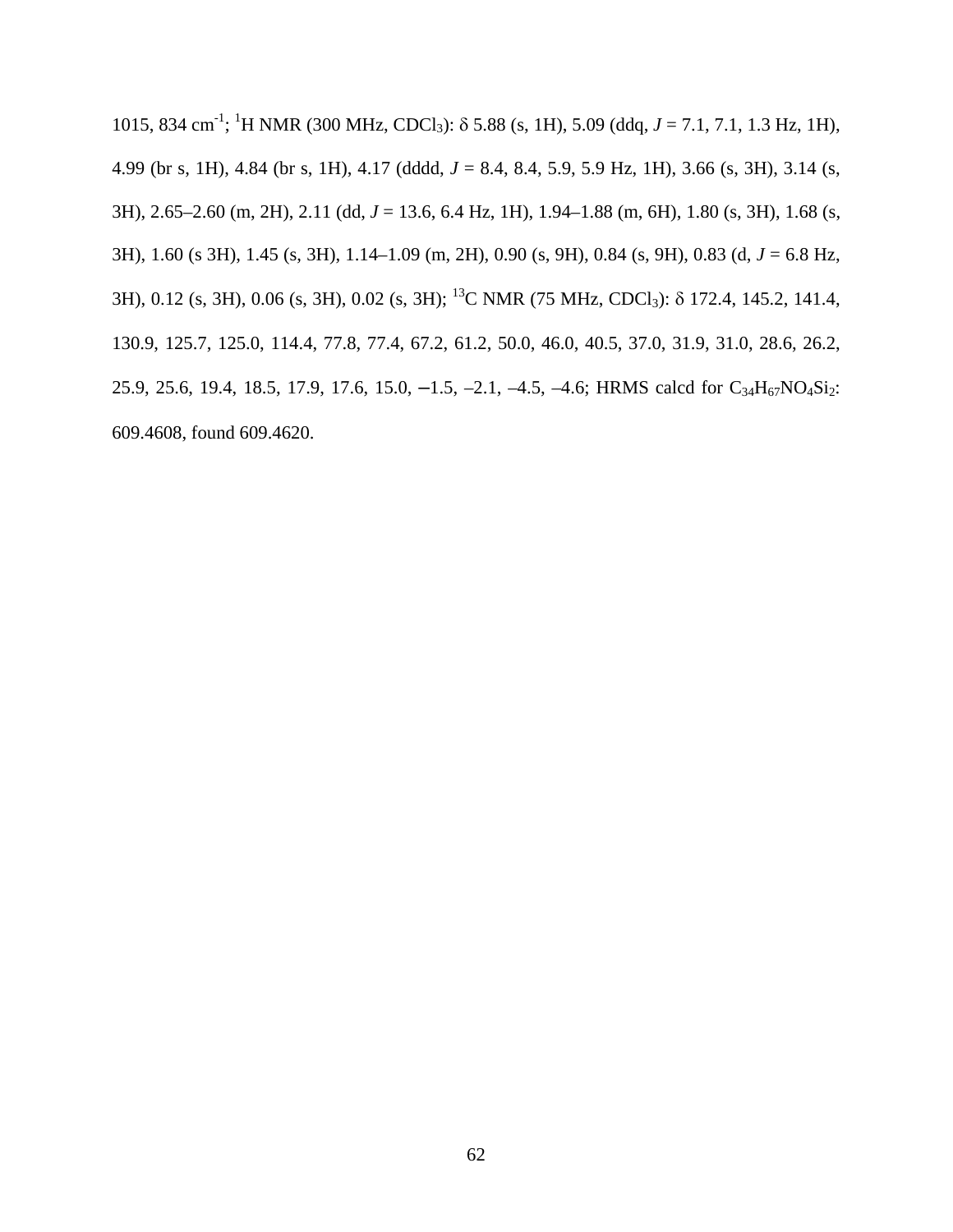1015, 834 cm-1 ; 1 H NMR (300 MHz, CDCl3): δ 5.88 (s, 1H), 5.09 (ddq, *J* = 7.1, 7.1, 1.3 Hz, 1H), 4.99 (br s, 1H), 4.84 (br s, 1H), 4.17 (dddd, *J* = 8.4, 8.4, 5.9, 5.9 Hz, 1H), 3.66 (s, 3H), 3.14 (s, 3H), 2.65–2.60 (m, 2H), 2.11 (dd, *J* = 13.6, 6.4 Hz, 1H), 1.94–1.88 (m, 6H), 1.80 (s, 3H), 1.68 (s, 3H), 1.60 (s 3H), 1.45 (s, 3H), 1.14–1.09 (m, 2H), 0.90 (s, 9H), 0.84 (s, 9H), 0.83 (d, *J* = 6.8 Hz, 3H), 0.12 (s, 3H), 0.06 (s, 3H), 0.02 (s, 3H); 13C NMR (75 MHz, CDCl3): δ 172.4, 145.2, 141.4, 130.9, 125.7, 125.0, 114.4, 77.8, 77.4, 67.2, 61.2, 50.0, 46.0, 40.5, 37.0, 31.9, 31.0, 28.6, 26.2, 25.9, 25.6, 19.4, 18.5, 17.9, 17.6, 15.0,  $-1.5$ ,  $-2.1$ ,  $-4.5$ ,  $-4.6$ ; HRMS calcd for  $C_{34}H_{67}NO_4Si_2$ : 609.4608, found 609.4620.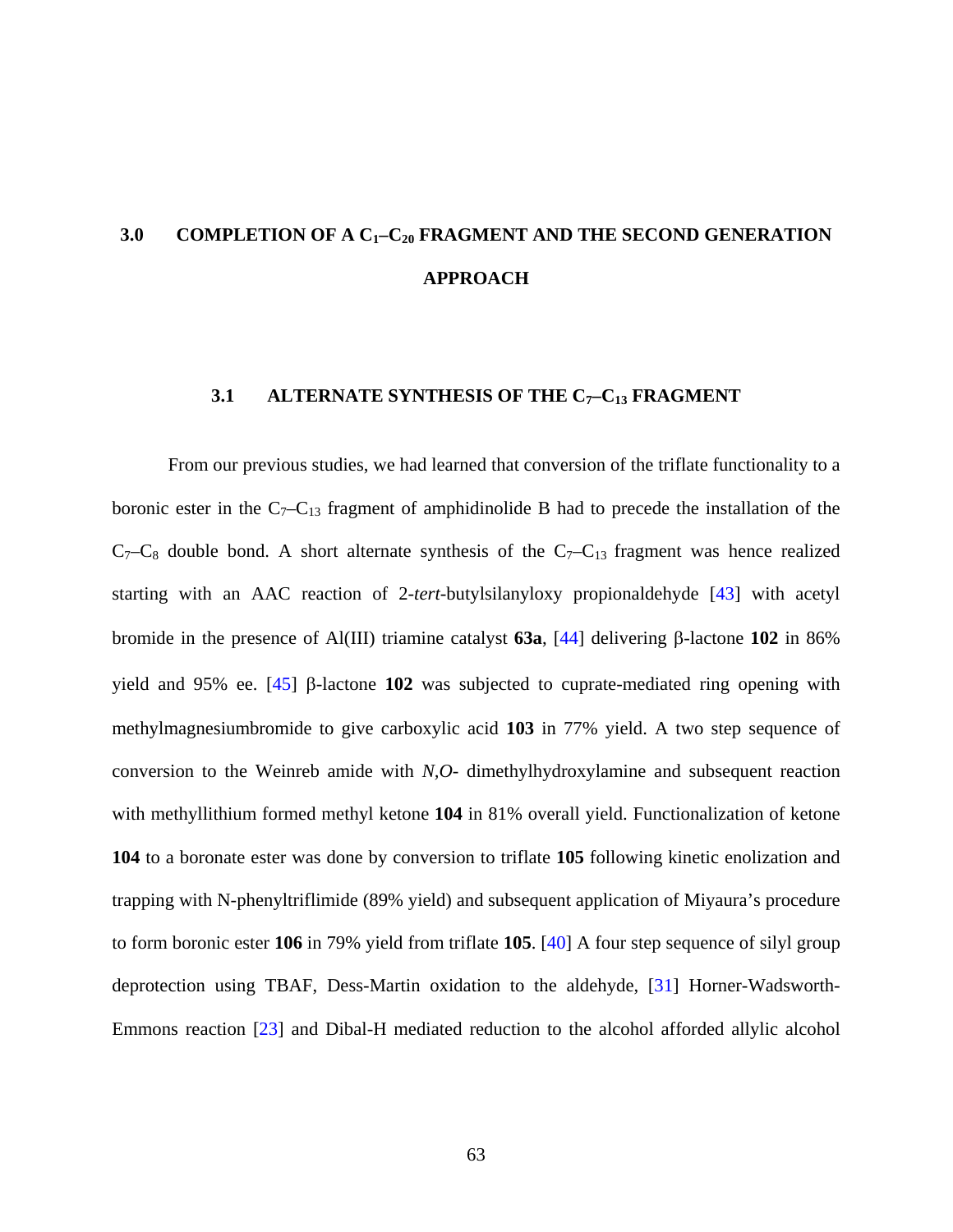# **3.0 COMPLETION OF A C1–C20 FRAGMENT AND THE SECOND GENERATION APPROACH**

# **3.1 ALTERNATE SYNTHESIS OF THE C7–C13 FRAGMENT**

From our previous studies, we had learned that conversion of the triflate functionality to a boronic ester in the  $C_7-C_{13}$  fragment of amphidinolide B had to precede the installation of the  $C_7-C_8$  double bond. A short alternate synthesis of the  $C_7-C_{13}$  fragment was hence realized starting with an AAC reaction of 2-*tert*-butylsilanyloxy propionaldehyde [\[43](#page-118-0)] with acetyl bromide in the presence of Al(III) triamine catalyst **63a**, [[44\]](#page-118-0) delivering β-lactone **102** in 86% yield and 95% ee. [\[45](#page-118-0)] β-lactone **102** was subjected to cuprate-mediated ring opening with methylmagnesiumbromide to give carboxylic acid **103** in 77% yield. A two step sequence of conversion to the Weinreb amide with *N,O*- dimethylhydroxylamine and subsequent reaction with methyllithium formed methyl ketone **104** in 81% overall yield. Functionalization of ketone **104** to a boronate ester was done by conversion to triflate **105** following kinetic enolization and trapping with N-phenyltriflimide (89% yield) and subsequent application of Miyaura's procedure to form boronic ester **106** in 79% yield from triflate **105**. [[40\]](#page-118-0) A four step sequence of silyl group deprotection using TBAF, Dess-Martin oxidation to the aldehyde, [[31\]](#page-117-0) Horner-Wadsworth-Emmons reaction [[23\]](#page-117-0) and Dibal-H mediated reduction to the alcohol afforded allylic alcohol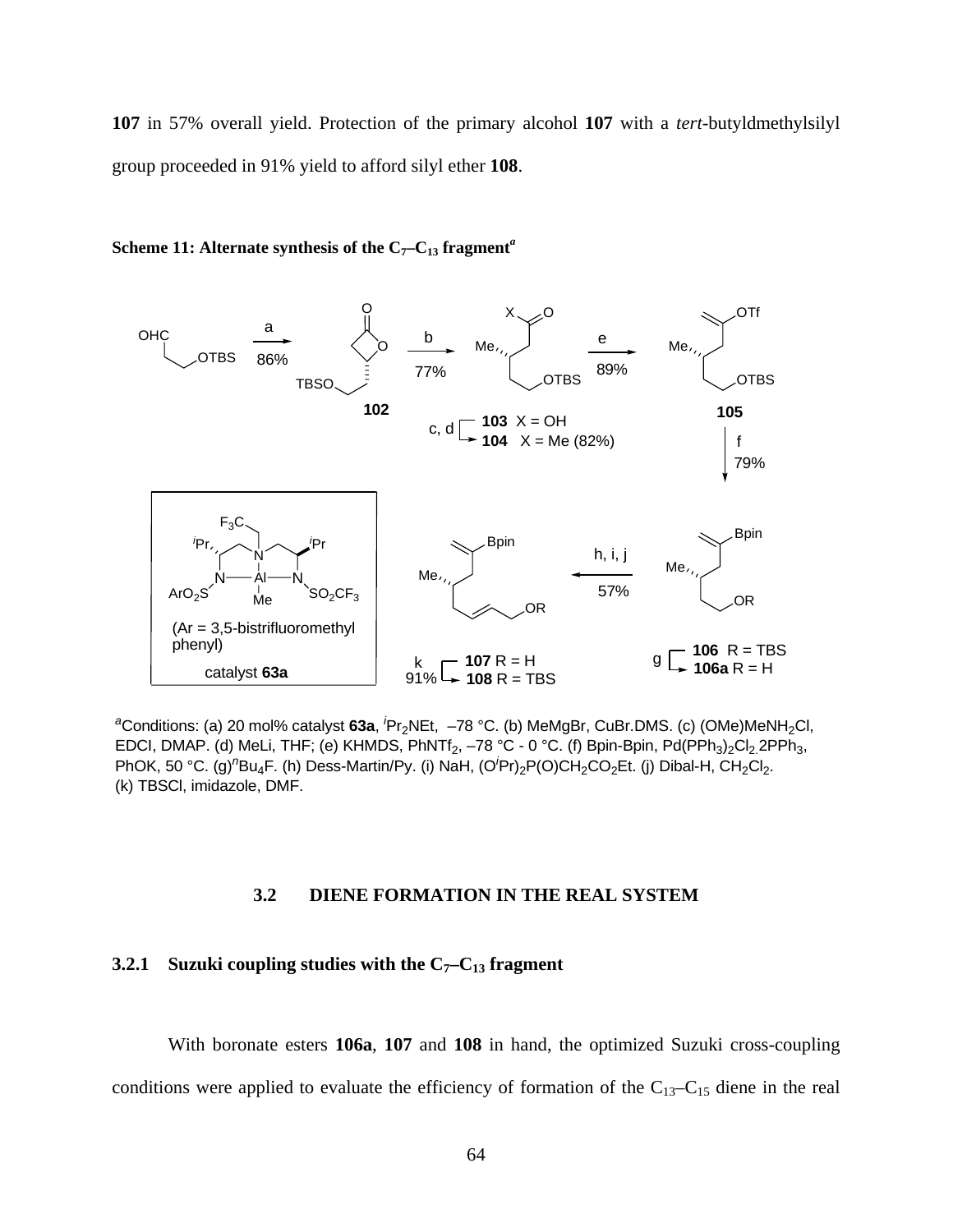**107** in 57% overall yield. Protection of the primary alcohol **107** with a *tert*-butyldmethylsilyl group proceeded in 91% yield to afford silyl ether **108**.



Scheme 11: Alternate synthesis of the C<sub>7</sub>-C<sub>13</sub> fragment<sup>*a*</sup>

<sup>a</sup>Conditions: (a) 20 mol% catalyst 63a, <sup>*i*</sup>Pr<sub>2</sub>NEt, -78 °C. (b) MeMgBr, CuBr.DMS. (c) (OMe)MeNH<sub>2</sub>Cl, EDCI, DMAP. (d) MeLi, THF; (e) KHMDS, PhNTf<sub>2</sub>, -78 °C - 0 °C. (f) Bpin-Bpin, Pd(PPh<sub>3</sub>)<sub>2</sub>Cl<sub>2</sub>.2PPh<sub>3</sub>, PhOK, 50 °C. (g)<sup>n</sup>Bu<sub>4</sub>F. (h) Dess-Martin/Py. (i) NaH, (O<sup>i</sup>Pr)<sub>2</sub>P(O)CH<sub>2</sub>CO<sub>2</sub>Et. (j) Dibal-H, CH<sub>2</sub>Cl<sub>2</sub>. (k) TBSCl, imidazole, DMF.

# **3.2 DIENE FORMATION IN THE REAL SYSTEM**

# **3.2.1** Suzuki coupling studies with the  $C_7-C_{13}$  fragment

With boronate esters **106a**, **107** and **108** in hand, the optimized Suzuki cross-coupling

conditions were applied to evaluate the efficiency of formation of the  $C_{13}-C_{15}$  diene in the real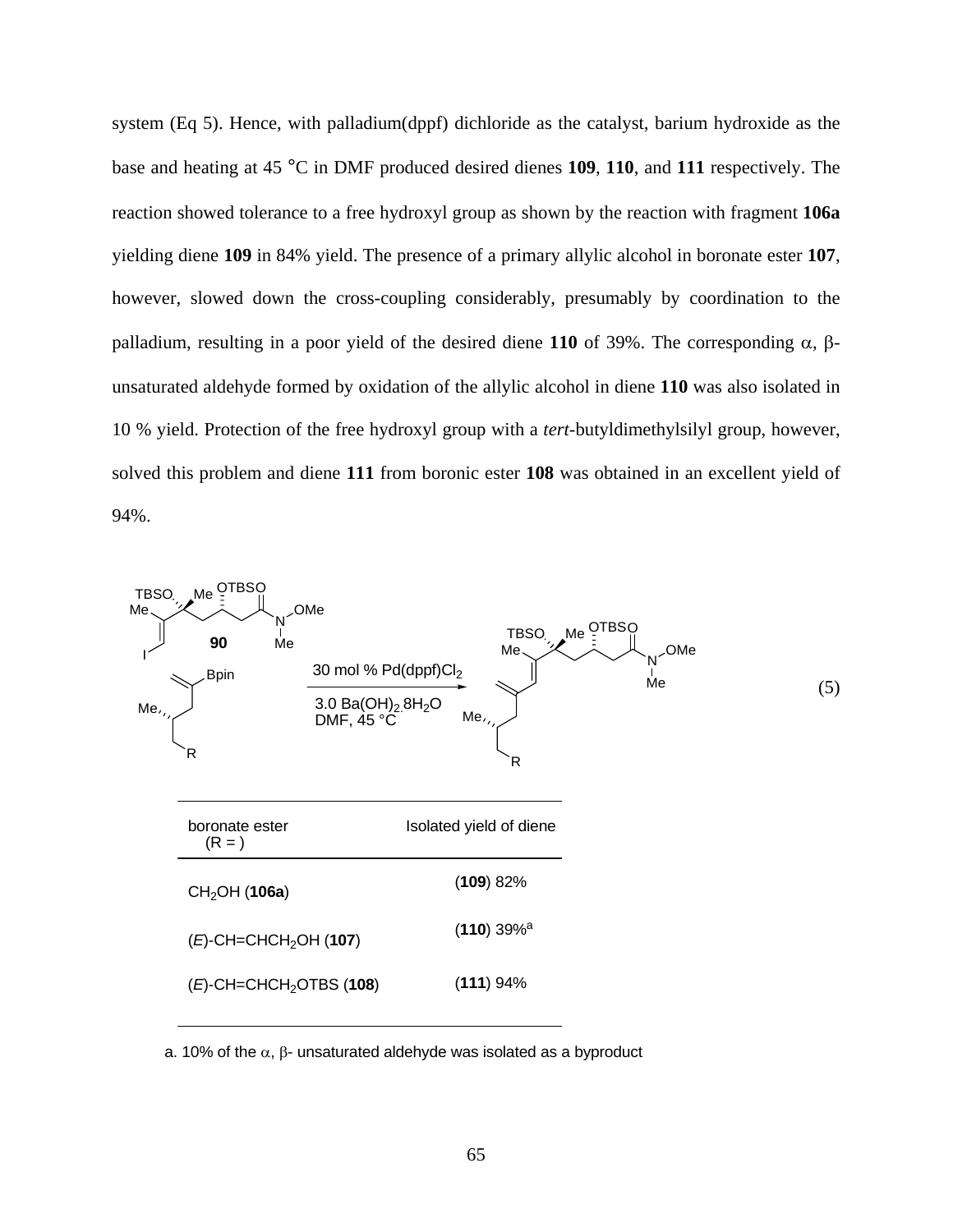system (Eq 5). Hence, with palladium(dppf) dichloride as the catalyst, barium hydroxide as the base and heating at 45 °C in DMF produced desired dienes **109**, **110**, and **111** respectively. The reaction showed tolerance to a free hydroxyl group as shown by the reaction with fragment **106a**  yielding diene **109** in 84% yield. The presence of a primary allylic alcohol in boronate ester **107**, however, slowed down the cross-coupling considerably, presumably by coordination to the palladium, resulting in a poor yield of the desired diene **110** of 39%. The corresponding α, βunsaturated aldehyde formed by oxidation of the allylic alcohol in diene **110** was also isolated in 10 % yield. Protection of the free hydroxyl group with a *tert*-butyldimethylsilyl group, however, solved this problem and diene **111** from boronic ester **108** was obtained in an excellent yield of 94%.



a. 10% of the  $\alpha$ ,  $\beta$ - unsaturated aldehyde was isolated as a byproduct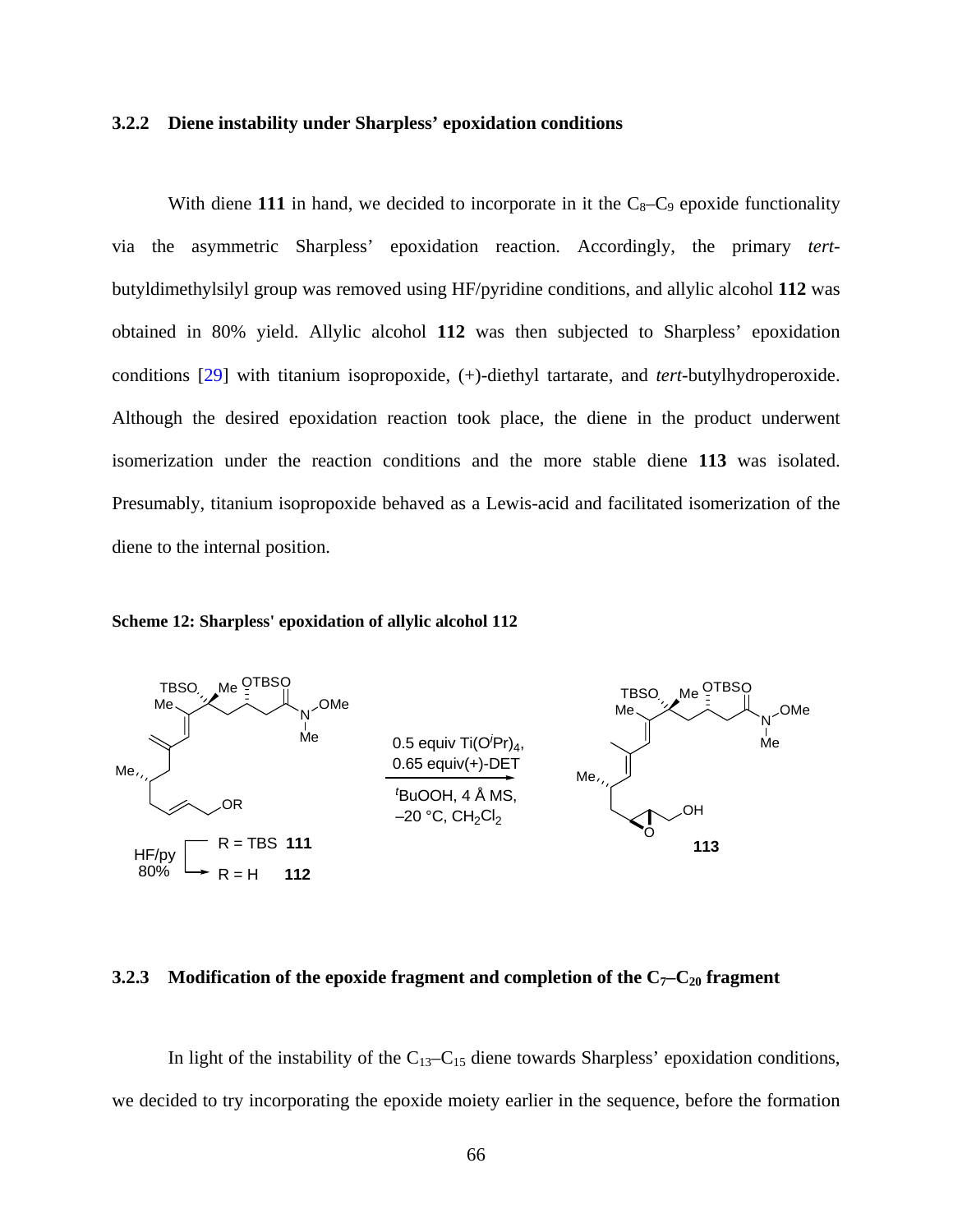#### **3.2.2 Diene instability under Sharpless' epoxidation conditions**

With diene 111 in hand, we decided to incorporate in it the  $C_8-C_9$  epoxide functionality via the asymmetric Sharpless' epoxidation reaction. Accordingly, the primary *tert*butyldimethylsilyl group was removed using HF/pyridine conditions, and allylic alcohol **112** was obtained in 80% yield. Allylic alcohol **112** was then subjected to Sharpless' epoxidation conditions [\[29](#page-117-0)] with titanium isopropoxide, (+)-diethyl tartarate, and *tert*-butylhydroperoxide. Although the desired epoxidation reaction took place, the diene in the product underwent isomerization under the reaction conditions and the more stable diene **113** was isolated. Presumably, titanium isopropoxide behaved as a Lewis-acid and facilitated isomerization of the diene to the internal position.

#### **Scheme 12: Sharpless' epoxidation of allylic alcohol 112**



# **3.2.3 Modification of the epoxide fragment and completion of the**  $C_7-C_{20}$  **fragment**

In light of the instability of the  $C_{13}-C_{15}$  diene towards Sharpless' epoxidation conditions, we decided to try incorporating the epoxide moiety earlier in the sequence, before the formation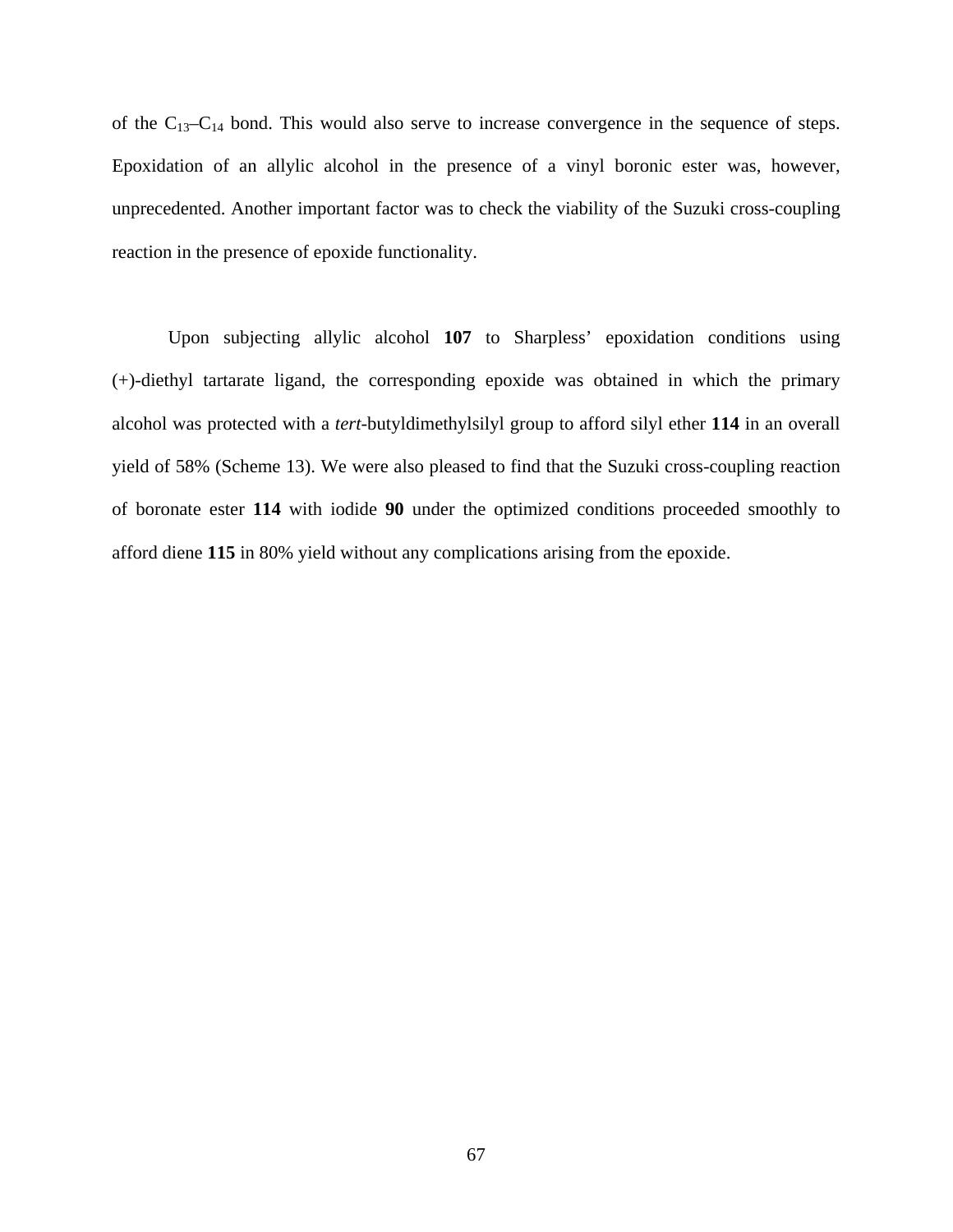of the  $C_{13}-C_{14}$  bond. This would also serve to increase convergence in the sequence of steps. Epoxidation of an allylic alcohol in the presence of a vinyl boronic ester was, however, unprecedented. Another important factor was to check the viability of the Suzuki cross-coupling reaction in the presence of epoxide functionality.

Upon subjecting allylic alcohol **107** to Sharpless' epoxidation conditions using (+)-diethyl tartarate ligand, the corresponding epoxide was obtained in which the primary alcohol was protected with a *tert*-butyldimethylsilyl group to afford silyl ether **114** in an overall yield of 58% (Scheme 13). We were also pleased to find that the Suzuki cross-coupling reaction of boronate ester **114** with iodide **90** under the optimized conditions proceeded smoothly to afford diene **115** in 80% yield without any complications arising from the epoxide.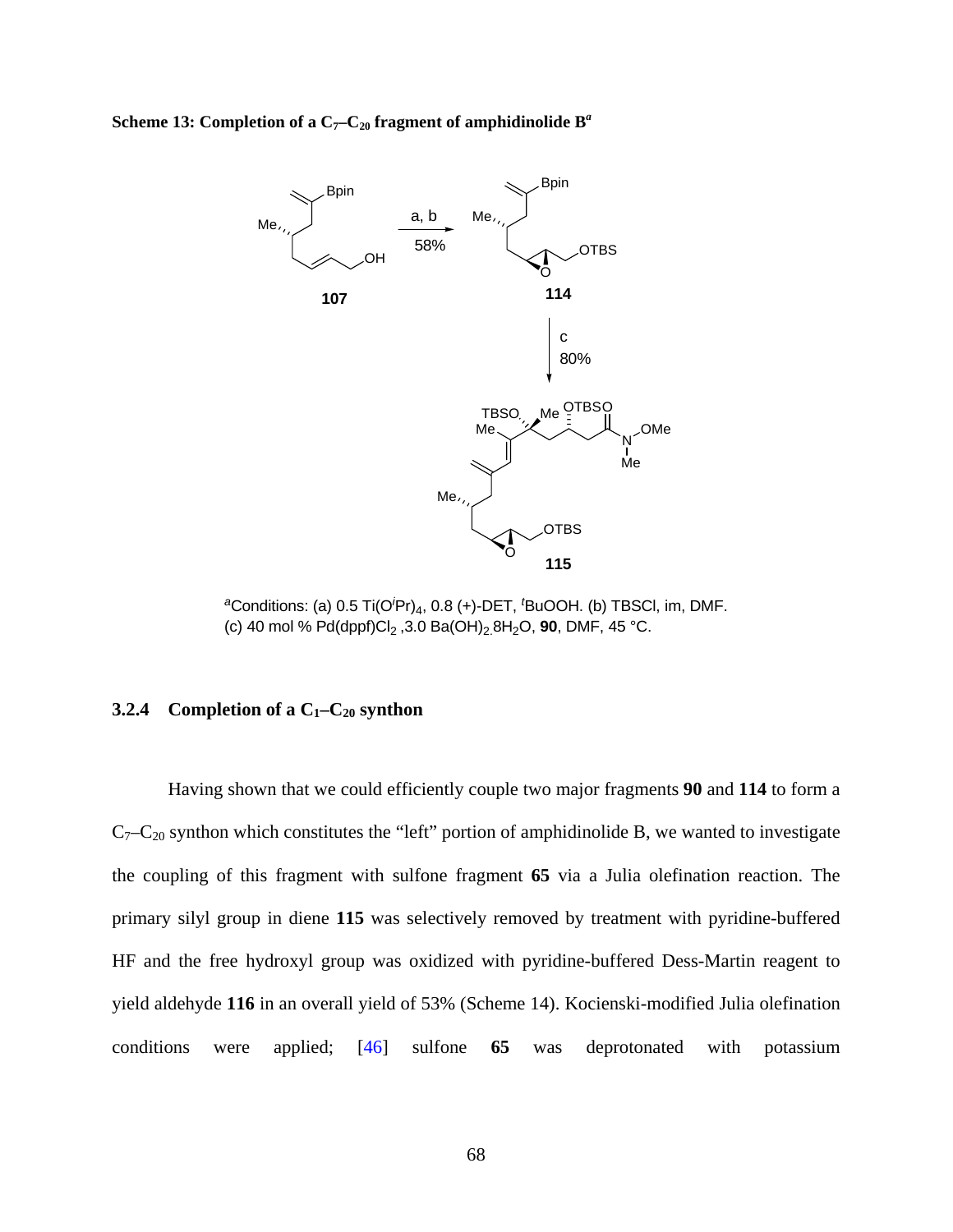**Scheme 13: Completion of a**  $C_7-C_{20}$  **fragment of amphidinolide**  $B^a$ 



*<sup>a</sup>*Conditions: (a) 0.5 Ti(O*<sup>i</sup>* Pr)4, 0.8 (+)-DET, *<sup>t</sup>* BuOOH. (b) TBSCl, im, DMF. (c) 40 mol %  $Pd(dppf)Cl_2$ , 3.0 Ba(OH)<sub>2</sub>.8H<sub>2</sub>O, **90**, DMF, 45 °C.

# **3.2.4** Completion of a  $C_1 - C_{20}$  synthon

Having shown that we could efficiently couple two major fragments **90** and **114** to form a  $C_7-C_{20}$  synthon which constitutes the "left" portion of amphidinolide B, we wanted to investigate the coupling of this fragment with sulfone fragment **65** via a Julia olefination reaction. The primary silyl group in diene **115** was selectively removed by treatment with pyridine-buffered HF and the free hydroxyl group was oxidized with pyridine-buffered Dess-Martin reagent to yield aldehyde **116** in an overall yield of 53% (Scheme 14). Kocienski-modified Julia olefination conditions were applied; [[46\]](#page-118-0) sulfone **65** was deprotonated with potassium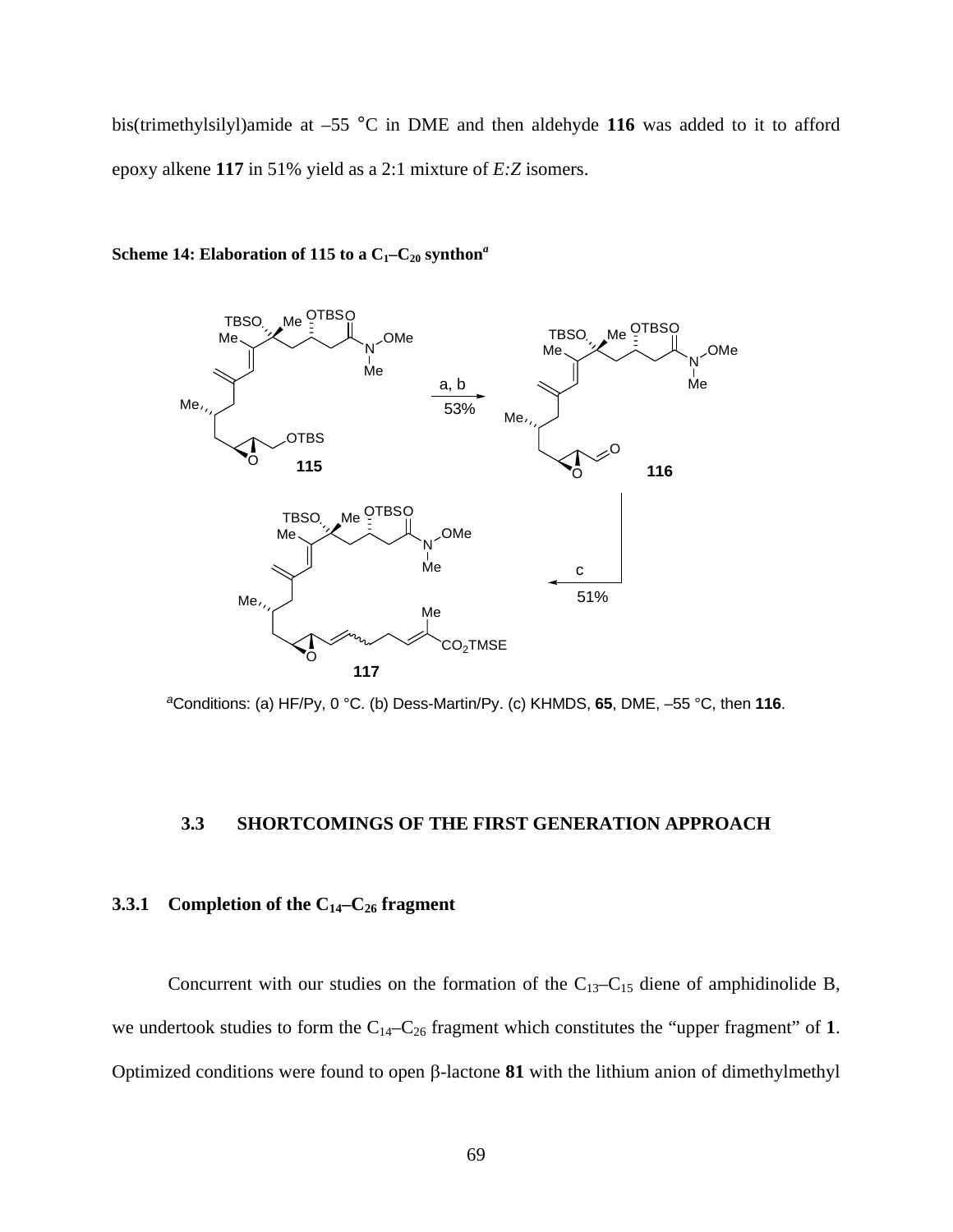bis(trimethylsilyl)amide at –55 °C in DME and then aldehyde **116** was added to it to afford epoxy alkene **117** in 51% yield as a 2:1 mixture of *E:Z* isomers.



# **Scheme 14: Elaboration of 115 to a**  $C_1-C_{20}$  **synthon<sup>***a***</sup>**

*<sup>a</sup>*Conditions: (a) HF/Py, 0 °C. (b) Dess-Martin/Py. (c) KHMDS, **65**, DME, –55 °C, then **116**.

# **3.3 SHORTCOMINGS OF THE FIRST GENERATION APPROACH**

# **3.3.1 Completion of the C14–C26 fragment**

Concurrent with our studies on the formation of the  $C_{13}-C_{15}$  diene of amphidinolide B, we undertook studies to form the C14–C26 fragment which constitutes the "upper fragment" of **1**. Optimized conditions were found to open β-lactone **81** with the lithium anion of dimethylmethyl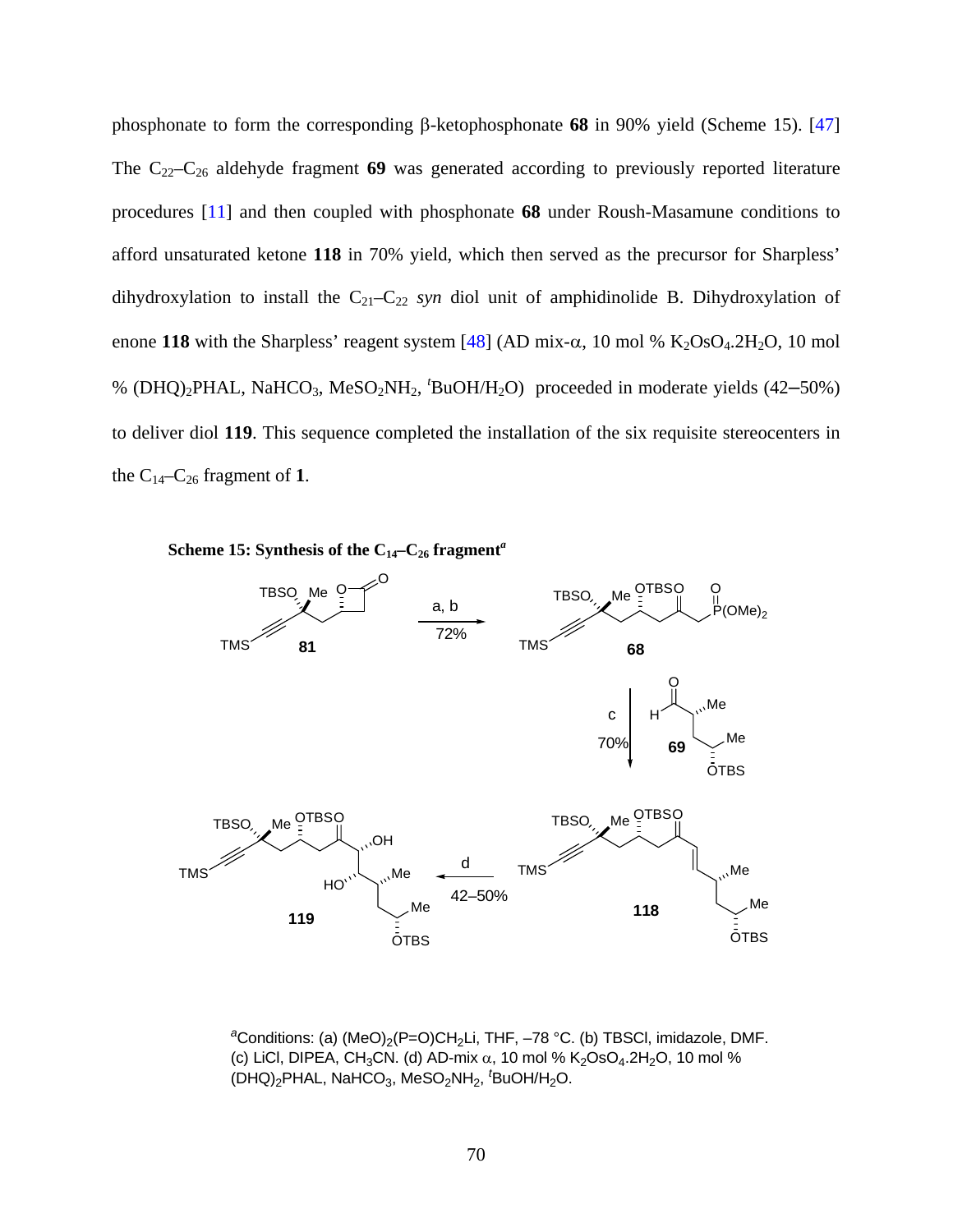phosphonate to form the corresponding β-ketophosphonate **68** in 90% yield (Scheme 15). [\[47\]](#page-118-0) The C22–C26 aldehyde fragment **69** was generated according to previously reported literature procedures [\[11](#page-116-0)] and then coupled with phosphonate **68** under Roush-Masamune conditions to afford unsaturated ketone **118** in 70% yield, which then served as the precursor for Sharpless' dihydroxylation to install the  $C_{21}-C_{22}$  *syn* diol unit of amphidinolide B. Dihydroxylation of enone 118 with the Sharpless' reagent system  $[48]$  $[48]$  (AD mix-α, 10 mol % K<sub>2</sub>OsO<sub>4</sub>.2H<sub>2</sub>O, 10 mol % (DHQ)2PHAL, NaHCO3, MeSO2NH2, *<sup>t</sup>* BuOH/H2O) proceeded in moderate yields (42–50%) to deliver diol **119**. This sequence completed the installation of the six requisite stereocenters in the  $C_{14}-C_{26}$  fragment of 1.



<sup>a</sup>Conditions: (a) (MeO)<sub>2</sub>(P=O)CH<sub>2</sub>Li, THF, –78 °C. (b) TBSCI, imidazole, DMF. (c) LiCl, DIPEA, CH<sub>3</sub>CN. (d) AD-mix  $\alpha$ , 10 mol % K<sub>2</sub>OsO<sub>4</sub>.2H<sub>2</sub>O, 10 mol % (DHQ)<sub>2</sub>PHAL, NaHCO<sub>3</sub>, MeSO<sub>2</sub>NH<sub>2</sub>, <sup>*t*</sup>BuOH/H<sub>2</sub>O.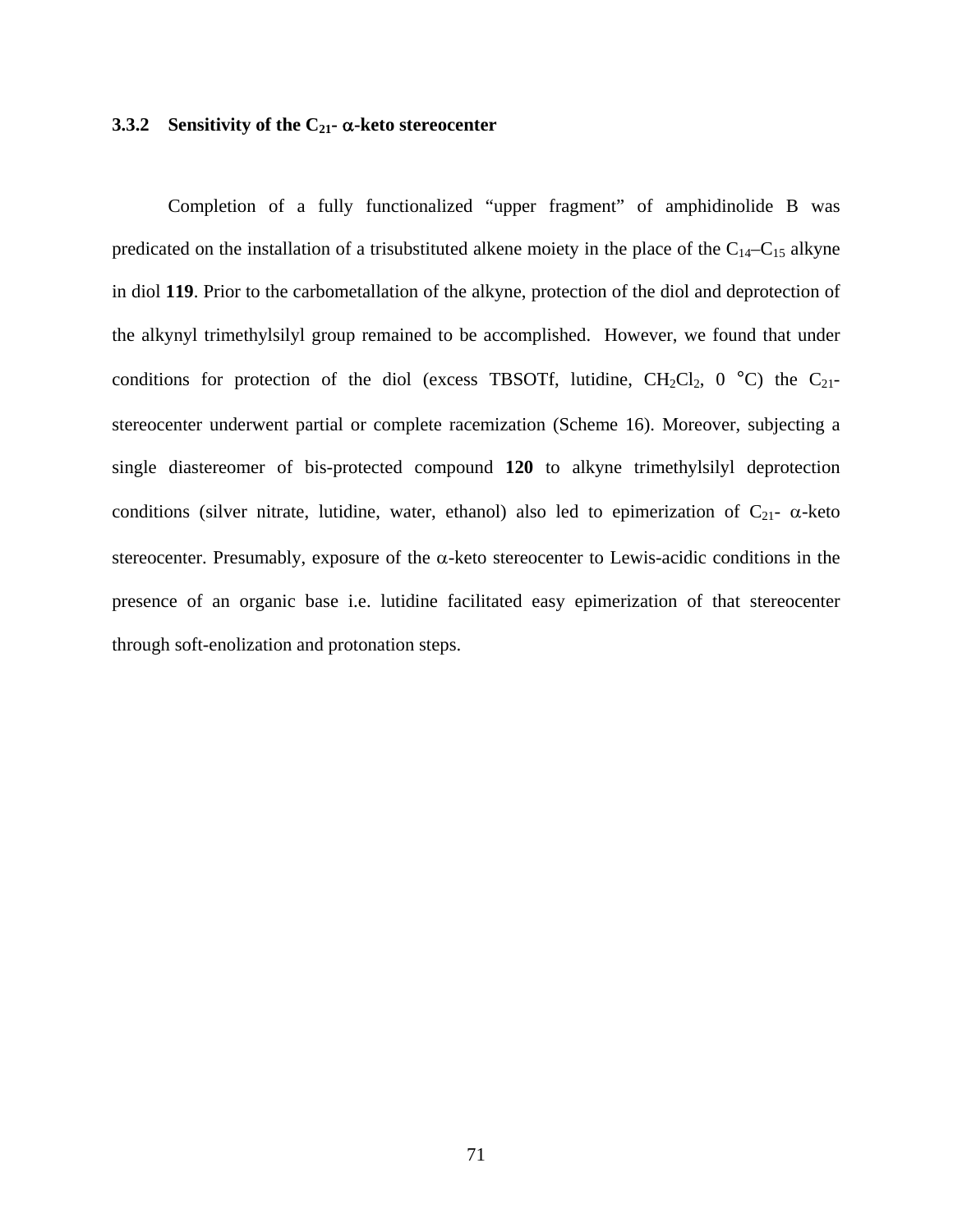# **3.3.2 Sensitivity of the C21-** α**-keto stereocenter**

Completion of a fully functionalized "upper fragment" of amphidinolide B was predicated on the installation of a trisubstituted alkene moiety in the place of the  $C_{14}-C_{15}$  alkyne in diol **119**. Prior to the carbometallation of the alkyne, protection of the diol and deprotection of the alkynyl trimethylsilyl group remained to be accomplished. However, we found that under conditions for protection of the diol (excess TBSOTf, lutidine,  $CH_2Cl_2$ , 0 °C) the C<sub>21</sub>stereocenter underwent partial or complete racemization (Scheme 16). Moreover, subjecting a single diastereomer of bis-protected compound **120** to alkyne trimethylsilyl deprotection conditions (silver nitrate, lutidine, water, ethanol) also led to epimerization of  $C_{21}$ -  $\alpha$ -keto stereocenter. Presumably, exposure of the  $\alpha$ -keto stereocenter to Lewis-acidic conditions in the presence of an organic base i.e. lutidine facilitated easy epimerization of that stereocenter through soft-enolization and protonation steps.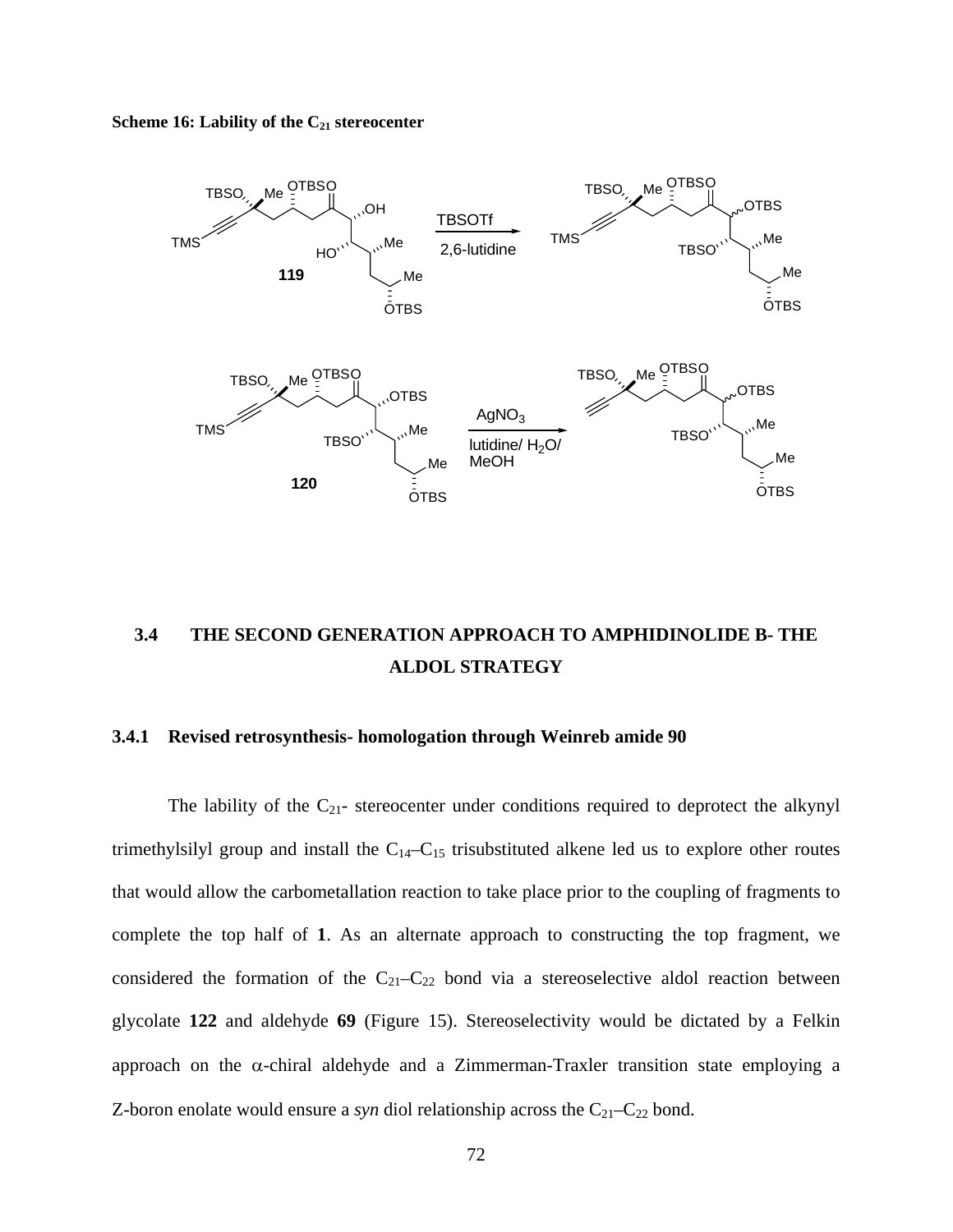Scheme 16: Lability of the C<sub>21</sub> stereocenter



# **3.4 THE SECOND GENERATION APPROACH TO AMPHIDINOLIDE B- THE ALDOL STRATEGY**

# **3.4.1 Revised retrosynthesis- homologation through Weinreb amide 90**

The lability of the  $C_{21}$ - stereocenter under conditions required to deprotect the alkynyl trimethylsilyl group and install the  $C_{14}-C_{15}$  trisubstituted alkene led us to explore other routes that would allow the carbometallation reaction to take place prior to the coupling of fragments to complete the top half of **1**. As an alternate approach to constructing the top fragment, we considered the formation of the  $C_{21}-C_{22}$  bond via a stereoselective aldol reaction between glycolate **122** and aldehyde **69** (Figure 15). Stereoselectivity would be dictated by a Felkin approach on the  $\alpha$ -chiral aldehyde and a Zimmerman-Traxler transition state employing a Z-boron enolate would ensure a *syn* diol relationship across the  $C_{21}-C_{22}$  bond.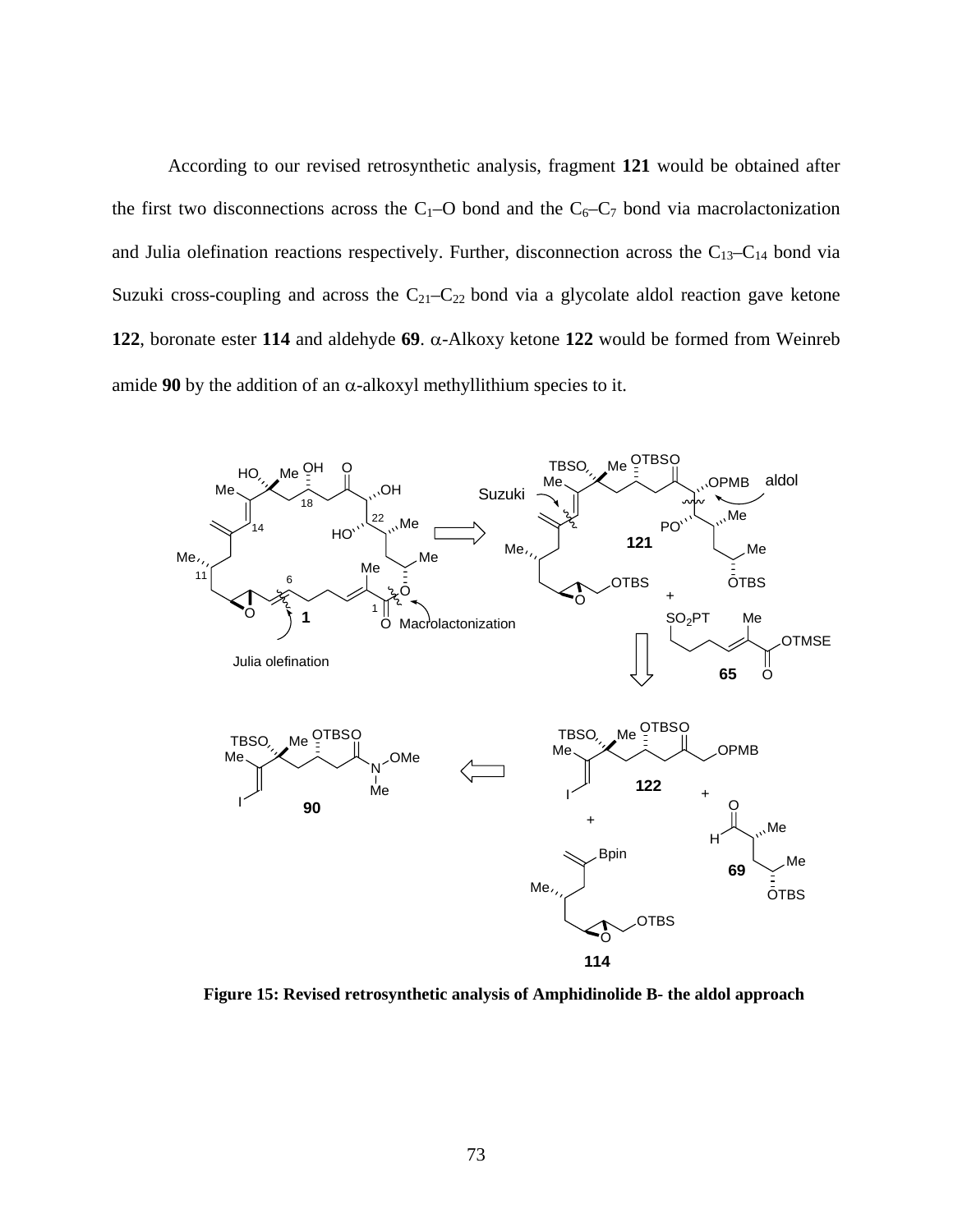According to our revised retrosynthetic analysis, fragment **121** would be obtained after the first two disconnections across the C<sub>1</sub>–O bond and the C<sub>6</sub>–C<sub>7</sub> bond via macrolactonization and Julia olefination reactions respectively. Further, disconnection across the  $C_{13}-C_{14}$  bond via Suzuki cross-coupling and across the  $C_{21}-C_{22}$  bond via a glycolate aldol reaction gave ketone **122**, boronate ester **114** and aldehyde **69**. α-Alkoxy ketone **122** would be formed from Weinreb amide **90** by the addition of an  $\alpha$ -alkoxyl methyllithium species to it.



**Figure 15: Revised retrosynthetic analysis of Amphidinolide B- the aldol approach**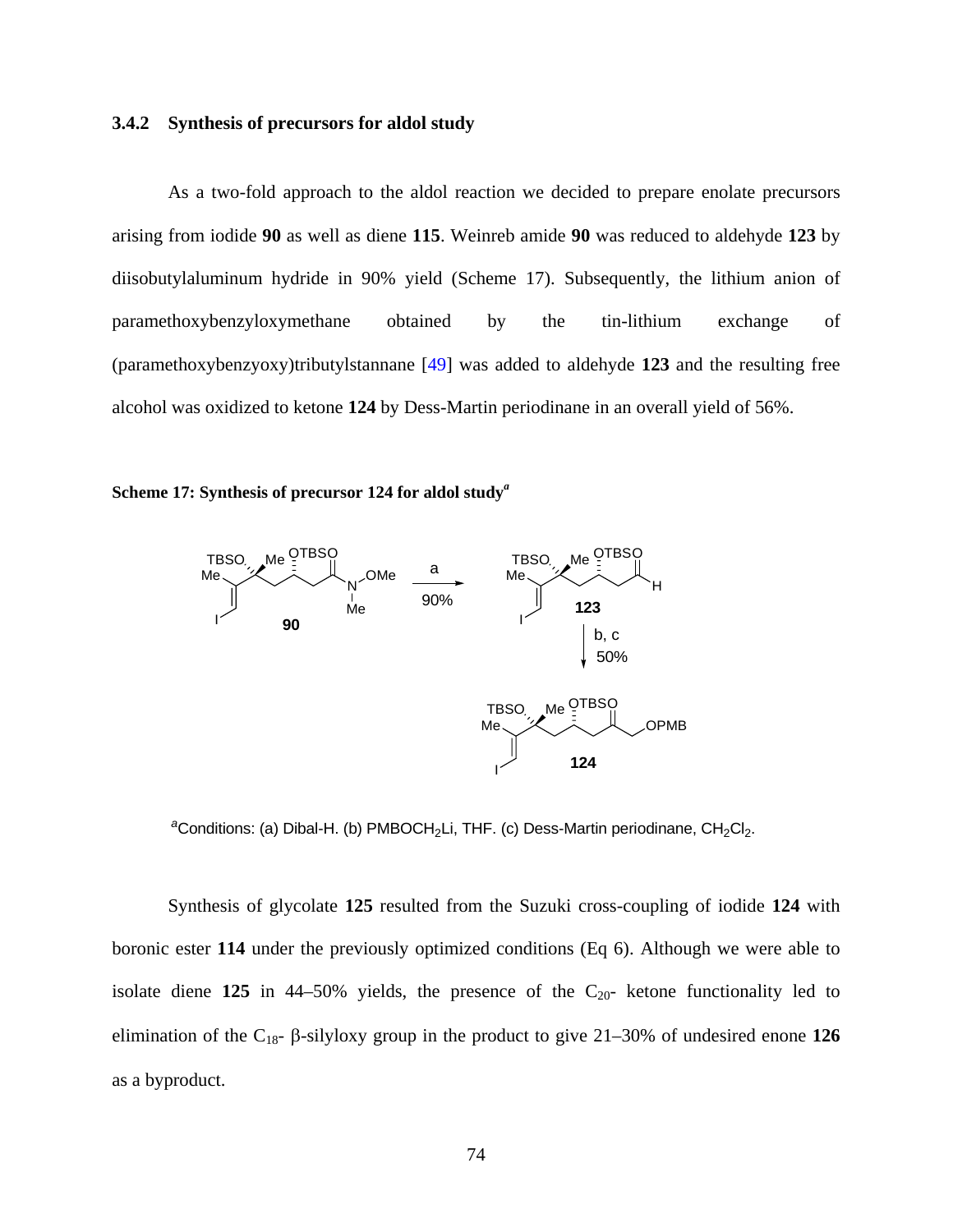# **3.4.2 Synthesis of precursors for aldol study**

As a two-fold approach to the aldol reaction we decided to prepare enolate precursors arising from iodide **90** as well as diene **115**. Weinreb amide **90** was reduced to aldehyde **123** by diisobutylaluminum hydride in 90% yield (Scheme 17). Subsequently, the lithium anion of paramethoxybenzyloxymethane obtained by the tin-lithium exchange of (paramethoxybenzyoxy)tributylstannane [[49\]](#page-118-0) was added to aldehyde **123** and the resulting free alcohol was oxidized to ketone **124** by Dess-Martin periodinane in an overall yield of 56%.





<sup>a</sup>Conditions: (a) Dibal-H. (b) PMBOCH<sub>2</sub>Li, THF. (c) Dess-Martin periodinane, CH<sub>2</sub>Cl<sub>2</sub>.

Synthesis of glycolate **125** resulted from the Suzuki cross-coupling of iodide **124** with boronic ester **114** under the previously optimized conditions (Eq 6). Although we were able to isolate diene  $125$  in  $44-50\%$  yields, the presence of the  $C_{20}$ - ketone functionality led to elimination of the C18- β-silyloxy group in the product to give 21–30% of undesired enone **126**  as a byproduct.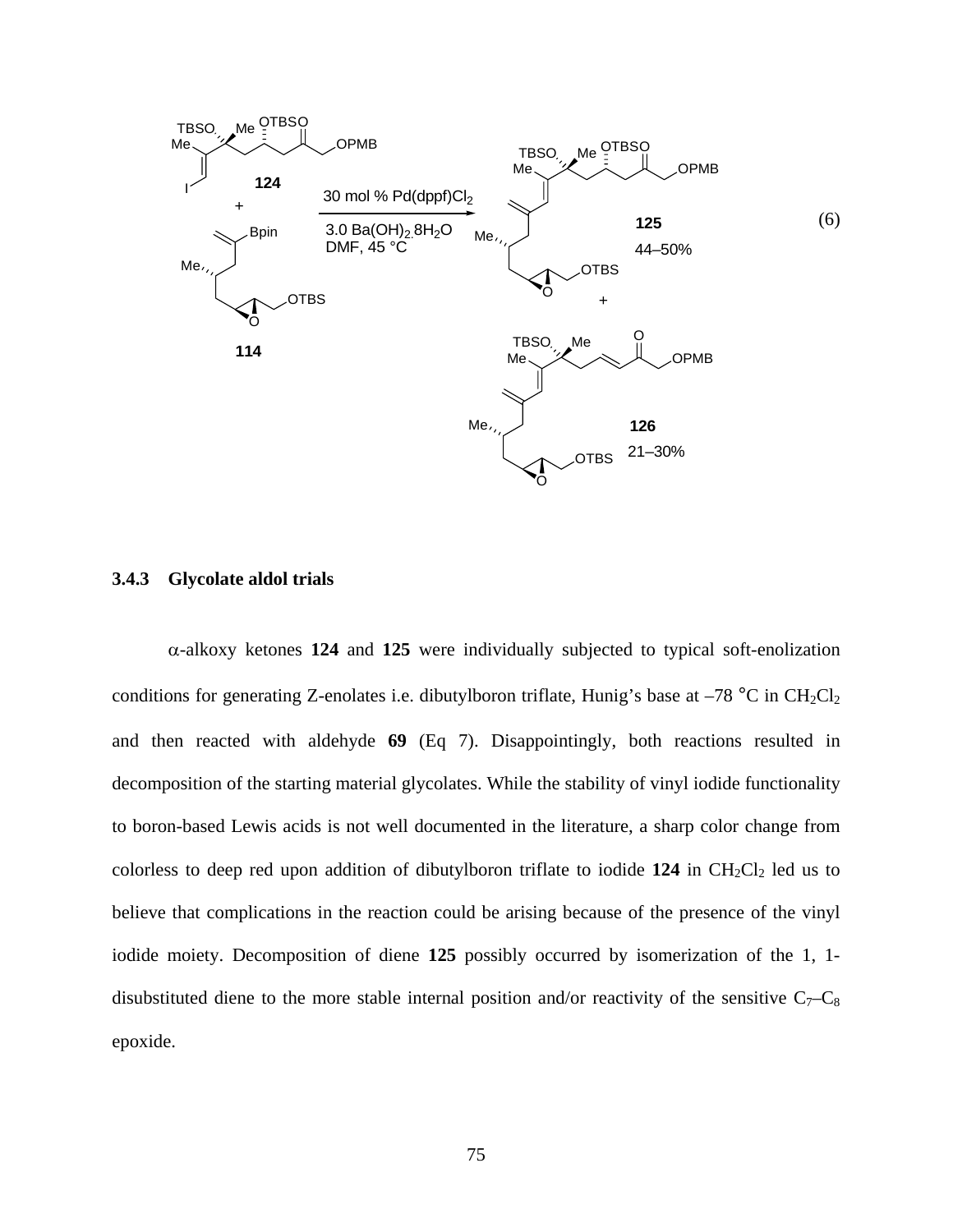

#### **3.4.3 Glycolate aldol trials**

α-alkoxy ketones **124** and **125** were individually subjected to typical soft-enolization conditions for generating Z-enolates i.e. dibutylboron triflate, Hunig's base at  $-78$  °C in CH<sub>2</sub>Cl<sub>2</sub> and then reacted with aldehyde **69** (Eq 7). Disappointingly, both reactions resulted in decomposition of the starting material glycolates. While the stability of vinyl iodide functionality to boron-based Lewis acids is not well documented in the literature, a sharp color change from colorless to deep red upon addition of dibutylboron triflate to iodide  $124$  in  $CH_2Cl_2$  led us to believe that complications in the reaction could be arising because of the presence of the vinyl iodide moiety. Decomposition of diene **125** possibly occurred by isomerization of the 1, 1 disubstituted diene to the more stable internal position and/or reactivity of the sensitive  $C_7-C_8$ epoxide.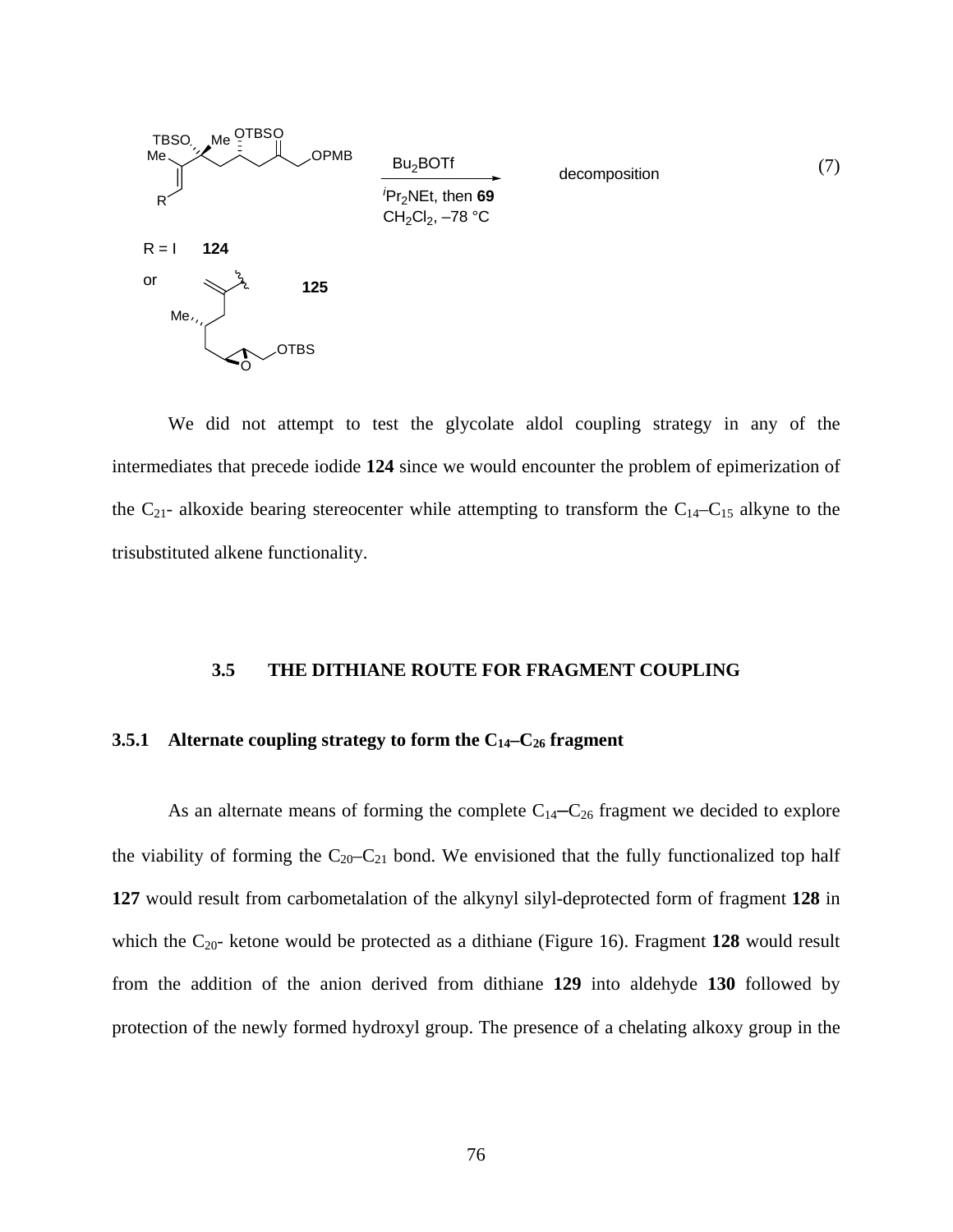

We did not attempt to test the glycolate aldol coupling strategy in any of the intermediates that precede iodide **124** since we would encounter the problem of epimerization of the  $C_{21}$ - alkoxide bearing stereocenter while attempting to transform the  $C_{14}-C_{15}$  alkyne to the trisubstituted alkene functionality.

# **3.5 THE DITHIANE ROUTE FOR FRAGMENT COUPLING**

# **3.5.1** Alternate coupling strategy to form the C<sub>14</sub>-C<sub>26</sub> fragment

As an alternate means of forming the complete  $C_{14}-C_{26}$  fragment we decided to explore the viability of forming the  $C_{20}-C_{21}$  bond. We envisioned that the fully functionalized top half **127** would result from carbometalation of the alkynyl silyl-deprotected form of fragment **128** in which the  $C_{20}$ - ketone would be protected as a dithiane (Figure 16). Fragment 128 would result from the addition of the anion derived from dithiane **129** into aldehyde **130** followed by protection of the newly formed hydroxyl group. The presence of a chelating alkoxy group in the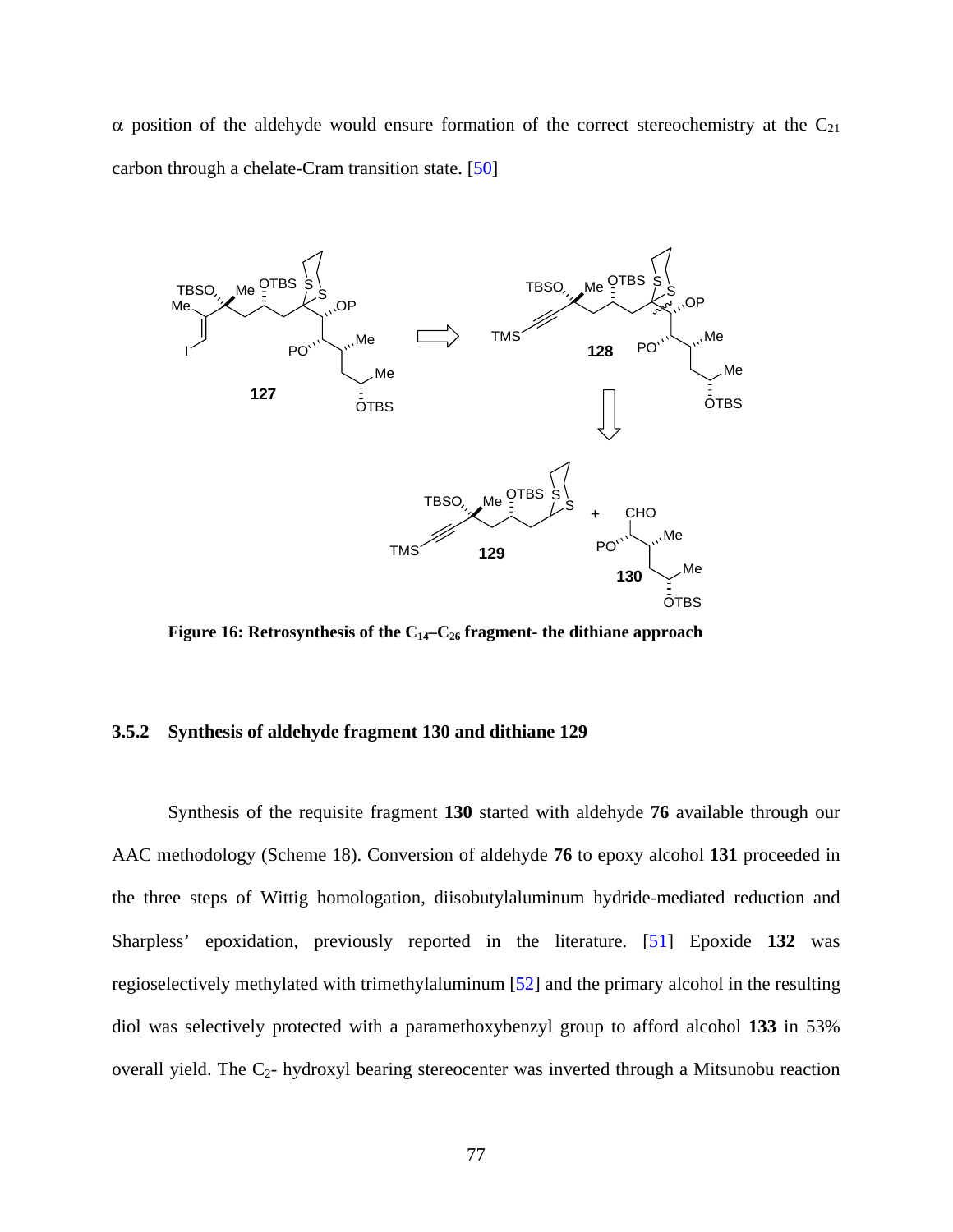$\alpha$  position of the aldehyde would ensure formation of the correct stereochemistry at the C<sub>21</sub> carbon through a chelate-Cram transition state. [\[50](#page-118-0)]



Figure 16: Retrosynthesis of the C<sub>14</sub>-C<sub>26</sub> fragment- the dithiane approach

#### **3.5.2 Synthesis of aldehyde fragment 130 and dithiane 129**

Synthesis of the requisite fragment **130** started with aldehyde **76** available through our AAC methodology (Scheme 18). Conversion of aldehyde **76** to epoxy alcohol **131** proceeded in the three steps of Wittig homologation, diisobutylaluminum hydride-mediated reduction and Sharpless' epoxidation, previously reported in the literature. [\[51](#page-118-0)] Epoxide **132** was regioselectively methylated with trimethylaluminum [\[52](#page-118-0)] and the primary alcohol in the resulting diol was selectively protected with a paramethoxybenzyl group to afford alcohol **133** in 53% overall yield. The  $C_2$ - hydroxyl bearing stereocenter was inverted through a Mitsunobu reaction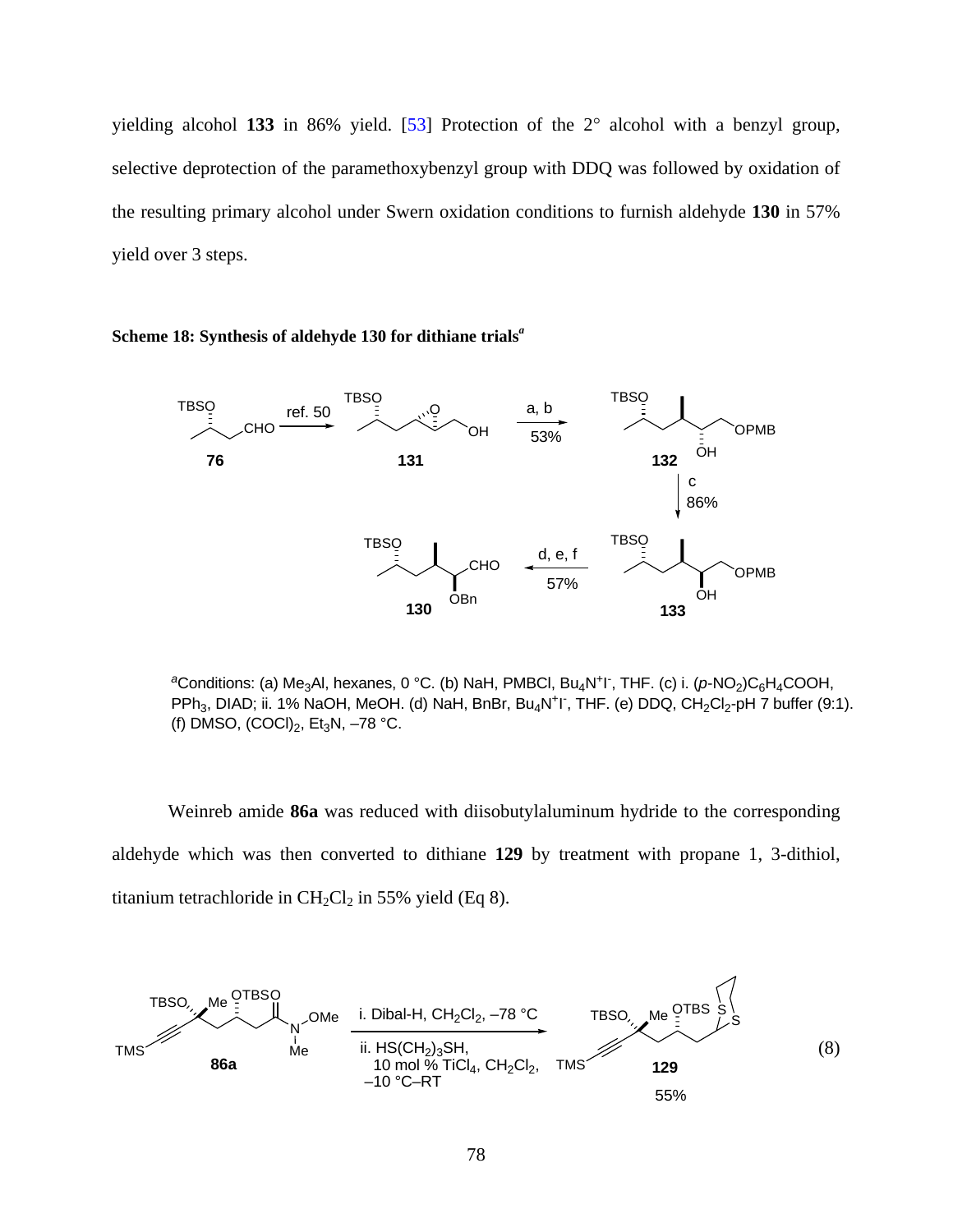yielding alcohol **133** in 86% yield. [[53\]](#page-118-0) Protection of the 2° alcohol with a benzyl group, selective deprotection of the paramethoxybenzyl group with DDQ was followed by oxidation of the resulting primary alcohol under Swern oxidation conditions to furnish aldehyde **130** in 57% yield over 3 steps.

#### **TBSO TBSO** OH O a, b CHO **TBSO** ref. 50 53%

**Scheme 18: Synthesis of aldehyde 130 for dithiane trials***<sup>a</sup>*



<sup>a</sup>Conditions: (a) Me<sub>3</sub>Al, hexanes, 0 °C. (b) NaH, PMBCl, Bu<sub>4</sub>N<sup>+</sup>I<sup>-</sup>, THF. (c) i. (*p*-NO<sub>2</sub>)C<sub>6</sub>H<sub>4</sub>COOH, PPh<sub>3</sub>, DIAD; ii. 1% NaOH, MeOH. (d) NaH, BnBr, Bu<sub>4</sub>N<sup>+</sup>I<sup>-</sup>, THF. (e) DDQ, CH<sub>2</sub>Cl<sub>2</sub>-pH 7 buffer (9:1). (f) DMSO,  $(COCI)_2$ , Et<sub>3</sub>N, -78 °C.

Weinreb amide **86a** was reduced with diisobutylaluminum hydride to the corresponding aldehyde which was then converted to dithiane **129** by treatment with propane 1, 3-dithiol, titanium tetrachloride in  $CH_2Cl_2$  in 55% yield (Eq 8).

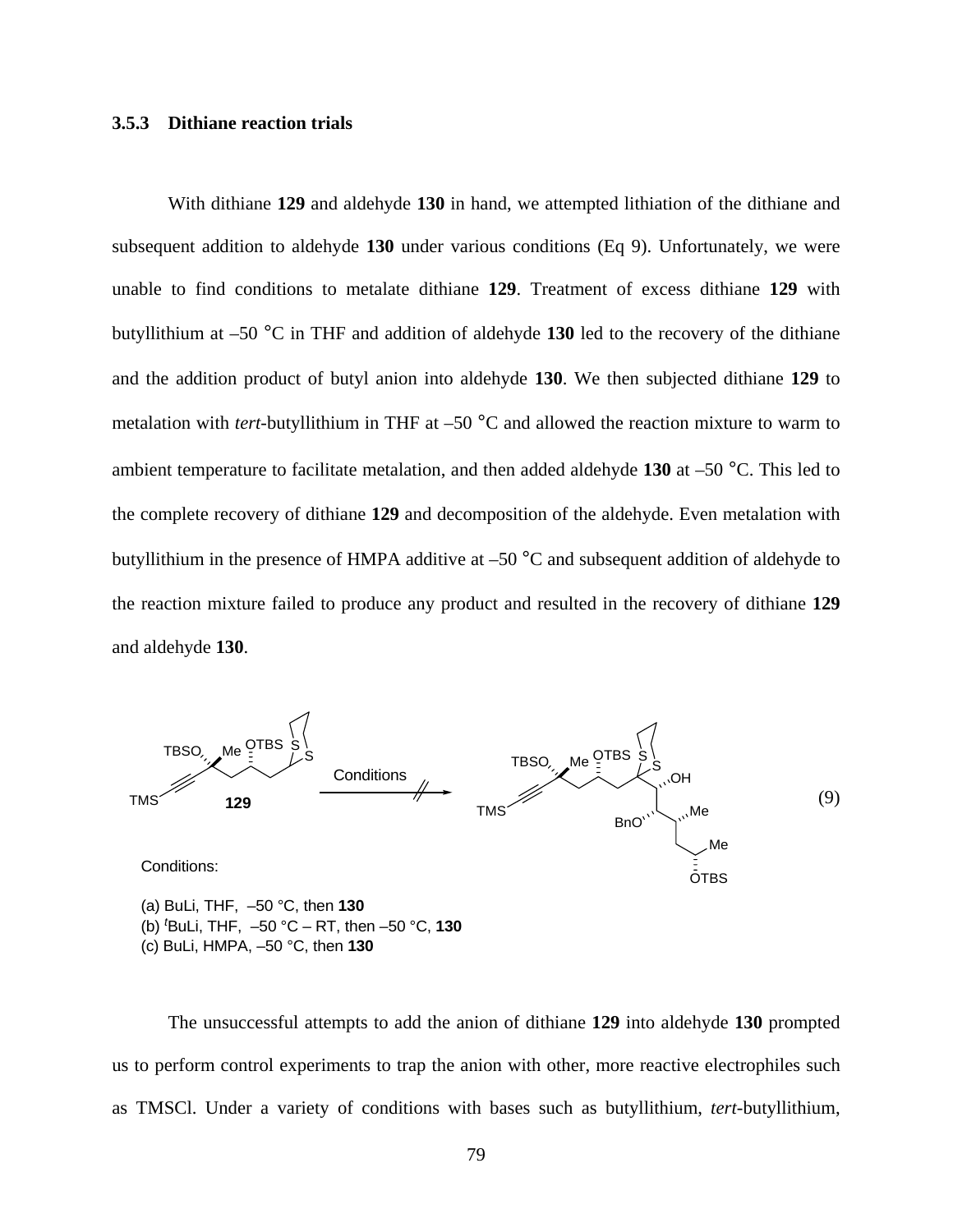# **3.5.3 Dithiane reaction trials**

With dithiane **129** and aldehyde **130** in hand, we attempted lithiation of the dithiane and subsequent addition to aldehyde **130** under various conditions (Eq 9). Unfortunately, we were unable to find conditions to metalate dithiane **129**. Treatment of excess dithiane **129** with butyllithium at –50 °C in THF and addition of aldehyde **130** led to the recovery of the dithiane and the addition product of butyl anion into aldehyde **130**. We then subjected dithiane **129** to metalation with *tert*-butyllithium in THF at –50 °C and allowed the reaction mixture to warm to ambient temperature to facilitate metalation, and then added aldehyde **130** at –50 °C. This led to the complete recovery of dithiane **129** and decomposition of the aldehyde. Even metalation with butyllithium in the presence of HMPA additive at –50 °C and subsequent addition of aldehyde to the reaction mixture failed to produce any product and resulted in the recovery of dithiane **129**  and aldehyde **130**.



(b) *<sup>t</sup>* BuLi, THF, –50 °C – RT, then –50 °C, **130** (c) BuLi, HMPA, –50 °C, then **130**

The unsuccessful attempts to add the anion of dithiane **129** into aldehyde **130** prompted us to perform control experiments to trap the anion with other, more reactive electrophiles such as TMSCl. Under a variety of conditions with bases such as butyllithium, *tert*-butyllithium,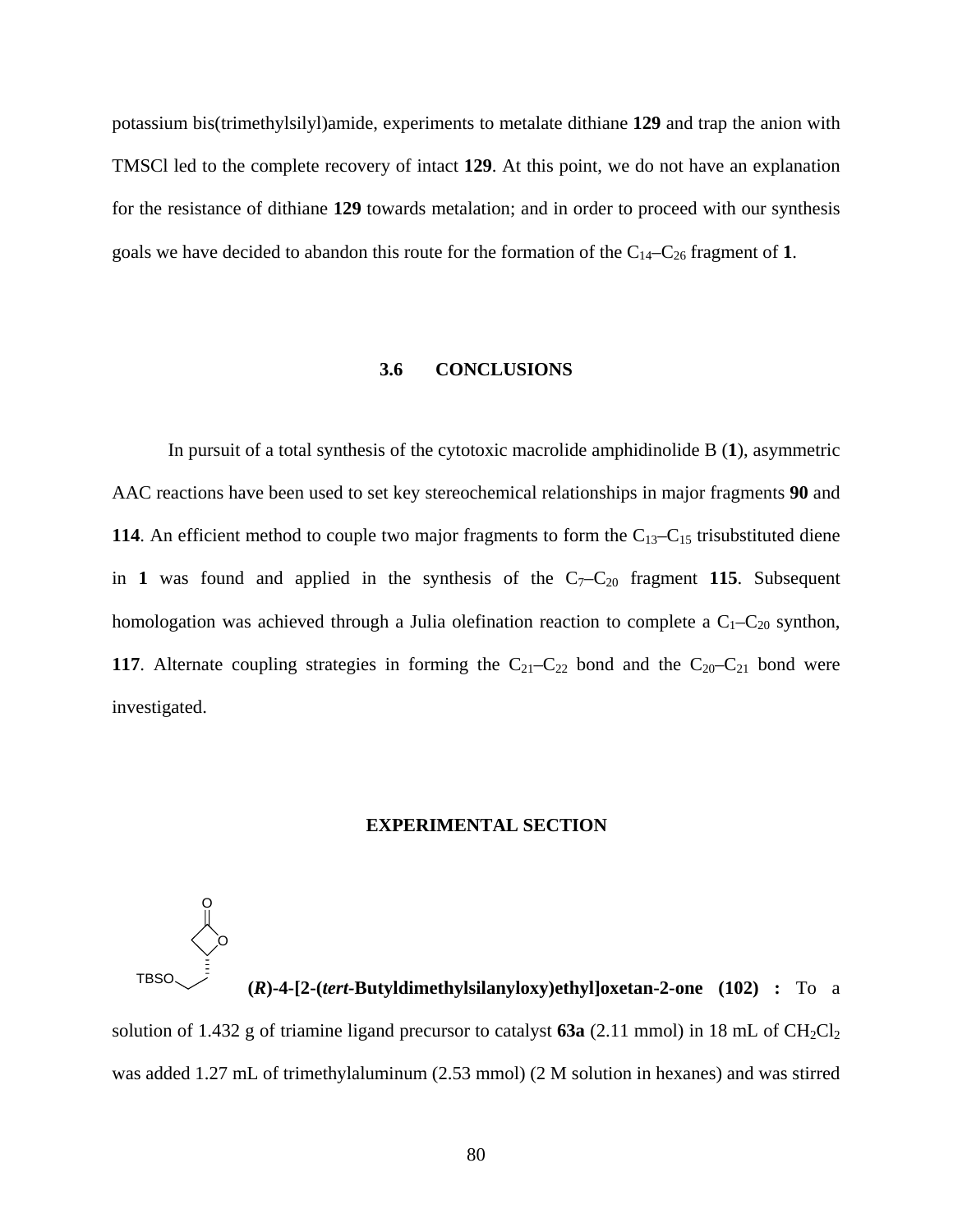potassium bis(trimethylsilyl)amide, experiments to metalate dithiane **129** and trap the anion with TMSCl led to the complete recovery of intact **129**. At this point, we do not have an explanation for the resistance of dithiane **129** towards metalation; and in order to proceed with our synthesis goals we have decided to abandon this route for the formation of the C14–C26 fragment of **1**.

# **3.6 CONCLUSIONS**

In pursuit of a total synthesis of the cytotoxic macrolide amphidinolide B (**1**), asymmetric AAC reactions have been used to set key stereochemical relationships in major fragments **90** and **114**. An efficient method to couple two major fragments to form the  $C_{13}-C_{15}$  trisubstituted diene in 1 was found and applied in the synthesis of the  $C_7-C_{20}$  fragment 115. Subsequent homologation was achieved through a Julia olefination reaction to complete a  $C_1-C_{20}$  synthon, **117**. Alternate coupling strategies in forming the  $C_{21}-C_{22}$  bond and the  $C_{20}-C_{21}$  bond were investigated.

# **EXPERIMENTAL SECTION**



TBSO **(***R***)-4-[2-(***tert-***Butyldimethylsilanyloxy)ethyl]oxetan-2-one (102) :** To a solution of 1.432 g of triamine ligand precursor to catalyst  $63a$  (2.11 mmol) in 18 mL of  $CH_2Cl_2$ was added 1.27 mL of trimethylaluminum (2.53 mmol) (2 M solution in hexanes) and was stirred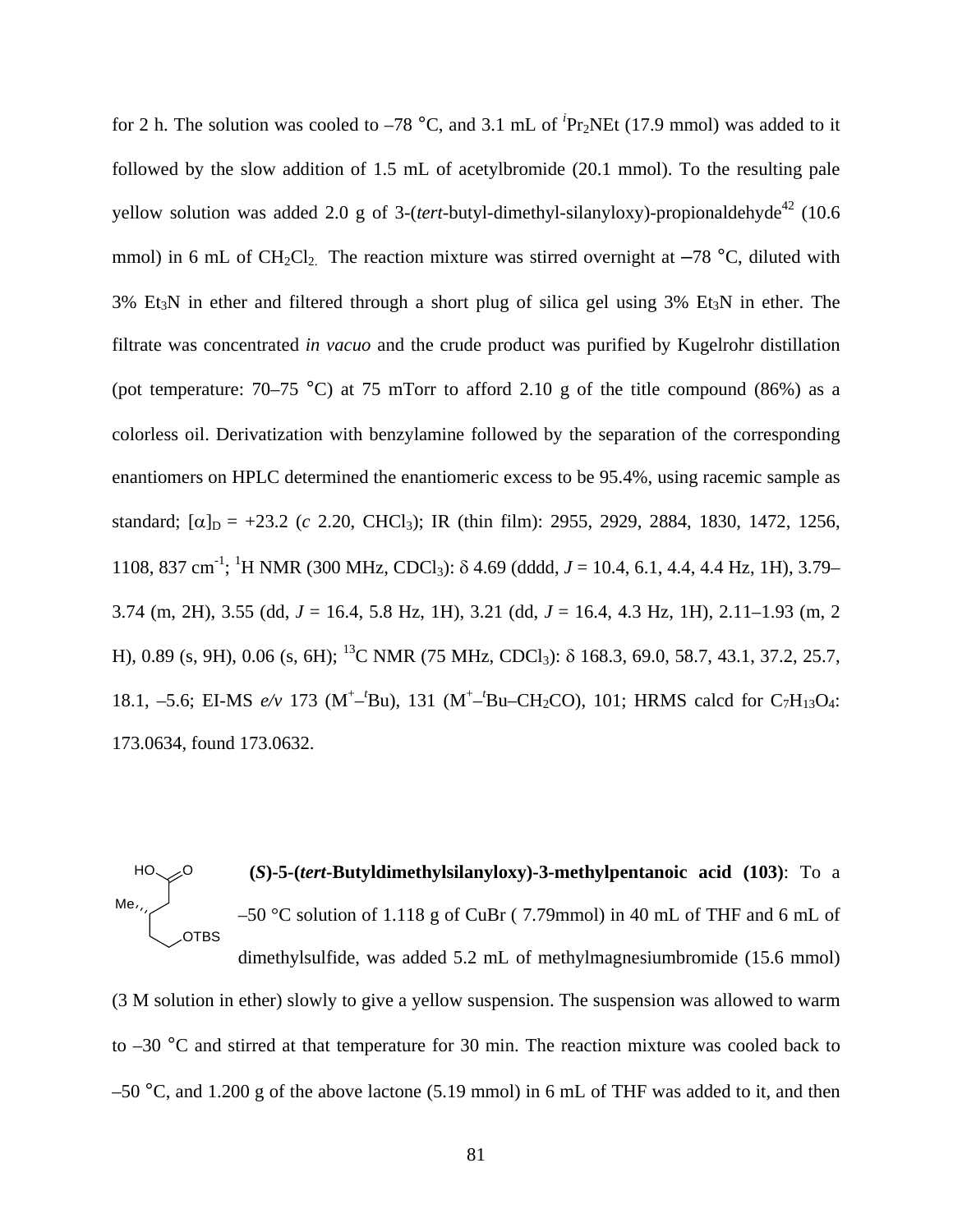for 2 h. The solution was cooled to  $-78$  °C, and 3.1 mL of <sup>*i*</sup>Pr<sub>2</sub>NEt (17.9 mmol) was added to it followed by the slow addition of 1.5 mL of acetylbromide (20.1 mmol). To the resulting pale yellow solution was added 2.0 g of 3-(*tert*-butyl-dimethyl-silanyloxy)-propionaldehyde<sup>42</sup> (10.6) mmol) in 6 mL of  $CH_2Cl_2$ . The reaction mixture was stirred overnight at  $-78$  °C, diluted with  $3\%$  Et<sub>3</sub>N in ether and filtered through a short plug of silica gel using  $3\%$  Et<sub>3</sub>N in ether. The filtrate was concentrated *in vacuo* and the crude product was purified by Kugelrohr distillation (pot temperature:  $70-75$  °C) at 75 mTorr to afford 2.10 g of the title compound (86%) as a colorless oil. Derivatization with benzylamine followed by the separation of the corresponding enantiomers on HPLC determined the enantiomeric excess to be 95.4%, using racemic sample as standard;  $[\alpha]_D = +23.2$  (*c* 2.20, CHCl<sub>3</sub>); IR (thin film): 2955, 2929, 2884, 1830, 1472, 1256, 1108, 837 cm<sup>-1</sup>; <sup>1</sup>H NMR (300 MHz, CDCl<sub>3</sub>): δ 4.69 (dddd, *J* = 10.4, 6.1, 4.4, 4.4 Hz, 1H), 3.79– 3.74 (m, 2H), 3.55 (dd, *J* = 16.4, 5.8 Hz, 1H), 3.21 (dd, *J* = 16.4, 4.3 Hz, 1H), 2.11–1.93 (m, 2 H), 0.89 (s, 9H), 0.06 (s, 6H); 13C NMR (75 MHz, CDCl3): δ 168.3, 69.0, 58.7, 43.1, 37.2, 25.7, 18.1, -5.6; EI-MS  $e/v$  173 (M<sup>+</sup>-<sup>*t*</sup>Bu), 131 (M<sup>+</sup>-<sup>*t*</sup>Bu-CH<sub>2</sub>CO), 101; HRMS calcd for C<sub>7</sub>H<sub>13</sub>O<sub>4</sub>: 173.0634, found 173.0632.

 **(***S***)-5-(***tert***-Butyldimethylsilanyloxy)-3-methylpentanoic acid (103)**: To a –50 °C solution of 1.118 g of CuBr ( 7.79mmol) in 40 mL of THF and 6 mL of dimethylsulfide, was added 5.2 mL of methylmagnesiumbromide (15.6 mmol) (3 M solution in ether) slowly to give a yellow suspension. The suspension was allowed to warm HO OTBS Me, O

 $-50$  °C, and 1.200 g of the above lactone (5.19 mmol) in 6 mL of THF was added to it, and then

to  $-30$  °C and stirred at that temperature for 30 min. The reaction mixture was cooled back to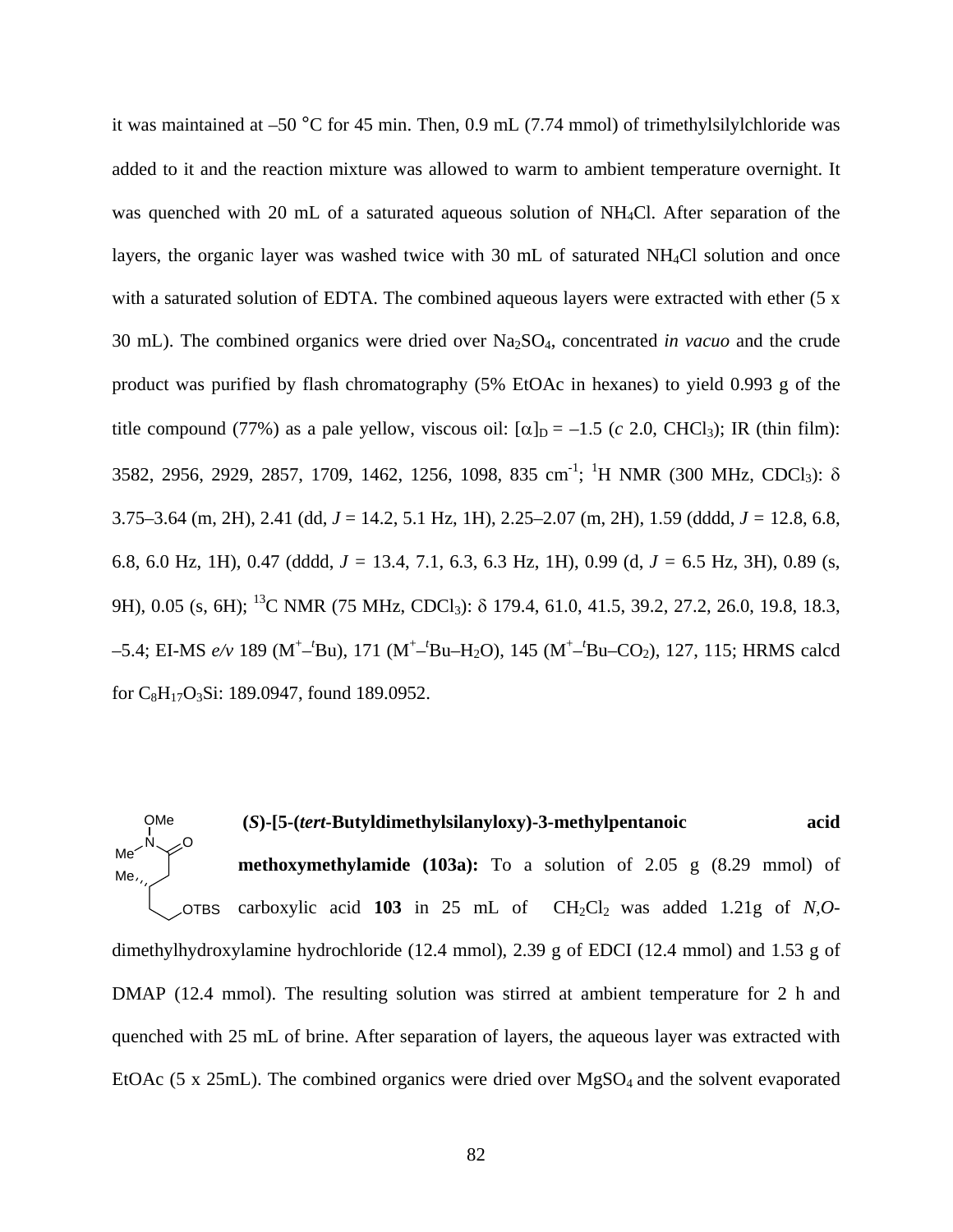it was maintained at –50 °C for 45 min. Then, 0.9 mL (7.74 mmol) of trimethylsilylchloride was added to it and the reaction mixture was allowed to warm to ambient temperature overnight. It was quenched with 20 mL of a saturated aqueous solution of NH4Cl. After separation of the layers, the organic layer was washed twice with 30 mL of saturated NH<sub>4</sub>Cl solution and once with a saturated solution of EDTA. The combined aqueous layers were extracted with ether (5 x 30 mL). The combined organics were dried over Na2SO4, concentrated *in vacuo* and the crude product was purified by flash chromatography (5% EtOAc in hexanes) to yield 0.993 g of the title compound (77%) as a pale yellow, viscous oil:  $[\alpha]_D = -1.5$  (*c* 2.0, CHCl<sub>3</sub>); IR (thin film): 3582, 2956, 2929, 2857, 1709, 1462, 1256, 1098, 835 cm<sup>-1</sup>; <sup>1</sup>H NMR (300 MHz, CDCl<sub>3</sub>): δ 3.75–3.64 (m, 2H), 2.41 (dd, *J* = 14.2, 5.1 Hz, 1H), 2.25–2.07 (m, 2H), 1.59 (dddd, *J =* 12.8, 6.8, 6.8, 6.0 Hz, 1H), 0.47 (dddd, *J =* 13.4, 7.1, 6.3, 6.3 Hz, 1H), 0.99 (d, *J =* 6.5 Hz, 3H), 0.89 (s, 9H), 0.05 (s, 6H); <sup>13</sup>C NMR (75 MHz, CDCl<sub>3</sub>): δ 179.4, 61.0, 41.5, 39.2, 27.2, 26.0, 19.8, 18.3, –5.4; EI-MS *e/v* 189 (M+ –*t* Bu), 171 (M+ –*t* Bu–H2O), 145 (M+ –*t* Bu–CO2), 127, 115; HRMS calcd for C8H17O3Si: 189.0947, found 189.0952.

**(***S***)-[5-(***tert***-Butyldimethylsilanyloxy)-3-methylpentanoic acid methoxymethylamide (103a):** To a solution of 2.05 g (8.29 mmol) of carboxylic acid  $103$  in 25 mL of  $CH_2Cl_2$  was added 1.21g of *N,O*dimethylhydroxylamine hydrochloride (12.4 mmol), 2.39 g of EDCI (12.4 mmol) and 1.53 g of DMAP (12.4 mmol). The resulting solution was stirred at ambient temperature for 2 h and quenched with 25 mL of brine. After separation of layers, the aqueous layer was extracted with EtOAc (5 x 25mL). The combined organics were dried over MgSO<sub>4</sub> and the solvent evaporated N OTBS Me, O OMe Me<sup>2</sup>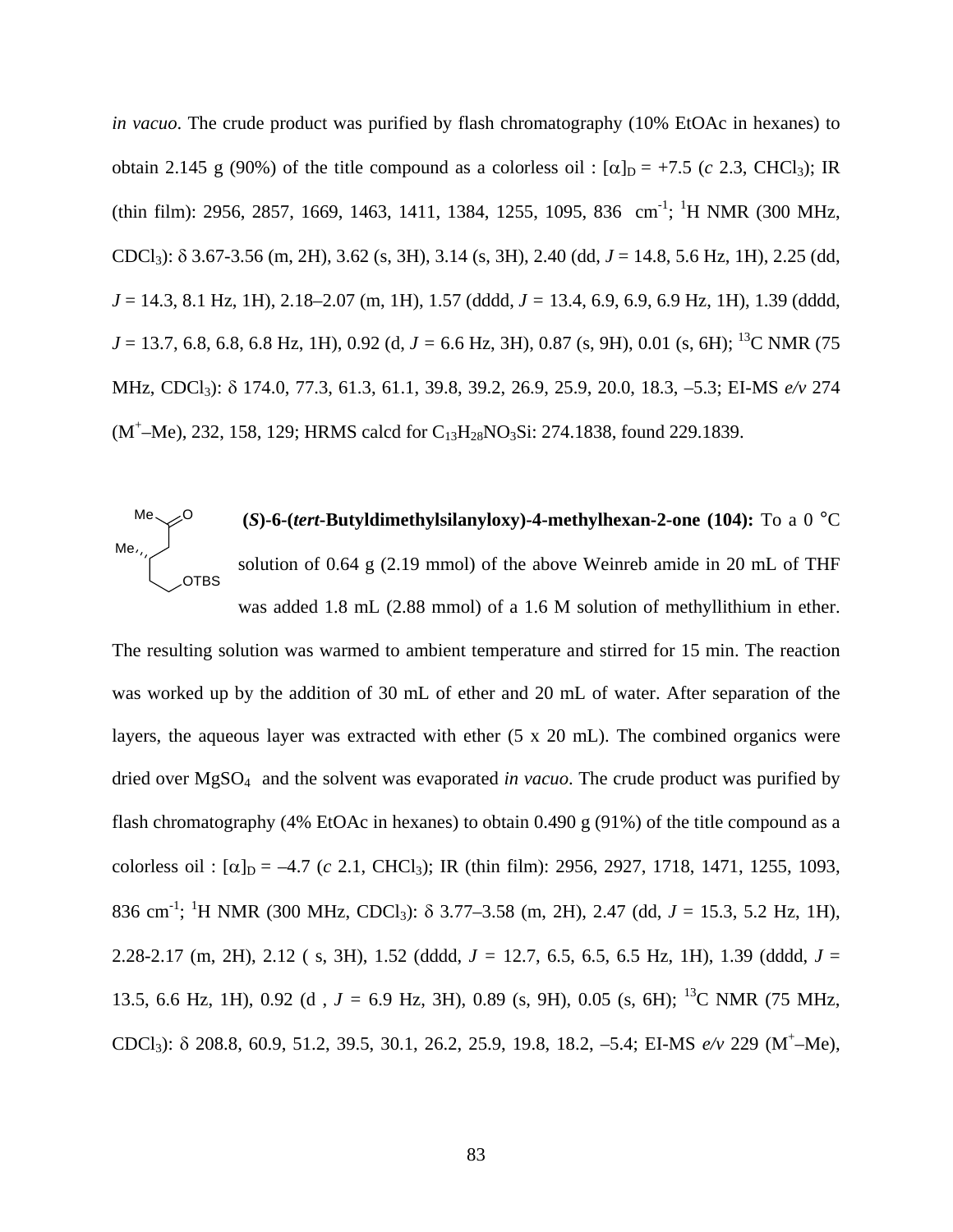*in vacuo*. The crude product was purified by flash chromatography (10% EtOAc in hexanes) to obtain 2.145 g (90%) of the title compound as a colorless oil :  $[\alpha]_D = +7.5$  (*c* 2.3, CHCl<sub>3</sub>); IR  $(thin film): 2956, 2857, 1669, 1463, 1411, 1384, 1255, 1095, 836 cm<sup>-1</sup>; <sup>1</sup>H NMR (300 MHz,$ CDCl3): δ 3.67-3.56 (m, 2H), 3.62 (s, 3H), 3.14 (s, 3H), 2.40 (dd, *J* = 14.8, 5.6 Hz, 1H), 2.25 (dd, *J* = 14.3, 8.1 Hz, 1H), 2.18–2.07 (m, 1H), 1.57 (dddd, *J =* 13.4, 6.9, 6.9, 6.9 Hz, 1H), 1.39 (dddd, *J* = 13.7, 6.8, 6.8, 6.8 Hz, 1H), 0.92 (d, *J* = 6.6 Hz, 3H), 0.87 (s, 9H), 0.01 (s, 6H); <sup>13</sup>C NMR (75 MHz, CDCl3): δ 174.0, 77.3, 61.3, 61.1, 39.8, 39.2, 26.9, 25.9, 20.0, 18.3, –5.3; EI-MS *e/v* 274  $(M^+$ -Me), 232, 158, 129; HRMS calcd for C<sub>13</sub>H<sub>28</sub>NO<sub>3</sub>Si: 274.1838, found 229.1839.



The resulting solution was warmed to ambient temperature and stirred for 15 min. The reaction was worked up by the addition of 30 mL of ether and 20 mL of water. After separation of the layers, the aqueous layer was extracted with ether (5 x 20 mL). The combined organics were dried over MgSO4 and the solvent was evaporated *in vacuo*. The crude product was purified by flash chromatography (4% EtOAc in hexanes) to obtain 0.490 g (91%) of the title compound as a colorless oil :  $[\alpha]_D = -4.7$  (*c* 2.1, CHCl<sub>3</sub>); IR (thin film): 2956, 2927, 1718, 1471, 1255, 1093, 836 cm<sup>-1</sup>; <sup>1</sup>H NMR (300 MHz, CDCl<sub>3</sub>): δ 3.77–3.58 (m, 2H), 2.47 (dd, *J* = 15.3, 5.2 Hz, 1H), 2.28-2.17 (m, 2H), 2.12 ( s, 3H), 1.52 (dddd, *J =* 12.7, 6.5, 6.5, 6.5 Hz, 1H), 1.39 (dddd, *J* = 13.5, 6.6 Hz, 1H), 0.92 (d , *J =* 6.9 Hz, 3H), 0.89 (s, 9H), 0.05 (s, 6H); 13C NMR (75 MHz, CDCl3): δ 208.8, 60.9, 51.2, 39.5, 30.1, 26.2, 25.9, 19.8, 18.2, –5.4; EI-MS *e/v* 229 (M+ –Me),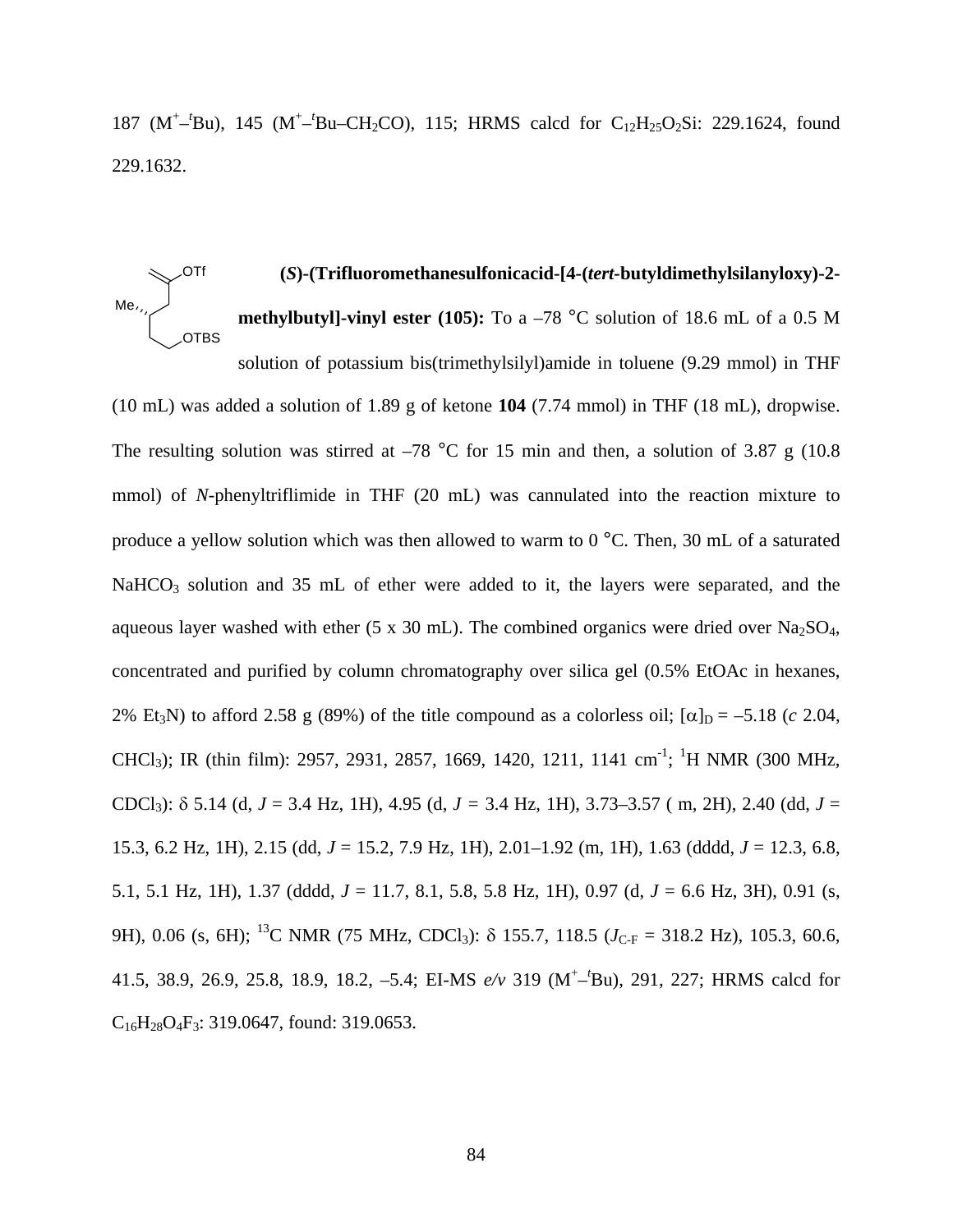187 (M<sup>+-1</sup>Bu), 145 (M<sup>+-1</sup>Bu-CH<sub>2</sub>CO), 115; HRMS calcd for C<sub>12</sub>H<sub>25</sub>O<sub>2</sub>Si: 229.1624, found 229.1632.

#### **(***S***)-(Trifluoromethanesulfonicacid-[4-(***tert-***butyldimethylsilanyloxy)-2 methylbutyl]-vinyl ester (105):** To a –78 °C solution of 18.6 mL of a 0.5 M solution of potassium bis(trimethylsilyl)amide in toluene (9.29 mmol) in THF OTBS Me, OTf

(10 mL) was added a solution of 1.89 g of ketone **104** (7.74 mmol) in THF (18 mL), dropwise. The resulting solution was stirred at  $-78$  °C for 15 min and then, a solution of 3.87 g (10.8) mmol) of *N-*phenyltriflimide in THF (20 mL) was cannulated into the reaction mixture to produce a yellow solution which was then allowed to warm to 0 °C. Then, 30 mL of a saturated NaHCO<sub>3</sub> solution and 35 mL of ether were added to it, the layers were separated, and the aqueous layer washed with ether (5 x 30 mL). The combined organics were dried over Na<sub>2</sub>SO<sub>4</sub>, concentrated and purified by column chromatography over silica gel (0.5% EtOAc in hexanes, 2% Et<sub>3</sub>N) to afford 2.58 g (89%) of the title compound as a colorless oil;  $[\alpha]_D = -5.18$  (*c* 2.04, CHCl<sub>3</sub>); IR (thin film): 2957, 2931, 2857, 1669, 1420, 1211, 1141 cm<sup>-1</sup>; <sup>1</sup>H NMR (300 MHz, CDCl3): δ 5.14 (d, *J* = 3.4 Hz, 1H), 4.95 (d, *J =* 3.4 Hz, 1H), 3.73–3.57 ( m, 2H), 2.40 (dd, *J* = 15.3, 6.2 Hz, 1H), 2.15 (dd, *J* = 15.2, 7.9 Hz, 1H), 2.01–1.92 (m, 1H), 1.63 (dddd, *J* = 12.3, 6.8, 5.1, 5.1 Hz, 1H), 1.37 (dddd, *J* = 11.7, 8.1, 5.8, 5.8 Hz, 1H), 0.97 (d, *J* = 6.6 Hz, 3H), 0.91 (s, 9H), 0.06 (s, 6H); <sup>13</sup>C NMR (75 MHz, CDCl<sub>3</sub>):  $\delta$  155.7, 118.5 ( $J_{C-F}$  = 318.2 Hz), 105.3, 60.6, 41.5, 38.9, 26.9, 25.8, 18.9, 18.2, –5.4; EI-MS *e/v* 319 (M<sup>+</sup> –*t* Bu), 291, 227; HRMS calcd for  $C_{16}H_{28}O_4F_3$ : 319.0647, found: 319.0653.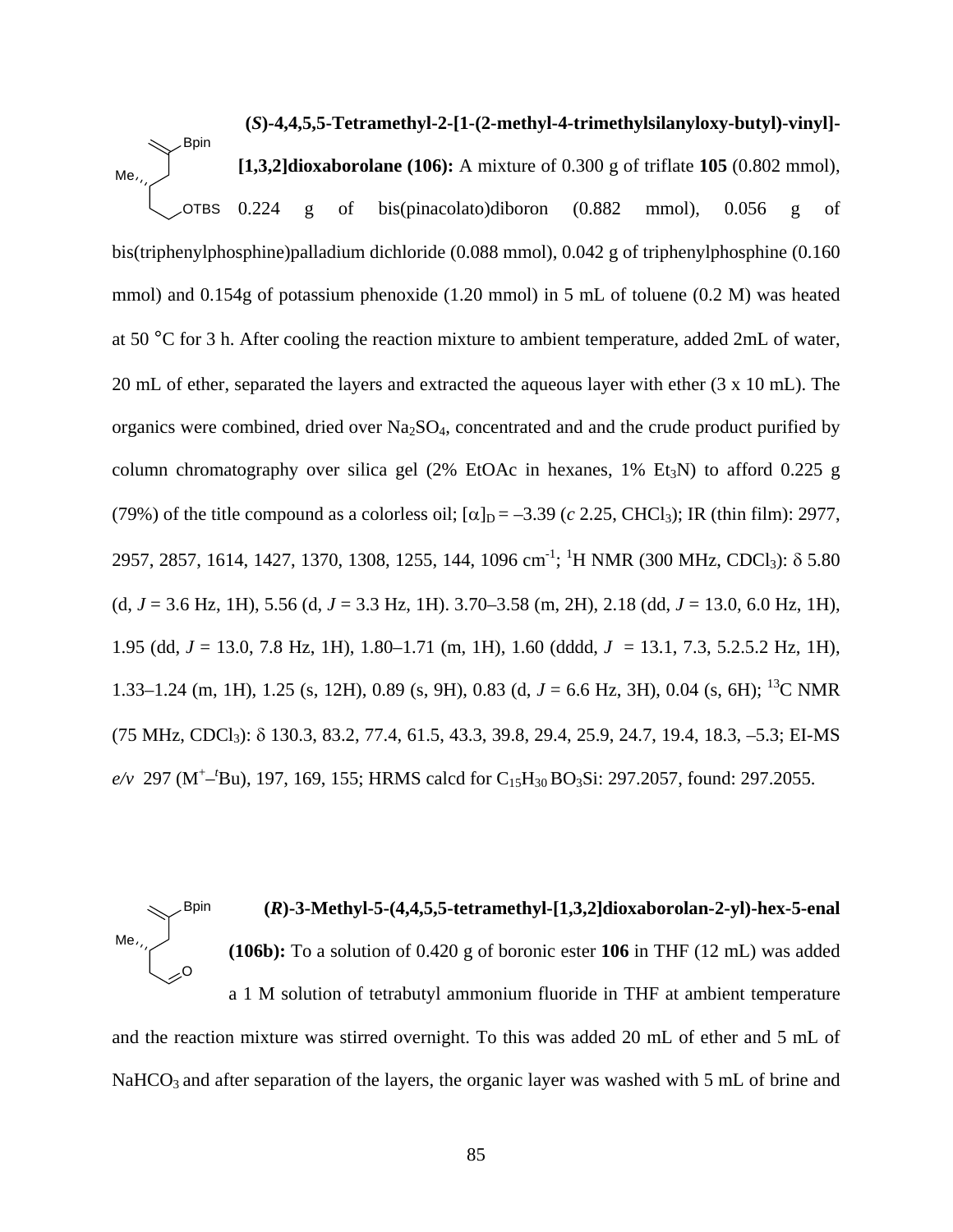**(***S***)-4,4,5,5-Tetramethyl-2-[1-(2-methyl-4-trimethylsilanyloxy-butyl)-vinyl]- [1,3,2]dioxaborolane (106):** A mixture of 0.300 g of triflate **105** (0.802 mmol), 0.224 g of bis(pinacolato)diboron (0.882 mmol), 0.056 g of bis(triphenylphosphine)palladium dichloride (0.088 mmol), 0.042 g of triphenylphosphine (0.160 mmol) and 0.154g of potassium phenoxide (1.20 mmol) in 5 mL of toluene (0.2 M) was heated at 50 °C for 3 h. After cooling the reaction mixture to ambient temperature, added 2mL of water, 20 mL of ether, separated the layers and extracted the aqueous layer with ether (3 x 10 mL). The organics were combined, dried over  $Na<sub>2</sub>SO<sub>4</sub>$ , concentrated and and the crude product purified by column chromatography over silica gel (2% EtOAc in hexanes,  $1\%$  Et<sub>3</sub>N) to afford 0.225 g (79%) of the title compound as a colorless oil;  $[\alpha]_D = -3.39$  (*c* 2.25, CHCl<sub>3</sub>); IR (thin film): 2977, 2957, 2857, 1614, 1427, 1370, 1308, 1255, 144, 1096 cm<sup>-1</sup>; <sup>1</sup>H NMR (300 MHz, CDCl<sub>3</sub>): δ 5.80 (d, *J* = 3.6 Hz, 1H), 5.56 (d, *J* = 3.3 Hz, 1H). 3.70–3.58 (m, 2H), 2.18 (dd, *J* = 13.0, 6.0 Hz, 1H), 1.95 (dd, *J* = 13.0, 7.8 Hz, 1H), 1.80–1.71 (m, 1H), 1.60 (dddd, *J* = 13.1, 7.3, 5.2.5.2 Hz, 1H), 1.33–1.24 (m, 1H), 1.25 (s, 12H), 0.89 (s, 9H), 0.83 (d, *J* = 6.6 Hz, 3H), 0.04 (s, 6H); 13C NMR (75 MHz, CDCl3): δ 130.3, 83.2, 77.4, 61.5, 43.3, 39.8, 29.4, 25.9, 24.7, 19.4, 18.3, –5.3; EI-MS  $e/v$  297 (M<sup>+</sup>-<sup>t</sup>Bu), 197, 169, 155; HRMS calcd for C<sub>15</sub>H<sub>30</sub> BO<sub>3</sub>Si: 297.2057, found: 297.2055. **OTBS** Me Bpin

# **(***R***)-3-Methyl-5-(4,4,5,5-tetramethyl-[1,3,2]dioxaborolan-2-yl)-hex-5-enal (106b):** To a solution of 0.420 g of boronic ester **106** in THF (12 mL) was added a 1 M solution of tetrabutyl ammonium fluoride in THF at ambient temperature and the reaction mixture was stirred overnight. To this was added 20 mL of ether and 5 mL of O Me, Bpin

NaHCO<sub>3</sub> and after separation of the layers, the organic layer was washed with 5 mL of brine and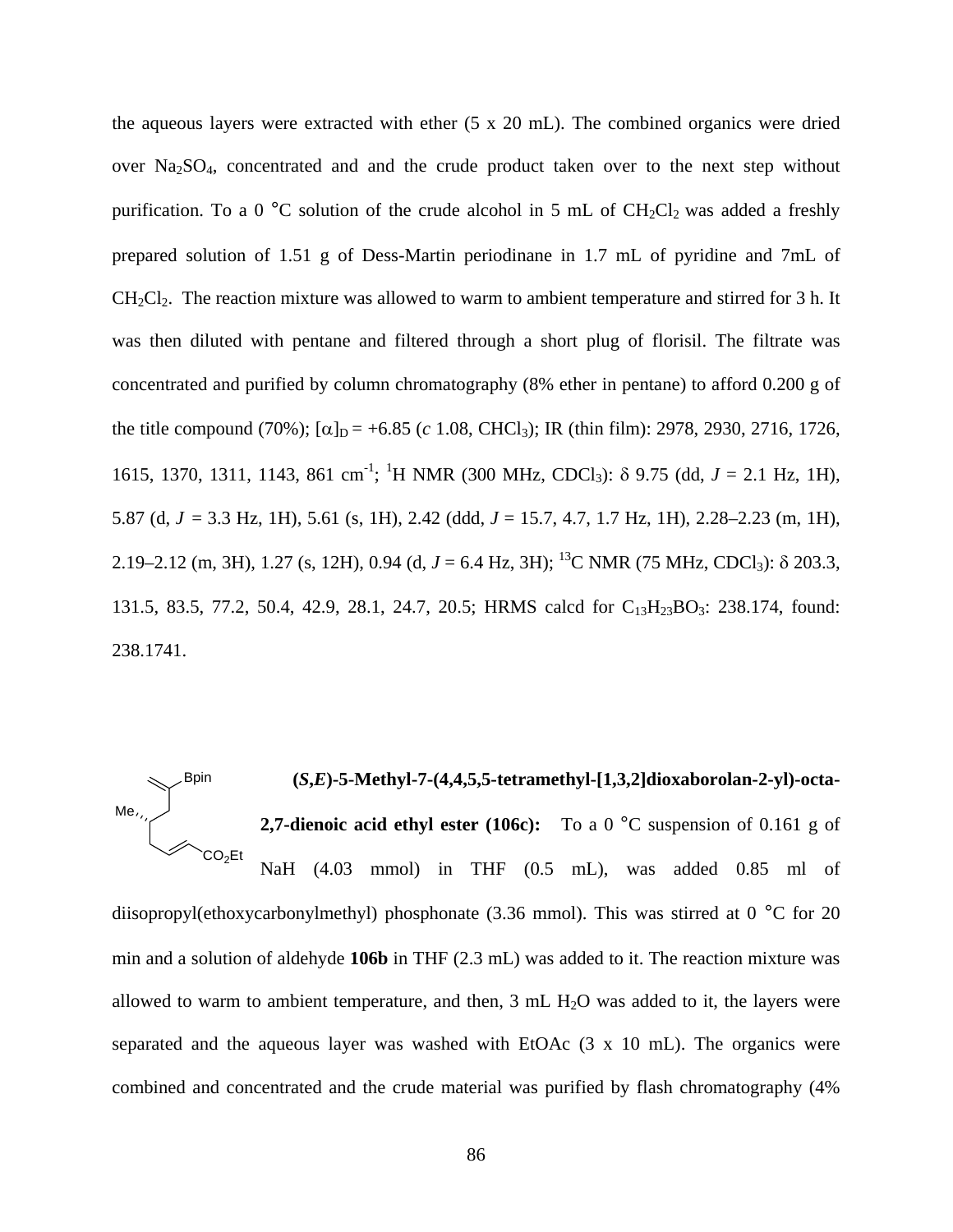the aqueous layers were extracted with ether (5 x 20 mL). The combined organics were dried over Na2SO4, concentrated and and the crude product taken over to the next step without purification. To a 0  $^{\circ}$ C solution of the crude alcohol in 5 mL of CH<sub>2</sub>Cl<sub>2</sub> was added a freshly prepared solution of 1.51 g of Dess-Martin periodinane in 1.7 mL of pyridine and 7mL of  $CH<sub>2</sub>Cl<sub>2</sub>$ . The reaction mixture was allowed to warm to ambient temperature and stirred for 3 h. It was then diluted with pentane and filtered through a short plug of florisil. The filtrate was concentrated and purified by column chromatography (8% ether in pentane) to afford 0.200 g of the title compound (70%);  $[\alpha]_D = +6.85$  (*c* 1.08, CHCl<sub>3</sub>); IR (thin film): 2978, 2930, 2716, 1726, 1615, 1370, 1311, 1143, 861 cm<sup>-1</sup>; <sup>1</sup>H NMR (300 MHz, CDCl<sub>3</sub>): δ 9.75 (dd, *J* = 2.1 Hz, 1H), 5.87 (d, *J* = 3.3 Hz, 1H), 5.61 (s, 1H), 2.42 (ddd, *J* = 15.7, 4.7, 1.7 Hz, 1H), 2.28–2.23 (m, 1H), 2.19–2.12 (m, 3H), 1.27 (s, 12H), 0.94 (d, *J* = 6.4 Hz, 3H); <sup>13</sup>C NMR (75 MHz, CDCl<sub>3</sub>): δ 203.3, 131.5, 83.5, 77.2, 50.4, 42.9, 28.1, 24.7, 20.5; HRMS calcd for C<sub>13</sub>H<sub>23</sub>BO<sub>3</sub>: 238.174, found: 238.1741.

# **(***S***,***E***)-5-Methyl-7-(4,4,5,5-tetramethyl-[1,3,2]dioxaborolan-2-yl)-octa-2,7-dienoic acid ethyl ester (106c):** To a 0 °C suspension of 0.161 g of NaH (4.03 mmol) in THF (0.5 mL), was added 0.85 ml of  $Me$ , Bpin CO<sub>2</sub>Et

diisopropyl(ethoxycarbonylmethyl) phosphonate (3.36 mmol). This was stirred at 0 °C for 20 min and a solution of aldehyde **106b** in THF (2.3 mL) was added to it. The reaction mixture was allowed to warm to ambient temperature, and then,  $3 \text{ mL } H_2O$  was added to it, the layers were separated and the aqueous layer was washed with EtOAc (3 x 10 mL). The organics were combined and concentrated and the crude material was purified by flash chromatography (4%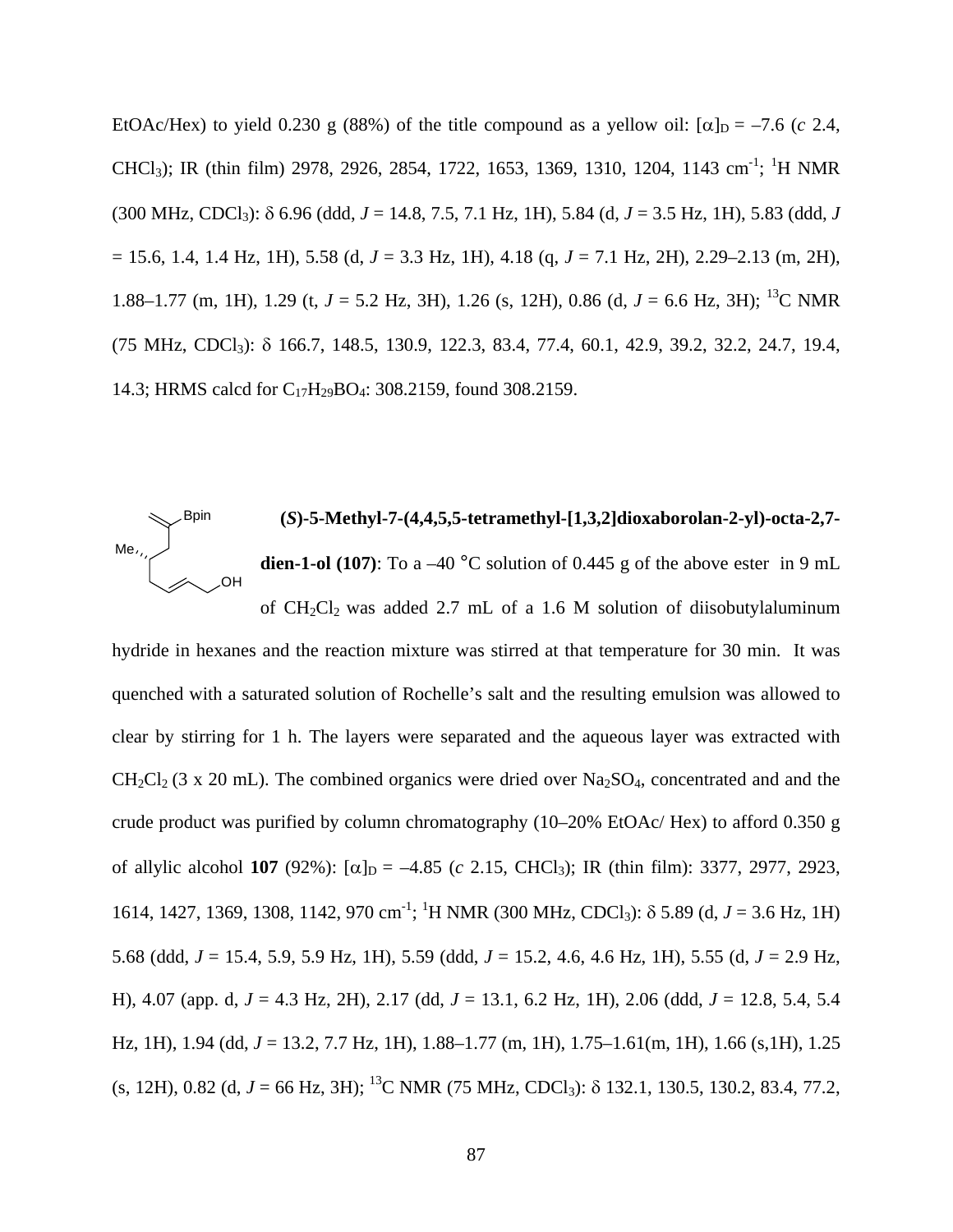EtOAc/Hex) to yield 0.230 g (88%) of the title compound as a yellow oil:  $\alpha|_{D} = -7.6$  (*c* 2.4, CHCl<sub>3</sub>); IR (thin film) 2978, 2926, 2854, 1722, 1653, 1369, 1310, 1204, 1143 cm<sup>-1</sup>; <sup>1</sup>H NMR (300 MHz, CDCl3): δ 6.96 (ddd, *J* = 14.8, 7.5, 7.1 Hz, 1H), 5.84 (d, *J* = 3.5 Hz, 1H), 5.83 (ddd, *J* = 15.6, 1.4, 1.4 Hz, 1H), 5.58 (d, *J* = 3.3 Hz, 1H), 4.18 (q, *J* = 7.1 Hz, 2H), 2.29–2.13 (m, 2H), 1.88–1.77 (m, 1H), 1.29 (t, *J* = 5.2 Hz, 3H), 1.26 (s, 12H), 0.86 (d, *J* = 6.6 Hz, 3H); 13C NMR (75 MHz, CDCl3): δ 166.7, 148.5, 130.9, 122.3, 83.4, 77.4, 60.1, 42.9, 39.2, 32.2, 24.7, 19.4, 14.3; HRMS calcd for C17H29BO4: 308.2159, found 308.2159.



hydride in hexanes and the reaction mixture was stirred at that temperature for 30 min. It was quenched with a saturated solution of Rochelle's salt and the resulting emulsion was allowed to clear by stirring for 1 h. The layers were separated and the aqueous layer was extracted with  $CH_2Cl_2$  (3 x 20 mL). The combined organics were dried over Na<sub>2</sub>SO<sub>4</sub>, concentrated and and the crude product was purified by column chromatography (10–20% EtOAc/ Hex) to afford 0.350 g of allylic alcohol **107** (92%):  $[\alpha]_D = -4.85$  (*c* 2.15, CHCl<sub>3</sub>); IR (thin film): 3377, 2977, 2923, 1614, 1427, 1369, 1308, 1142, 970 cm<sup>-1</sup>; <sup>1</sup>H NMR (300 MHz, CDCl<sub>3</sub>): δ 5.89 (d, *J* = 3.6 Hz, 1H) 5.68 (ddd, *J* = 15.4, 5.9, 5.9 Hz, 1H), 5.59 (ddd, *J* = 15.2, 4.6, 4.6 Hz, 1H), 5.55 (d, *J* = 2.9 Hz, H), 4.07 (app. d, *J* = 4.3 Hz, 2H), 2.17 (dd, *J* = 13.1, 6.2 Hz, 1H), 2.06 (ddd, *J* = 12.8, 5.4, 5.4 Hz, 1H), 1.94 (dd, *J* = 13.2, 7.7 Hz, 1H), 1.88–1.77 (m, 1H), 1.75–1.61(m, 1H), 1.66 (s,1H), 1.25  $(s, 12H), 0.82$  (d,  $J = 66$  Hz, 3H); <sup>13</sup>C NMR (75 MHz, CDCl<sub>3</sub>):  $\delta$  132.1, 130.5, 130.2, 83.4, 77.2,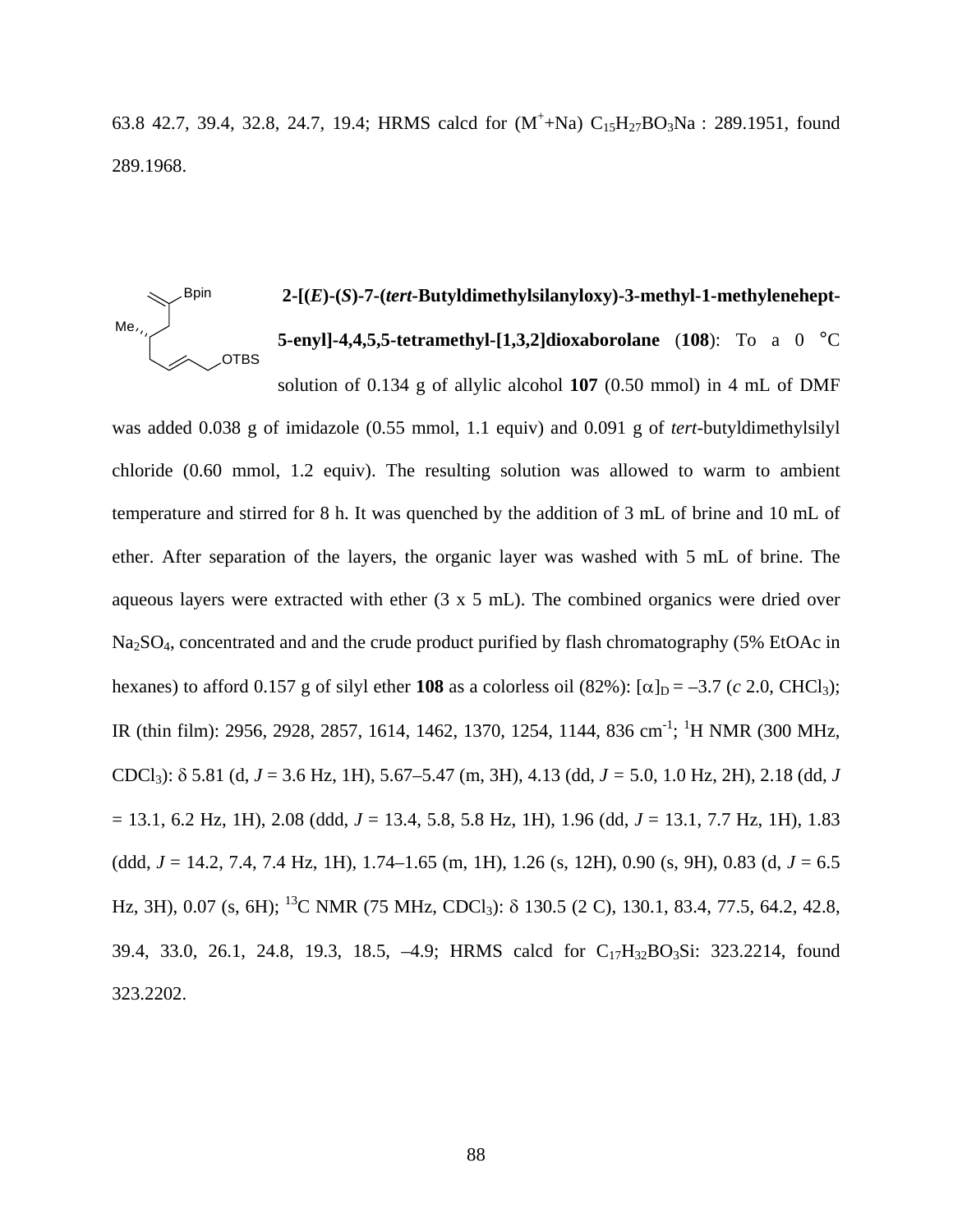63.8 42.7, 39.4, 32.8, 24.7, 19.4; HRMS calcd for  $(M^+ + Na)$   $C_{15}H_{27}BO_3Na$  : 289.1951, found 289.1968.

#### **2-[(***E***)-(***S***)-7-(***tert***-Butyldimethylsilanyloxy)-3-methyl-1-methylenehept-5-enyl]-4,4,5,5-tetramethyl-[1,3,2]dioxaborolane** (**108**): To a 0 °C solution of 0.134 g of allylic alcohol **107** (0.50 mmol) in 4 mL of DMF Me<sub>z</sub> Bpin OTBS

was added 0.038 g of imidazole (0.55 mmol, 1.1 equiv) and 0.091 g of *tert*-butyldimethylsilyl chloride (0.60 mmol, 1.2 equiv). The resulting solution was allowed to warm to ambient temperature and stirred for 8 h. It was quenched by the addition of 3 mL of brine and 10 mL of ether. After separation of the layers, the organic layer was washed with 5 mL of brine. The aqueous layers were extracted with ether (3 x 5 mL). The combined organics were dried over Na2SO4, concentrated and and the crude product purified by flash chromatography (5% EtOAc in hexanes) to afford 0.157 g of silyl ether **108** as a colorless oil (82%):  $[\alpha]_D = -3.7$  (*c* 2.0, CHCl<sub>3</sub>); IR (thin film): 2956, 2928, 2857, 1614, 1462, 1370, 1254, 1144, 836 cm<sup>-1</sup>; <sup>1</sup>H NMR (300 MHz, CDCl3): δ 5.81 (d, *J* = 3.6 Hz, 1H), 5.67–5.47 (m, 3H), 4.13 (dd, *J =* 5.0, 1.0 Hz, 2H), 2.18 (dd, *J* = 13.1, 6.2 Hz, 1H), 2.08 (ddd, *J* = 13.4, 5.8, 5.8 Hz, 1H), 1.96 (dd, *J* = 13.1, 7.7 Hz, 1H), 1.83 (ddd, *J* = 14.2, 7.4, 7.4 Hz, 1H), 1.74–1.65 (m, 1H), 1.26 (s, 12H), 0.90 (s, 9H), 0.83 (d, *J* = 6.5 Hz, 3H), 0.07 (s, 6H); <sup>13</sup>C NMR (75 MHz, CDCl<sub>3</sub>): δ 130.5 (2 C), 130.1, 83.4, 77.5, 64.2, 42.8, 39.4, 33.0, 26.1, 24.8, 19.3, 18.5, -4.9; HRMS calcd for C<sub>17</sub>H<sub>32</sub>BO<sub>3</sub>Si: 323.2214, found 323.2202.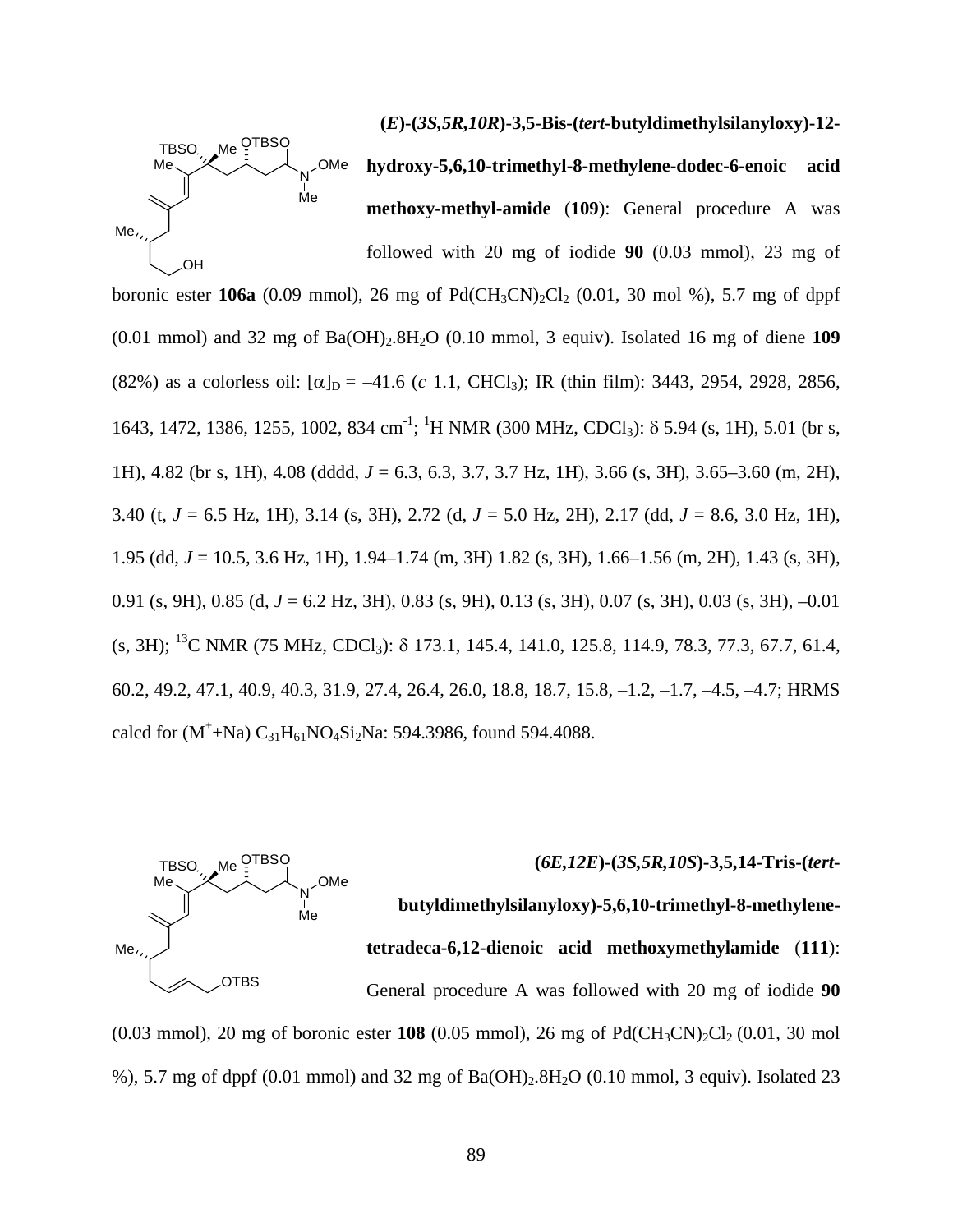

**(***E***)-(***3S,5R,10R***)-3,5-Bis-(***tert***-butyldimethylsilanyloxy)-12 hydroxy-5,6,10-trimethyl-8-methylene-dodec-6-enoic acid methoxy-methyl-amide** (**109**): General procedure A was

followed with 20 mg of iodide **90** (0.03 mmol), 23 mg of boronic ester **106a** (0.09 mmol), 26 mg of  $Pd(CH_3CN)_2Cl_2$  (0.01, 30 mol %), 5.7 mg of dppf (0.01 mmol) and 32 mg of Ba(OH)2.8H2O (0.10 mmol, 3 equiv). Isolated 16 mg of diene **109**  (82%) as a colorless oil:  $[\alpha]_D = -41.6$  (*c* 1.1, CHCl<sub>3</sub>); IR (thin film): 3443, 2954, 2928, 2856, 1643, 1472, 1386, 1255, 1002, 834 cm<sup>-1</sup>; <sup>1</sup>H NMR (300 MHz, CDCl<sub>3</sub>): δ 5.94 (s, 1H), 5.01 (br s, 1H), 4.82 (br s, 1H), 4.08 (dddd, *J* = 6.3, 6.3, 3.7, 3.7 Hz, 1H), 3.66 (s, 3H), 3.65–3.60 (m, 2H), 3.40 (t, *J* = 6.5 Hz, 1H), 3.14 (s, 3H), 2.72 (d, *J* = 5.0 Hz, 2H), 2.17 (dd, *J* = 8.6, 3.0 Hz, 1H), 1.95 (dd, *J* = 10.5, 3.6 Hz, 1H), 1.94–1.74 (m, 3H) 1.82 (s, 3H), 1.66–1.56 (m, 2H), 1.43 (s, 3H), 0.91 (s, 9H), 0.85 (d, *J* = 6.2 Hz, 3H), 0.83 (s, 9H), 0.13 (s, 3H), 0.07 (s, 3H), 0.03 (s, 3H), –0.01 (s, 3H); 13C NMR (75 MHz, CDCl3): δ 173.1, 145.4, 141.0, 125.8, 114.9, 78.3, 77.3, 67.7, 61.4, 60.2, 49.2, 47.1, 40.9, 40.3, 31.9, 27.4, 26.4, 26.0, 18.8, 18.7, 15.8, –1.2, –1.7, –4.5, –4.7; HRMS calcd for  $(M^+ + Na) C_{31}H_{61}NO_4Si_2Na$ : 594.3986, found 594.4088.



%), 5.7 mg of dppf (0.01 mmol) and 32 mg of Ba(OH)2.8H2O (0.10 mmol, 3 equiv). Isolated 23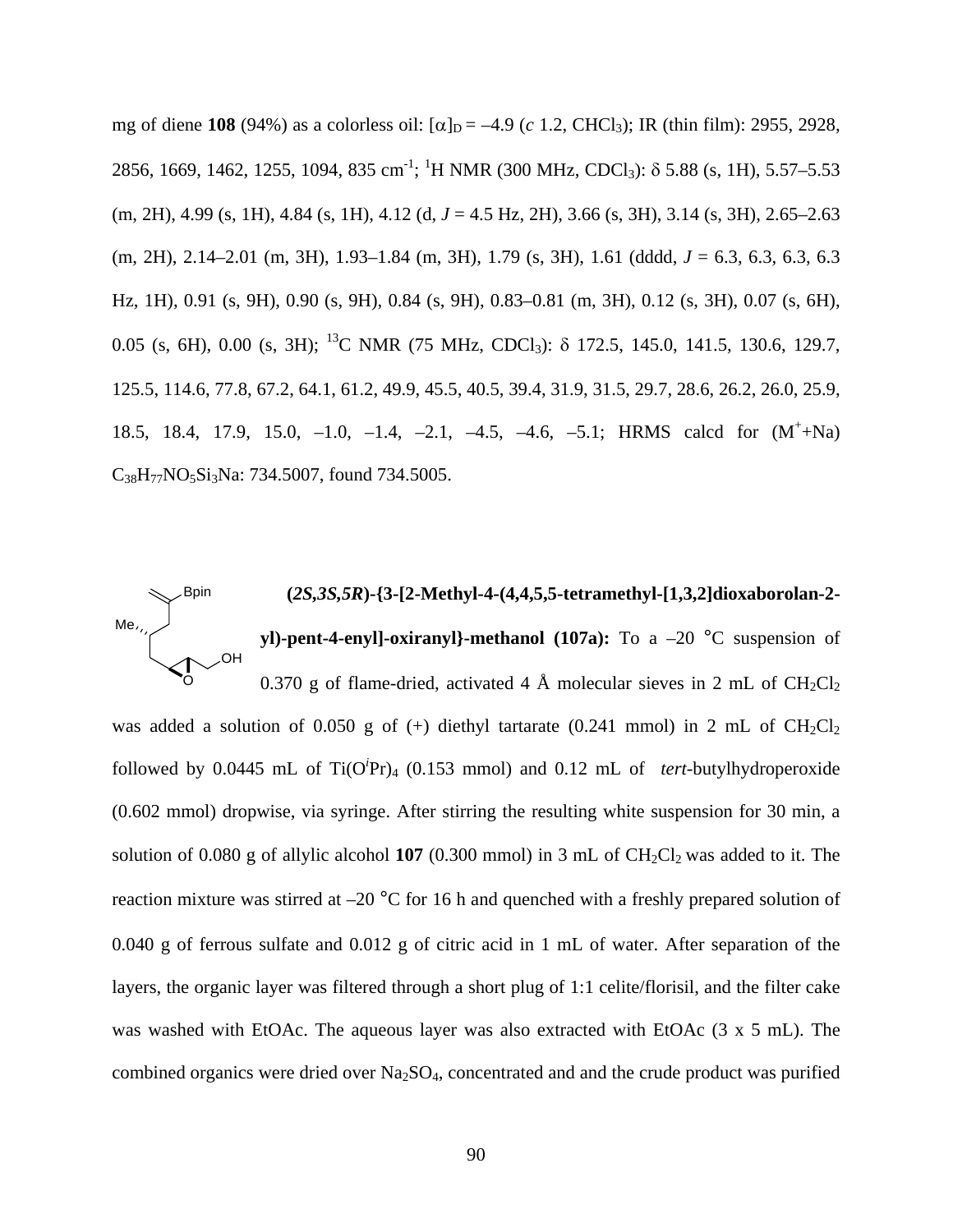mg of diene **108** (94%) as a colorless oil:  $[\alpha]_D = -4.9$  (*c* 1.2, CHCl<sub>3</sub>); IR (thin film): 2955, 2928, 2856, 1669, 1462, 1255, 1094, 835 cm<sup>-1</sup>; <sup>1</sup>H NMR (300 MHz, CDCl<sub>3</sub>): δ 5.88 (s, 1H), 5.57–5.53 (m, 2H), 4.99 (s, 1H), 4.84 (s, 1H), 4.12 (d, *J* = 4.5 Hz, 2H), 3.66 (s, 3H), 3.14 (s, 3H), 2.65–2.63 (m, 2H), 2.14–2.01 (m, 3H), 1.93–1.84 (m, 3H), 1.79 (s, 3H), 1.61 (dddd, *J* = 6.3, 6.3, 6.3, 6.3 Hz, 1H), 0.91 (s, 9H), 0.90 (s, 9H), 0.84 (s, 9H), 0.83–0.81 (m, 3H), 0.12 (s, 3H), 0.07 (s, 6H), 0.05 (s, 6H), 0.00 (s, 3H); 13C NMR (75 MHz, CDCl3): δ 172.5, 145.0, 141.5, 130.6, 129.7, 125.5, 114.6, 77.8, 67.2, 64.1, 61.2, 49.9, 45.5, 40.5, 39.4, 31.9, 31.5, 29.7, 28.6, 26.2, 26.0, 25.9, 18.5, 18.4, 17.9, 15.0, -1.0, -1.4, -2.1, -4.5, -4.6, -5.1; HRMS calcd for  $(M^+ + Na)$ C<sub>38</sub>H<sub>77</sub>NO<sub>5</sub>Si<sub>3</sub>Na: 734.5007, found 734.5005.

#### **(***2S,3S,5R***)-{3-[2-Methyl-4-(4,4,5,5-tetramethyl-[1,3,2]dioxaborolan-2 yl)-pent-4-enyl]-oxiranyl}-methanol (107a):** To a -20 °C suspension of 0.370 g of flame-dried, activated 4 Å molecular sieves in 2 mL of  $CH_2Cl_2$ Me Bpin OH O

was added a solution of 0.050 g of (+) diethyl tartarate (0.241 mmol) in 2 mL of  $CH_2Cl_2$ followed by 0.0445 mL of Ti(O*<sup>i</sup>* Pr)4 (0.153 mmol) and 0.12 mL of *tert*-butylhydroperoxide (0.602 mmol) dropwise, via syringe. After stirring the resulting white suspension for 30 min, a solution of 0.080 g of allylic alcohol  $107$  (0.300 mmol) in 3 mL of  $CH_2Cl_2$  was added to it. The reaction mixture was stirred at –20 °C for 16 h and quenched with a freshly prepared solution of 0.040 g of ferrous sulfate and 0.012 g of citric acid in 1 mL of water. After separation of the layers, the organic layer was filtered through a short plug of 1:1 celite/florisil, and the filter cake was washed with EtOAc. The aqueous layer was also extracted with EtOAc (3 x 5 mL). The combined organics were dried over Na2SO4, concentrated and and the crude product was purified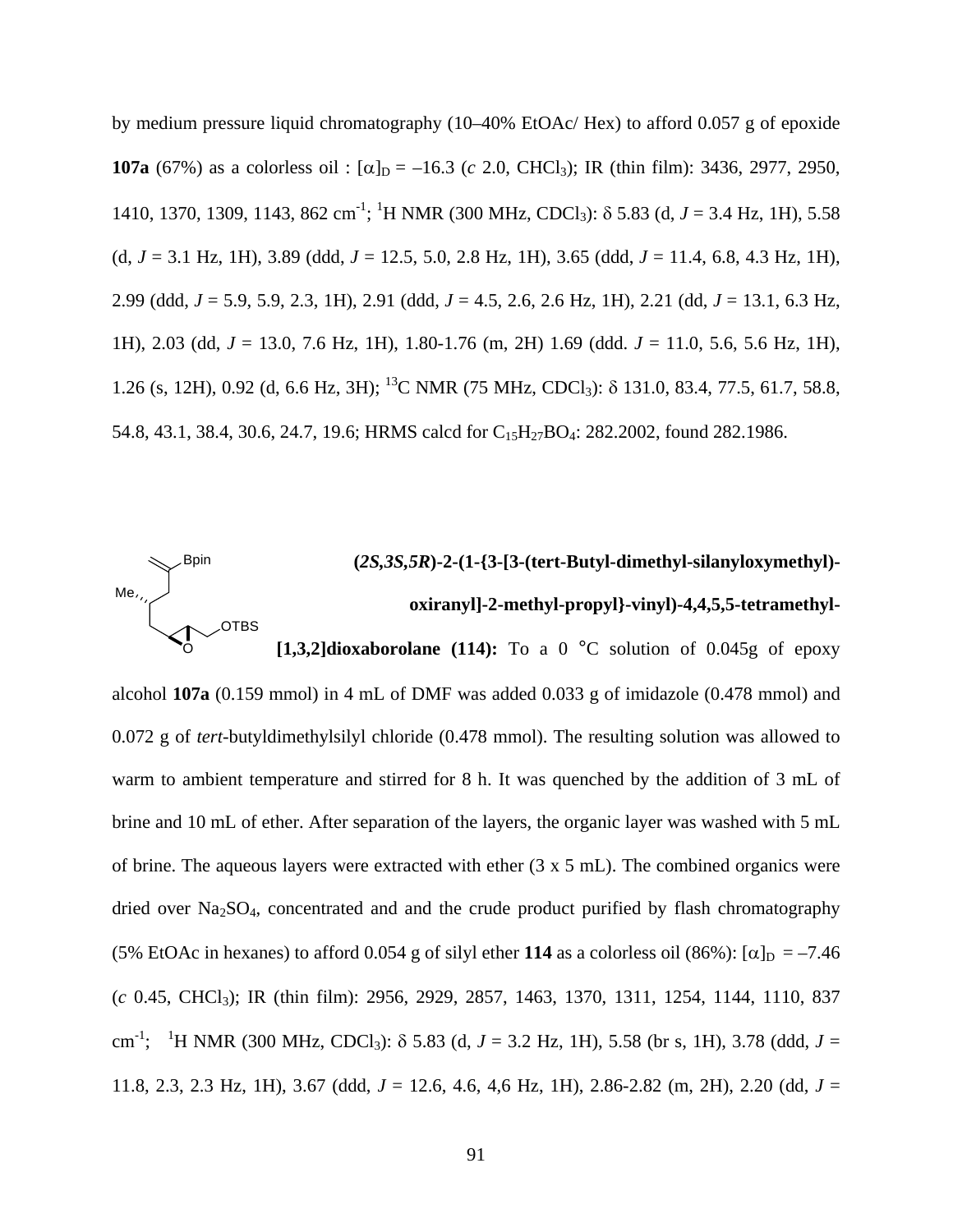by medium pressure liquid chromatography (10–40% EtOAc/ Hex) to afford 0.057 g of epoxide **107a** (67%) as a colorless oil :  $[\alpha]_D = -16.3$  (*c* 2.0, CHCl<sub>3</sub>); IR (thin film): 3436, 2977, 2950, 1410, 1370, 1309, 1143, 862 cm<sup>-1</sup>; <sup>1</sup>H NMR (300 MHz, CDCl<sub>3</sub>): δ 5.83 (d, *J* = 3.4 Hz, 1H), 5.58 (d, *J* = 3.1 Hz, 1H), 3.89 (ddd, *J* = 12.5, 5.0, 2.8 Hz, 1H), 3.65 (ddd, *J* = 11.4, 6.8, 4.3 Hz, 1H), 2.99 (ddd, *J* = 5.9, 5.9, 2.3, 1H), 2.91 (ddd, *J* = 4.5, 2.6, 2.6 Hz, 1H), 2.21 (dd, *J* = 13.1, 6.3 Hz, 1H), 2.03 (dd, *J* = 13.0, 7.6 Hz, 1H), 1.80-1.76 (m, 2H) 1.69 (ddd. *J* = 11.0, 5.6, 5.6 Hz, 1H), 1.26 (s, 12H), 0.92 (d, 6.6 Hz, 3H); 13C NMR (75 MHz, CDCl3): δ 131.0, 83.4, 77.5, 61.7, 58.8, 54.8, 43.1, 38.4, 30.6, 24.7, 19.6; HRMS calcd for C<sub>15</sub>H<sub>27</sub>BO<sub>4</sub>: 282.2002, found 282.1986.



alcohol **107a** (0.159 mmol) in 4 mL of DMF was added 0.033 g of imidazole (0.478 mmol) and 0.072 g of *tert*-butyldimethylsilyl chloride (0.478 mmol). The resulting solution was allowed to warm to ambient temperature and stirred for 8 h. It was quenched by the addition of 3 mL of brine and 10 mL of ether. After separation of the layers, the organic layer was washed with 5 mL of brine. The aqueous layers were extracted with ether (3 x 5 mL). The combined organics were dried over Na<sub>2</sub>SO<sub>4</sub>, concentrated and and the crude product purified by flash chromatography (5% EtOAc in hexanes) to afford 0.054 g of silyl ether 114 as a colorless oil (86%):  $\alpha$ <sub>D</sub> = –7.46 (*c* 0.45, CHCl3); IR (thin film): 2956, 2929, 2857, 1463, 1370, 1311, 1254, 1144, 1110, 837 cm<sup>-1</sup>; <sup>1</sup>H NMR (300 MHz, CDCl<sub>3</sub>):  $\delta$  5.83 (d, *J* = 3.2 Hz, 1H), 5.58 (br s, 1H), 3.78 (ddd, *J* = 11.8, 2.3, 2.3 Hz, 1H), 3.67 (ddd, *J* = 12.6, 4.6, 4,6 Hz, 1H), 2.86-2.82 (m, 2H), 2.20 (dd, *J* =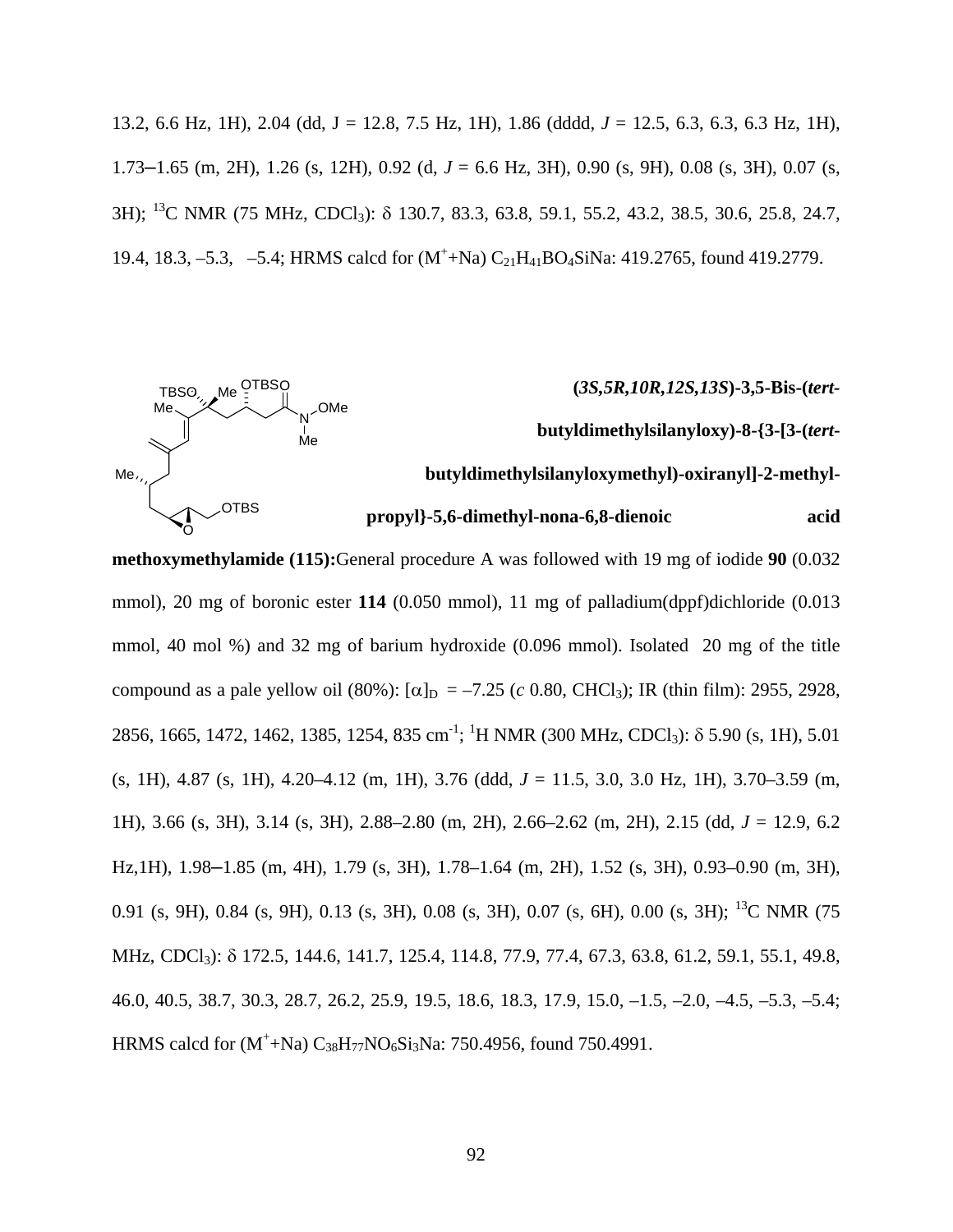13.2, 6.6 Hz, 1H), 2.04 (dd, J = 12.8, 7.5 Hz, 1H), 1.86 (dddd, *J* = 12.5, 6.3, 6.3, 6.3 Hz, 1H), 1.73–1.65 (m, 2H), 1.26 (s, 12H), 0.92 (d, *J* = 6.6 Hz, 3H), 0.90 (s, 9H), 0.08 (s, 3H), 0.07 (s, 3H); 13C NMR (75 MHz, CDCl3): δ 130.7, 83.3, 63.8, 59.1, 55.2, 43.2, 38.5, 30.6, 25.8, 24.7, 19.4, 18.3, -5.3, -5.4; HRMS calcd for  $(M^+ + Na) C_{21}H_{41}BO_4 Sina: 419.2765$ , found 419.2779.



**methoxymethylamide (115):**General procedure A was followed with 19 mg of iodide **90** (0.032 mmol), 20 mg of boronic ester 114 (0.050 mmol), 11 mg of palladium(dppf)dichloride (0.013 mmol, 40 mol %) and 32 mg of barium hydroxide (0.096 mmol). Isolated 20 mg of the title compound as a pale yellow oil (80%):  $[α]_D = -7.25$  (*c* 0.80, CHCl<sub>3</sub>); IR (thin film): 2955, 2928, 2856, 1665, 1472, 1462, 1385, 1254, 835 cm<sup>-1</sup>; <sup>1</sup>H NMR (300 MHz, CDCl<sub>3</sub>): δ 5.90 (s, 1H), 5.01 (s, 1H), 4.87 (s, 1H), 4.20–4.12 (m, 1H), 3.76 (ddd, *J* = 11.5, 3.0, 3.0 Hz, 1H), 3.70–3.59 (m, 1H), 3.66 (s, 3H), 3.14 (s, 3H), 2.88–2.80 (m, 2H), 2.66–2.62 (m, 2H), 2.15 (dd, *J* = 12.9, 6.2 Hz,1H), 1.98–1.85 (m, 4H), 1.79 (s, 3H), 1.78–1.64 (m, 2H), 1.52 (s, 3H), 0.93–0.90 (m, 3H), 0.91 (s, 9H), 0.84 (s, 9H), 0.13 (s, 3H), 0.08 (s, 3H), 0.07 (s, 6H), 0.00 (s, 3H); 13C NMR (75 MHz, CDCl<sub>3</sub>): δ 172.5, 144.6, 141.7, 125.4, 114.8, 77.9, 77.4, 67.3, 63.8, 61.2, 59.1, 55.1, 49.8, 46.0, 40.5, 38.7, 30.3, 28.7, 26.2, 25.9, 19.5, 18.6, 18.3, 17.9, 15.0, –1.5, –2.0, –4.5, –5.3, –5.4; HRMS calcd for  $(M^+ + Na) C_{38}H_{77}NO_6Si_3Na$ : 750.4956, found 750.4991.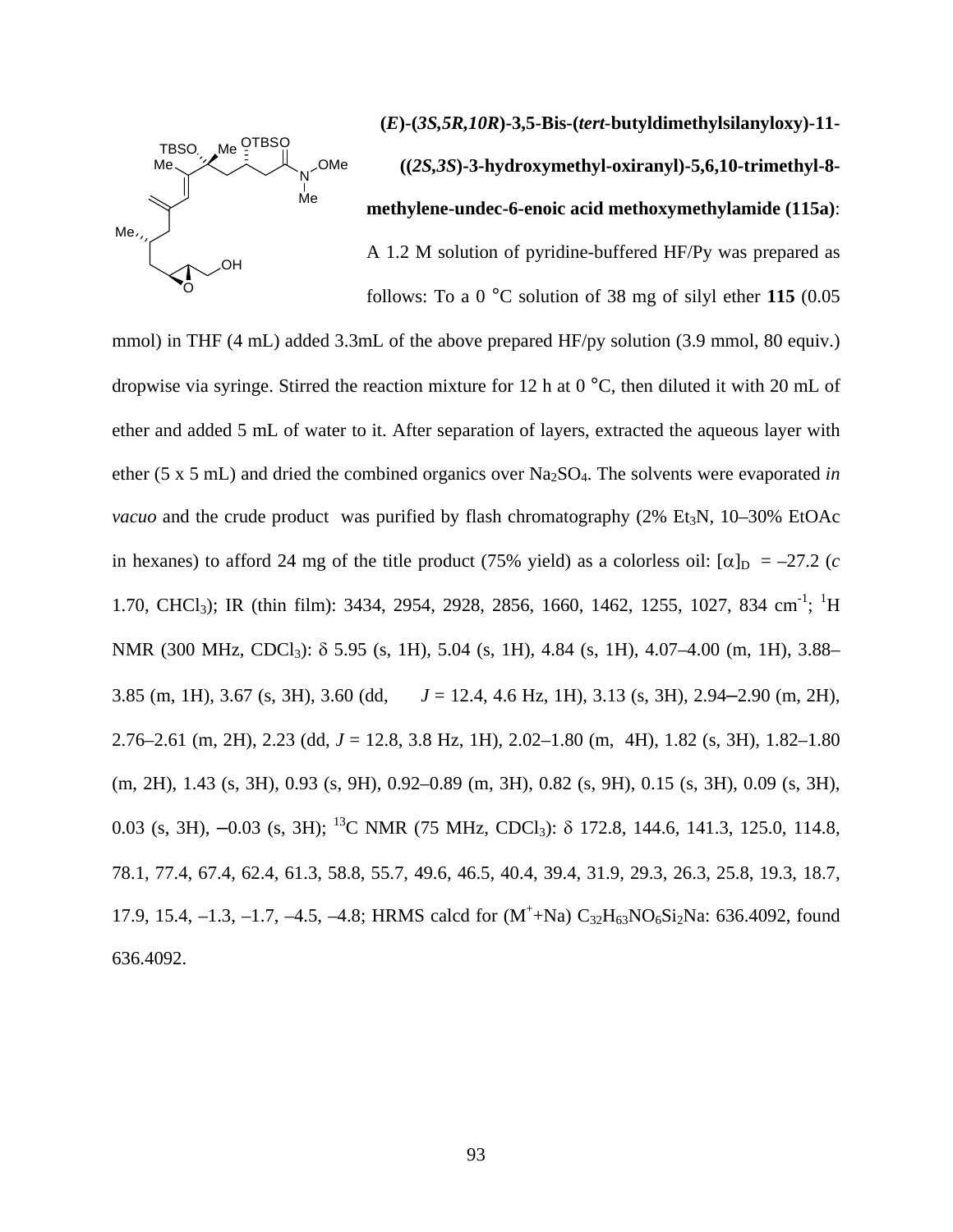

**(***E***)-(***3S,5R,10R***)-3,5-Bis-(***tert-***butyldimethylsilanyloxy)-11- ((***2S,3S***)-3-hydroxymethyl-oxiranyl)-5,6,10-trimethyl-8 methylene-undec-6-enoic acid methoxymethylamide (115a)**: A 1.2 M solution of pyridine-buffered HF/Py was prepared as

follows: To a 0 °C solution of 38 mg of silyl ether **115** (0.05

mmol) in THF (4 mL) added 3.3mL of the above prepared HF/py solution (3.9 mmol, 80 equiv.) dropwise via syringe. Stirred the reaction mixture for 12 h at 0 °C, then diluted it with 20 mL of ether and added 5 mL of water to it. After separation of layers, extracted the aqueous layer with ether (5 x 5 mL) and dried the combined organics over Na<sub>2</sub>SO<sub>4</sub>. The solvents were evaporated *in vacuo* and the crude product was purified by flash chromatography (2% Et<sub>3</sub>N, 10–30% EtOAc in hexanes) to afford 24 mg of the title product (75% yield) as a colorless oil:  $[\alpha]_D = -27.2$  (*c* 1.70, CHCl<sub>3</sub>); IR (thin film): 3434, 2954, 2928, 2856, 1660, 1462, 1255, 1027, 834 cm<sup>-1</sup>; <sup>1</sup>H NMR (300 MHz, CDCl<sub>3</sub>): δ 5.95 (s, 1H), 5.04 (s, 1H), 4.84 (s, 1H), 4.07–4.00 (m, 1H), 3.88– 3.85 (m, 1H), 3.67 (s, 3H), 3.60 (dd, *J* = 12.4, 4.6 Hz, 1H), 3.13 (s, 3H), 2.94–2.90 (m, 2H), 2.76–2.61 (m, 2H), 2.23 (dd, *J* = 12.8, 3.8 Hz, 1H), 2.02–1.80 (m, 4H), 1.82 (s, 3H), 1.82–1.80 (m, 2H), 1.43 (s, 3H), 0.93 (s, 9H), 0.92–0.89 (m, 3H), 0.82 (s, 9H), 0.15 (s, 3H), 0.09 (s, 3H), 0.03 (s, 3H), –0.03 (s, 3H); 13C NMR (75 MHz, CDCl3): δ 172.8, 144.6, 141.3, 125.0, 114.8, 78.1, 77.4, 67.4, 62.4, 61.3, 58.8, 55.7, 49.6, 46.5, 40.4, 39.4, 31.9, 29.3, 26.3, 25.8, 19.3, 18.7, 17.9, 15.4, -1.3, -1.7, -4.5, -4.8; HRMS calcd for  $(M^+ + Na) C_{32}H_{63}NO_6Si_2Na$ : 636.4092, found 636.4092.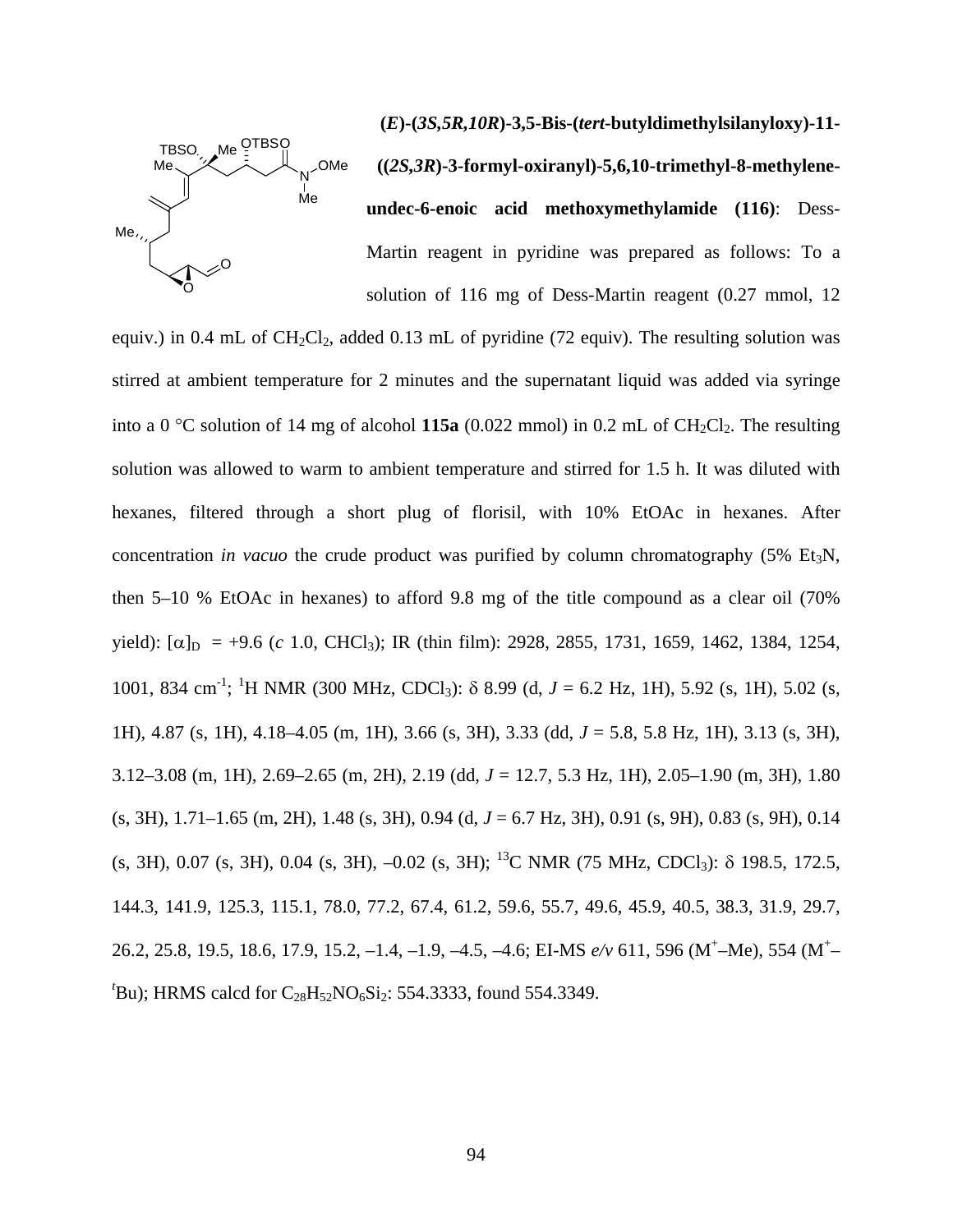

**(***E***)-(***3S,5R,10R***)-3,5-Bis-(***tert***-butyldimethylsilanyloxy)-11- ((***2S,3R***)-3-formyl-oxiranyl)-5,6,10-trimethyl-8-methyleneundec-6-enoic acid methoxymethylamide (116)**: Dess-Martin reagent in pyridine was prepared as follows: To a solution of 116 mg of Dess-Martin reagent (0.27 mmol, 12

equiv.) in 0.4 mL of  $CH_2Cl_2$ , added 0.13 mL of pyridine (72 equiv). The resulting solution was stirred at ambient temperature for 2 minutes and the supernatant liquid was added via syringe into a 0  $\degree$ C solution of 14 mg of alcohol **115a** (0.022 mmol) in 0.2 mL of CH<sub>2</sub>Cl<sub>2</sub>. The resulting solution was allowed to warm to ambient temperature and stirred for 1.5 h. It was diluted with hexanes, filtered through a short plug of florisil, with 10% EtOAc in hexanes. After concentration *in vacuo* the crude product was purified by column chromatography (5% Et<sub>3</sub>N, then 5–10 % EtOAc in hexanes) to afford 9.8 mg of the title compound as a clear oil (70% yield):  $[\alpha]_D = +9.6$  (*c* 1.0, CHCl<sub>3</sub>); IR (thin film): 2928, 2855, 1731, 1659, 1462, 1384, 1254, 1001, 834 cm<sup>-1</sup>; <sup>1</sup>H NMR (300 MHz, CDCl<sub>3</sub>): δ 8.99 (d, *J* = 6.2 Hz, 1H), 5.92 (s, 1H), 5.02 (s, 1H), 4.87 (s, 1H), 4.18–4.05 (m, 1H), 3.66 (s, 3H), 3.33 (dd, *J* = 5.8, 5.8 Hz, 1H), 3.13 (s, 3H), 3.12–3.08 (m, 1H), 2.69–2.65 (m, 2H), 2.19 (dd, *J* = 12.7, 5.3 Hz, 1H), 2.05–1.90 (m, 3H), 1.80 (s, 3H), 1.71–1.65 (m, 2H), 1.48 (s, 3H), 0.94 (d, *J* = 6.7 Hz, 3H), 0.91 (s, 9H), 0.83 (s, 9H), 0.14 (s, 3H), 0.07 (s, 3H), 0.04 (s, 3H),  $-0.02$  (s, 3H); <sup>13</sup>C NMR (75 MHz, CDCl<sub>3</sub>):  $\delta$  198.5, 172.5, 144.3, 141.9, 125.3, 115.1, 78.0, 77.2, 67.4, 61.2, 59.6, 55.7, 49.6, 45.9, 40.5, 38.3, 31.9, 29.7, 26.2, 25.8, 19.5, 18.6, 17.9, 15.2, -1.4, -1.9, -4.5, -4.6; EI-MS  $e/v$  611, 596 (M<sup>+</sup>-Me), 554 (M<sup>+</sup> $t$ Bu); HRMS calcd for C<sub>28</sub>H<sub>52</sub>NO<sub>6</sub>Si<sub>2</sub>: 554.3333, found 554.3349.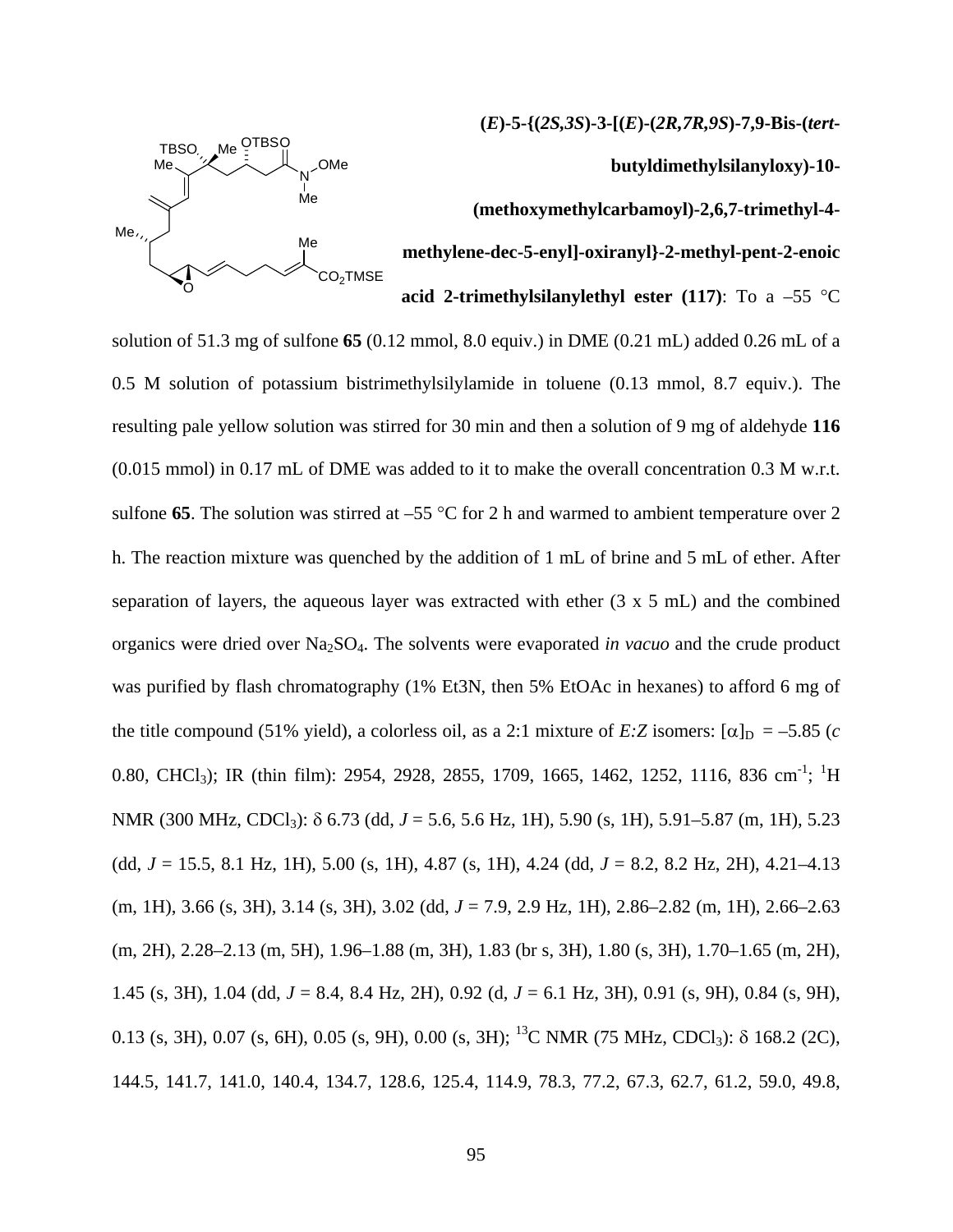**(***E***)-5-{(***2S,3S***)-3-[(***E***)-(***2R,7R,9S***)-7,9-Bis-(***tert***-**



**butyldimethylsilanyloxy)-10-**

# **(methoxymethylcarbamoyl)-2,6,7-trimethyl-4-**

**ylene-dec-5-enyl]-oxiranyl}-2-methyl-pent-2-enoic meth**

**acid 2-trimethylsilanylethyl ester (117)**: To a –55 °C

solution of 51.3 mg of sulfone **65** (0.12 mmol, 8.0 equiv.) in DME (0.21 mL) added 0.26 mL of a 0.5 M solution of potassium bistrimethylsilylamide in toluene (0.13 mmol, 8.7 equiv.). The resulting pale yellow solution was stirred for 30 min and then a solution of 9 mg of aldehyde **116** (0.015 mmol) in 0.17 mL of DME was added to it to make the overall concentration 0.3 M w.r.t. sulfone **65**. The solution was stirred at  $-55$  °C for 2 h and warmed to ambient temperature over 2 h. The reaction mixture was quenched by the addition of 1 mL of brine and 5 mL of ether. After separation of layers, the aqueous layer was extracted with ether (3 x 5 mL) and the combined organics were dried over Na 2SO4. The solvents were evaporated *in vacuo* and the crude product was purified by flash chromatography (1% Et3N, then 5% EtOAc in hexanes) to afford 6 mg of the title compound (51% yield), a colorless oil, as a 2:1 mixture of *E*:*Z* isomers:  $[\alpha]_D = -5.85$  (*c* 0.80, CHCl<sub>3</sub>); IR (thin film): 2954, 2928, 2855, 1709, 1665, 1462, 1252, 1116, 836 cm<sup>-1</sup>; <sup>1</sup>H NMR (300 MHz, CDCl<sub>3</sub>): δ 6.73 (dd, *J* = 5.6, 5.6 Hz, 1H), 5.90 (s, 1H), 5.91–5.87 (m, 1H), 5.23 (dd, *J* = 15.5, 8.1 Hz, 1H), 5.00 (s, 1H), 4.87 (s, 1H), 4.24 (dd, *J* = 8.2, 8.2 Hz, 2H), 4.21–4.13 (m, 1H), 3.66 (s, 3H), 3.14 (s, 3H), 3.02 (dd, *J* = 7.9, 2.9 Hz, 1H), 2.86–2.82 (m, 1H), 2.66–2.63 (m, 2H), 2.28–2.13 (m, 5H), 1.96–1.88 (m, 3H), 1.83 (br s, 3H), 1.80 (s, 3H), 1.70–1.65 (m, 2H), 1.45 (s, 3H), 1.04 (dd, *J* = 8.4, 8.4 Hz, 2H), 0.92 (d, *J* = 6.1 Hz, 3H), 0.91 (s, 9H), 0.84 (s, 9H), 0.13 (s, 3H), 0.07 (s, 6H), 0.05 (s, 9H), 0.00 (s, 3H); <sup>13</sup>C NMR (75 MHz, CDCl<sub>3</sub>):  $\delta$  168.2 (2C), 144.5, 141.7, 141.0, 140.4, 134.7, 128.6, 125.4, 114.9, 78.3, 77.2, 67.3, 62.7, 61.2, 59.0, 49.8,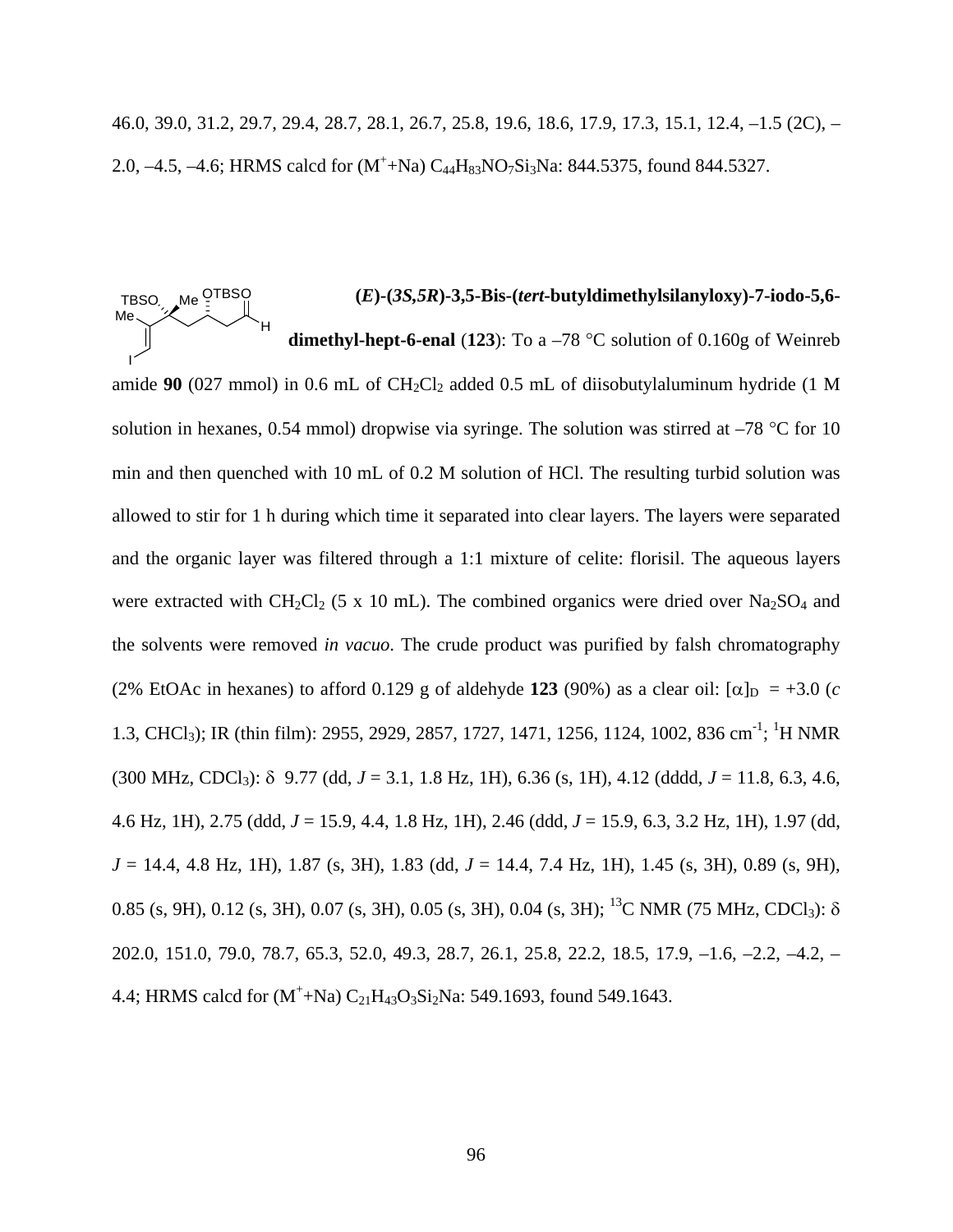46.0, 39.0, 31.2, 29.7, 29.4, 28.7, 28.1, 26.7, 25.8, 19.6, 18.6, 17.9, 17.3, 15.1, 12.4, –1.5 (2C), – 2.0,  $-4.5$ ,  $-4.6$ ; HRMS calcd for  $(M^+ + Na) C_{44}H_{83}NO_7Si_3Na$ : 844.5375, found 844.5327.

H

Me

#### **(***E***)-(***3S,5R***)-3,5-Bis-(***tert***-butyldimethylsilanyloxy)-7-iodo-5,6-** TBSO Me <sup>QTBSO</sup>

**dimethyl-hept-6-enal** (**123**): To a –78 °C solution of 0.160g of Weinreb amide 90 (027 mmol) in 0.6 mL of CH<sub>2</sub>Cl<sub>2</sub> added 0.5 mL of diisobutylaluminum hydride (1 M solution in hexanes, 0.54 mmol) dropwise via syringe. The solution was stirred at  $-78$  °C for 10 min and then quenched with 10 mL of 0.2 M solution of HCl. The resulting turbid solution was allowed to stir for 1 h during which time it separated into clear layers. The layers were separated and the organic layer was filtered through a 1:1 mixture of celite: florisil. The aqueous layers were extracted with  $CH_2Cl_2$  (5 x 10 mL). The combined organics were dried over  $Na_2SO_4$  and the solvents were removed *in vacuo*. The crude product was purified by falsh chromatography (2% EtOAc in hexanes) to afford 0.129 g of aldehyde 123 (90%) as a clear oil:  $[\alpha]_D = +3.0$  (*c* 1.3, CHCl<sub>3</sub>); IR (thin film): 2955, 2929, 2857, 1727, 1471, 1256, 1124, 1002, 836 cm<sup>-1</sup>; <sup>1</sup>H NMR (300 MHz, CDCl3): δ 9.77 (dd, *J* = 3.1, 1.8 Hz, 1H), 6.36 (s, 1H), 4.12 (dddd, *J* = 11.8, 6.3, 4.6, 4.6 Hz, 1H), 2.75 (ddd, *J* = 15.9, 4.4, 1.8 Hz, 1H), 2.46 (ddd, *J* = 15.9, 6.3, 3.2 Hz, 1H), 1.97 (dd, *J* = 14.4, 4.8 Hz, 1H), 1.87 (s, 3H), 1.83 (dd, *J* = 14.4, 7.4 Hz, 1H), 1.45 (s, 3H), 0.89 (s, 9H), 0.85 (s, 9H), 0.12 (s, 3H), 0.07 (s, 3H), 0.05 (s, 3H), 0.04 (s, 3H); <sup>13</sup>C NMR (75 MHz, CDCl<sub>3</sub>):  $\delta$ 202.0, 151.0, 79.0, 78.7, 65.3, 52.0, 49.3, 28.7, 26.1, 25.8, 22.2, 18.5, 17.9, –1.6, –2.2, –4.2, – 4.4; HRMS calcd for  $(M^+$ +Na)  $C_{21}H_{43}O_3Si_2Na$ : 549.1693, found 549.1643. I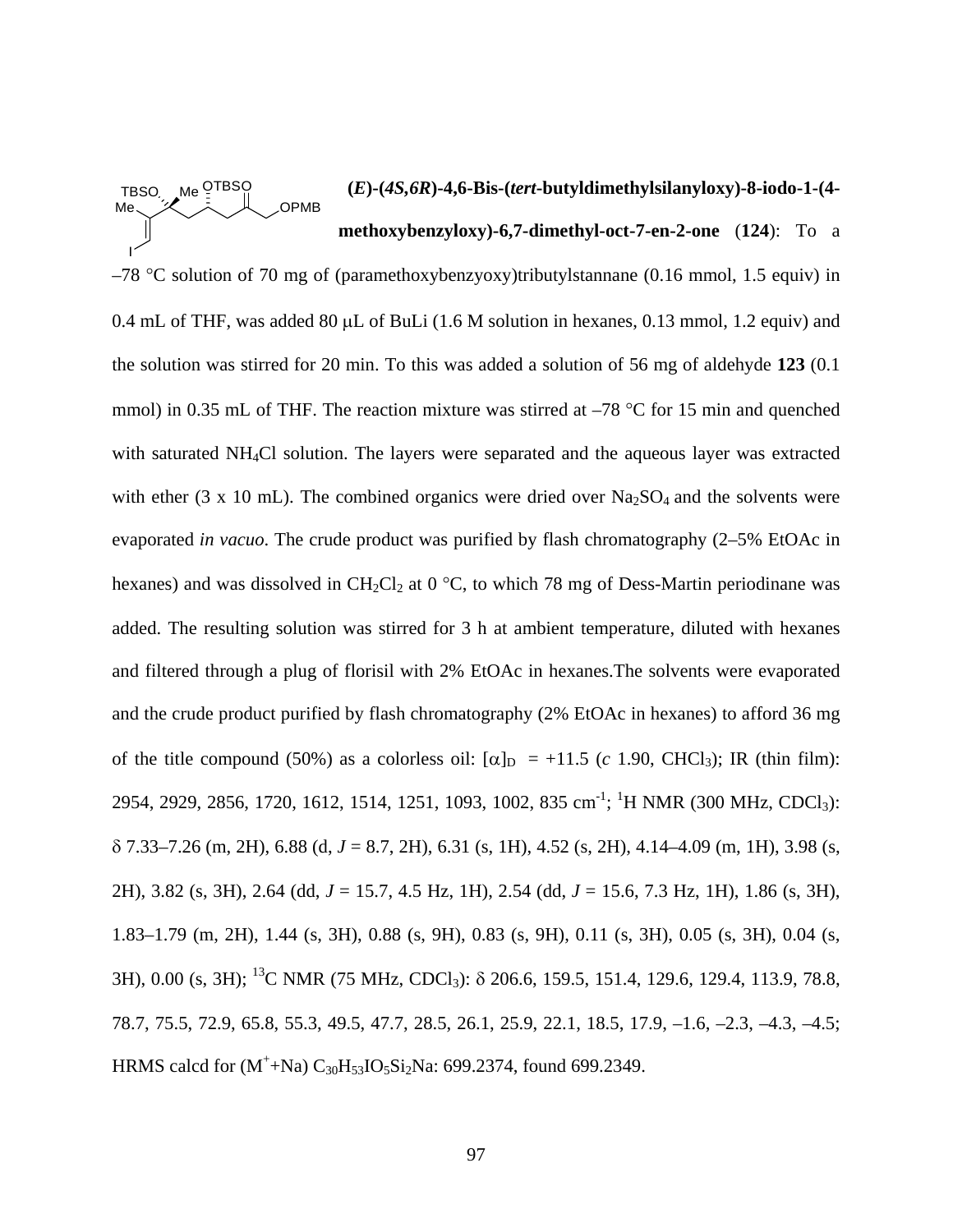#### **(***E***)-(***4S,6R***)-4,6-Bis-(***tert***-butyldimethylsilanyloxy)-8-iodo-1-(4 methoxybenzyloxy)-6,7-dimethyl-oct-7-en-2-one** (**124**): To a TBSO Me <sup>OTBSO</sup> Me I **OPMB**

 $-78$  °C solution of 70 mg of (paramethoxybenzyoxy)tributylstannane (0.16 mmol, 1.5 equiv) in 0.4 mL of THF, was added 80 μL of BuLi (1.6 M solution in hexanes, 0.13 mmol, 1.2 equiv) and the solution was stirred for 20 min. To this was added a solution of 56 mg of aldehyde **123** (0.1 mmol) in 0.35 mL of THF. The reaction mixture was stirred at  $-78$  °C for 15 min and quenched with saturated NH4Cl solution. The layers were separated and the aqueous layer was extracted with ether (3 x 10 mL). The combined organics were dried over  $Na<sub>2</sub>SO<sub>4</sub>$  and the solvents were evaporated *in vacuo*. The crude product was purified by flash chromatography (2–5% EtOAc in hexanes) and was dissolved in  $CH_2Cl_2$  at 0 °C, to which 78 mg of Dess-Martin periodinane was added. The resulting solution was stirred for 3 h at ambient temperature, diluted with hexanes and filtered through a plug of florisil with 2% EtOAc in hexanes.The solvents were evaporated and the crude product purified by flash chromatography (2% EtOAc in hexanes) to afford 36 mg of the title compound (50%) as a colorless oil:  $[\alpha]_D = +11.5$  (*c* 1.90, CHCl<sub>3</sub>); IR (thin film): 2954, 2929, 2856, 1720, 1612, 1514, 1251, 1093, 1002, 835 cm<sup>-1</sup>; <sup>1</sup>H NMR (300 MHz, CDCl<sub>3</sub>): δ 7.33–7.26 (m, 2H), 6.88 (d, *J* = 8.7, 2H), 6.31 (s, 1H), 4.52 (s, 2H), 4.14–4.09 (m, 1H), 3.98 (s, 2H), 3.82 (s, 3H), 2.64 (dd, *J* = 15.7, 4.5 Hz, 1H), 2.54 (dd, *J* = 15.6, 7.3 Hz, 1H), 1.86 (s, 3H), 1.83–1.79 (m, 2H), 1.44 (s, 3H), 0.88 (s, 9H), 0.83 (s, 9H), 0.11 (s, 3H), 0.05 (s, 3H), 0.04 (s, 3H), 0.00 (s, 3H); 13C NMR (75 MHz, CDCl3): δ 206.6, 159.5, 151.4, 129.6, 129.4, 113.9, 78.8, 78.7, 75.5, 72.9, 65.8, 55.3, 49.5, 47.7, 28.5, 26.1, 25.9, 22.1, 18.5, 17.9, –1.6, –2.3, –4.3, –4.5; HRMS calcd for  $(M^+ + Na) C_{30}H_{53}IO_5Si_2Na$ : 699.2374, found 699.2349.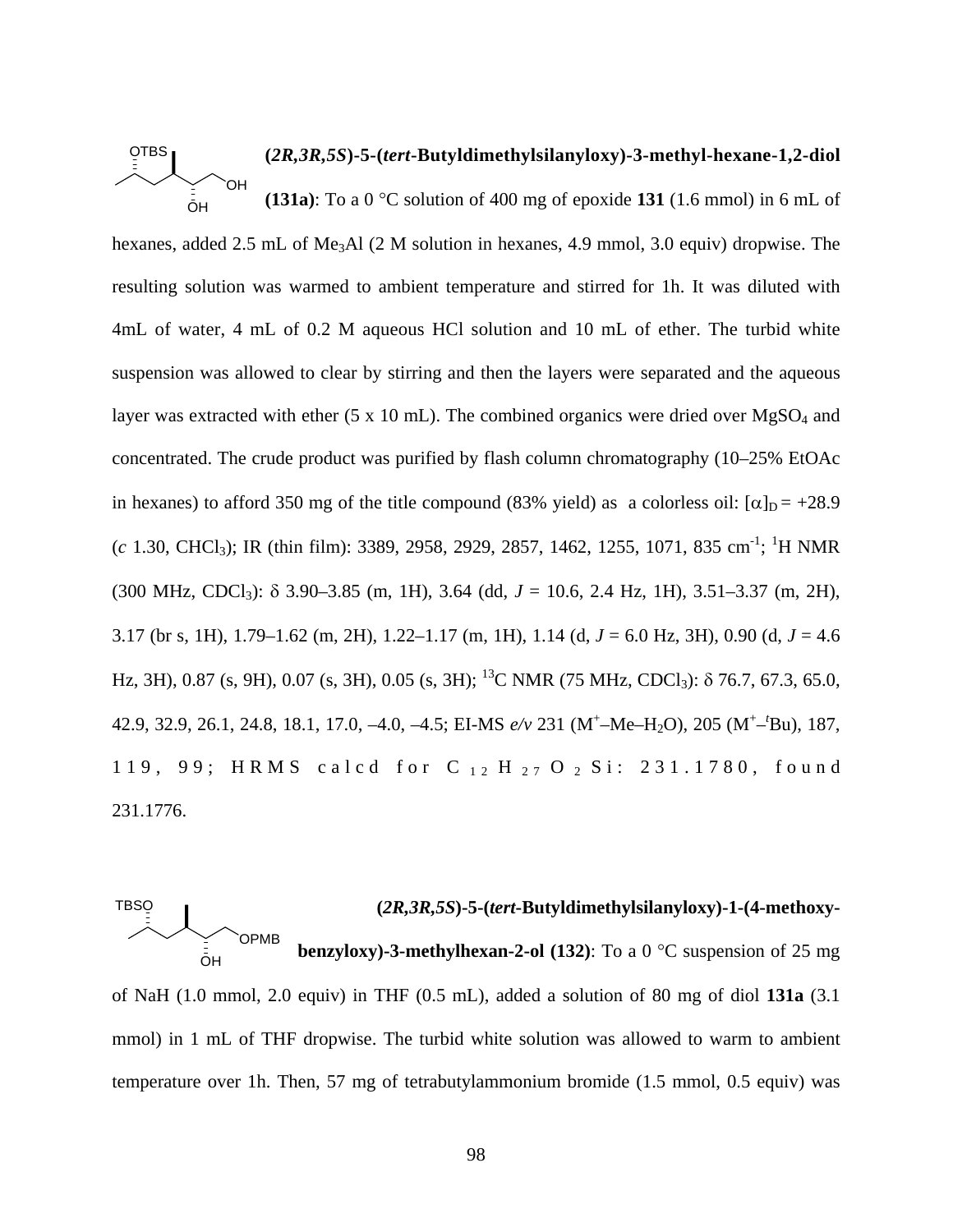### **(***2R,3R,5S***)-5-(***tert***-Butyldimethylsilanyloxy)-3-methyl-hexane-1,2-diol (131a)**: To a 0 °C solution of 400 mg of epoxide **131** (1.6 mmol) in 6 mL of OTBS ŌΗ OH

hexanes, added 2.5 mL of Me<sub>3</sub>Al (2 M solution in hexanes, 4.9 mmol, 3.0 equiv) dropwise. The resulting solution was warmed to ambient temperature and stirred for 1h. It was diluted with 4mL of water, 4 mL of 0.2 M aqueous HCl solution and 10 mL of ether. The turbid white suspension was allowed to clear by stirring and then the layers were separated and the aqueous layer was extracted with ether (5 x 10 mL). The combined organics were dried over  $MgSO<sub>4</sub>$  and concentrated. The crude product was purified by flash column chromatography (10–25% EtOAc in hexanes) to afford 350 mg of the title compound (83% yield) as a colorless oil:  $\alpha$ <sub>D</sub> = +28.9  $(c$  1.30, CHCl<sub>3</sub>); IR (thin film): 3389, 2958, 2929, 2857, 1462, 1255, 1071, 835 cm<sup>-1</sup>; <sup>1</sup>H NMR (300 MHz, CDCl3): δ 3.90–3.85 (m, 1H), 3.64 (dd, *J* = 10.6, 2.4 Hz, 1H), 3.51–3.37 (m, 2H), 3.17 (br s, 1H), 1.79–1.62 (m, 2H), 1.22–1.17 (m, 1H), 1.14 (d, *J* = 6.0 Hz, 3H), 0.90 (d, *J* = 4.6 Hz, 3H), 0.87 (s, 9H), 0.07 (s, 3H), 0.05 (s, 3H); <sup>13</sup>C NMR (75 MHz, CDCl<sub>3</sub>):  $\delta$  76.7, 67.3, 65.0, 42.9, 32.9, 26.1, 24.8, 18.1, 17.0, –4.0, –4.5; EI-MS *e/v* 231 (M+ –Me–H2O), 205 (M<sup>+</sup> –*t* Bu), 187, 119, 99; HRMS calcd for C<sub>12</sub> H<sub>27</sub> O<sub>2</sub> Si: 231.1780, found 231.1776.

## **(***2R,3R,5S***)-5-(***tert***-Butyldimethylsilanyloxy)-1-(4-methoxybenzyloxy)-3-methylhexan-2-ol (132)**: To a 0 °C suspension of 25 mg **TBSO** ŌΗ OPMB

of NaH (1.0 mmol, 2.0 equiv) in THF (0.5 mL), added a solution of 80 mg of diol **131a** (3.1 mmol) in 1 mL of THF dropwise. The turbid white solution was allowed to warm to ambient temperature over 1h. Then, 57 mg of tetrabutylammonium bromide (1.5 mmol, 0.5 equiv) was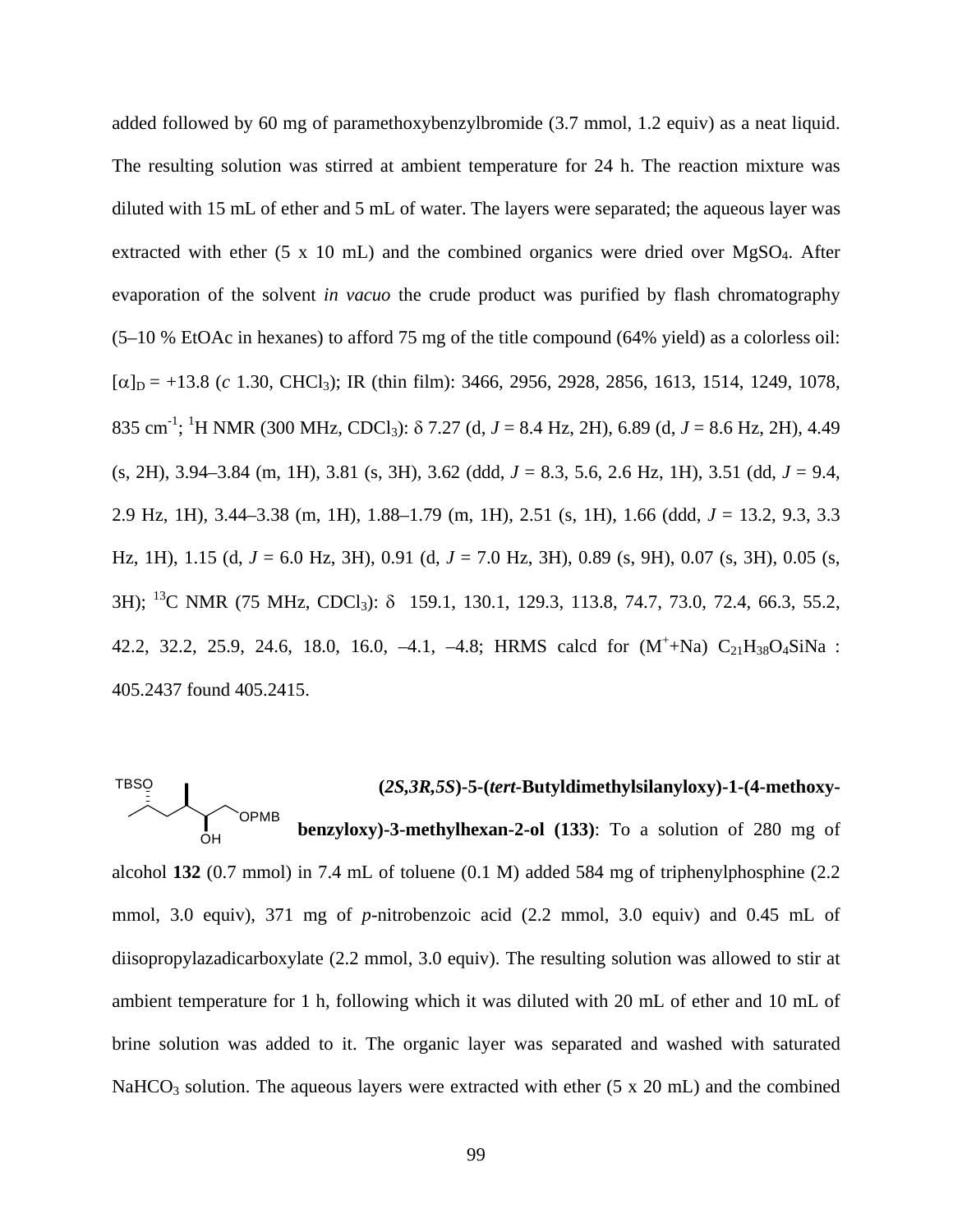added followed by 60 mg of paramethoxybenzylbromide (3.7 mmol, 1.2 equiv) as a neat liquid. The resulting solution was stirred at ambient temperature for 24 h. The reaction mixture was diluted with 15 mL of ether and 5 mL of water. The layers were separated; the aqueous layer was extracted with ether  $(5 \times 10 \text{ mL})$  and the combined organics were dried over MgSO<sub>4</sub>. After evaporation of the solvent *in vacuo* the crude product was purified by flash chromatography (5–10 % EtOAc in hexanes) to afford 75 mg of the title compound (64% yield) as a colorless oil:  $[\alpha]_D = +13.8$  (*c* 1.30, CHCl<sub>3</sub>); IR (thin film): 3466, 2956, 2928, 2856, 1613, 1514, 1249, 1078, 835 cm-1 ; 1 H NMR (300 MHz, CDCl3): δ 7.27 (d, *J* = 8.4 Hz, 2H), 6.89 (d, *J* = 8.6 Hz, 2H), 4.49 (s, 2H), 3.94–3.84 (m, 1H), 3.81 (s, 3H), 3.62 (ddd, *J* = 8.3, 5.6, 2.6 Hz, 1H), 3.51 (dd, *J* = 9.4, 2.9 Hz, 1H), 3.44–3.38 (m, 1H), 1.88–1.79 (m, 1H), 2.51 (s, 1H), 1.66 (ddd, *J* = 13.2, 9.3, 3.3 Hz, 1H), 1.15 (d, *J* = 6.0 Hz, 3H), 0.91 (d, *J* = 7.0 Hz, 3H), 0.89 (s, 9H), 0.07 (s, 3H), 0.05 (s, 3H); 13C NMR (75 MHz, CDCl3): δ 159.1, 130.1, 129.3, 113.8, 74.7, 73.0, 72.4, 66.3, 55.2, 42.2, 32.2, 25.9, 24.6, 18.0, 16.0, -4.1, -4.8; HRMS calcd for  $(M^+ + Na)$   $C_{21}H_{38}O_4SiNa$ : 405.2437 found 405.2415.



alcohol **132** (0.7 mmol) in 7.4 mL of toluene (0.1 M) added 584 mg of triphenylphosphine (2.2 mmol, 3.0 equiv), 371 mg of *p*-nitrobenzoic acid (2.2 mmol, 3.0 equiv) and 0.45 mL of diisopropylazadicarboxylate (2.2 mmol, 3.0 equiv). The resulting solution was allowed to stir at ambient temperature for 1 h, following which it was diluted with 20 mL of ether and 10 mL of brine solution was added to it. The organic layer was separated and washed with saturated  $NaHCO<sub>3</sub>$  solution. The aqueous layers were extracted with ether (5 x 20 mL) and the combined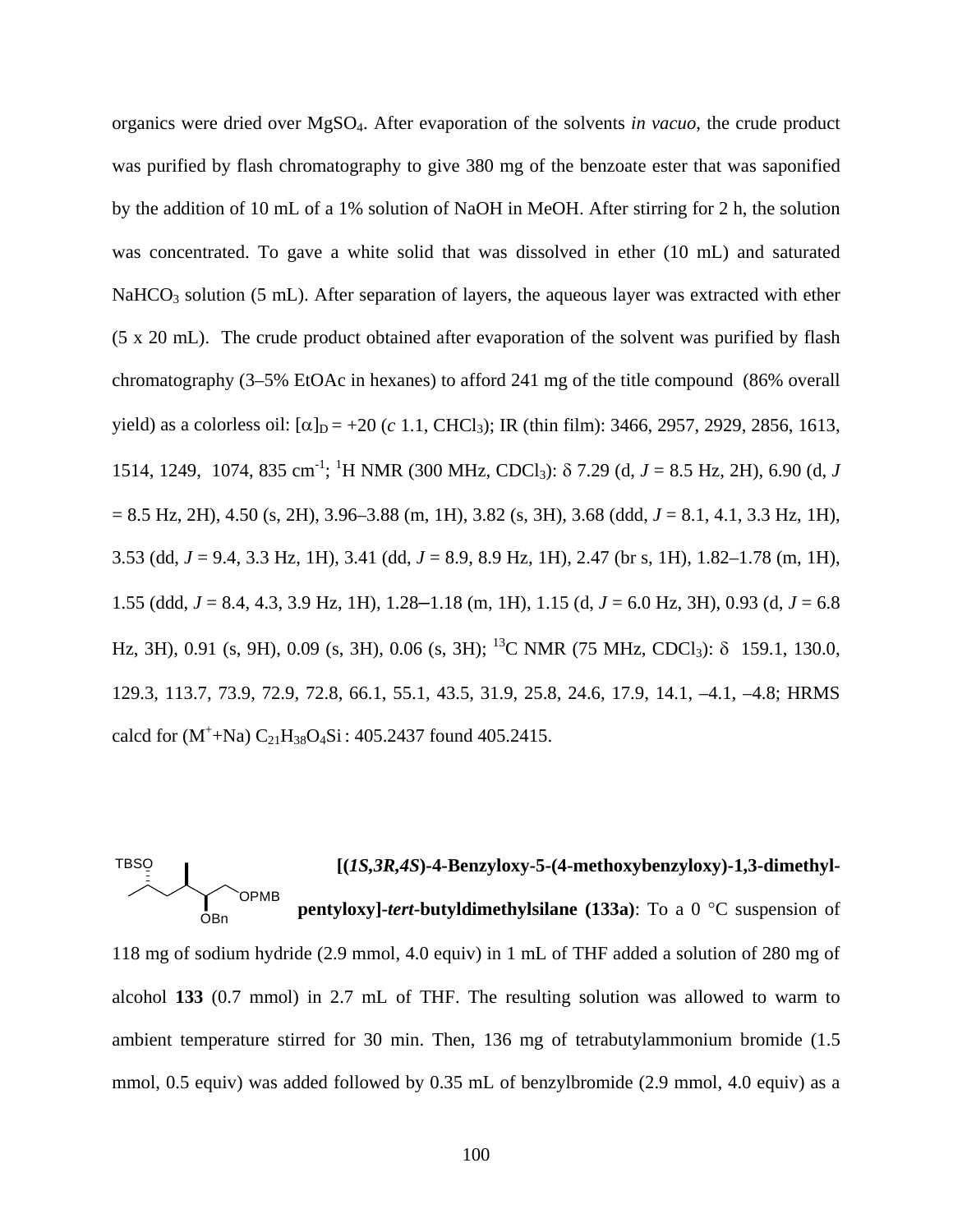organics were dried over MgSO4. After evaporation of the solvents *in vacuo*, the crude product was purified by flash chromatography to give 380 mg of the benzoate ester that was saponified by the addition of 10 mL of a 1% solution of NaOH in MeOH. After stirring for 2 h, the solution was concentrated. To gave a white solid that was dissolved in ether (10 mL) and saturated  $NaHCO<sub>3</sub>$  solution (5 mL). After separation of layers, the aqueous layer was extracted with ether (5 x 20 mL). The crude product obtained after evaporation of the solvent was purified by flash chromatography (3–5% EtOAc in hexanes) to afford 241 mg of the title compound (86% overall yield) as a colorless oil:  $[\alpha]_D = +20$  (*c* 1.1, CHCl<sub>3</sub>); IR (thin film): 3466, 2957, 2929, 2856, 1613, 1514, 1249, 1074, 835 cm<sup>-1</sup>; <sup>1</sup>H NMR (300 MHz, CDCl<sub>3</sub>): δ 7.29 (d, *J* = 8.5 Hz, 2H), 6.90 (d, *J* = 8.5 Hz, 2H), 4.50 (s, 2H), 3.96–3.88 (m, 1H), 3.82 (s, 3H), 3.68 (ddd, *J* = 8.1, 4.1, 3.3 Hz, 1H), 3.53 (dd, *J* = 9.4, 3.3 Hz, 1H), 3.41 (dd, *J* = 8.9, 8.9 Hz, 1H), 2.47 (br s, 1H), 1.82–1.78 (m, 1H), 1.55 (ddd, *J* = 8.4, 4.3, 3.9 Hz, 1H), 1.28–1.18 (m, 1H), 1.15 (d, *J* = 6.0 Hz, 3H), 0.93 (d, *J* = 6.8 Hz, 3H), 0.91 (s, 9H), 0.09 (s, 3H), 0.06 (s, 3H); <sup>13</sup>C NMR (75 MHz, CDCl<sub>3</sub>):  $\delta$  159.1, 130.0, 129.3, 113.7, 73.9, 72.9, 72.8, 66.1, 55.1, 43.5, 31.9, 25.8, 24.6, 17.9, 14.1, –4.1, –4.8; HRMS calcd for  $(M^+ + Na) C_{21}H_{38}O_4Si$ : 405.2437 found 405.2415.



118 mg of sodium hydride (2.9 mmol, 4.0 equiv) in 1 mL of THF added a solution of 280 mg of alcohol **133** (0.7 mmol) in 2.7 mL of THF. The resulting solution was allowed to warm to ambient temperature stirred for 30 min. Then, 136 mg of tetrabutylammonium bromide (1.5 mmol, 0.5 equiv) was added followed by 0.35 mL of benzylbromide (2.9 mmol, 4.0 equiv) as a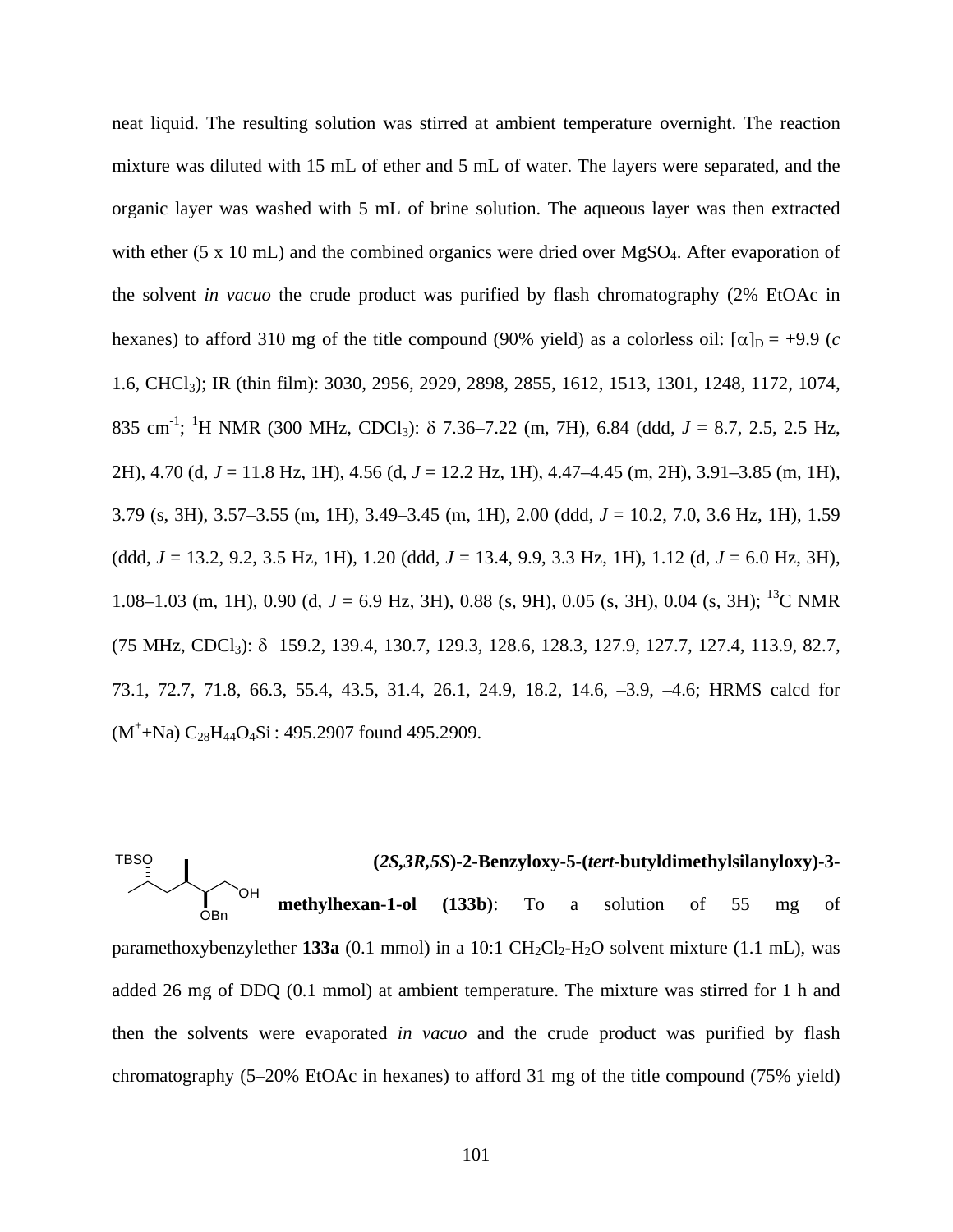neat liquid. The resulting solution was stirred at ambient temperature overnight. The reaction mixture was diluted with 15 mL of ether and 5 mL of water. The layers were separated, and the organic layer was washed with 5 mL of brine solution. The aqueous layer was then extracted with ether (5 x 10 mL) and the combined organics were dried over MgSO<sub>4</sub>. After evaporation of the solvent *in vacuo* the crude product was purified by flash chromatography (2% EtOAc in hexanes) to afford 310 mg of the title compound (90% yield) as a colorless oil:  $[\alpha]_D = +9.9$  (*c* 1.6, CHCl3); IR (thin film): 3030, 2956, 2929, 2898, 2855, 1612, 1513, 1301, 1248, 1172, 1074, 835 cm<sup>-1</sup>; <sup>1</sup>H NMR (300 MHz, CDCl<sub>3</sub>): δ 7.36–7.22 (m, 7H), 6.84 (ddd, *J* = 8.7, 2.5, 2.5 Hz, 2H), 4.70 (d, *J* = 11.8 Hz, 1H), 4.56 (d, *J* = 12.2 Hz, 1H), 4.47–4.45 (m, 2H), 3.91–3.85 (m, 1H), 3.79 (s, 3H), 3.57–3.55 (m, 1H), 3.49–3.45 (m, 1H), 2.00 (ddd, *J* = 10.2, 7.0, 3.6 Hz, 1H), 1.59 (ddd, *J* = 13.2, 9.2, 3.5 Hz, 1H), 1.20 (ddd, *J* = 13.4, 9.9, 3.3 Hz, 1H), 1.12 (d, *J* = 6.0 Hz, 3H), 1.08–1.03 (m, 1H), 0.90 (d,  $J = 6.9$  Hz, 3H), 0.88 (s, 9H), 0.05 (s, 3H), 0.04 (s, 3H); <sup>13</sup>C NMR (75 MHz, CDCl3): δ 159.2, 139.4, 130.7, 129.3, 128.6, 128.3, 127.9, 127.7, 127.4, 113.9, 82.7, 73.1, 72.7, 71.8, 66.3, 55.4, 43.5, 31.4, 26.1, 24.9, 18.2, 14.6, –3.9, –4.6; HRMS calcd for  $(M^+$ +Na)  $C_{28}H_{44}O_4Si$ : 495.2907 found 495.2909.

**(***2S,3R,5S***)-2-Benzyloxy-5-(***tert***-butyldimethylsilanyloxy)-3 methylhexan-1-ol (133b)**: To a solution of 55 mg of paramethoxybenzylether **133a** (0.1 mmol) in a 10:1  $CH_2Cl_2-H_2O$  solvent mixture (1.1 mL), was added 26 mg of DDQ (0.1 mmol) at ambient temperature. The mixture was stirred for 1 h and then the solvents were evaporated *in vacuo* and the crude product was purified by flash chromatography (5–20% EtOAc in hexanes) to afford 31 mg of the title compound (75% yield) **TBSO** OBn OH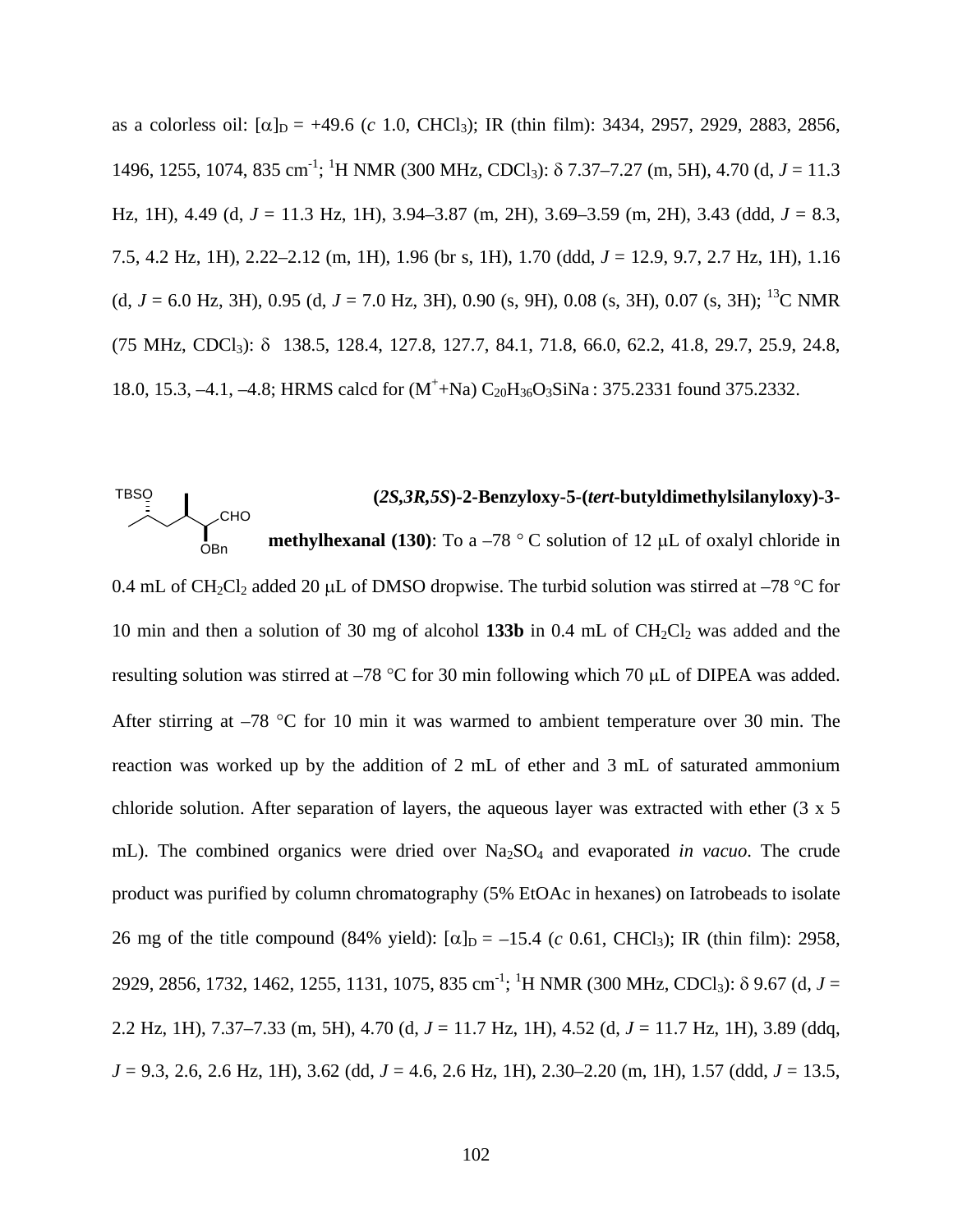as a colorless oil:  $[\alpha]_D = +49.6$  (*c* 1.0, CHCl<sub>3</sub>); IR (thin film): 3434, 2957, 2929, 2883, 2856, 1496, 1255, 1074, 835 cm<sup>-1</sup>; <sup>1</sup>H NMR (300 MHz, CDCl<sub>3</sub>): δ 7.37–7.27 (m, 5H), 4.70 (d, *J* = 11.3 Hz, 1H), 4.49 (d, *J* = 11.3 Hz, 1H), 3.94–3.87 (m, 2H), 3.69–3.59 (m, 2H), 3.43 (ddd, *J* = 8.3, 7.5, 4.2 Hz, 1H), 2.22–2.12 (m, 1H), 1.96 (br s, 1H), 1.70 (ddd, *J* = 12.9, 9.7, 2.7 Hz, 1H), 1.16 (d,  $J = 6.0$  Hz, 3H), 0.95 (d,  $J = 7.0$  Hz, 3H), 0.90 (s, 9H), 0.08 (s, 3H), 0.07 (s, 3H); <sup>13</sup>C NMR (75 MHz, CDCl3): δ 138.5, 128.4, 127.8, 127.7, 84.1, 71.8, 66.0, 62.2, 41.8, 29.7, 25.9, 24.8, 18.0, 15.3, -4.1, -4.8; HRMS calcd for  $(M^+ + Na) C_{20}H_{36}O_3SiNa$ : 375.2331 found 375.2332.

# **(***2S,3R,5S***)-2-Benzyloxy-5-(***tert***-butyldimethylsilanyloxy)-3 methylhexanal (130)**: To a –78 ° C solution of 12 μL of oxalyl chloride in CHO **TBSO** ŌBn

0.4 mL of CH<sub>2</sub>Cl<sub>2</sub> added 20 µL of DMSO dropwise. The turbid solution was stirred at –78 °C for 10 min and then a solution of 30 mg of alcohol **133b** in 0.4 mL of  $CH_2Cl_2$  was added and the resulting solution was stirred at –78 °C for 30 min following which 70 μL of DIPEA was added. After stirring at –78 °C for 10 min it was warmed to ambient temperature over 30 min. The reaction was worked up by the addition of 2 mL of ether and 3 mL of saturated ammonium chloride solution. After separation of layers, the aqueous layer was extracted with ether (3 x 5 mL). The combined organics were dried over Na<sub>2</sub>SO<sub>4</sub> and evaporated *in vacuo*. The crude product was purified by column chromatography (5% EtOAc in hexanes) on Iatrobeads to isolate 26 mg of the title compound (84% yield):  $[\alpha]_D = -15.4$  (*c* 0.61, CHCl<sub>3</sub>); IR (thin film): 2958, 2929, 2856, 1732, 1462, 1255, 1131, 1075, 835 cm<sup>-1</sup>; <sup>1</sup>H NMR (300 MHz, CDCl<sub>3</sub>): δ 9.67 (d, *J* = 2.2 Hz, 1H), 7.37–7.33 (m, 5H), 4.70 (d, *J* = 11.7 Hz, 1H), 4.52 (d, *J* = 11.7 Hz, 1H), 3.89 (ddq, *J* = 9.3, 2.6, 2.6 Hz, 1H), 3.62 (dd, *J* = 4.6, 2.6 Hz, 1H), 2.30–2.20 (m, 1H), 1.57 (ddd, *J* = 13.5,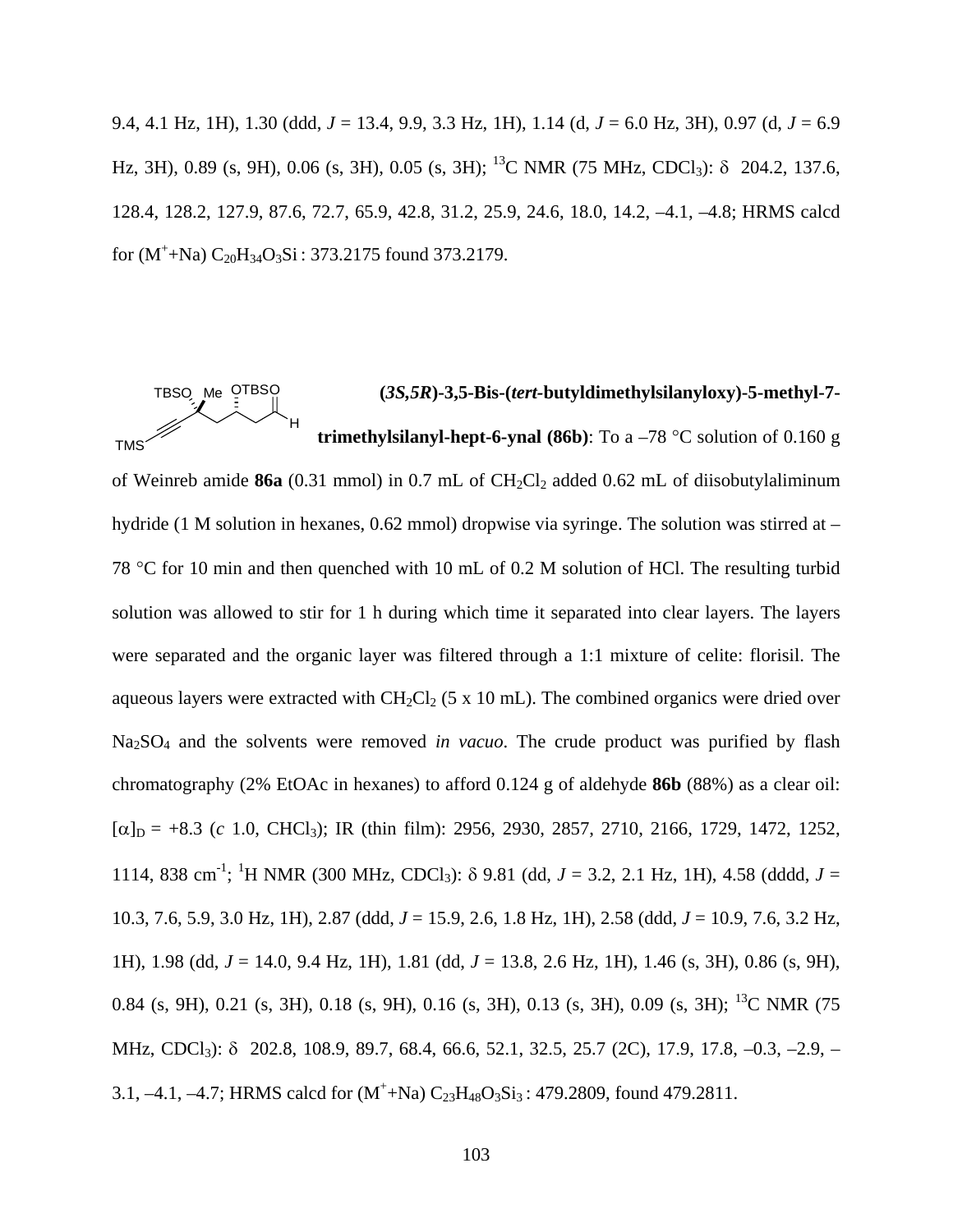9.4, 4.1 Hz, 1H), 1.30 (ddd, *J* = 13.4, 9.9, 3.3 Hz, 1H), 1.14 (d, *J* = 6.0 Hz, 3H), 0.97 (d, *J* = 6.9 Hz, 3H), 0.89 (s, 9H), 0.06 (s, 3H), 0.05 (s, 3H); 13C NMR (75 MHz, CDCl3): δ 204.2, 137.6, 128.4, 128.2, 127.9, 87.6, 72.7, 65.9, 42.8, 31.2, 25.9, 24.6, 18.0, 14.2, –4.1, –4.8; HRMS calcd for  $(M^+$ +Na)  $C_{20}H_{34}O_3Si$ : 373.2175 found 373.2179.

\n
$$
\begin{array}{r}\n \text{TBSO} \\
\hline\n \text{H} \\
\text{H} \\
\text{H} \\
\text{H}\n \end{array}
$$
\n (3S,5R)-3,5-Bis-(tert-butyldimethylsilanyloxy)-5-methyl-7-  
\n
$$
\text{H} \\
\text{H}\n \text{H}\n \text{H}\n \text{H}\n \text{H}\n \text{H}\n \text{H}\n \text{H}\n \text{H}\n \text{H}\n \text{H}\n \text{H}\n \text{H}\n \text{H}\n \text{H}\n \text{H}\n \text{H}\n \text{H}\n \text{H}\n \text{H}\n \text{H}\n \text{H}\n \text{H}\n \text{H}\n \text{H}\n \text{H}\n \text{H}\n \text{H}\n \text{H}\n \text{H}\n \text{H}\n \text{H}\n \text{H}\n \text{H}\n \text{H}\n \text{H}\n \text{H}\n \text{H}\n \text{H}\n \text{H}\n \text{H}\n \text{H}\n \text{H}\n \text{H}\n \text{H}\n \text{H}\n \text{H}\n \text{H}\n \text{H}\n \text{H}\n \text{H}\n \text{H}\n \text{H}\n \text{H}\n \text{H}\n \text{H}\n \text{H}\n \text{H}\n \text{H}\n \text{H}\n \text{H}\n \text{H}\n \text{H}\n \text{H}\n \text{H}\n \text{H}\n \text{H}\n \text{H}\n \text{H}\n \text{H}\n \text{H}\n \text{H}\n \text{H}\n \text{H}\n \text{H}\n \text{H}\n \text{H}\n \text{H}\n \text{H}\n \text{H}\n \text{H}\n \text{H}\n \text{H}\n \text{H}\n \text{H}\n \text{H}\n \text{H}\n \text{H}\n \text{H}\n \text{H}\n \text{H}\n \text{H}\n \text{H}\n \text{H}\n \text{H}\n \text{H}\n \text{H}\n \text{H}\n \text{H}\n \text{H}\n \text{H}\n \text{H}\n \text{H}\n \text{H}\n \text{H}\n \text{H}\n \text{H}\n \text{H}\n \text{H}\n \text{H
$$

of Weinreb amide 86a (0.31 mmol) in 0.7 mL of CH<sub>2</sub>Cl<sub>2</sub> added 0.62 mL of diisobutylaliminum hydride (1 M solution in hexanes, 0.62 mmol) dropwise via syringe. The solution was stirred at – 78 °C for 10 min and then quenched with 10 mL of 0.2 M solution of HCl. The resulting turbid solution was allowed to stir for 1 h during which time it separated into clear layers. The layers were separated and the organic layer was filtered through a 1:1 mixture of celite: florisil. The aqueous layers were extracted with  $CH_2Cl_2$  (5 x 10 mL). The combined organics were dried over Na2SO4 and the solvents were removed *in vacuo*. The crude product was purified by flash chromatography (2% EtOAc in hexanes) to afford 0.124 g of aldehyde **86b** (88%) as a clear oil:  $[\alpha]_D = +8.3$  (*c* 1.0, CHCl<sub>3</sub>); IR (thin film): 2956, 2930, 2857, 2710, 2166, 1729, 1472, 1252, 1114, 838 cm<sup>-1</sup>; <sup>1</sup>H NMR (300 MHz, CDCl<sub>3</sub>): δ 9.81 (dd, *J* = 3.2, 2.1 Hz, 1H), 4.58 (dddd, *J* = 10.3, 7.6, 5.9, 3.0 Hz, 1H), 2.87 (ddd, *J* = 15.9, 2.6, 1.8 Hz, 1H), 2.58 (ddd, *J* = 10.9, 7.6, 3.2 Hz, 1H), 1.98 (dd, *J* = 14.0, 9.4 Hz, 1H), 1.81 (dd, *J* = 13.8, 2.6 Hz, 1H), 1.46 (s, 3H), 0.86 (s, 9H), 0.84 (s, 9H), 0.21 (s, 3H), 0.18 (s, 9H), 0.16 (s, 3H), 0.13 (s, 3H), 0.09 (s, 3H); 13C NMR (75 MHz, CDCl<sub>3</sub>): δ 202.8, 108.9, 89.7, 68.4, 66.6, 52.1, 32.5, 25.7 (2C), 17.9, 17.8, -0.3, -2.9, -3.1, -4.1, -4.7; HRMS calcd for  $(M^+ + Na) C_{23}H_{48}O_3Si_3$ : 479.2809, found 479.2811.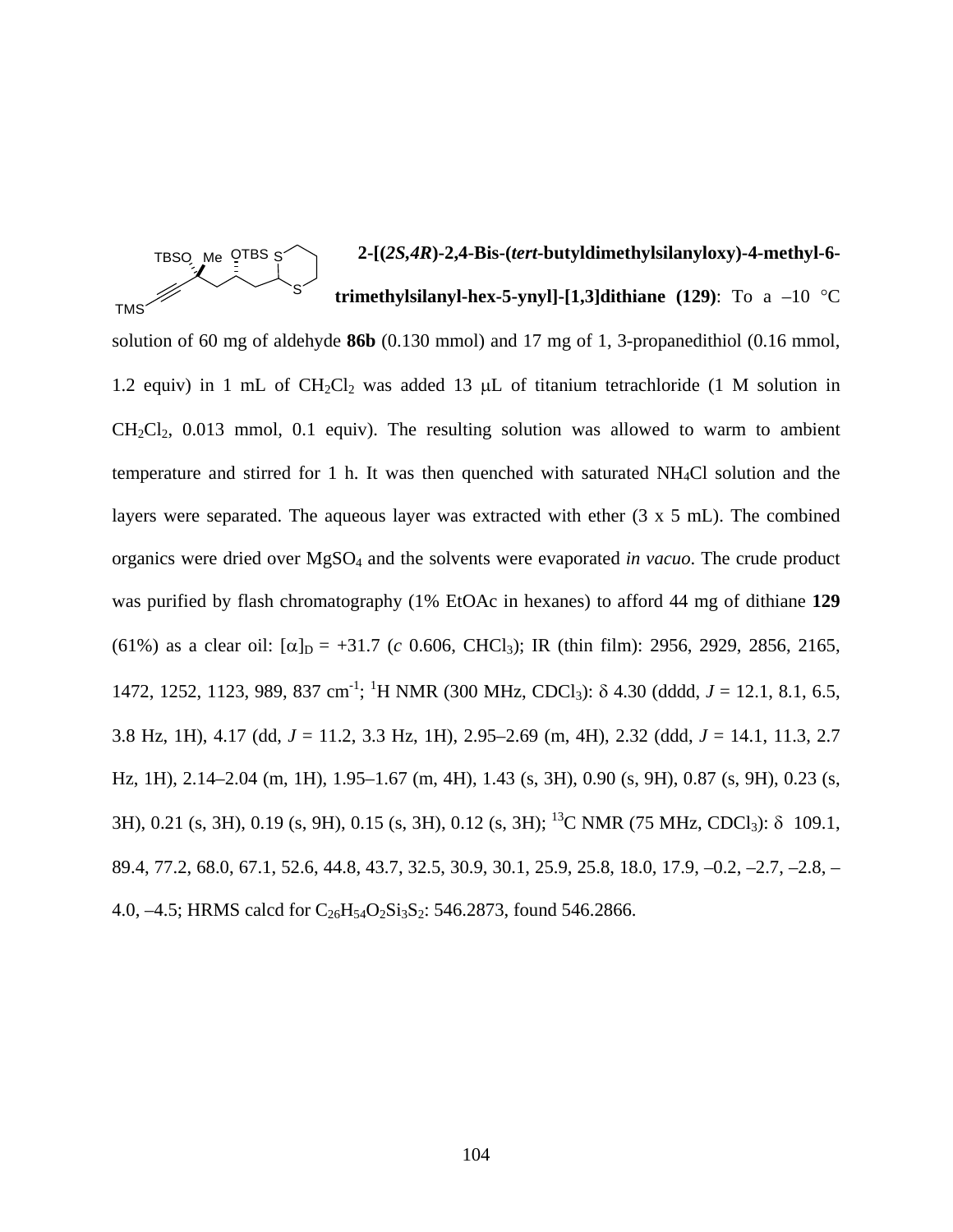TBSO Me OTBS S **TMS** S

# **2-[(***2S,4R***)-2,4-Bis-(***tert***-butyldimethylsilanyloxy)-4-methyl-6 trimethylsilanyl-hex-5-ynyl]-[1,3]dithiane (129)**: To a –10 °C

solution of 60 mg of aldehyde **86b** (0.130 mmol) and 17 mg of 1, 3-propanedithiol (0.16 mmol, 1.2 equiv) in 1 mL of  $CH_2Cl_2$  was added 13  $\mu$ L of titanium tetrachloride (1 M solution in  $CH_2Cl_2$ , 0.013 mmol, 0.1 equiv). The resulting solution was allowed to warm to ambient temperature and stirred for 1 h. It was then quenched with saturated NH4Cl solution and the layers were separated. The aqueous layer was extracted with ether (3 x 5 mL). The combined organics were dried over MgSO4 and the solvents were evaporated *in vacuo*. The crude product was purified by flash chromatography (1% EtOAc in hexanes) to afford 44 mg of dithiane **129** (61%) as a clear oil:  $\alpha|_{D} = +31.7$  (*c* 0.606, CHCl<sub>3</sub>); IR (thin film): 2956, 2929, 2856, 2165, 1472, 1252, 1123, 989, 837 cm<sup>-1</sup>; <sup>1</sup>H NMR (300 MHz, CDCl<sub>3</sub>): δ 4.30 (dddd, *J* = 12.1, 8.1, 6.5, 3.8 Hz, 1H), 4.17 (dd, *J* = 11.2, 3.3 Hz, 1H), 2.95–2.69 (m, 4H), 2.32 (ddd, *J* = 14.1, 11.3, 2.7 Hz, 1H), 2.14–2.04 (m, 1H), 1.95–1.67 (m, 4H), 1.43 (s, 3H), 0.90 (s, 9H), 0.87 (s, 9H), 0.23 (s, 3H), 0.21 (s, 3H), 0.19 (s, 9H), 0.15 (s, 3H), 0.12 (s, 3H); <sup>13</sup>C NMR (75 MHz, CDCl<sub>3</sub>):  $\delta$  109.1, 89.4, 77.2, 68.0, 67.1, 52.6, 44.8, 43.7, 32.5, 30.9, 30.1, 25.9, 25.8, 18.0, 17.9, –0.2, –2.7, –2.8, – 4.0,  $-4.5$ ; HRMS calcd for  $C_{26}H_{54}O_2Si_3S_2$ : 546.2873, found 546.2866.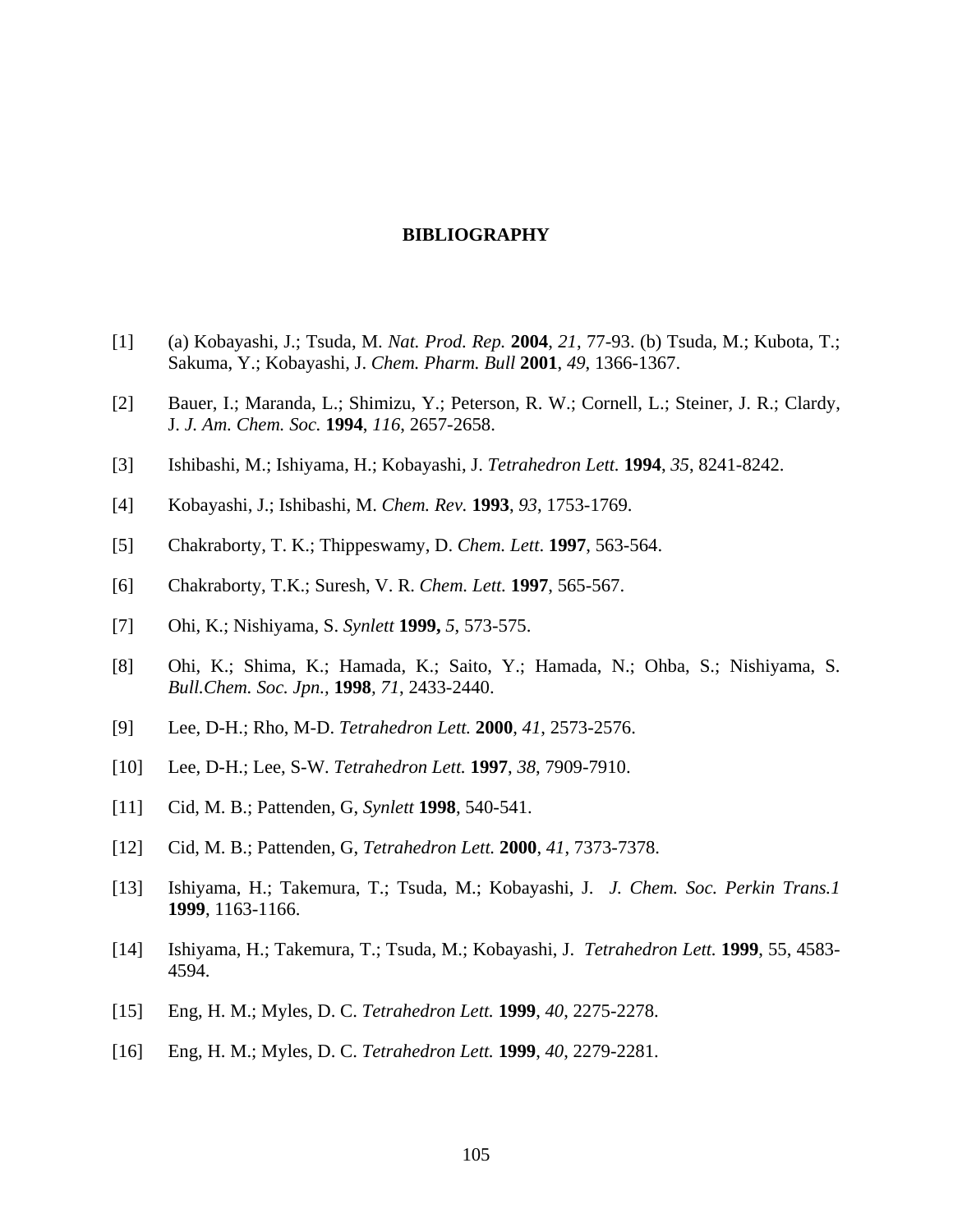# **BIBLIOGRAPHY**

- [1] (a) Kobayashi, J.; Tsuda, M. *Nat. Prod. Rep.* **2004**, *21*, 77-93. (b) Tsuda, M.; Kubota, T.; Sakuma, Y.; Kobayashi, J. *Chem. Pharm. Bull* **2001**, *49*, 1366-1367.
- [2] Bauer, I.; Maranda, L.; Shimizu, Y.; Peterson, R. W.; Cornell, L.; Steiner, J. R.; Clardy, J. *J. Am. Chem. Soc.* **1994**, *116*, 2657-2658.
- [3] Ishibashi, M.; Ishiyama, H.; Kobayashi, J. *Tetrahedron Lett.* **1994**, *35*, 8241-8242.
- [4] Kobayashi, J.; Ishibashi, M. *Chem. Rev.* **1993**, *93*, 1753-1769.
- [5] Chakraborty, T. K.; Thippeswamy, D. *Chem. Lett*. **1997**, 563-564.
- [6] Chakraborty, T.K.; Suresh, V. R. *Chem. Lett.* **1997**, 565-567.
- [7] Ohi, K.; Nishiyama, S. *Synlett* **1999,** *5*, 573-575.
- [8] Ohi, K.; Shima, K.; Hamada, K.; Saito, Y.; Hamada, N.; Ohba, S.; Nishiyama, S. *Bull.Chem. Soc. Jpn.,* **1998***, 71*, 2433-2440.
- [9] Lee, D-H.; Rho, M-D. *Tetrahedron Lett.* **2000**, *41*, 2573-2576.
- [10] Lee, D-H.; Lee, S-W. *Tetrahedron Lett.* **1997**, *38*, 7909-7910.
- [11] Cid, M. B.; Pattenden, G, *Synlett* **1998**, 540-541.
- [12] Cid, M. B.; Pattenden, G, *Tetrahedron Lett.* **2000**, *41*, 7373-7378.
- [13] Ishiyama, H.; Takemura, T.; Tsuda, M.; Kobayashi, J. *J. Chem. Soc. Perkin Trans.1*  **1999**, 1163-1166.
- [14] Ishiyama, H.; Takemura, T.; Tsuda, M.; Kobayashi, J. *Tetrahedron Lett.* **1999**, 55, 4583- 4594.
- [15] Eng, H. M.; Myles, D. C. *Tetrahedron Lett.* **1999**, *40*, 2275-2278.
- [16] Eng, H. M.; Myles, D. C. *Tetrahedron Lett.* **1999**, *40*, 2279-2281.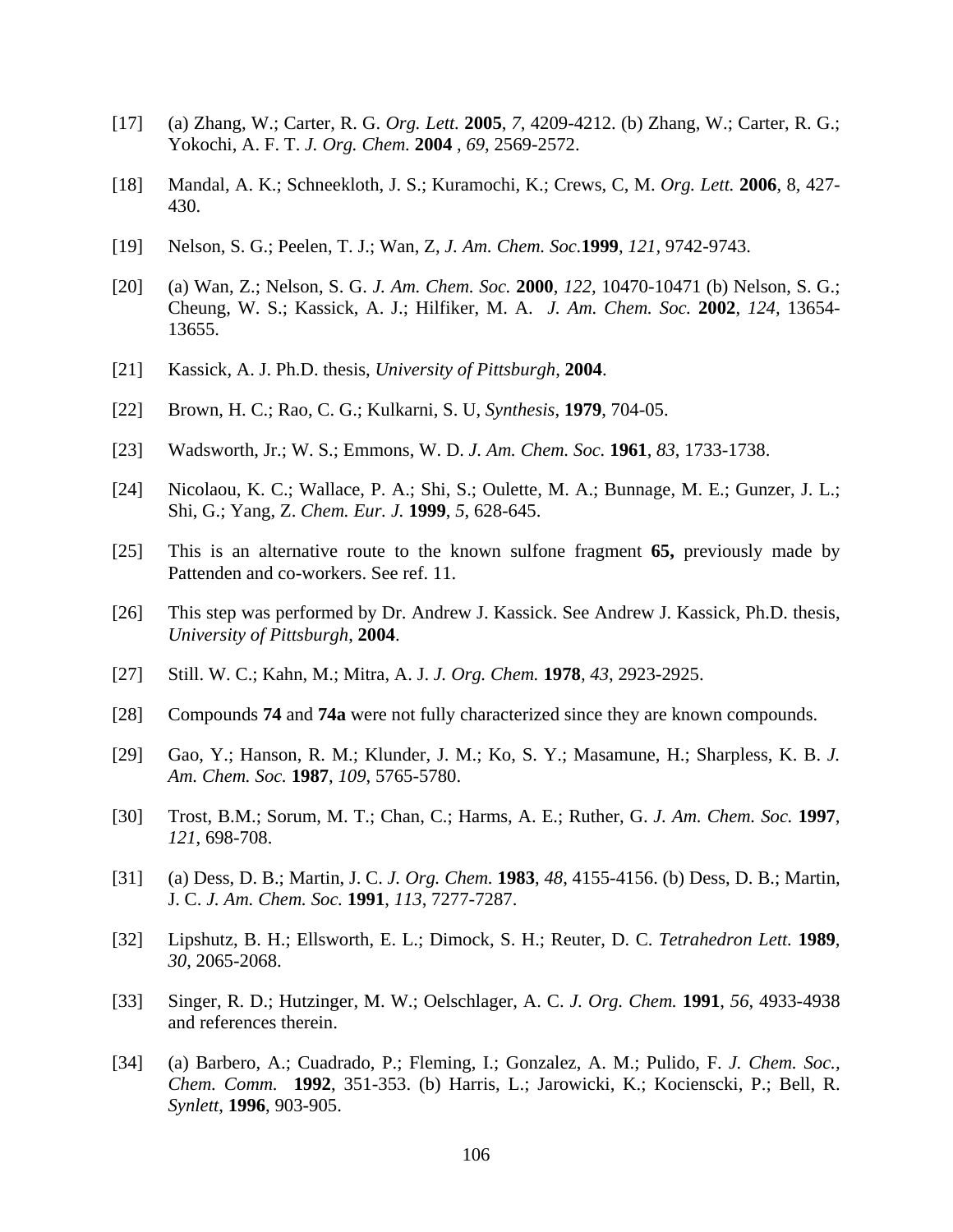- [17] (a) Zhang, W.; Carter, R. G. *Org. Lett.* **2005**, *7*, 4209-4212. (b) Zhang, W.; Carter, R. G.; Yokochi, A. F. T. *J. Org. Chem.* **2004** , *69*, 2569-2572.
- [18] Mandal, A. K.; Schneekloth, J. S.; Kuramochi, K.; Crews, C, M. *Org. Lett.* **2006**, 8, 427- 430.
- [19] Nelson, S. G.; Peelen, T. J.; Wan, Z, *J. Am. Chem. Soc.***1999**, *121,* 9742-9743.
- [20] (a) Wan, Z.; Nelson, S. G. *J. Am. Chem. Soc.* **2000**, *122,* 10470-10471 (b) Nelson, S. G.; Cheung, W. S.; Kassick, A. J.; Hilfiker, M. A. *J. Am. Chem. Soc.* **2002**, *124,* 13654- 13655.
- [21] Kassick, A. J. Ph.D. thesis, *University of Pittsburgh*, **2004**.
- [22] Brown, H. C.; Rao, C. G.; Kulkarni, S. U, *Synthesis*, **1979**, 704-05.
- [23] Wadsworth, Jr.; W. S.; Emmons, W. D. *J. Am. Chem. Soc.* **1961**, *83*, 1733-1738.
- [24] Nicolaou, K. C.; Wallace, P. A.; Shi, S.; Oulette, M. A.; Bunnage, M. E.; Gunzer, J. L.; Shi, G.; Yang, Z. *Chem. Eur. J.* **1999**, *5*, 628-645.
- [25] This is an alternative route to the known sulfone fragment **65,** previously made by Pattenden and co-workers. See ref. 11.
- [26] This step was performed by Dr. Andrew J. Kassick. See Andrew J. Kassick, Ph.D. thesis, *University of Pittsburgh*, **2004**.
- [27] Still. W. C.; Kahn, M.; Mitra, A. J. *J. Org. Chem.* **1978***, 43*, 2923-2925.
- [28] Compounds **74** and **74a** were not fully characterized since they are known compounds.
- [29] Gao, Y.; Hanson, R. M.; Klunder, J. M.; Ko, S. Y.; Masamune, H.; Sharpless, K. B. *J. Am. Chem. Soc.* **1987**, *109*, 5765-5780.
- [30] Trost, B.M.; Sorum, M. T.; Chan, C.; Harms, A. E.; Ruther, G. *J. Am. Chem. Soc.* **1997**, *121*, 698-708.
- [31] (a) Dess, D. B.; Martin, J. C. *J. Org. Chem.* **1983**, *48*, 4155-4156. (b) Dess, D. B.; Martin, J. C. *J. Am. Chem. Soc.* **1991**, *113*, 7277-7287.
- [32] Lipshutz, B. H.; Ellsworth, E. L.; Dimock, S. H.; Reuter, D. C. *Tetrahedron Lett.* **1989**, *30*, 2065-2068.
- [33] Singer, R. D.; Hutzinger, M. W.; Oelschlager, A. C. *J. Org. Chem.* **1991**, *56*, 4933-4938 and references therein.
- [34] (a) Barbero, A.; Cuadrado, P.; Fleming, I.; Gonzalez, A. M.; Pulido, F. *J. Chem. Soc., Chem. Comm.* **1992**, 351-353. (b) Harris, L.; Jarowicki, K.; Kocienscki, P.; Bell, R. *Synlett*, **1996**, 903-905.